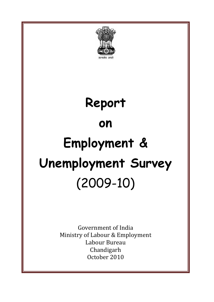

# **Report on Employment & Unemployment Survey**  (2009-10)

Government of India Ministry of Labour & Employment Labour Bureau Chandigarh October 2010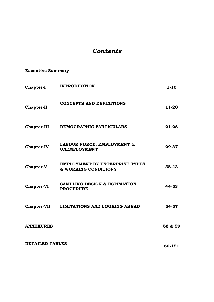# *Contents*

# **Executive Summary**

| <b>Chapter-I</b>       | <b>INTRODUCTION</b>                                           | $1 - 10$ |
|------------------------|---------------------------------------------------------------|----------|
| <b>Chapter-II</b>      | <b>CONCEPTS AND DEFINITIONS</b>                               | 11-20    |
| <b>Chapter-III</b>     | DEMOGRAPHIC PARTICULARS                                       | 21-28    |
| <b>Chapter-IV</b>      | LABOUR FORCE, EMPLOYMENT &<br><b>UNEMPLOYMENT</b>             | 29-37    |
| <b>Chapter-V</b>       | <b>EMPLOYMENT BY ENTERPRISE TYPES</b><br>& WORKING CONDITIONS | 38-43    |
| <b>Chapter-VI</b>      | <b>SAMPLING DESIGN &amp; ESTIMATION</b><br><b>PROCEDURE</b>   | 44-53    |
| <b>Chapter-VII</b>     | LIMITATIONS AND LOOKING AHEAD                                 | 54-57    |
| <b>ANNEXURES</b>       |                                                               | 58 & 59  |
| <b>DETAILED TABLES</b> | 60-151                                                        |          |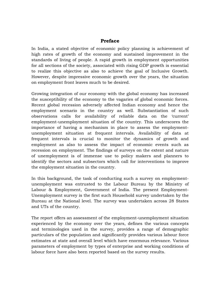# **Preface**

In India, a stated objective of economic policy planning is achievement of high rates of growth of the economy and sustained improvement in the standards of living of people. A rapid growth in employment opportunities for all sections of the society, associated with rising GDP growth is essential to realize this objective as also to achieve the goal of Inclusive Growth. However, despite impressive economic growth over the years, the situation on employment front leaves much to be desired.

Growing integration of our economy with the global economy has increased the susceptibility of the economy to the vagaries of global economic forces. Recent global recession adversely affected Indian economy and hence the employment scenario in the country as well. Substantiation of such observations calls for availability of reliable data on the 'current' employment-unemployment situation of the country. This underscores the importance of having a mechanism in place to assess the employmentunemployment situation at frequent intervals. Availability of data at frequent intervals is crucial to monitor the dynamics of growth and employment as also to assess the impact of economic events such as recession on employment. The findings of surveys on the extent and nature of unemployment is of immense use to policy makers and planners to identify the sectors and subsectors which call for interventions to improve the employment situation in the country.

In this background, the task of conducting such a survey on employmentunemployment was entrusted to the Labour Bureau by the Ministry of Labour & Employment, Government of India. The present Employment-Unemployment survey is the first such Household survey undertaken by the Bureau at the National level. The survey was undertaken across 28 States and UTs of the country.

The report offers an assessment of the employment-unemployment situation experienced by the economy over the years, defines the various concepts and terminologies used in the survey, provides a range of demographic particulars of the population and significantly provides various labour force estimates at state and overall level which have enormous relevance. Various parameters of employment by types of enterprise and working conditions of labour force have also been reported based on the survey results.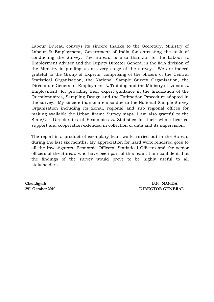Labour Bureau conveys its sincere thanks to the Secretary, Ministry of Labour & Employment, Government of India for entrusting the task of conducting the Survey. The Bureau is also thankful to the Labour & Employment Adviser and the Deputy Director General in the ESA division of the Ministry in guiding us at every stage of the survey. We are indeed grateful to the Group of Experts, comprising of the officers of the Central Statistical Organisation, the National Sample Survey Organisation, the Directorate General of Employment & Training and the Ministry of Labour & Employment, for providing their expert guidance in the finalization of the Questionnaires, Sampling Design and the Estimation Procedure adopted in the survey. My sincere thanks are also due to the National Sample Survey Organisation including its Zonal, regional and sub regional offices for making available the Urban Frame Survey maps. I am also grateful to the State/UT Directorates of Economics & Statistics for their whole hearted support and cooperation extended in collection of data and its supervision.

The report is a product of exemplary team work carried out in the Bureau during the last six months. My appreciation for hard work rendered goes to all the Investigators, Economic Officers, Statistical Officers and the senior officers of the Bureau who have been part of this team. I am confident that the findings of the survey would prove to be highly useful to all stakeholders.

**Chandigarh B.N. NANDA 29th October 2010 DIRECTOR GENERAL**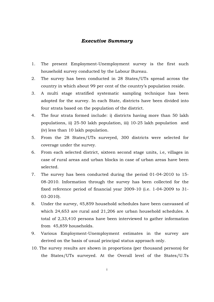#### *Executive Summary*

- 1. The present Employment-Unemployment survey is the first such household survey conducted by the Labour Bureau.
- 2. The survey has been conducted in 28 States/UTs spread across the country in which about 99 per cent of the country's population reside.
- 3. A multi stage stratified systematic sampling technique has been adopted for the survey. In each State, districts have been divided into four strata based on the population of the district.
- 4. The four strata formed include: i) districts having more than 50 lakh populations, ii) 25-50 lakh population, iii) 10-25 lakh population and (iv) less than 10 lakh population.
- 5. From the 28 States/UTs surveyed, 300 districts were selected for coverage under the survey.
- 6. From each selected district, sixteen second stage units, i.e, villages in case of rural areas and urban blocks in case of urban areas have been selected.
- 7. The survey has been conducted during the period 01-04-2010 to 15- 08-2010. Information through the survey has been collected for the fixed reference period of financial year 2009-10 (i.e. 1-04-2009 to 31- 03-2010).
- 8. Under the survey, 45,859 household schedules have been canvassed of which 24,653 are rural and 21,206 are urban household schedules. A total of 2,33,410 persons have been interviewed to gather information from 45,859 households.
- 9. Various Employment-Unemployment estimates in the survey are derived on the basis of usual principal status approach only.
- 10. The survey results are shown in proportions (per thousand persons) for the States/UTs surveyed. At the Overall level of the States/U.Ts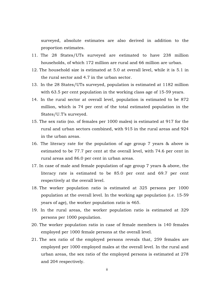surveyed, absolute estimates are also derived in addition to the proportion estimates.

- 11. The 28 States/UTs surveyed are estimated to have 238 million households, of which 172 million are rural and 66 million are urban.
- 12. The household size is estimated at 5.0 at overall level, while it is 5.1 in the rural sector and 4.7 in the urban sector.
- 13. In the 28 States/UTs surveyed, population is estimated at 1182 million with 63.5 per cent population in the working class age of 15-59 years.
- 14. In the rural sector at overall level, population is estimated to be 872 million, which is 74 per cent of the total estimated population in the States/U.T's surveyed.
- 15. The sex ratio (no. of females per 1000 males) is estimated at 917 for the rural and urban sectors combined, with 915 in the rural areas and 924 in the urban areas.
- 16. The literacy rate for the population of age group 7 years & above is estimated to be 77.7 per cent at the overall level, with 74.6 per cent in rural areas and 86.0 per cent in urban areas.
- 17. In case of male and female population of age group 7 years & above, the literacy rate is estimated to be 85.0 per cent and 69.7 per cent respectively at the overall level.
- 18. The worker population ratio is estimated at 325 persons per 1000 population at the overall level. In the working age population (i.e. 15-59 years of age), the worker population ratio is 465.
- 19. In the rural areas, the worker population ratio is estimated at 329 persons per 1000 population.
- 20. The worker population ratio in case of female members is 140 females employed per 1000 female persons at the overall level.
- 21. The sex ratio of the employed persons reveals that, 259 females are employed per 1000 employed males at the overall level. In the rural and urban areas, the sex ratio of the employed persons is estimated at 278 and 204 respectively.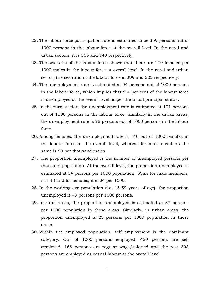- 22. The labour force participation rate is estimated to be 359 persons out of 1000 persons in the labour force at the overall level. In the rural and urban sectors, it is 365 and 340 respectively.
- 23. The sex ratio of the labour force shows that there are 279 females per 1000 males in the labour force at overall level. In the rural and urban sector, the sex ratio in the labour force is 299 and 222 respectively.
- 24. The unemployment rate is estimated at 94 persons out of 1000 persons in the labour force, which implies that 9.4 per cent of the labour force is unemployed at the overall level as per the usual principal status.
- 25. In the rural sector, the unemployment rate is estimated at 101 persons out of 1000 persons in the labour force. Similarly in the urban areas, the unemployment rate is 73 persons out of 1000 persons in the labour force.
- 26. Among females, the unemployment rate is 146 out of 1000 females in the labour force at the overall level, whereas for male members the same is 80 per thousand males.
- 27. The proportion unemployed is the number of unemployed persons per thousand population. At the overall level, the proportion unemployed is estimated at 34 persons per 1000 population. While for male members, it is 43 and for females, it is 24 per 1000.
- 28. In the working age population (i.e. 15-59 years of age), the proportion unemployed is 49 persons per 1000 persons.
- 29. In rural areas, the proportion unemployed is estimated at 37 persons per 1000 population in these areas. Similarly, in urban areas, the proportion unemployed is 25 persons per 1000 population in these areas.
- 30. Within the employed population, self employment is the dominant category. Out of 1000 persons employed, 439 persons are self employed, 168 persons are regular wage/salaried and the rest 393 persons are employed as casual labour at the overall level.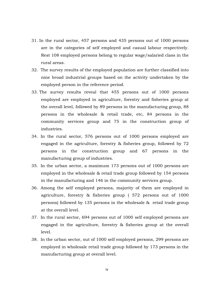- 31. In the rural sector, 457 persons and 435 persons out of 1000 persons are in the categories of self employed and casual labour respectively. Rest 108 employed persons belong to regular wage/salaried class in the rural areas.
- 32. The survey results of the employed population are further classified into nine broad industrial groups based on the activity undertaken by the employed person in the reference period.
- 33. The survey results reveal that 455 persons out of 1000 persons employed are employed in agriculture, forestry and fisheries group at the overall level, followed by 89 persons in the manufacturing group, 88 persons in the wholesale & retail trade, etc, 84 persons in the community services group and 75 in the construction group of industries.
- 34. In the rural sector, 576 persons out of 1000 persons employed are engaged in the agriculture, forestry & fisheries group, followed by 72 persons in the construction group and 67 persons in the manufacturing group of industries.
- 35. In the urban sector, a maximum 173 persons out of 1000 persons are employed in the wholesale & retail trade group followed by 154 persons in the manufacturing and 146 in the community services group.
- 36. Among the self employed persons, majority of them are employed in agriculture, forestry & fisheries group ( 572 persons out of 1000 persons) followed by 135 persons in the wholesale & retail trade group at the overall level.
- 37. In the rural sector, 694 persons out of 1000 self employed persons are engaged in the agriculture, forestry & fisheries group at the overall level.
- 38. In the urban sector, out of 1000 self employed persons, 299 persons are employed in wholesale retail trade group followed by 173 persons in the manufacturing group at overall level.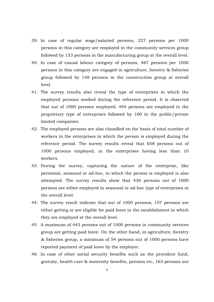- 39. In case of regular wage/salaried persons, 227 persons per 1000 persons in this category are employed in the community services group followed by 153 persons in the manufacturing group at the overall level.
- 40. In case of casual labour category of persons, 467 persons per 1000 persons in this category are engaged in agriculture, forestry & fisheries group followed by 148 persons in the construction group at overall level.
- 41. The survey results also reveal the type of enterprises in which the employed persons worked during the reference period. It is observed that out of 1000 persons employed, 494 persons are employed in the proprietary type of enterprises followed by 100 in the public/private limited companies.
- 42. The employed persons are also classified on the basis of total number of workers in the enterprises in which the person is employed during the reference period. The survey results reveal that 658 persons out of 1000 persons employed, in the enterprises having less than 10 workers.
- 43. During the survey, capturing the nature of the enterprise, like perennial, seasonal or ad-hoc, in which the person is employed is also attempted. The survey results show that 436 persons out of 1000 persons are either employed in seasonal or ad-hoc type of enterprises at the overall level.
- 44. The survey result indicate that out of 1000 persons, 157 persons are either getting or are eligible for paid leave in the establishment in which they are employed at the overall level.
- 45. A maximum of 443 persons out of 1000 persons in community services group are getting paid leave. On the other hand, in agriculture, forestry & fisheries group, a minimum of 54 persons out of 1000 persons have reported payment of paid leave by the employer.
- 46. In case of other social security benefits such as the provident fund, gratuity, health care & maternity benefits, pension etc, 163 persons out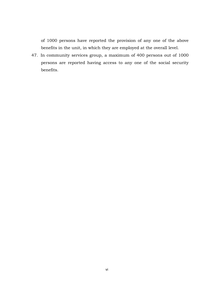of 1000 persons have reported the provision of any one of the above benefits in the unit, in which they are employed at the overall level.

47. In community services group, a maximum of 400 persons out of 1000 persons are reported having access to any one of the social security benefits.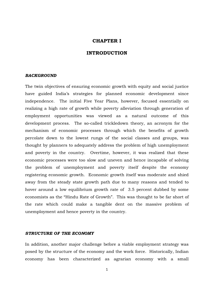#### **CHAPTER I**

# **INTRODUCTION**

#### *BACKGROUND*

The twin objectives of ensuring economic growth with equity and social justice have guided India's strategies for planned economic development since independence. The initial Five Year Plans, however, focused essentially on realizing a high rate of growth while poverty alleviation through generation of employment opportunities was viewed as a natural outcome of this development process. The so-called trickledown theory, an acronym for the mechanism of economic processes through which the benefits of growth percolate down to the lowest rungs of the social classes and groups, was thought by planners to adequately address the problem of high unemployment and poverty in the country. Overtime, however, it was realized that these economic processes were too slow and uneven and hence incapable of solving the problem of unemployment and poverty itself despite the economy registering economic growth. Economic growth itself was moderate and shied away from the steady state growth path due to many reasons and tended to hover around a low equilibrium growth rate of 3.5 percent dubbed by some economists as the "Hindu Rate of Growth". This was thought to be far short of the rate which could make a tangible dent on the massive problem of unemployment and hence poverty in the country.

#### *STRUCTURE OF THE ECONOMY*

In addition, another major challenge before a viable employment strategy was posed by the structure of the economy and the work force. Historically, Indian economy has been characterized as agrarian economy with a small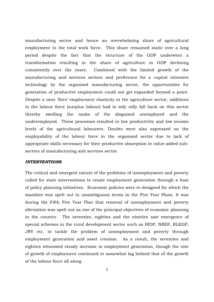manufacturing sector and hence an overwhelming share of agricultural employment in the total work force. This share remained static over a long period despite the fact that the structure of the GDP underwent a transformation resulting in the share of agriculture in GDP declining consistently over the years. Combined with the limited growth of the manufacturing and services sectors and preference for a capital intensive technology by the organised manufacturing sector, the opportunities for generation of productive employment could not get expanded beyond a point. Despite a near 'Zero' employment elasticity in the agriculture sector, additions to the labour force (surplus labour) had to wily nilly fall back on this sector thereby swelling the ranks of the disguised unemployed and the underemployed. These processes resulted in low productivity and low income levels of the agricultural labourers. Doubts were also expressed on the employability of the labour force in the organised sector due to lack of appropriate skills necessary for their productive absorption in value added subsectors of manufacturing and services sector.

#### *INTERVENTIONS*

The critical and emergent nature of the problems of unemployment and poverty called for state interventions to create employment generation through a host of policy planning initiatives. Economic policies were re-designed for which the mandate was spelt out in unambiguous terms in the Five Year Plans. It was during the Fifth Five Year Plan that removal of unemployment and poverty alleviation was spelt out as one of the principal objectives of economic planning in the country. The seventies, eighties and the nineties saw emergence of special schemes in the rural development sector such as IRDP, NREP, RLEGP, JRY etc. to tackle the problem of unemployment and poverty through employment generation and asset creation. As a result, the seventies and eighties witnessed steady increase in employment generation, though the rate of growth of employment continued to somewhat lag behind that of the growth of the labour force all along.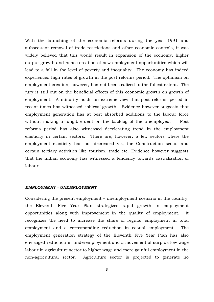With the launching of the economic reforms during the year 1991 and subsequent removal of trade restrictions and other economic controls, it was widely believed that this would result in expansion of the economy, higher output growth and hence creation of new employment opportunities which will lead to a fall in the level of poverty and inequality. The economy has indeed experienced high rates of growth in the post reforms period. The optimism on employment creation, however, has not been realized to the fullest extent. The jury is still out on the beneficial effects of this economic growth on growth of employment. A minority holds an extreme view that post reforms period in recent times has witnessed 'jobless' growth. Evidence however suggests that employment generation has at best absorbed additions to the labour force without making a tangible dent on the backlog of the unemployed. Post reforms period has also witnessed decelerating trend in the employment elasticity in certain sectors. There are, however, a few sectors where the employment elasticity has not decreased viz, the Construction sector and certain tertiary activities like tourism, trade etc. Evidence however suggests that the Indian economy has witnessed a tendency towards casualization of labour.

#### *EMPLOYMENT - UNEMPLOYMENT*

Considering the present employment – unemployment scenario in the country, the Eleventh Five Year Plan strategizes rapid growth in employment opportunities along with improvement in the quality of employment. It recognizes the need to increase the share of regular employment in total employment and a corresponding reduction in casual employment. The employment generation strategy of the Eleventh Five Year Plan has also envisaged reduction in underemployment and a movement of surplus low wage labour in agriculture sector to higher wage and more gainful employment in the non-agricultural sector. Agriculture sector is projected to generate no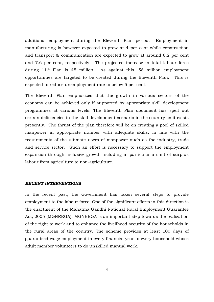additional employment during the Eleventh Plan period. Employment in manufacturing is however expected to grow at 4 per cent while construction and transport & communication are expected to grow at around 8.2 per cent and 7.6 per cent, respectively. The projected increase in total labour force during 11th Plan is 45 million. As against this, 58 million employment opportunities are targeted to be created during the Eleventh Plan. This is expected to reduce unemployment rate to below 5 per cent.

The Eleventh Plan emphasizes that the growth in various sectors of the economy can be achieved only if supported by appropriate skill development programmes at various levels. The Eleventh Plan document has spelt out certain deficiencies in the skill development scenario in the country as it exists presently. The thrust of the plan therefore will be on creating a pool of skilled manpower in appropriate number with adequate skills, in line with the requirements of the ultimate users of manpower such as the industry, trade and service sector. Such an effort is necessary to support the employment expansion through inclusive growth including in particular a shift of surplus labour from agriculture to non-agriculture.

#### *RECENT INTERVENTIONS*

In the recent past, the Government has taken several steps to provide employment to the labour force. One of the significant efforts in this direction is the enactment of the Mahatma Gandhi National Rural Employment Guarantee Act, 2005 (MGNREGA). MGNREGA is an important step towards the realization of the right to work and to enhance the livelihood security of the households in the rural areas of the country. The scheme provides at least 100 days of guaranteed wage employment in every financial year to every household whose adult member volunteers to do unskilled manual work.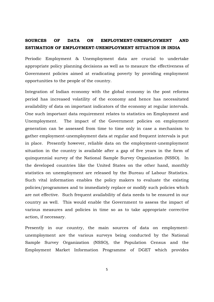# **SOURCES OF DATA ON EMPLOYMENT-UNEMPLOYMENT AND ESTIMATION OF EMPLOYMENT-UNEMPLOYMENT SITUATION IN INDIA**

Periodic Employment & Unemployment data are crucial to undertake appropriate policy planning decisions as well as to measure the effectiveness of Government policies aimed at eradicating poverty by providing employment opportunities to the people of the country.

Integration of Indian economy with the global economy in the post reforms period has increased volatility of the economy and hence has necessitated availability of data on important indicators of the economy at regular intervals. One such important data requirement relates to statistics on Employment and Unemployment. The impact of the Government policies on employment generation can be assessed from time to time only in case a mechanism to gather employment-unemployment data at regular and frequent intervals is put in place. Presently however, reliable data on the employment-unemployment situation in the country is available after a gap of five years in the form of quinquennial survey of the National Sample Survey Organization (NSSO). In the developed countries like the United States on the other hand, monthly statistics on unemployment are released by the Bureau of Labour Statistics. Such vital information enables the policy makers to evaluate the existing policies/programmes and to immediately replace or modify such policies which are not effective. Such frequent availability of data needs to be ensured in our country as well. This would enable the Government to assess the impact of various measures and policies in time so as to take appropriate corrective action, if necessary.

Presently in our country, the main sources of data on employmentunemployment are the various surveys being conducted by the National Sample Survey Organization (NSSO), the Population Census and the Employment Market Information Programme of DGET which provides

5-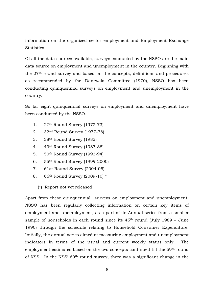information on the organized sector employment and Employment Exchange **Statistics** 

Of all the data sources available, surveys conducted by the NSSO are the main data source on employment and unemployment in the country. Beginning with the 27th round survey and based on the concepts, definitions and procedures as recommended by the Dantwala Committee (1970), NSSO has been conducting quinquennial surveys on employment and unemployment in the country.

So far eight quinquennial surveys on employment and unemployment have been conducted by the NSSO.

- 1. 27th Round Survey (1972-73)
- 2. 32nd Round Survey (1977-78)
- 3. 38th Round Survey (1983)
- 4. 43rd Round Survey (1987-88)
- 5. 50th Round Survey (1993-94)
- 6. 55th Round Survey (1999-2000)
- 7. 61st Round Survey (2004-05)
- 8. 66th Round Survey (2009-10) \*
	- (\*) Report not yet released

Apart from these quinquennial surveys on employment and unemployment, NSSO has been regularly collecting information on certain key items of employment and unemployment, as a part of its Annual series from a smaller sample of households in each round since its 45th round (July 1989 – June 1990) through the schedule relating to Household Consumer Expenditure. Initially, the annual series aimed at measuring employment and unemployment indicators in terms of the usual and current weekly status only. The employment estimates based on the two concepts continued till the 59th round of NSS. In the NSS' 60th round survey, there was a significant change in the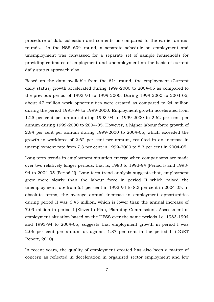procedure of data collection and contents as compared to the earlier annual rounds. In the NSS 60th round, a separate schedule on employment and unemployment was canvassed for a separate set of sample households for providing estimates of employment and unemployment on the basis of current daily status approach also.

Based on the data available from the 61st round, the employment (Current daily status) growth accelerated during 1999-2000 to 2004-05 as compared to the previous period of 1993-94 to 1999-2000. During 1999-2000 to 2004-05, about 47 million work opportunities were created as compared to 24 million during the period 1993-94 to 1999-2000. Employment growth accelerated from 1.25 per cent per annum during 1993-94 to 1999-2000 to 2.62 per cent per annum during 1999-2000 to 2004-05. However, a higher labour force growth of 2.84 per cent per annum during 1999-2000 to 2004-05, which exceeded the growth in workforce of 2.62 per cent per annum, resulted in an increase in unemployment rate from 7.3 per cent in 1999-2000 to 8.3 per cent in 2004-05.

Long term trends in employment situation emerge when comparisons are made over two relatively longer periods, that is, 1983 to 1993-94 (Period I) and 1993- 94 to 2004-05 (Period II). Long term trend analysis suggests that, employment grew more slowly than the labour force in period II which raised the unemployment rate from 6.1 per cent in 1993-94 to 8.3 per cent in 2004-05. In absolute terms, the average annual increase in employment opportunities during period II was 6.45 million, which is lower than the annual increase of 7.09 million in period I (Eleventh Plan, Planning Commission). Assessment of employment situation based on the UPSS over the same periods i.e. 1983-1994 and 1993-94 to 2004-05, suggests that employment growth in period I was 2.06 per cent per annum as against 1.87 per cent in the period II (DGET Report, 2010).

In recent years, the quality of employment created has also been a matter of concern as reflected in deceleration in organized sector employment and low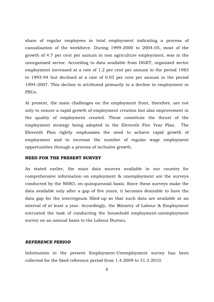share of regular employees in total employment indicating a process of casualisation of the workforce. During 1999-2000 to 2004-05, most of the growth of 4.7 per cent per annum in non agriculture employment, was in the unorganized sector. According to data available from DGET, organized sector employment increased at a rate of 1.2 per cent per annum in the period 1983 to 1993-94 but declined at a rate of 0.03 per cent per annum in the period 1994-2007. This decline is attributed primarily to a decline in employment in PSUs.

At present, the main challenges on the employment front, therefore, are not only to ensure a rapid growth of employment creation but also improvement in the quality of employment created. These constitute the thrust of the employment strategy being adopted in the Eleventh Five Year Plan. The Eleventh Plan rightly emphasizes the need to achieve rapid growth of employment and to increase the number of regular wage employment opportunities through a process of inclusive growth.

#### **NEED FOR THE PRESENT SURVEY**

As stated earlier, the main data sources available in our country for comprehensive information on employment & unemployment are the surveys conducted by the NSSO, on quinquennial basis. Since these surveys make the data available only after a gap of five years, it becomes desirable to have the data gap for the interregnum filled-up so that such data are available at an interval of at least a year. Accordingly, the Ministry of Labour & Employment entrusted the task of conducting the household employment-unemployment survey on an annual basis to the Labour Bureau.

#### *REFERENCE PERIOD*

Information in the present Employment-Unemployment survey has been collected for the fixed reference period from 1.4.2009 to 31.3.2010.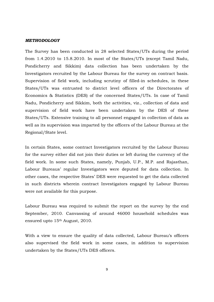#### *METHODOLOGY*

The Survey has been conducted in 28 selected States/UTs during the period from 1.4.2010 to 15.8.2010. In most of the States/UTs (except Tamil Nadu, Pondicherry and Sikkim) data collection has been undertaken by the Investigators recruited by the Labour Bureau for the survey on contract basis. Supervision of field work, including scrutiny of filled-in schedules, in these States/UTs was entrusted to district level officers of the Directorates of Economics & Statistics (DES) of the concerned States/UTs. In case of Tamil Nadu, Pondicherry and Sikkim, both the activities, viz., collection of data and supervision of field work have been undertaken by the DES of these States/UTs. Extensive training to all personnel engaged in collection of data as well as its supervision was imparted by the officers of the Labour Bureau at the Regional/State level.

In certain States, some contract Investigators recruited by the Labour Bureau for the survey either did not join their duties or left during the currency of the field work. In some such States, namely, Punjab, U.P., M.P. and Rajasthan, Labour Bureaus' regular Investigators were deputed for data collection. In other cases, the respective States' DES were requested to get the data collected in such districts wherein contract Investigators engaged by Labour Bureau were not available for this purpose.

Labour Bureau was required to submit the report on the survey by the end September, 2010. Canvassing of around 46000 household schedules was ensured upto 15th August, 2010.

With a view to ensure the quality of data collected, Labour Bureau's officers also supervised the field work in some cases, in addition to supervision undertaken by the States/UTs DES officers.

9-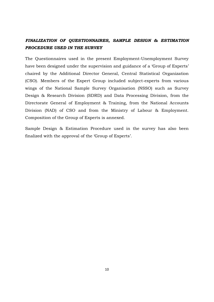# *FINALIZATION OF QUESTIONNAIRES, SAMPLE DESIGN & ESTIMATION PROCEDURE USED IN THE SURVEY*

The Questionnaires used in the present Employment-Unemployment Survey have been designed under the supervision and guidance of a 'Group of Experts' chaired by the Additional Director General, Central Statistical Organization (CSO). Members of the Expert Group included subject-experts from various wings of the National Sample Survey Organisation (NSSO) such as Survey Design & Research Division (SDRD) and Data Processing Division, from the Directorate General of Employment & Training, from the National Accounts Division (NAD) of CSO and from the Ministry of Labour & Employment. Composition of the Group of Experts is annexed.

Sample Design & Estimation Procedure used in the survey has also been finalized with the approval of the 'Group of Experts'.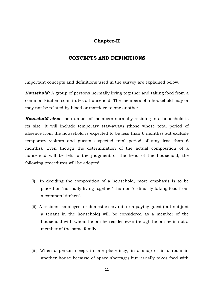# **Chapter-II**

# **CONCEPTS AND DEFINITIONS**

Important concepts and definitions used in the survey are explained below.

*Household:* A group of persons normally living together and taking food from a common kitchen constitutes a household. The members of a household may or may not be related by blood or marriage to one another.

*Household size:* The number of members normally residing in a household is its size. It will include temporary stay-aways (those whose total period of absence from the household is expected to be less than 6 months) but exclude temporary visitors and guests (expected total period of stay less than 6 months). Even though the determination of the actual composition of a household will be left to the judgment of the head of the household, the following procedures will be adopted.

- (i) In deciding the composition of a household, more emphasis is to be placed on 'normally living together' than on 'ordinarily taking food from a common kitchen'.
- (ii) A resident employee, or domestic servant, or a paying guest (but not just a tenant in the household) will be considered as a member of the household with whom he or she resides even though he or she is not a member of the same family.
- (iii) When a person sleeps in one place (say, in a shop or in a room in another house because of space shortage) but usually takes food with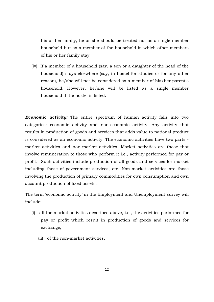his or her family, he or she should be treated not as a single member household but as a member of the household in which other members of his or her family stay.

(iv) If a member of a household (say, a son or a daughter of the head of the household) stays elsewhere (say, in hostel for studies or for any other reason), he/she will not be considered as a member of his/her parent's household. However, he/she will be listed as a single member household if the hostel is listed.

*Economic activity:* The entire spectrum of human activity falls into two categories: economic activity and non-economic activity. Any activity that results in production of goods and services that adds value to national product is considered as an economic activity. The economic activities have two parts market activities and non-market activities. Market activities are those that involve remuneration to those who perform it i.e., activity performed for pay or profit. Such activities include production of all goods and services for market including those of government services, etc. Non-market activities are those involving the production of primary commodities for own consumption and own account production of fixed assets.

The term 'economic activity' in the Employment and Unemployment survey will include:

- (i) all the market activities described above, i.e., the activities performed for pay or profit which result in production of goods and services for exchange,
	- (ii) of the non-market activities,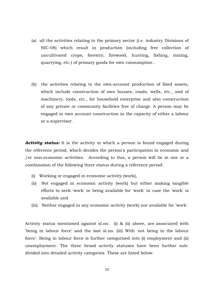- (a) all the activities relating to the primary sector (i.e. industry Divisions of NIC-08) which result in production (including free collection of uncultivated crops, forestry, firewood, hunting, fishing, mining, quarrying, etc.) of primary goods for own consumption .
- (b) the activities relating to the own-account production of fixed assets, which include construction of own houses, roads, wells, etc., and of machinery, tools, etc., for household enterprise and also construction of any private or community facilities free of charge. A person may be engaged in own account construction in the capacity of either a labour or a supervisor.

**Activity status:** It is the activity in which a person is found engaged during the reference period, which decides the person's participation in economic and /or non-economic activities. According to this, a person will be in one or a combination of the following three status during a reference period:

- (i) Working or engaged in economic activity (work),
- (ii) Not engaged in economic activity (work) but either making tangible efforts to seek 'work' or being available for 'work' in case the 'work' is available and
- (iii) Neither engaged in any economic activity (work) nor available for 'work'.

Activity status mentioned against sl.no. (i) & (ii) above, are associated with 'being in labour force' and the last sl.no. (iii) With 'not being in the labour force'. Being in labour force is further categorised into (i) employment and (ii) unemployment. The three broad activity statuses have been further subdivided into detailed activity categories. These are listed below: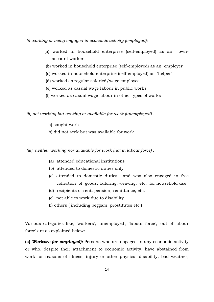*(i) working or being engaged in economic activity (employed):* 

- (a) worked in household enterprise (self-employed) as an ownaccount worker
- (b) worked in household enterprise (self-employed) as an employer
- (c) worked in household enterprise (self-employed) as 'helper'
- (d) worked as regular salaried/wage employee
- (e) worked as casual wage labour in public works
- (f) worked as casual wage labour in other types of works

 *(ii) not working but seeking or available for work (unemployed) :* 

- (a) sought work
- (b) did not seek but was available for work
- *(iii) neither working nor available for work (not in labour force) :* 
	- (a) attended educational institutions
	- (b) attended to domestic duties only
	- (c) attended to domestic duties and was also engaged in free collection of goods, tailoring, weaving, etc. for household use
	- (d) recipients of rent, pension, remittance, etc.
	- (e) not able to work due to disability
	- (f) others ( including beggars, prostitutes etc.)

Various categories like, 'workers', 'unemployed', 'labour force', 'out of labour force' are as explained below:

**(a)** *Workers (or employed):* Persons who are engaged in any economic activity or who, despite their attachment to economic activity, have abstained from work for reasons of illness, injury or other physical disability, bad weather,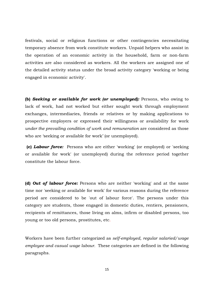festivals, social or religious functions or other contingencies necessitating temporary absence from work constitute workers. Unpaid helpers who assist in the operation of an economic activity in the household, farm or non-farm activities are also considered as workers. All the workers are assigned one of the detailed activity status under the broad activity category 'working or being engaged in economic activity'.

**(b)** *Seeking or available for work (or unemployed):* Persons, who owing to lack of work, had not worked but either sought work through employment exchanges, intermediaries, friends or relatives or by making applications to prospective employers or expressed their willingness or availability for work *under the prevailing condition of work and remuneration* are considered as those who are 'seeking or available for work' (or unemployed).

 **(c)** *Labour force:* Persons who are either 'working' (or employed) or 'seeking or available for work' (or unemployed) during the reference period together constitute the labour force.

**(d)** *Out of labour force:* Persons who are neither 'working' and at the same time nor 'seeking or available for work' for various reasons during the reference period are considered to be 'out of labour force'. The persons under this category are students, those engaged in domestic duties, rentiers, pensioners, recipients of remittances, those living on alms, infirm or disabled persons, too young or too old persons, prostitutes, etc.

Workers have been further categorized as *self-employed, regular salaried/wage employee and casual wage labour.* These categories are defined in the following paragraphs.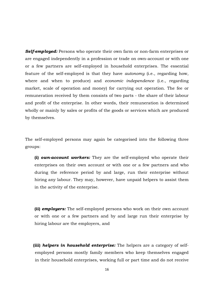*Self-employed:* Persons who operate their own farm or non-farm enterprises or are engaged independently in a profession or trade on own-account or with one or a few partners are self-employed in household enterprises. The essential feature of the self-employed is that they have *autonomy* (i.e., regarding how, where and when to produce) and *economic independence* (i.e., regarding market, scale of operation and money) for carrying out operation. The fee or remuneration received by them consists of two parts - the share of their labour and profit of the enterprise. In other words, their remuneration is determined wholly or mainly by sales or profits of the goods or services which are produced by themselves.

The self-employed persons may again be categorised into the following three groups:

 **(i)** *own-account workers:* They are the self-employed who operate their enterprises on their own account or with one or a few partners and who during the reference period by and large, run their enterprise without hiring any labour. They may, however, have unpaid helpers to assist them in the activity of the enterprise.

 **(ii)** *employers:* The self-employed persons who work on their own account or with one or a few partners and by and large run their enterprise by hiring labour are the employers, and

 **(iii)** *helpers in household enterprise:* The helpers are a category of selfemployed persons mostly family members who keep themselves engaged in their household enterprises, working full or part time and do not receive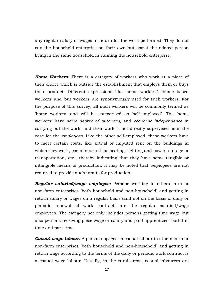any regular salary or wages in return for the work performed. They do not run the household enterprise on their own but assist the related person living in the same household in running the household enterprise.

*Home Workers:* There is a category of workers who work at a place of their choice which is outside the establishment that employs them or buys their product. Different expressions like 'home workers', 'home based workers' and 'out workers' are synonymously used for such workers. For the purpose of this survey, all such workers will be commonly termed as 'home workers' and will be categorised as 'self-employed'. The 'home workers' have *some degree of autonomy* and *economic independence* in carrying out the work, and their work is not directly supervised as is the case for the *employees.* Like the other self-employed, these workers have to meet certain costs, like actual or imputed rent on the buildings in which they work, costs incurred for heating, lighting and power, storage or transportation, etc., thereby indicating that they have some tangible or intangible means of production. It may be noted that *employees* are not required to provide such inputs for production.

*Regular salaried/wage employee:* Persons working in others farm or non-farm enterprises (both household and non-household) and getting in return salary or wages on a regular basis (and not on the basis of daily or periodic renewal of work contract) are the regular salaried/wage employees. The category not only includes persons getting time wage but also persons receiving piece wage or salary and paid apprentices, both full time and part-time.

*Casual wage labour:* A person engaged in casual labour in others farm or non-farm enterprises (both household and non-household) and getting in return wage according to the terms of the daily or periodic work contract is a casual wage labour. Usually, in the rural areas, casual labourers are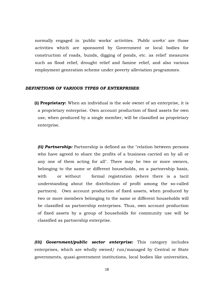normally engaged in 'public works' activities. *'Public works'* are those activities which are sponsored by Government or local bodies for construction of roads, bunds, digging of ponds, etc. as relief' measures such as flood relief, drought relief and famine relief, and also various employment generation scheme under poverty alleviation programmes.

#### *DEFINITIONS OF VARIOUS TYPES OF ENTERPRISES:*

**(i) Proprietary:** When an individual is the sole owner of an enterprise, it is a proprietary enterprise. Own account production of fixed assets for own use, when produced by a single member, will be classified as proprietary enterprise.

*(ii) Partnership:* Partnership is defined as the "relation between persons who have agreed to share the profits of a business carried on by all or any one of them acting for all". There may be two or more owners, belonging to the same or different households, on a partnership basis, with or without formal registration (where there is a tacit understanding about the distribution of profit among the so-called partners). Own account production of fixed assets, when produced by two or more members belonging to the same or different households will be classified as partnership enterprises. Thus, own account production of fixed assets by a group of households for community use will be classified as partnership enterprise.

*(iii) Government/public sector enterprise:* This category includes enterprises, which are wholly owned/ run/managed by Central or State governments, quasi-government institutions, local bodies like universities,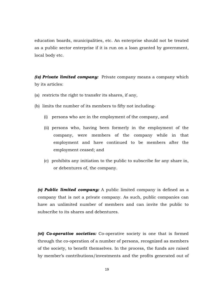education boards, municipalities, etc. An enterprise should not be treated as a public sector enterprise if it is run on a loan granted by government, local body etc.

*(iv) Private limited company:* Private company means a company which by its articles:

- (a) restricts the right to transfer its shares, if any,
- (b) limits the number of its members to fifty not including-
	- (i) persons who are in the employment of the company, and
	- (ii) persons who, having been formerly in the employment of the company, were members of the company while in that employment and have continued to be members after the employment ceased; and
	- (c) prohibits any initiation to the public to subscribe for any share in, or debentures of, the company.

*(v) Public limited company:* A public limited company is defined as a company that is not a private company. As such, public companies can have an unlimited number of members and can invite the public to subscribe to its shares and debentures.

*(vi) Co-operative societies:* Co-operative society is one that is formed through the co-operation of a number of persons, recognized as members of the society, to benefit themselves. In the process, the funds are raised by member's contributions/investments and the profits generated out of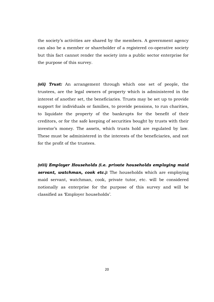the society's activities are shared by the members. A government agency can also be a member or shareholder of a registered co-operative society but this fact cannot render the society into a public sector enterprise for the purpose of this survey.

*(vii) Trust:* An arrangement through which one set of people, the trustees, are the legal owners of property which is administered in the interest of another set, the beneficiaries. Trusts may be set up to provide support for individuals or families, to provide pensions, to run charities, to liquidate the property of the bankrupts for the benefit of their creditors, or for the safe keeping of securities bought by trusts with their investor's money. The assets, which trusts hold are regulated by law. These must be administered in the interests of the beneficiaries, and not for the profit of the trustees.

*(viii) Employer Households (i.e. private households employing maid servant, watchman, cook etc.):* The households which are employing maid servant, watchman, cook, private tutor, etc. will be considered notionally as enterprise for the purpose of this survey and will be classified as 'Employer households'.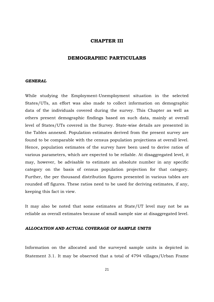#### **CHAPTER III**

# **DEMOGRAPHIC PARTICULARS**

#### *GENERAL*

While studying the Employment-Unemployment situation in the selected States/UTs, an effort was also made to collect information on demographic data of the individuals covered during the survey. This Chapter as well as others present demographic findings based on such data, mainly at overall level of States/UTs covered in the Survey. State-wise details are presented in the Tables annexed. Population estimates derived from the present survey are found to be comparable with the census population projections at overall level. Hence, population estimates of the survey have been used to derive ratios of various parameters, which are expected to be reliable. At disaggregated level, it may, however, be advisable to estimate an absolute number in any specific category on the basis of census population projection for that category. Further, the per thousand distribution figures presented in various tables are rounded off figures. These ratios need to be used for deriving estimates, if any, keeping this fact in view.

It may also be noted that some estimates at State/UT level may not be as reliable as overall estimates because of small sample size at disaggregated level.

#### *ALLOCATION AND ACTUAL COVERAGE OF SAMPLE UNITS*

Information on the allocated and the surveyed sample units is depicted in Statement 3.1. It may be observed that a total of 4794 villages/Urban Frame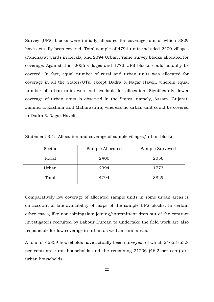Survey (UFS) blocks were initially allocated for coverage, out of which 3829 have actually been covered. Total sample of 4794 units included 2400 villages (Panchayat wards in Kerala) and 2394 Urban Frame Survey blocks allocated for coverage. Against this, 2056 villages and 1773 UFS blocks could actually be covered. In fact, equal number of rural and urban units was allocated for coverage in all the States/UTs, except Dadra & Nagar Haveli, wherein equal number of urban units were not available for allocation. Significantly, lower coverage of urban units is observed in the States, namely, Assam, Gujarat, Jammu & Kashmir and Maharashtra, whereas no urban unit could be covered in Dadra & Nagar Haveli.

| Sector | Sample Allocated | Sample Surveyed |
|--------|------------------|-----------------|
| Rural  | 2400             | 2056            |
| Urban  | 2394             | 1773            |
| Total  | 4794             | 3829            |

Statement 3.1: Allocation and coverage of sample villages/urban blocks

Comparatively low coverage of allocated sample units in some urban areas is on account of late availability of maps of the sample UFS blocks. In certain other cases, like non-joining/late joining/intermittent drop out of the contract Investigators recruited by Labour Bureau to undertake the field work are also responsible for low coverage in urban as well as rural areas.

A total of 45859 households have actually been surveyed, of which 24653 (53.8 per cent) are rural households and the remaining 21206 (46.2 per cent) are urban households.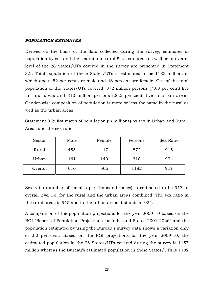#### *POPULATION ESTIMATES*

Derived on the basis of the data collected during the survey, estimates of population by sex and the sex ratio in rural & urban areas as well as at overall level of the 28 States/UTs covered in the survey are presented in Statement 3.2. Total population of these States/UTs is estimated to be 1182 million, of which about 52 per cent are male and 48 percent are female. Out of the total population of the States/UTs covered, 872 million persons (73.8 per cent) live in rural areas and 310 million persons (26.2 per cent) live in urban areas. Gender-wise composition of population is more or less the same in the rural as well as the urban areas.

| Statement 3.2: Estimates of population (in millions) by sex in Urban and Rural |  |  |  |
|--------------------------------------------------------------------------------|--|--|--|
| Areas and the sex ratio                                                        |  |  |  |

| Sector  | Male | Female | Persons | Sex Ratio |
|---------|------|--------|---------|-----------|
| Rural   | 455  | 417    | 872     | 915       |
| Urban   | 161  | 149    | 310     | 924       |
| Overall | 616  | 566    | 1182    | 917       |

Sex ratio (number of females per thousand males) is estimated to be 917 at overall level i.e. for the rural and the urban areas combined. The sex ratio in the rural areas is 915 and in the urban areas it stands at 924.

A comparison of the population projections for the year 2009-10 based on the RGI "Report of Population Projections for India and States 2001-2026" and the population estimated by using the Bureau's survey data shows a variation only of 2.2 per cent. Based on the RGI projections for the year 2009-10, the estimated population in the 28 States/UTs covered during the survey is 1157 million whereas the Bureau's estimated population in these States/UTs is 1182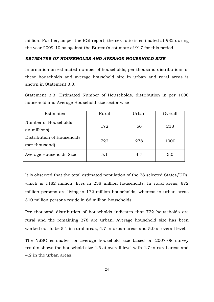million. Further, as per the RGI report, the sex ratio is estimated at 932 during the year 2009-10 as against the Bureau's estimate of 917 for this period.

#### *ESTIMATES OF HOUSEHOLDS AND AVERAGE HOUSEHOLD SIZE*

Information on estimated number of households, per thousand distributions of these households and average household size in urban and rural areas is shown in Statement 3.3.

Statement 3.3: Estimated Number of Households, distribution in per 1000 household and Average Household size sector wise

| Estimates                                    | Rural | Urban | Overall |
|----------------------------------------------|-------|-------|---------|
| Number of Households<br>(in millions)        | 172   | 66    | 238     |
| Distribution of Households<br>(per thousand) | 722   | 278   | 1000    |
| Average Households Size                      | 5.1   | 4.7   | 5.0     |

It is observed that the total estimated population of the 28 selected States/UTs, which is 1182 million, lives in 238 million households. In rural areas, 872 million persons are living in 172 million households, whereas in urban areas 310 million persons reside in 66 million households.

Per thousand distribution of households indicates that 722 households are rural and the remaining 278 are urban. Average household size has been worked out to be 5.1 in rural areas, 4.7 in urban areas and 5.0 at overall level.

The NSSO estimates for average household size based on 2007-08 survey results shows the household size 4.5 at overall level with 4.7 in rural areas and 4.2 in the urban areas.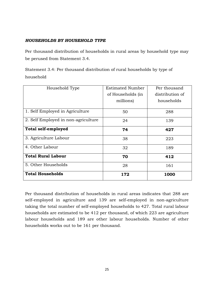# *HOUSEHOLDS BY HOUSEHOLD TYPE*

Per thousand distribution of households in rural areas by household type may be perused from Statement 3.4.

Statement 3.4: Per thousand distribution of rural households by type of household

| Household Type                      | <b>Estimated Number</b> | Per thousand    |
|-------------------------------------|-------------------------|-----------------|
|                                     | of Households (in       | distribution of |
|                                     | millions)               | households      |
| 1. Self Employed in Agriculture     | 50                      | 288             |
| 2. Self Employed in non-agriculture | 24                      | 139             |
| <b>Total self-employed</b>          | 74                      | 427             |
| 3. Agriculture Labour               | 38                      | 223             |
| 4. Other Labour                     | 32                      | 189             |
| <b>Total Rural Labour</b>           | 70                      | 412             |
| 5. Other Households                 | 28                      | 161             |
| <b>Total Households</b>             | 172                     | 1000            |

Per thousand distribution of households in rural areas indicates that 288 are self-employed in agriculture and 139 are self-employed in non-agriculture taking the total number of self-employed households to 427. Total rural labour households are estimated to be 412 per thousand, of which 223 are agriculture labour households and 189 are other labour households. Number of other households works out to be 161 per thousand.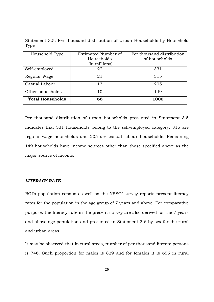Statement 3.5: Per thousand distribution of Urban Households by Household Type

| Household Type          | Estimated Number of<br>Households | Per thousand distribution<br>of households |
|-------------------------|-----------------------------------|--------------------------------------------|
|                         | (in millions)                     |                                            |
| Self-employed           | 22                                | 331                                        |
| Regular Wage            | 21                                | 315                                        |
| Casual Labour           | 13                                | 205                                        |
| Other households        | 10                                | 149                                        |
| <b>Total Households</b> | 66                                | 1000                                       |

Per thousand distribution of urban households presented in Statement 3.5 indicates that 331 households belong to the self-employed category, 315 are regular wage households and 205 are casual labour households. Remaining 149 households have income sources other than those specified above as the major source of income.

#### *LITERACY RATE*

RGI's population census as well as the NSSO' survey reports present literacy rates for the population in the age group of 7 years and above. For comparative purpose, the literacy rate in the present survey are also derived for the 7 years and above age population and presented in Statement 3.6 by sex for the rural and urban areas.

It may be observed that in rural areas, number of per thousand literate persons is 746. Such proportion for males is 829 and for females it is 656 in rural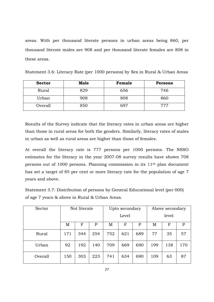areas. With per thousand literate persons in urban areas being 860, per thousand literate males are 908 and per thousand literate females are 808 in these areas.

| <b>Sector</b> | <b>Male</b> | Female | Persons |
|---------------|-------------|--------|---------|
| Rural         | 829         | 656    | 746     |
| Urban         | 908         | 808    | 860     |
| Overall       | 850         | 697    | 777     |

Statement 3.6: Literacy Rate (per 1000 persons) by Sex in Rural & Urban Areas

Results of the Survey indicate that the literacy rates in urban areas are higher than those in rural areas for both the genders. Similarly, literacy rates of males in urban as well as rural areas are higher than those of females.

At overall the literacy rate is 777 persons per 1000 persons. The NSSO estimates for the literacy in the year 2007-08 survey results have shown 708 persons out of 1000 persons. Planning commission in its 11th plan document has set a target of 85 per cent or more literacy rate for the population of age 7 years and above.

Statement 3.7: Distribution of persons by General Educational level (per 000) of age 7 years & above in Rural & Urban Areas.

| Sector  | Not literate |     |     | Upto secondary |     |             | Above secondary |     |     |
|---------|--------------|-----|-----|----------------|-----|-------------|-----------------|-----|-----|
|         |              |     |     | Level          |     |             | level           |     |     |
|         | M            | F   | Ρ   | M              | F   | $\mathbf P$ | M               | F   | P   |
| Rural   | 171          | 344 | 254 | 752            | 621 | 689         | 77              | 35  | 57  |
| Urban   | 92           | 192 | 140 | 709            | 669 | 690         | 199             | 138 | 170 |
| Overall | 150          | 303 | 223 | 741            | 634 | 690         | 109             | 63  | 87  |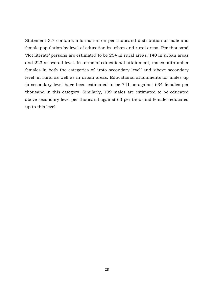Statement 3.7 contains information on per thousand distribution of male and female population by level of education in urban and rural areas. Per thousand 'Not literate' persons are estimated to be 254 in rural areas, 140 in urban areas and 223 at overall level. In terms of educational attainment, males outnumber females in both the categories of 'upto secondary level' and 'above secondary level' in rural as well as in urban areas. Educational attainments for males up to secondary level have been estimated to be 741 as against 634 females per thousand in this category. Similarly, 109 males are estimated to be educated above secondary level per thousand against 63 per thousand females educated up to this level.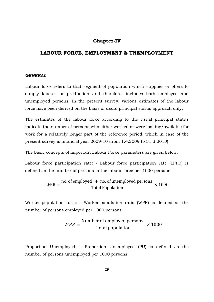# **Chapter-IV**

# **LABOUR FORCE, EMPLOYMENT & UNEMPLOYMENT**

#### *GENERAL*

Labour force refers to that segment of population which supplies or offers to supply labour for production and therefore, includes both employed and unemployed persons. In the present survey, various estimates of the labour force have been derived on the basis of usual principal status approach only.

The estimates of the labour force according to the usual principal status indicate the number of persons who either worked or were looking/available for work for a relatively longer part of the reference period, which in case of the present survey is financial year 2009-10 (from 1.4.2009 to 31.3.2010).

The basic concepts of important Labour Force parameters are given below:

Labour force participation rate: - Labour force participation rate (LFPR) is defined as the number of persons in the labour force per 1000 persons.

$$
LFPR = \frac{\text{no. of employed + no. of unemployed persons}}{\text{Total Population}} \times 1000
$$

Worker-population ratio: - Worker-population ratio (WPR) is defined as the number of persons employed per 1000 persons.

$$
WPR = \frac{\text{Number of employed persons}}{\text{Total population}} \times 1000
$$

Proportion Unemployed: - Proportion Unemployed (PU) is defined as the number of persons unemployed per 1000 persons.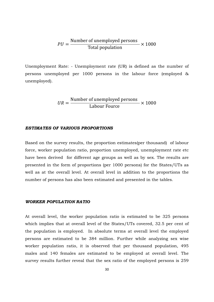$$
PU = \frac{\text{Number of unemployed persons}}{\text{Total population}} \times 1000
$$

Unemployment Rate: - Unemployment rate (UR) is defined as the number of persons unemployed per 1000 persons in the labour force (employed & unemployed).

$$
UR = \frac{\text{Number of unemployed persons}}{\text{Labour Fource}} \times 1000
$$

#### *ESTIMATES OF VARIOUS PROPORTIONS*

Based on the survey results, the proportion estimates(per thousand) of labour force, worker population ratio, proportion unemployed, unemployment rate etc have been derived for different age groups as well as by sex. The results are presented in the form of proportions (per 1000 persons) for the States/UTs as well as at the overall level. At overall level in addition to the proportions the number of persons has also been estimated and presented in the tables.

#### *WORKER POPULATION RATIO*

At overall level, the worker population ratio is estimated to be 325 persons which implies that at overall level of the States/UTs covered, 32.5 per cent of the population is employed. In absolute terms at overall level the employed persons are estimated to be 384 million. Further while analyzing sex wise worker population ratio, it is observed that per thousand population, 495 males and 140 females are estimated to be employed at overall level. The survey results further reveal that the sex ratio of the employed persons is 259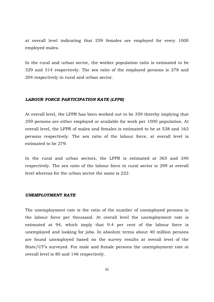at overall level indicating that 259 females are employed for every 1000 employed males.

In the rural and urban sector, the worker population ratio is estimated to be 329 and 314 respectively. The sex ratio of the employed persons is 278 and 204 respectively in rural and urban sector.

#### *LABOUR FORCE PARTICIPATION RATE (LFPR)*

At overall level, the LFPR has been worked out to be 359 thereby implying that 359 persons are either employed or available for work per 1000 population. At overall level, the LFPR of males and females is estimated to be at 538 and 163 persons respectively. The sex ratio of the labour force, at overall level is estimated to be 279.

In the rural and urban sectors, the LFPR is estimated at 365 and 340 respectively. The sex ratio of the labour force in rural sector is 299 at overall level whereas for the urban sector the same is 222.

#### *UNEMPLOYMENT RATE*

The unemployment rate is the ratio of the number of unemployed persons in the labour force per thousand. At overall level the unemployment rate is estimated at 94, which imply that 9.4 per cent of the labour force is unemployed and looking for jobs. In absolute terms about 40 million persons are found unemployed based on the survey results at overall level of the State/UT's surveyed. For male and female persons the unemployment rate at overall level is 80 and 146 respectively.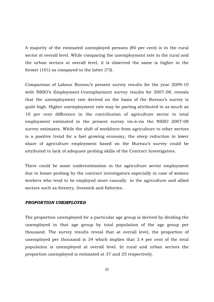A majority of the estimated unemployed persons (80 per cent) is in the rural sector at overall level. While comparing the unemployment rate in the rural and the urban sectors at overall level, it is observed the same is higher in the former (101) as compared to the latter (73).

Comparison of Labour Bureau's present survey results for the year 2009-10 with NSSO's Employment-Unemployment survey results for 2007-08, reveals that the unemployment rate derived on the basis of the Bureau's survey is quite high. Higher unemployment rate may be parting attributed to as much as 10 per cent difference in the contribution of agriculture sector to total employment estimated in the present survey vis-à-vis the NSSO 2007-08 survey estimates. While the shift of workforce from agriculture to other sectors is a positive trend for a fast growing economy, the steep reduction in lower share of agriculture employment based on the Bureau's survey could be attributed to lack of adequate probing skills of the Contract Investigators.

There could be some underestimation in the agriculture sector employment due to lesser-probing by the contract investigators especially in case of women workers who tend to be employed more casually in the agriculture and allied sectors such as forestry, livestock and fisheries.

#### *PROPORTION UNEMPLOYED*

The proportion unemployed for a particular age group is derived by dividing the unemployed in that age group by total population of the age group per thousand. The survey results reveal that at overall level, the proportion of unemployed per thousand is 34 which implies that 3.4 per cent of the total population is unemployed at overall level. In rural and urban sectors the proportion unemployed is estimated at 37 and 25 respectively.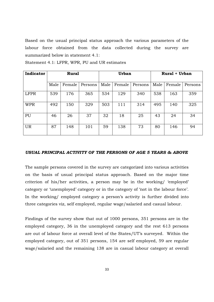Based on the usual principal status approach the various parameters of the labour force obtained from the data collected during the survey are summarized below in statement 4.1:

| Indicator   | <b>Rural</b> |        |         | <b>Urban</b> |        |         | <b>Rural + Urban</b> |        |         |
|-------------|--------------|--------|---------|--------------|--------|---------|----------------------|--------|---------|
|             | Male         | Female | Persons | Male         | Female | Persons | Male                 | Female | Persons |
| <b>LFPR</b> | 539          | 176    | 365     | 534          | 129    | 340     | 538                  | 163    | 359     |
| <b>WPR</b>  | 492          | 150    | 329     | 503          | 111    | 314     | 495                  | 140    | 325     |
| PU          | 46           | 26     | 37      | 32           | 18     | 25      | 43                   | 24     | 34      |
| <b>UR</b>   | 87           | 148    | 101     | 59           | 138    | 73      | 80                   | 146    | 94      |

Statement 4.1: LFPR, WPR, PU and UR estimates

# *USUAL PRINCIPAL ACTIVITY OF THE PERSONS OF AGE 5 YEARS & ABOVE*

The sample persons covered in the survey are categorized into various activities on the basis of usual principal status approach. Based on the major time criterion of his/her activities, a person may be in the working/ 'employed' category or 'unemployed' category or in the category of 'not in the labour force'. In the working/ employed category a person's activity is further divided into three categories viz, self employed, regular wage/salaried and casual labour.

Findings of the survey show that out of 1000 persons, 351 persons are in the employed category, 36 in the unemployed category and the rest 613 persons are out of labour force at overall level of the States/UT's surveyed. Within the employed category, out of 351 persons, 154 are self employed, 59 are regular wage/salaried and the remaining 138 are in casual labour category at overall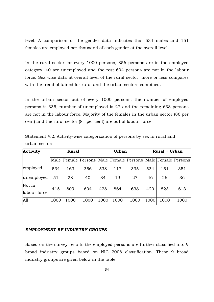level. A comparison of the gender data indicates that 534 males and 151 females are employed per thousand of each gender at the overall level.

In the rural sector for every 1000 persons, 356 persons are in the employed category, 40 are unemployed and the rest 604 persons are not in the labour force. Sex wise data at overall level of the rural sector, more or less compares with the trend obtained for rural and the urban sectors combined.

In the urban sector out of every 1000 persons, the number of employed persons is 335, number of unemployed is 27 and the remaining 638 persons are not in the labour force. Majority of the females in the urban sector (86 per cent) and the rural sector (81 per cent) are out of labour force.

| Activity               | <b>Rural</b> |      | <b>Urban</b> |      |      | <b>Rural + Urban</b>                                                        |      |      |      |
|------------------------|--------------|------|--------------|------|------|-----------------------------------------------------------------------------|------|------|------|
|                        |              |      |              |      |      | Male   Female   Persons   Male   Female   Persons   Male   Female   Persons |      |      |      |
| employed               | 534          | 163  | 356          | 538  | 117  | 335                                                                         | 534  | 151  | 351  |
| unemployed             | 51           | 28   | 40           | 34   | 19   | 27                                                                          | 46   | 26   | 36   |
| Not in<br>labour force | 415          | 809  | 604          | 428  | 864  | 638                                                                         | 420  | 823  | 613  |
| A11                    | 1000         | 1000 | 1000         | 1000 | 1000 | 1000                                                                        | 1000 | 1000 | 1000 |

Statement 4.2: Activity-wise categorization of persons by sex in rural and urban sectors

#### *EMPLOYMENT BY INDUSTRY GROUPS*

Based on the survey results the employed persons are further classified into 9 broad industry groups based on NIC 2008 classification. These 9 broad industry groups are given below in the table: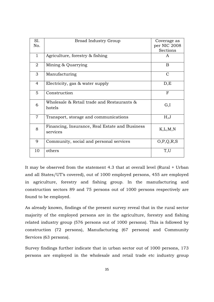| Sl.            | <b>Broad Industry Group</b>                    | Coverage as   |
|----------------|------------------------------------------------|---------------|
| No.            |                                                | per NIC 2008  |
|                |                                                | Sections      |
| $\mathbf{1}$   | Agriculture, forestry & fishing                | A             |
| $\overline{2}$ | Mining & Quarrying                             | B             |
| 3              | Manufacturing                                  | $\mathcal{C}$ |
| $\overline{4}$ | Electricity, gas & water supply                | D,E           |
| $5^{\circ}$    | Construction                                   | F             |
| 6              | Wholesale & Retail trade and Restaurants &     | G,I           |
|                | hotels                                         |               |
| $\overline{7}$ | Transport, storage and communications          | H, J          |
| 8              | Financing, Insurance, Real Estate and Business | K, L, M, N    |
|                | services                                       |               |
| 9              | Community, social and personal services        | O, P, Q, R, S |
| 10             | others                                         | T,U           |
|                |                                                |               |

It may be observed from the statement 4.3 that at overall level (Rural + Urban and all States/UT's covered), out of 1000 employed persons, 455 are employed in agriculture, forestry and fishing group. In the manufacturing and construction sectors 89 and 75 persons out of 1000 persons respectively are found to be employed.

As already known, findings of the present survey reveal that in the rural sector majority of the employed persons are in the agriculture, forestry and fishing related industry group (576 persons out of 1000 persons). This is followed by construction (72 persons), Manufacturing (67 persons) and Community Services (63 persons).

Survey findings further indicate that in urban sector out of 1000 persons, 173 persons are employed in the wholesale and retail trade etc industry group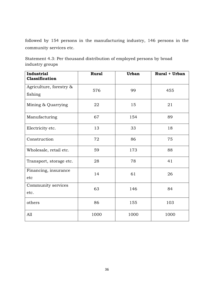followed by 154 persons in the manufacturing industry, 146 persons in the community services etc.

Statement 4.3: Per thousand distribution of employed persons by broad industry groups

| <b>Industrial</b><br><b>Classification</b> | <b>Rural</b> | <b>Urban</b> | <b>Rural + Urban</b> |
|--------------------------------------------|--------------|--------------|----------------------|
| Agriculture, forestry &                    | 576          | 99           | 455                  |
| fishing                                    |              |              |                      |
| Mining & Quarrying                         | 22           | 15           | 21                   |
| Manufacturing                              | 67           | 154          | 89                   |
| Electricity etc.                           | 13           | 33           | 18                   |
| Construction                               | 72           | 86           | 75                   |
| Wholesale, retail etc.                     | 59           | 173          | 88                   |
| Transport, storage etc.                    | 28           | 78           | 41                   |
| Financing, insurance                       | 14           | 61           | 26                   |
| etc                                        |              |              |                      |
| Community services                         | 63           | 146          | 84                   |
| etc.                                       |              |              |                      |
| others                                     | 86           | 155          | 103                  |
| All                                        | 1000         | 1000         | 1000                 |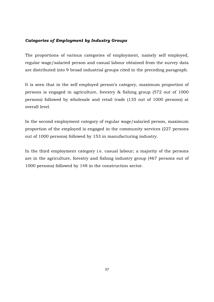# *Categories of Employment by Industry Groups*

The proportions of various categories of employment, namely self employed, regular wage/salaried person and casual labour obtained from the survey data are distributed into 9 broad industrial groups cited in the preceding paragraph.

It is seen that in the self employed person's category, maximum proportion of persons is engaged in agriculture, forestry & fishing group (572 out of 1000 persons) followed by wholesale and retail trade (135 out of 1000 persons) at overall level.

In the second employment category of regular wage/salaried person, maximum proportion of the employed is engaged in the community services (227 persons out of 1000 persons) followed by 153 in manufacturing industry.

In the third employment category i.e. casual labour; a majority of the persons are in the agriculture, forestry and fishing industry group (467 persons out of 1000 persons) followed by 148 in the construction sector.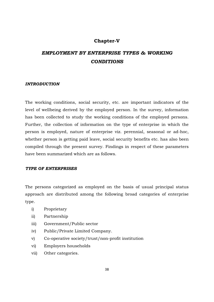# **Chapter-V**

# *EMPLOYMENT BY ENTERPRISE TYPES & WORKING CONDITIONS*

#### *INTRODUCTION*

The working conditions, social security, etc. are important indicators of the level of wellbeing derived by the employed person. In the survey, information has been collected to study the working conditions of the employed persons. Further, the collection of information on the type of enterprise in which the person is employed, nature of enterprise viz. perennial, seasonal or ad-hoc, whether person is getting paid leave, social security benefits etc. has also been compiled through the present survey. Findings in respect of these parameters have been summarized which are as follows.

#### *TYPE OF ENTERPRISES*

The persons categorized as employed on the basis of usual principal status approach are distributed among the following broad categories of enterprise type.

- i) Proprietary
- ii) Partnership
- iii) Government/Public sector
- iv) Public/Private Limited Company.
- v) Co-operative society/trust/non-profit institution
- vi) Employers households
- vii) Other categories.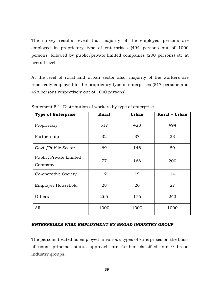The survey results reveal that majority of the employed persons are employed in proprietary type of enterprises (494 persons out of 1000 persons) followed by public/private limited companies (200 persons) etc at overall level.

At the level of rural and urban sector also, majority of the workers are reportedly employed in the proprietary type of enterprises (517 persons and 428 persons respectively out of 1000 persons).

| <b>Type of Enterprise</b>          | <b>Rural</b> | <b>Urban</b> | <b>Rural + Urban</b> |
|------------------------------------|--------------|--------------|----------------------|
| Proprietary                        | 517          | 428          | 494                  |
| Partnership                        | 32           | 37           | 33                   |
| Govt./Public Sector                | 69           | 146          | 89                   |
| Public/Private Limited<br>Company. | 77           | 168          | 200                  |
| Co-operative Society               | 12           | 19           | 14                   |
| Employer Household                 | 28           | 26           | 27                   |
| Others                             | 265          | 176          | 243                  |
| A11                                | 1000         | 1000         | 1000                 |

Statement 5.1: Distribution of workers by type of enterprise

#### *ENTERPRISES WISE EMPLOYMENT BY BROAD INDUSTRY GROUP*

The persons treated as employed in various types of enterprises on the basis of usual principal status approach are further classified into 9 broad industry groups.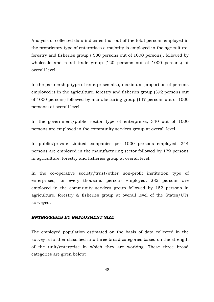Analysis of collected data indicates that out of the total persons employed in the proprietary type of enterprises a majority is employed in the agriculture, forestry and fisheries group ( 580 persons out of 1000 persons), followed by wholesale and retail trade group (120 persons out of 1000 persons) at overall level.

In the partnership type of enterprises also, maximum proportion of persons employed is in the agriculture, forestry and fisheries group (392 persons out of 1000 persons) followed by manufacturing group (147 persons out of 1000 persons) at overall level.

In the government/public sector type of enterprises, 340 out of 1000 persons are employed in the community services group at overall level.

In public/private Limited companies per 1000 persons employed, 244 persons are employed in the manufacturing sector followed by 179 persons in agriculture, forestry and fisheries group at overall level.

In the co-operative society/trust/other non-profit institution type of enterprises, for every thousand persons employed, 282 persons are employed in the community services group followed by 152 persons in agriculture, forestry & fisheries group at overall level of the States/UTs surveyed.

#### *ENTERPRISES BY EMPLOYMENT SIZE*

The employed population estimated on the basis of data collected in the survey is further classified into three broad categories based on the strength of the unit/enterprise in which they are working. These three broad categories are given below: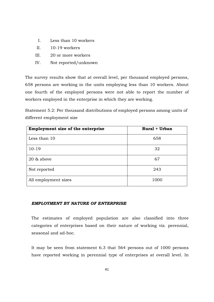- I. Less than 10 workers
- II.  $10-19$  workers
- III. 20 or more workers
- IV. Not reported/unknown

The survey results show that at overall level, per thousand employed persons, 658 persons are working in the units employing less than 10 workers. About one fourth of the employed persons were not able to report the number of workers employed in the enterprise in which they are working.

Statement 5.2: Per thousand distributions of employed persons among units of different employment size

| Employment size of the enterprise | <b>Rural + Urban</b> |
|-----------------------------------|----------------------|
| Less than 10                      | 658                  |
| $10-19$                           | 32                   |
| 20 & above                        | 67                   |
| Not reported                      | 243                  |
| All employment sizes              | 1000                 |

#### *EMPLOYMENT BY NATURE OF ENTERPRISE*

The estimates of employed population are also classified into three categories of enterprises based on their nature of working viz. perennial, seasonal and ad-hoc.

It may be seen from statement 6.3 that 564 persons out of 1000 persons have reported working in perennial type of enterprises at overall level. In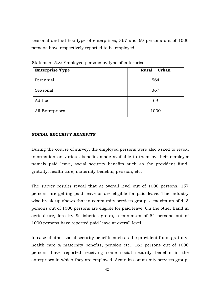seasonal and ad-hoc type of enterprises, 367 and 69 persons out of 1000 persons have respectively reported to be employed.

| <b>Enterprise Type</b> | <b>Rural + Urban</b> |
|------------------------|----------------------|
| Perennial              | 564                  |
| Seasonal               | 367                  |
| Ad-hoc                 | 69                   |
| All Enterprises        | 1000                 |

Statement 5.3: Employed persons by type of enterprise

#### *SOCIAL SECURITY BENEFITS*

During the course of survey, the employed persons were also asked to reveal information on various benefits made available to them by their employer namely paid leave, social security benefits such as the provident fund, gratuity, health care, maternity benefits, pension, etc.

The survey results reveal that at overall level out of 1000 persons, 157 persons are getting paid leave or are eligible for paid leave. The industry wise break up shows that in community services group, a maximum of 443 persons out of 1000 persons are eligible for paid leave. On the other hand in agriculture, forestry & fisheries group, a minimum of 54 persons out of 1000 persons have reported paid leave at overall level.

In case of other social security benefits such as the provident fund, gratuity, health care & maternity benefits, pension etc., 163 persons out of 1000 persons have reported receiving some social security benefits in the enterprises in which they are employed. Again in community services group,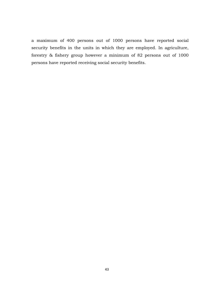a maximum of 400 persons out of 1000 persons have reported social security benefits in the units in which they are employed. In agriculture, forestry & fishery group however a minimum of 82 persons out of 1000 persons have reported receiving social security benefits.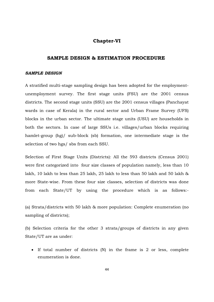# **Chapter-VI**

# **SAMPLE DESIGN & ESTIMATION PROCEDURE**

#### *SAMPLE DESIGN*

A stratified multi-stage sampling design has been adopted for the employmentunemployment survey. The first stage units (FSU) are the 2001 census districts. The second stage units (SSU) are the 2001 census villages (Panchayat wards in case of Kerala) in the rural sector and Urban Frame Survey (UFS) blocks in the urban sector. The ultimate stage units (USU) are households in both the sectors. In case of large SSUs i.e. villages/urban blocks requiring hamlet-group (hg)/ sub-block (sb) formation, one intermediate stage is the selection of two hgs/ sbs from each SSU.

Selection of First Stage Units (Districts): All the 593 districts (Census 2001) were first categorized into four size classes of population namely, less than 10 lakh, 10 lakh to less than 25 lakh, 25 lakh to less than 50 lakh and 50 lakh & more State-wise. From these four size classes, selection of districts was done from each State/UT by using the procedure which is as follows:-

(a) Strata/districts with 50 lakh & more population: Complete enumeration (no sampling of districts);

(b) Selection criteria for the other 3 strata/groups of districts in any given State/UT are as under:

- If total number of districts (N) in the frame is 2 or less, complete enumeration is done.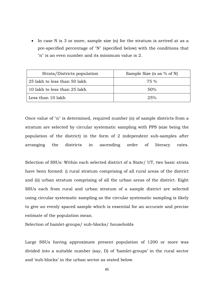- In case N is 3 or more, sample size (n) for the stratum is arrived at as a pre-specified percentage of "N" (specified below) with the conditions that "n" is an even number and its minimum value is 2.

| Strata/Districts population  | Sample Size (n as $%$ of N) |
|------------------------------|-----------------------------|
| 25 lakh to less than 50 lakh | 75 %                        |
| 10 lakh to less than 25 lakh | 50%                         |
| Less than 10 lakh            | $2.5\%$                     |

Once value of "n" is determined, required number (n) of sample districts from a stratum are selected by circular systematic sampling with PPS (size being the population of the district) in the form of 2 independent sub-samples after arranging the districts in ascending order of literacy rates.

Selection of SSUs: Within each selected district of a State/ UT, two basic strata have been formed: i) rural stratum comprising of all rural areas of the district and (ii) urban stratum comprising of all the urban areas of the district. Eight SSUs each from rural and urban stratum of a sample district are selected using circular systematic sampling as the circular systematic sampling is likely to give an evenly spaced sample which is essential for an accurate and precise estimate of the population mean.

Selection of hamlet-groups/ sub-blocks/ households

Large SSUs having approximate present population of 1200 or more was divided into a suitable number (say, D) of 'hamlet-groups' in the rural sector and 'sub-blocks' in the urban sector as stated below.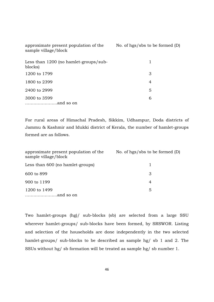| approximate present population of the<br>sample village/block | No. of hgs/sbs to be formed $(D)$ |
|---------------------------------------------------------------|-----------------------------------|
| Less than 1200 (no hamilet-groups/sub-<br>blocks)             | 1                                 |
| 1200 to 1799                                                  | 3                                 |
| 1800 to 2399                                                  | 4                                 |
| 2400 to 2999                                                  | 5                                 |
| 3000 to 3599                                                  | 6                                 |
|                                                               |                                   |

For rural areas of Himachal Pradesh, Sikkim, Udhampur, Doda districts of Jammu & Kashmir and Idukki district of Kerala, the number of hamlet-groups formed are as follows.

| approximate present population of the<br>sample village/block | No. of hgs/sbs to be formed $(D)$ |
|---------------------------------------------------------------|-----------------------------------|
| Less than 600 (no hame t-groups)                              |                                   |
| 600 to 899                                                    | З                                 |
| 900 to 1199                                                   | 4                                 |
| 1200 to 1499                                                  | 5                                 |

Two hamlet-groups (hg)/ sub-blocks (sb) are selected from a large SSU wherever hamlet-groups/ sub-blocks have been formed, by SRSWOR. Listing and selection of the households are done independently in the two selected hamlet-groups/ sub-blocks to be described as sample hg/ sb 1 and 2. The SSUs without hg/ sb formation will be treated as sample hg/ sb number 1.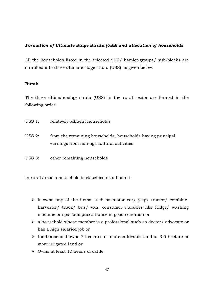# *Formation of Ultimate Stage Strata (USS) and allocation of households*

All the households listed in the selected SSU/ hamlet-groups/ sub-blocks are stratified into three ultimate stage strata (USS) as given below:

#### **Rural:**

The three ultimate-stage-strata (USS) in the rural sector are formed in the following order:

- USS 1: relatively affluent households
- USS 2: from the remaining households, households having principal earnings from non-agricultural activities
- USS 3: other remaining households

In rural areas a household is classified as affluent if

- it owns any of the items such as motor car/ jeep/ tractor/ combineharvester/ truck/ bus/ van, consumer durables like fridge/ washing machine or spacious pucca house in good condition or
- > a household whose member is a professional such as doctor/ advocate or has a high salaried job or
- > the household owns 7 hectares or more cultivable land or 3.5 hectare or more irrigated land or
- > Owns at least 10 heads of cattle.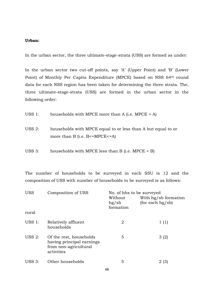#### **Urban:**

In the urban sector, the three ultimate-stage-strata (USS) are formed as under:

In the urban sector two cut-off points, say 'A' (Upper Point) and 'B' (Lower Point) of Monthly Per Capita Expenditure (MPCE) based on NSS 64<sup>th</sup> round data for each NSS region has been taken for determining the three strata. The, three ultimate-stage-strata (USS) are formed in the urban sector in the following order:

| USS 1: | households with MPCE more than A (i.e. MPCE $> A$ )                                                      |
|--------|----------------------------------------------------------------------------------------------------------|
| USS 2: | households with MPCE equal to or less than A but equal to or<br>more than B (i.e. $B \leq MPCE \leq A$ ) |

USS 3: households with MPCE less than B (i.e. MPCE < B)

The number of households to be surveyed in each SSU is 12 and the composition of USS with number of households to be surveyed is as follows:

| <b>USS</b>    | Composition of USS                                                                          | No. of hhs to be surveyed     |                                          |  |  |
|---------------|---------------------------------------------------------------------------------------------|-------------------------------|------------------------------------------|--|--|
|               |                                                                                             | Without<br>hg/sb<br>formation | With hg/sb formation<br>(for each hg/sb) |  |  |
| rural         |                                                                                             |                               |                                          |  |  |
| $USS$ 1:      | Relatively affluent<br>households                                                           | 2                             | 1(1)                                     |  |  |
| USS $2:$      | Of the rest, households<br>having principal earnings<br>from non-agricultural<br>activities | 5                             | 3(2)                                     |  |  |
| <b>USS 3:</b> | Other households                                                                            | 5                             | 2 (3)                                    |  |  |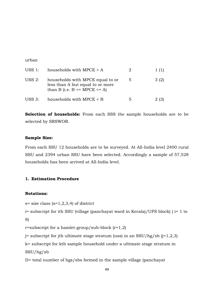urban

| USS 1:   | households with MPCE $> A$                                                                                  | 2 | 1(1) |
|----------|-------------------------------------------------------------------------------------------------------------|---|------|
| USS $2:$ | households with MPCE equal to or<br>less than A but equal to or more<br>than B (i.e. $B \leq MPCE \leq A$ ) | 5 | 3(2) |
| USS 3:   | households with MPCE < B                                                                                    | 5 |      |

**Selection of households:** From each SSS the sample households are to be selected by SRSWOR.

#### **Sample Size:**

From each SSU 12 households are to be surveyed. At All-India level 2400 rural SSU and 2394 urban SSU have been selected. Accordingly a sample of 57,528 households has been arrived at All-India level.

# **1. Estimation Procedure**

#### **Notations:**

 $s=$  size class  $(s=1,2,3,4)$  of district

i= subscript for ith SSU (village (panchayat ward in Kerala)/UFS block) ( i= 1 to 8)

r=subscript for a hamlet-group/sub-block  $(r=1,2)$ 

 $j=$  subscript for jth ultimate stage stratum (uss) in an SSU/hg/sb ( $j=1,2,3$ )

k= subscript for kth sample household under a ultimate stage stratum in SSU/hg/sb

D= total number of hgs/sbs formed in the sample village (panchayat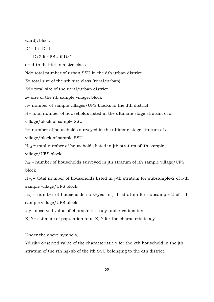ward)/block

 $D^* = 1$  if  $D=1$ 

 $= D/2$  for SSU if D>1

d= d-th district in a size class

Nd= total number of urban SSU in the dth urban district

Z= total size of the sth size class (rural/urban)

Zd= total size of the rural/urban district

z= size of the ith sample village/block

n= number of sample villages/UFS blocks in the dth district

H= total number of households listed in the ultimate stage stratum of a village/block of sample SSU

h= number of households surveyed in the ultimate stage stratum of a village/block of sample SSU

 $H_{i1j}$  = total number of households listed in jth stratum of ith sample village/UFS block

 $h_{i1j}$  = number of households surveyed in jth stratum of ith sample village/UFS block

 $H_{i2j}$  = total number of households listed in j-th stratum for subsample-2 of i-th sample village/UFS block

 $h_{i2i}$  = number of households surveyed in j-th stratum for subsample-2 of i-th sample village/UFS block

x,y= observed value of characteristic x,y under estimation

 $X, Y$  estimate of population total X, Y for the characteristic  $x,y$ 

Under the above symbols,

Ydirjk= observed value of the characteristic y for the kth household in the jth stratum of the rth hg/sb of the ith SSU belonging to the dth district.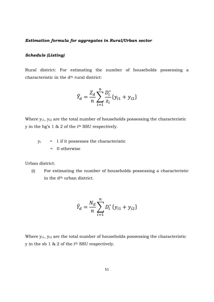#### *Estimation formula for aggregates in Rural/Urban sector*

#### *Schedule (Listing)*

Rural district: For estimating the number of households possessing a characteristic in the d<sup>th</sup> rural district:

$$
\hat{Y}_d = \frac{Z_d}{n} \sum_{i=1}^n \frac{D_i^*}{z_i} \{y_{i1} + y_{i2}\}
$$

Where  $y_{i1}$ ,  $y_{i2}$  are the total number of households possessing the characteristic y in the hg's 1 & 2 of the ith SSU respectively.

 $y_i$  = 1 if it possesses the characteristic = 0 otherwise

Urban district:

(i) For estimating the number of households possessing a characteristic in the d<sup>th</sup> urban district.

$$
\hat{Y}_d = \frac{N_d}{n} \sum_{i=1}^n D_i^* \{y_{i1} + y_{i2}\}
$$

Where  $y_{i1}$ ,  $y_{i2}$  are the total number of households possessing the characteristic y in the sb 1 & 2 of the ith SSU respectively.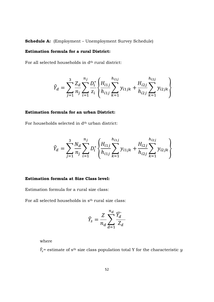**Schedule A:** (Employment – Unemployment Survey Schedule)

# **Estimation formula for a rural District:**

For all selected households in  $\mathrm{d}^\mathrm{th}$  rural district:

$$
\hat{Y}_d = \sum_{j=1}^3 \frac{Z_d}{n_j} \sum_{i=1}^{n_j} \frac{D_i^*}{z_i} \left\{ \frac{H_{i1j}}{h_{i1j}} \sum_{k=1}^{h_{i1j}} y_{i1jk} + \frac{H_{i2j}}{h_{i2j}} \sum_{k=1}^{h_{i2j}} y_{i2jk} \right\}
$$

# **Estimation formula for an urban District:**

For households selected in  $d<sup>th</sup>$  urban district:

$$
\hat{Y}_d = \sum_{j=1}^3 \frac{N_d}{n_j} \sum_{i=1}^{n_j} D_i^* \left\{ \frac{H_{i1j}}{h_{i1j}} \sum_{k=1}^{h_{i1j}} y_{i1jk} + \frac{H_{i2j}}{h_{i2j}} \sum_{k=1}^{h_{i2j}} y_{i2jk} \right\}
$$

#### **Estimation formula at Size Class level:**

Estimation formula for a rural size class:

For all selected households in s<sup>th</sup> rural size class:

$$
\widehat{Y}_s = \frac{Z}{n_d} \sum_{d=1}^{n_d} \frac{\widehat{Y}_d}{Z_d}
$$

where

 $\hat{Y}_{\delta}$ = estimate of s<sup>th</sup> size class population total Y for the characteristic  $y$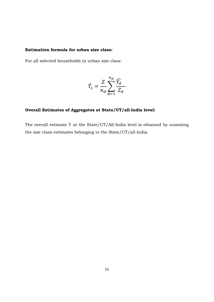# **Estimation formula for urban size class:**

For all selected households in urban size class:

$$
\widehat{Y}_s = \frac{Z}{n_d} \sum_{d=1}^{n_d} \frac{\widehat{Y}_d}{Z_d}
$$

# **Overall Estimates of Aggregates at State/UT/all-India level:**

The overall estimate  $\hat{Y}$  at the State/UT/All-India level is obtained by summing the size class estimates belonging to the State/UT/all-India.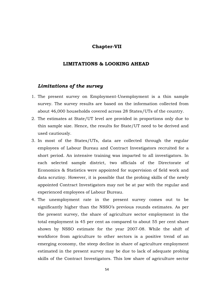# **Chapter-VII**

#### **LIMITATIONS & LOOKING AHEAD**

# *Limitations of the survey*

- 1. The present survey on Employment-Unemployment is a thin sample survey. The survey results are based on the information collected from about 46,000 households covered across 28 States/UTs of the country.
- 2. The estimates at State/UT level are provided in proportions only due to thin sample size. Hence, the results for State/UT need to be derived and used cautiously.
- 3. In most of the States/UTs, data are collected through the regular employees of Labour Bureau and Contract Investigators recruited for a short period. An intensive training was imparted to all investigators. In each selected sample district, two officials of the Directorate of Economics & Statistics were appointed for supervision of field work and data scrutiny. However, it is possible that the probing skills of the newly appointed Contract Investigators may not be at par with the regular and experienced employees of Labour Bureau.
- 4. The unemployment rate in the present survey comes out to be significantly higher than the NSSO's previous rounds estimates. As per the present survey, the share of agriculture sector employment in the total employment is 45 per cent as compared to about 55 per cent share shown by NSSO estimate for the year 2007-08. While the shift of workforce from agriculture to other sectors is a positive trend of an emerging economy, the steep decline in share of agriculture employment estimated in the present survey may be due to lack of adequate probing skills of the Contract Investigators. This low share of agriculture sector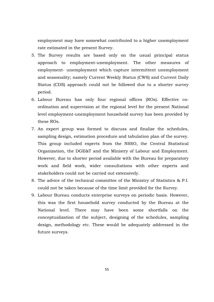employment may have somewhat contributed to a higher unemployment rate estimated in the present Survey.

- 5. The Survey results are based only on the usual principal status approach to employment-unemployment. The other measures of employment- unemployment which capture intermittent unemployment and seasonality; namely Current Weekly Status (CWS) and Current Daily Status (CDS) approach could not be followed due to a shorter survey period.
- 6. Labour Bureau has only four regional offices (ROs). Effective coordination and supervision at the regional level for the present National level employment-unemployment household survey has been provided by these ROs.
- 7. An expert group was formed to discuss and finalize the schedules, sampling design, estimation procedure and tabulation plan of the survey. This group included experts from the NSSO, the Central Statistical Organization, the DGE&T and the Ministry of Labour and Employment. However, due to shorter period available with the Bureau for preparatory work and field work, wider consultations with other experts and stakeholders could not be carried out extensively.
- 8. The advice of the technical committee of the Ministry of Statistics & P.I. could not be taken because of the time limit provided for the Survey.
- 9. Labour Bureau conducts enterprise surveys on periodic basis. However, this was the first household survey conducted by the Bureau at the National level. There may have been some shortfalls on the conceptualization of the subject, designing of the schedules, sampling design, methodology etc. These would be adequately addressed in the future surveys.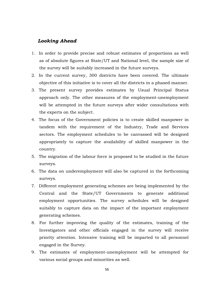# *Looking Ahead*

- 1. In order to provide precise and robust estimates of proportions as well as of absolute figures at State/UT and National level, the sample size of the survey will be suitably increased in the future surveys.
- 2. In the current survey, 300 districts have been covered. The ultimate objective of this initiative is to cover all the districts in a phased manner.
- 3. The present survey provides estimates by Usual Principal Status approach only. The other measures of the employment-unemployment will be attempted in the future surveys after wider consultations with the experts on the subject.
- 4. The focus of the Government policies is to create skilled manpower in tandem with the requirement of the Industry, Trade and Services sectors. The employment schedules to be canvassed will be designed appropriately to capture the availability of skilled manpower in the country.
- 5. The migration of the labour force is proposed to be studied in the future surveys.
- 6. The data on underemployment will also be captured in the forthcoming surveys.
- 7. Different employment generating schemes are being implemented by the Central and the State/UT Governments to generate additional employment opportunities. The survey schedules will be designed suitably to capture data on the impact of the important employment generating schemes.
- 8. For further improving the quality of the estimates, training of the Investigators and other officials engaged in the survey will receive priority attention. Intensive training will be imparted to all personnel engaged in the Survey.
- 9. The estimates of employment-unemployment will be attempted for various social groups and minorities as well.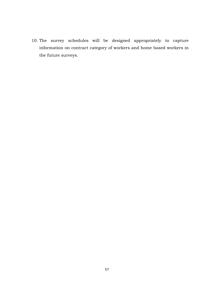10. The survey schedules will be designed appropriately to capture information on contract category of workers and home based workers in the future surveys.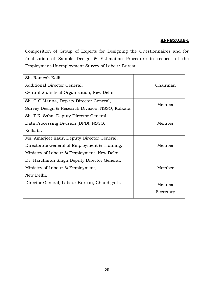# **ANNEXURE-I**

Composition of Group of Experts for Designing the Questionnaires and for finalisation of Sample Design & Estimation Procedure in respect of the Employment-Unemployment Survey of Labour Bureau.

| Sh. Ramesh Kolli,                                 |           |  |  |
|---------------------------------------------------|-----------|--|--|
| Additional Director General,                      | Chairman  |  |  |
| Central Statistical Organisation, New Delhi       |           |  |  |
| Sh. G.C.Manna, Deputy Director General,           | Member    |  |  |
| Survey Design & Research Division, NSSO, Kolkata. |           |  |  |
| Sh. T.K. Saha, Deputy Director General,           |           |  |  |
| Data Processing Division (DPD), NSSO,             | Member    |  |  |
| Kolkata.                                          |           |  |  |
| Ms. Amarjeet Kaur, Deputy Director General,       |           |  |  |
| Directorate General of Employment & Training,     | Member    |  |  |
| Ministry of Labour & Employment, New Delhi.       |           |  |  |
| Dr. Harcharan Singh, Deputy Director General,     |           |  |  |
| Ministry of Labour & Employment,                  | Member    |  |  |
| New Delhi.                                        |           |  |  |
| Director General, Labour Bureau, Chandigarh.      | Member    |  |  |
|                                                   | Secretary |  |  |
|                                                   |           |  |  |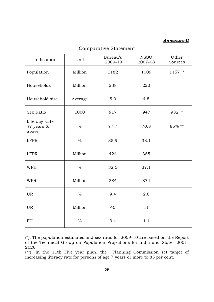# *Annexure-II*

| Indicators                            | Unit          | Bureau's<br>2009-10 | <b>NSSO</b><br>2007-08 | Other<br>Sources |
|---------------------------------------|---------------|---------------------|------------------------|------------------|
| Population                            | Million       | 1182                | 1009                   | $1157$ *         |
| Households                            | Million       | 238                 | 222                    |                  |
| Household size                        | Average       | 5.0                 | 4.5                    |                  |
| Sex Ratio                             | 1000          | 917                 | 947                    | 932 *            |
| Literacy Rate<br>(7 years &<br>above) | $\frac{0}{0}$ | 77.7                | 70.8                   | 85% **           |
| <b>LFPR</b>                           | $\frac{0}{0}$ | 35.9                | 38.1                   |                  |
| <b>LFPR</b>                           | Million       | 424                 | 385                    |                  |
| <b>WPR</b>                            | $\frac{0}{0}$ | 32.5                | 37.1                   |                  |
| <b>WPR</b>                            | Million       | 384                 | 374                    |                  |
| <b>UR</b>                             | $\frac{0}{0}$ | 9.4                 | 2.8                    |                  |
| <b>UR</b>                             | Million       | 40                  | 11                     |                  |
| PU                                    | $\frac{0}{0}$ | 3.4                 | 1.1                    |                  |

# Comparative Statement

(\*): The population estimates and sex ratio for 2009-10 are based on the Report of the Technical Group on Population Projections for India and States 2001- 2026

(\*\*): In the 11th Five year plan, the Planning Commission set target of increasing literacy rate for persons of age 7 years or more to 85 per cent.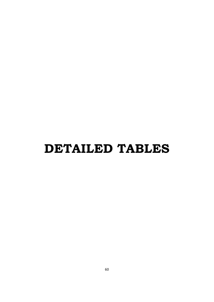# **DETAILED TABLES**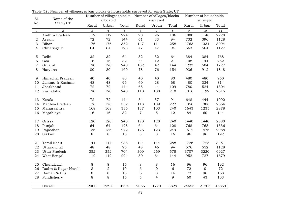| Sl.              | Table $\mu$ , ruling of vinages, arban biocho & households surveyed for each state, or<br>Name of the |         | Number of villages/blocks Number of villages/blocks<br>allocated<br>surveyed |              | Number of households<br>surveyed |                  |         |       |              |       |
|------------------|-------------------------------------------------------------------------------------------------------|---------|------------------------------------------------------------------------------|--------------|----------------------------------|------------------|---------|-------|--------------|-------|
| No.              | State/UT                                                                                              | Rural   | Urban                                                                        | Total        | Rural                            | Urban            | Total   | Rural | Urban        | Total |
| $\mathbf{1}$     | 2                                                                                                     | 3       | $\overline{4}$                                                               | 5            | 6                                | $\overline{7}$   | $\,8\,$ | 9     | 10           | 11    |
| $\mathbf{1}$     | Andhra Pradesh                                                                                        | 112     | 112                                                                          | $\sqrt{224}$ | $\overline{90}$                  | 96               | 186     | 1080  | 1148         | 2228  |
| $\sqrt{2}$       | Assam                                                                                                 | 72      | 72                                                                           | 144          | 61                               | 33               | 94      | 732   | 396          | 1128  |
| 3                | Bihar                                                                                                 | 176     | 176                                                                          | 352          | 147                              | 111              | 258     | 1763  | 1331         | 3094  |
| $\overline{4}$   | Chhatisgarh                                                                                           | 64      | 64                                                                           | 128          | 47                               | 47               | 94      | 563   | 564          | 1127  |
|                  | Delhi                                                                                                 | 32      | 32                                                                           | 64           | 32                               | 32               | 64      | 384   | 384          | 768   |
| $\mathbf 5$<br>6 | Goa                                                                                                   | 16      | 16                                                                           | 32           | 9                                | 12               | 21      | 108   | 144          | 252   |
| 7                | Gujarat                                                                                               | 120     | 120                                                                          | 240          | 102                              | 42               | 144     | 1223  | 504          | 1727  |
| 8                | Haryana                                                                                               | 80      | 80                                                                           | 160          | 78                               | 76               | 154     | 936   | 912          | 1848  |
|                  |                                                                                                       |         |                                                                              |              |                                  |                  |         |       |              |       |
| 9                | Himachal Pradesh                                                                                      | 40      | 40                                                                           | 80           | 40                               | 40               | 80      | 480   | 480          | 960   |
| 10               | Jammu & Kashmir                                                                                       | 48      | 48                                                                           | 96           | 40                               | 28               | 68      | 480   | 334          | 814   |
| 11               | Jharkhand                                                                                             | 72      | 72                                                                           | 144          | 65                               | 44               | 109     | 780   | 524          | 1304  |
| 12               | Karnataka                                                                                             | 120     | 120                                                                          | 240          | 110                              | 100              | 210     | 1316  | 1199         | 2515  |
| 13               | Kerala                                                                                                | 72      | 72                                                                           | 144          | 54                               | 37               | 91      | 648   | 444          | 1092  |
| 14               |                                                                                                       | 176     | 176                                                                          | 352          | 113                              | 109              | 222     | 1356  | 1308         | 2664  |
|                  | Madhya Pradesh<br>Maharashtra                                                                         | 168     | 168                                                                          | 336          | 137                              | 103              | 240     | 1643  | 1235         | 2878  |
| 15               |                                                                                                       | 16      | 16                                                                           | 32           | $\overline{7}$                   | 5                | 12      | 84    | 60           | 144   |
| 16               | Megahlaya                                                                                             |         |                                                                              |              |                                  |                  |         |       |              |       |
| 17               | Orissa                                                                                                | 120     | 120                                                                          | 240          | 120                              | 120              | 240     | 1440  | 1440         | 2880  |
| 18               | Punjab                                                                                                | 64      | 64                                                                           | 128          | 64                               | 64               | 128     | 768   | 768          | 1536  |
| 19               | Rajasthan                                                                                             | 136     | 136                                                                          | 272          | 126                              | 123              | 249     | 1512  | 1476         | 2988  |
| 20               | Sikkim                                                                                                | $\,8\,$ | 8                                                                            | 16           | $8\,$                            | $\,8\,$          | 16      | 96    | 96           | 192   |
|                  | Tamil Nadu                                                                                            | 144     | 144                                                                          | 288          | 144                              | 144              | 288     | 1726  | 1725         | 3451  |
| 21<br>22         | Uttaranchal                                                                                           | 48      | 48                                                                           | 96           | 48                               | 46               | 94      | 576   | 552          | 1128  |
| 23               | <b>Uttar Pradesh</b>                                                                                  | 352     | 352                                                                          | 704          | 309                              | 269              | 578     | 3707  | 3220         | 6927  |
|                  |                                                                                                       |         |                                                                              |              |                                  |                  |         |       |              |       |
| 24               | West Bengal                                                                                           | 112     | 112                                                                          | 224          | 80                               | 64               | 144     | 952   | 727          | 1679  |
| 25               | Chandigarh                                                                                            | $\,8\,$ | $\,8\,$                                                                      | 16           | $\,8\,$                          | $\,8\,$          | 16      | 96    | 96           | 192   |
| 26               | Dadra & Nagar Haveli                                                                                  | $\,8\,$ | $\overline{2}$                                                               | 10           | 6                                | $\boldsymbol{0}$ | 6       | 72    | $\mathbf{0}$ | 72    |
| 27               | Daman & Diu                                                                                           | 8       | 8                                                                            | 16           | $\overline{6}$                   | $\,8\,$          | 14      | 72    | 96           | 168   |
| 28               | Pondicherry                                                                                           | 8       | 8                                                                            | 16           | 5                                | $\overline{4}$   | 9       | 60    | 43           | 103   |
|                  |                                                                                                       | 2400    |                                                                              | 4794         |                                  |                  |         |       |              |       |
|                  | Overall                                                                                               |         | 2394                                                                         |              | 2056                             | 1773             | 3829    | 24653 | 21206        | 45859 |

Table (1) : Number of villages/urban blocks & households surveyed for each State/UT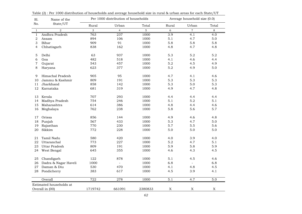| Sl.             | Name of the             |         | Per 1000 distribution of households |         | Average household size (0.0) |                          |                  |
|-----------------|-------------------------|---------|-------------------------------------|---------|------------------------------|--------------------------|------------------|
| No.             | State/UT                | Rural   | Urban                               | Total   | Rural                        | Urban                    | Total            |
| $1\,$           | $\overline{a}$          | 3       | $\overline{4}$                      | 5       | 6                            | $\overline{7}$           | $\,8\,$          |
| $\mathbf{1}$    | Andhra Pradesh          | 763     | 237                                 | 1000    | $\overline{3.9}$             | 4.1                      | 4.0              |
| $\mathbf 2$     | Assam                   | 894     | 106                                 | 1000    | 5.1                          | 4.7                      | 5.0              |
| 3               | Bihar                   | 909     | 91                                  | 1000    | 5.8                          | 5.8                      | 5.8              |
| 4               | Chhatisgarh             | 838     | 162                                 | 1000    | 4.8                          | 4.7                      | 4.8              |
| 5               | Delhi                   | 63      | 937                                 | 1000    | 5.3                          | 5.2                      | 5.2              |
| 6               | Goa                     | 482     | 518                                 | 1000    | 4.1                          | 4.6                      | 4.4              |
| 7               | Gujarat                 | 543     | 457                                 | 1000    | 5.2                          | 4.5                      | 4.9              |
| 8               | Haryana                 | 623     | 377                                 | 1000    | 5.2                          | 4.9                      | 5.0              |
| 9               | Himachal Pradesh        | 905     | 95                                  | 1000    | 4.7                          | 4.1                      | 4.6              |
| 10              | Jammu & Kashmir         | 809     | 191                                 | 1000    | 5.3                          | 5.3                      | 5.3              |
| 11              | Jharkhand               | 858     | 142                                 | 1000    | 5.3                          | 5.0                      | 5.3              |
| 12              | Karnataka               | 681     | 319                                 | 1000    | 4.9                          | 4.7                      | 4.8              |
| 13              | Kerala                  | 707     | 293                                 | 1000    | 4.4                          | 4.4                      | 4.4              |
| 14              | Madhya Pradesh          | 754     | 246                                 | 1000    | 5.1                          | 5.2                      | 5.1              |
| 15              | Maharashtra             | 614     | 386                                 | 1000    | 4.8                          | 4.4                      | 4.6              |
| 16              | Meghalaya               | 762     | 238                                 | 1000    | 5.8                          | 5.6                      | 5.7              |
| 17              | Orissa                  | 856     | 144                                 | 1000    | 4.9                          | 4.6                      | 4.8              |
| 18              | Punjab                  | 567     | 433                                 | 1000    | 5.3                          | 4.7                      | 5.0              |
| 19              | Rajasthan               | 770     | 230                                 | 1000    | 5.7                          | 5.5                      | 5.6              |
| 20              | Sikkim                  | 772     | 228                                 | 1000    | 5.0                          | 5.0                      | 5.0              |
| 21              | Tamil Nadu              | 580     | 420                                 | 1000    | 4.0                          | 3.9                      | 4.0              |
| 22              | Uttaranchal             | 773     | 227                                 | 1000    | 5.2                          | 4.7                      | 5.1              |
| 23              | <b>Uttar Pradesh</b>    | 809     | 191                                 | 1000    | 5.9                          | 5.8                      | 5.9              |
| 24              | West Bengal             | 645     | 355                                 | 1000    | 4.6                          | 4.3                      | 4.5              |
| 25              | Chandigarh              | 122     | 878                                 | 1000    | 5.1                          | 4.5                      | 4.6              |
| 26              | Dadra & Nagar Haveli    | 1000    | $\overline{\phantom{a}}$            | 1000    | 6.8                          | $\overline{\phantom{a}}$ | 6.8              |
| 27              | Daman & Diu             | 530     | 470                                 | 1000    | 4.1                          | 4.8                      | 4.5              |
| 28              | Pondicherry             | 383     | 617                                 | 1000    | 4.5                          | 3.9                      | 4.1              |
|                 | Overall                 | 722     | 278                                 | 1000    | $\overline{5.1}$             | 4.7                      | $\overline{5.0}$ |
|                 | Estimated households at |         |                                     |         |                              |                          |                  |
| Overall in (00) |                         | 1719742 | 661091                              | 2380833 | $\mathbf X$                  | $\mathbf X$              | $\mathbf X$      |

Table (2) : Per 1000 distribution of households and average household size in rural & urban areas for each State/UT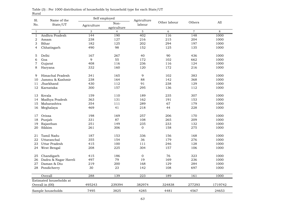| Sl.              | Name of the             | Self employed |                     | Agriculture      |              |                |         |
|------------------|-------------------------|---------------|---------------------|------------------|--------------|----------------|---------|
| No.              | State/UT                | Agriculture   | Non-<br>agriculture | labour           | Other labour | Others         | All     |
| $\mathbf{1}$     | 2                       | 3             | $\overline{4}$      | $\mathbf 5$      | 6            | $\overline{7}$ | $\,8\,$ |
| $\mathbf{1}$     | Andhra Pradesh          | 144           | 190                 | 402              | 116          | 148            | 1000    |
| $\boldsymbol{2}$ | Assam                   | 238           | 127                 | 216              | 215          | 204            | 1000    |
| 3                | Bihar                   | 182           | 125                 | 202              | 294          | 197            | 1000    |
| $\overline{4}$   | Chhatisgarh             | 490           | 98                  | 152              | 125          | 135            | 1000    |
| 5                | Delhi                   | 167           | 267                 | 40               | 90           | 436            | 1000    |
| 6                | Goa                     | 9             | 55                  | 172              | 102          | 662            | 1000    |
| $\overline{7}$   | Gujarat                 | 408           | 116                 | 236              | 116          | 124            | 1000    |
| 8                | Haryana                 | 332           | 160                 | 120              | 172          | 216            | 1000    |
| 9                | Himachal Pradesh        | 341           | 165                 | 9                | 102          | 383            | 1000    |
| 10               | Jammu & Kashmir         | 238           | 164                 | 88               | 142          | 368            | 1000    |
| 11               | Jharkhand               | 430           | 112                 | 91               | 238          | 129            | 1000    |
| 12               | Karnataka               | 300           | 157                 | 295              | 136          | 112            | 1000    |
| 13               | Kerala                  | 159           | 110                 | 189              | 235          | 307            | 1000    |
| 14               | Madhya Pradesh          | 363           | 131                 | 162              | 191          | 153            | 1000    |
| 15               | Maharashtra             | 354           | 111                 | 289              | 67           | 179            | 1000    |
| 16               | Meghalaya               | 469           | 41                  | 218              | 44           | 228            | 1000    |
| 17               | Orissa                  | 198           | 169                 | 257              | 206          | 170            | 1000    |
| $18\,$           | Punjab                  | 331           | 87                  | 108              | 265          | 209            | 1000    |
| 19               | Rajasthan               | 251           | 149                 | 235              | 233          | 132            | 1000    |
| 20               | Sikkim                  | 261           | 306                 | $\boldsymbol{0}$ | 158          | 275            | 1000    |
| 21               | Tamil Nadu              | 187           | 153                 | 336              | 156          | 168            | 1000    |
| 22               | Uttaranchal             | 355           | 154                 | 36               | 179          | 276            | 1000    |
| 23               | Uttar Pradesh           | 415           | 100                 | 111              | 246          | 128            | 1000    |
| 24               | West Bengal             | 208           | 225                 | 304              | 157          | 106            | 1000    |
| 25               | Chandigarh              | 415           | 186                 | $\mathbf 0$      | 76           | 323            | 1000    |
| 26               | Dadra & Nagar Haveli    | 497           | 79                  | 19               | 169          | 236            | 1000    |
| 27               | Daman & Diu             | 219           | 200                 | 168              | 129          | 284            | 1000    |
| 28               | Pondicherry             | 30            | 23                  | 142              | 108          | 697            | 1000    |
|                  | Overall                 | 288           | 139                 | 223              | 189          | 161            | 1000    |
|                  | Estimated households at |               |                     |                  |              |                |         |
|                  | Overall in (00)         | 495243        | 239394              | 382974           | 324838       | 277293         | 1719742 |
|                  | Sample households       | 7495          | 3825                | 4285             | 4481         | 4567           | 24653   |

Rural Table (3) : Per 1000 distribution of households by household type for each State/UT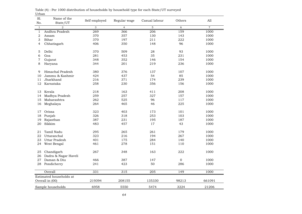| Sl.<br>No.     | Name of the<br>State/UT | Self employed | Regular wage   | Casual labour | Others           | All              |
|----------------|-------------------------|---------------|----------------|---------------|------------------|------------------|
| $\mathbf{1}$   | $\overline{a}$          | 3             | $\overline{4}$ | $\mathbf 5$   | 6                | $\boldsymbol{7}$ |
| $\mathbf 1$    | Andhra Pradesh          | 269           | 366            | 206           | 159              | 1000             |
| $\mathbf 2$    | Assam                   | 370           | 357            | 130           | 143              | 1000             |
| 3              | Bihar                   | 370           | 197            | 211           | 222              | 1000             |
| $\overline{4}$ | Chhatisgarh             | 406           | 350            | 148           | 96               | 1000             |
| 5              | Delhi                   | 370           | 509            | 28            | 93               | 1000             |
| 6              | Goa                     | 281           | 453            | 35            | 231              | 1000             |
| 7              | Gujarat                 | 348           | 352            | 146           | 154              | 1000             |
| 8              | Haryana                 | 344           | 201            | 219           | 236              | 1000             |
| 9              | Himachal Pradesh        | 380           | 376            | 137           | 107              | 1000             |
| 10             | Jammu & Kashmir         | 424           | 437            | 54            | 85               | 1000             |
| 11             | Jharkhand               | 216           | 371            | 174           | 239              | 1000             |
| 12             | Karnataka               | 258           | 230            | 356           | 156              | 1000             |
| 13             | Kerala                  | 218           | 163            | 411           | 208              | 1000             |
| 14             | Madhya Pradesh          | 259           | 257            | 327           | 157              | 1000             |
| 15             | Maharashtra             | 262           | 525            | 96            | 117              | 1000             |
| 16             | Meghalaya               | 264           | 465            | 46            | 225              | 1000             |
| 17             | Orissa                  | 323           | 403            | 173           | 101              | 1000             |
| 18             | Punjab                  | 326           | 318            | 253           | 103              | 1000             |
| 19             | Rajasthan               | 387           | 231            | 195           | 187              | 1000             |
| 20             | Sikkim                  | 483           | 457            | 17            | 43               | 1000             |
| 21             | Tamil Nadu              | 295           | 265            | 261           | 179              | 1000             |
| 22             | Uttaranchal             | 323           | 216            | 194           | 267              | 1000             |
| 23             | Uttar Pradesh           | 401           | 175            | 284           | 140              | 1000             |
| 24             | West Bengal             | 461           | 278            | 151           | 110              | 1000             |
| 25             | Chandigarh              | 267           | 348            | 163           | 222              | 1000             |
| 26             | Dadra & Nagar Haveli    |               |                |               |                  |                  |
| 27             | Daman & Diu             | 466           | 387            | 147           | $\boldsymbol{0}$ | 1000             |
| 28             | Pondicherry             | 241           | 423            | 50            | 286              | 1000             |
|                | Overall                 | 331           | 315            | 205           | 149              | 1000             |
|                | Estimated households at |               |                |               |                  |                  |
|                | Overall in (00)         | 219394        | 208155         | 135330        | 98213            | 661091           |
|                | Sample households       | 6958          | 5550           | 5474          | 3224             | 21206            |

Urban Table (4) : Per 1000 distribution of households by household type for each State/UT surveyed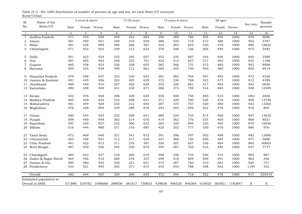| Sl.            | Name of the                                 |        | 5 years & above |                |                  | 15-59 years    |        |        | 15 years & above |        |        | All ages      |         |           | Sample  |
|----------------|---------------------------------------------|--------|-----------------|----------------|------------------|----------------|--------|--------|------------------|--------|--------|---------------|---------|-----------|---------|
| No.            | State/UT                                    | Male   | Female Person   |                | Male             | Female Person  |        | Male   | Female Person    |        | Male   | Female Person |         | Sex ratio | persons |
| $\mathbf{1}$   | $\overline{2}$                              | 3      | $\overline{4}$  | 5              | 6                | $\overline{7}$ | 8      | 9      | 10               | 11     | 12     | 13            | 14      | 15        | 16      |
| $\mathbf{1}$   | Andhra Pradesh                              | 477    | 470             | 948            | $\overline{349}$ | 343            | 693    | 398    | 389              | 786    | 505    | 495           | 1000    | 979       | 9086    |
| $\overline{2}$ | Assam                                       | 481    | 450             | 931            | 348              | 310            | 659    | 386    | 333              | 719    | 512    | 488           | 1000    | 952       | 5787    |
| 3              | Bihar                                       | 481    | 428             | 909            | 306              | 260            | 567    | 342    | 283              | 625    | 530    | 470           | 1000    | 886       | 18622   |
| 4              | Chhatisgarh                                 | 471    | 453             | 925            | 339              | 313            | 652    | 378    | 348              | 726    | 506    | 494           | 1000    | 975       | 5492    |
| 5              | Delhi                                       | 501    | 423             | 924            | 333              | 295            | 627    | 352    | 335              | 687    | 544    | 456           | 1000    | 840       | 3589    |
| 6              | Goa                                         | 487    | 465             | 952            | 348              | 352            | 701    | 422    | 415              | 837    | 517    | 483           | 1000    | 933       | 1108    |
| 7              | Gujarat                                     | 465    | 458             | 923            | 326              | 328            | 655    | 365    | 366              | 731    | 515    | 485           | 1000    | 942       | 8998    |
| 8              | Haryana                                     | 504    | 435             | 939            | 349              | 312            | 661    | 385    | 345              | 730    | 540    | 460           | 1000    | 850       | 9419    |
| 9              | Himachal Pradesh                            | 479    | 458             | 937            | 323              | 330            | 653    | 381    | 383              | 764    | 507    | 493           | 1000    | 973       | 4326    |
| 10             | Jammu & Kashmir                             | 491    | 445             | 936            | 333              | 305            | 639    | 372    | 336              | 708    | 523    | 477           | 1000    | 912       | 4399    |
| 11             | Jharkhand                                   | 469    | 440             | 910            | 327              | 302            | 629    | 353    | 328              | 681    | 517    | 483           | 1000    | 933       | 6656    |
|                | 12 Karnataka                                | 490    | 458             | 949            | 341              | 330            | 671    | 386    | 373              | 759    | 516    | 484           | 1000    | 938       | 12409   |
|                | 13 Kerala                                   | 452    | 476             | 928            | 296              | 329            | 625    | 358    | 400              | 758    | 485    | 515           | 1000    | 1061      | 4856    |
|                | 14 Madhya Pradesh                           | 485    | 439             | 924            | 333              | 298            | 631    | 371    | 329              | 700    | 524    | 476           | 1000    | 909       | 13746   |
|                | 15 Maharashtra                              | 481    | 449             | 929            | 332              | 312            | 645    | 387    | 370              | 757    | 520    | 480           | 1000    | 923       | 13365   |
|                | 16 Meghalaya                                | 476    | 428             | 904            | 329              | 289            | 618    | 353    | 303              | 656    | 522    | 478           | 1000    | 916       | 805     |
|                | 17 Orissa                                   | 480    | 454             | 934            | 332              | 309            | 641    | 380    | 354              | 734    | 514    | 486           | 1000    | 947       | 14032   |
|                | 18 Punjab                                   | 509    | 440             | 948            | 362              | 314            | 676    | 414    | 362              | 776    | 535    | 465           | 1000    | 868       | 8021    |
| 19             | Rajasthan                                   | 497    | 429             | 927            | 332              | 300            | 632    | 365    | 329              | 694    | 535    | 465           | 1000    | 870       | 16936   |
| 20             | Sikkim                                      | 516    | 444             | 960            | 371              | 316            | 687    | 425    | 352              | 777    | 530    | 470           | 1000    | 886       | 976     |
|                | 21 Tamil Nadu                               | 472    | 469             | 940            | 331              | 341            | 672    | 391    | 396              | 787    | 502    | 498           | 1000    | 992       | 13900   |
|                | 22 Uttaranchal                              | 463    | 458             | 921            | 312              | 317            | 629    | 351    | 368              | 720    | 506    | 494           | 1000    | 977       | 5886    |
| 23             | Uttar Pradesh                               | 491    | 422             | 913            | 311              | 276            | 587    | 350    | 307              | 657    | 536    | 464           | 1000    | 865       | 40603   |
|                | 24 West Bengal                              | 487    | 449             | 936            | 345              | 330            | 675    | 395    | 367              | 762    | 516    | 484           | 1000    | 937       | 7777    |
|                | 25 Chandigarh                               | 484    | 443             | 927            | 318              | 300            | 619    | 398    | 356              | 754    | 526    | 474           | 1000    | 902       | 967     |
| 26             | Dadra & Nagar Haveli                        | 464    | 446             | 910            | 260              | 278            | 537    | 299    | 310              | 609    | 509    | 491           | 1000    | 963       | 446     |
| 27             | Daman & Diu                                 | 485    | 460             | 945            | 320              | 331            | 651    | 373    | 387              | 760    | 519    | 481           | 1000    | 925       | 751     |
|                | 28 Pondicherry                              | 433    | 521             | 955            | 302              | 371            | 673    | 345    | 443              | 788    | 458    | 542           | 1000    | 1184      | 452     |
|                | Overall                                     | 483    | 444             | 927            | 329              | 306            | 635    | 372    | 344              | 716    | 522    | 478           | 1000    | 917       | 233410  |
|                | Estimated population at<br>Overall in (000) | 571886 |                 | 524782 1096668 | 389036           | 361617         | 750653 | 439838 | 406526           | 846364 | 616925 | 565921        | 1182847 | X         | X       |
|                |                                             |        |                 |                |                  |                |        |        |                  |        |        |               |         |           |         |

Rural+Urban Table (5.1) : Per 1000 distribution of number of persons by age and sex, for each State/UT surveyed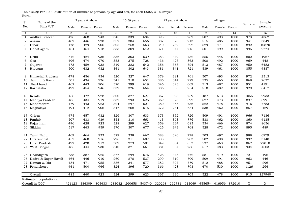| Table (5.2): Per 1000 distribution of number of persons by age and sex, for each State/UT surveyed |  |  |  |  |  |  |  |
|----------------------------------------------------------------------------------------------------|--|--|--|--|--|--|--|
| Rural                                                                                              |  |  |  |  |  |  |  |

| Sl.<br>Name of the |                         |      | 5 years & above |        |                 | $15-59$ years  |               |               | 15 years & above |        |      | All ages             |      |           | Sample  |
|--------------------|-------------------------|------|-----------------|--------|-----------------|----------------|---------------|---------------|------------------|--------|------|----------------------|------|-----------|---------|
| No.                | State/UT                | Male | Female Person   |        | Male            | Female Person  |               | Male          | Female Person    |        | Male | Female Person        |      | Sex ratio | persons |
| $\mathbf{1}$       | $\overline{2}$          | 3    | $\overline{4}$  | 5      | 6               | $\overline{7}$ | 8             | 9             | 10               | 11     | 12   | 13                   | 14   | 15        | 16      |
| 1                  | Andhra Pradesh          | 476  | 468             | 943    | $\frac{1}{345}$ | 339            | 684           | 395           | 386              | 782    | 507  | 493                  | 1000 | 973       | 4362    |
| 2                  | Assam                   | 482  | 446             | 928    | 352             | 304            | 656           | 387           | 326              | 713    | 515  | 485                  | 1000 | 941       | 3849    |
| 3                  | Bihar                   | 478  | 429             | 906    | 305             | 258            | 563           | 340           | 282              | 622    | 529  | 471                  | 1000 | 892       | 10870   |
| 4                  | Chhatisgarh             | 464  | 454             | 918    | 333             | 309            | 642           | 371           | 344              | 715    | 501  | 499                  | 1000 | 995       | 2774    |
| 5                  | Delhi                   | 512  | 424             | 936    | 336             | 303            | 639           | 383           | 349              | 732    | 555  | 445                  | 1000 | 802       | 1967    |
| 6                  | Goa                     | 496  | 474             | 970    | 353             | 375            | 728           | 436           | 427              | 863    | 508  | 492                  | 1000 | 969       | 448     |
| $\overline{7}$     | Gujarat                 | 473  | 459             | 932    | 319             | 323            | 642           | 356           | 368              | 724    | 513  | 487                  | 1000 | 950       | 6483    |
| 8                  | Haryana                 | 500  | 432             | 932    | 341             | 302            | 643           | 381           | 341              | 721    | 539  | 461                  | 1000 | 855       | 4887    |
| 9                  | Himachal Pradesh        | 478  | 456             | 934    | 320             | 327            | 647           | 379           | 381              | 761    | 507  | 493                  | 1000 | 972       | 2313    |
| 10                 | Jammu & Kashmir         | 501  | 434             | 936    | 341             | 310            | 651           | 386           | 344              | 729    | 535  | 465                  | 1000 | 868       | 2637    |
| 11                 | Jharkhand               | 462  | 443             | 906    | 320             | 299            | 619           | 346           | 323              | 669    | 513  | 487                  | 1000 | 951       | 4191    |
|                    | 12 Karnataka            | 492  | 454             | 946    | 339             | 326            | 664           | 386           | 368              | 754    | 518  | 482                  | 1000 | 929       | 6417    |
| 13                 | Kerala                  | 456  | 472             | 928    | 300             | 327            | 627           | 367           | 393              | 759    | 487  | 513                  | 1000 | 1055      | 2933    |
| 14                 | Madhya Pradesh          | 485  | 434             | 919    | 332             | 293            | 625           | 369           | 323              | 692    | 527  | 473                  | 1000 | 897       | 6991    |
| 15                 | Maharashtra             | 479  | 443             | 923    | 324             | 297            | 621           | 380           | 355              | 736    | 522  | 478                  | 1000 | 916       | 7783    |
|                    | 16 Meghalaya            | 494  | 412             | 906    | 347             | 268            | 615           | 372           | 281              | 654    | 538  | 462                  | 1000 | 857       | 469     |
| 17                 | Orissa                  | 475  | 457             | 932    | 326             | 307            | 633           | 373           | 352              | 726    | 509  | 491                  | 1000 | 966       | 7136    |
| 18                 | Punjab                  | 507  | 433             | 939    | 353             | 310            | 663           | 413           | 363              | 776    | 538  | 462                  | 1000 | 860       | 4135    |
| 19                 | Rajasthan               | 496  | 428             | 923    | 328             | 299            | 627           | 359           | 324              | 683    | 534  | 466                  | 1000 | 874       | 8656    |
| 20                 | Sikkim                  | 517  | 443             | 959    | 370             | 307            | 677           | 425           | 343              | 768    | 528  | 472                  | 1000 | 895       | 489     |
| 21                 | Tamil Nadu              | 469  | 464             | 933    | 329             | 338            | 667           | 388           | 390              | 778    | 503  | 497                  | 1000 | 988       | 6979    |
| 22                 | Uttaranchal             | 457  | 460             | 916    | 296             | 311            | 607           | 338           | 365              | 703    | 502  | 498                  | 1000 | 992       | 3148    |
| 23                 | Uttar Pradesh           | 492  | 420             | 912    | 309             | 273            | 581           | 349           | 304              | 653    | 537  | 463                  | 1000 | 862       | 22018   |
|                    | 24 West Bengal          | 485  | 444             | 930    | 340             | 321            | 661           | 381           | 354              | 736    | 517  | 483                  | 1000 | 934       | 4503    |
| 25                 | Chandigarh              | 538  | 387             | 925    | 377             | 299            | 676           | 428           | 345              | 772    | 581  | 419                  | 1000 | 721       | 496     |
| 26                 | Dadra & Nagar Haveli    | 464  | 446             | 910    | 260             | 278            | 537           | 299           | 310              | 609    | 509  | 491                  | 1000 | 963       | 446     |
| 27                 | Daman & Diu             | 484  | 471             | 955    | 336             | 341            | 677           | 382           | 397              | 779    | 512  | 488                  | 1000 | 951       | 296     |
|                    | 28 Pondicherry          | 441  | 504             | 946    | 324             | 396            | 720           | 366           | 428              | 793    | 470  | 530                  | 1000 | 1126      | 264     |
|                    | Overall                 | 483  | 440             | 923    | 324             | 299            | 623           | 367           | 336              | 703    | 522  | 478                  | 1000 | 915       | 127940  |
|                    | Estimated population at |      |                 |        |                 |                |               |               |                  |        |      |                      |      |           |         |
|                    | Overall in (000)        |      | 421123 384309   | 805433 | 283082          |                | 260658 543740 | 320268 292781 |                  | 613049 |      | 455654 416956 872610 |      | X         | X       |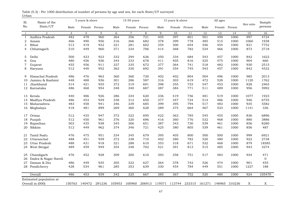| Table (5.3) : Per 1000 distribution of number of persons by age and sex, for each State/UT surveyed |  |  |  |
|-----------------------------------------------------------------------------------------------------|--|--|--|
| Urban                                                                                               |  |  |  |

| Sl.          | Name of the             |      | 5 years & above |        |        | 15-59 years    |     |      | 15 years & above |                             |        | All ages      |               |           | Sample         |
|--------------|-------------------------|------|-----------------|--------|--------|----------------|-----|------|------------------|-----------------------------|--------|---------------|---------------|-----------|----------------|
| No.          | State/UT                | Male | Female Person   |        | Male   | Female Person  |     | Male | Female Person    |                             | Male   | Female Person |               | Sex ratio | persons        |
| $\mathbf{1}$ | $\overline{2}$          | 3    | $\overline{4}$  | 5      | 6      | $\overline{7}$ | 8   | 9    | 10               | 11                          | 12     | 13            | 14            | 15        | 16             |
| $\mathbf{1}$ | Andhra Pradesh          | 482  | 478             | 960    | 364    | 356            | 721 | 405  | 397              | 801                         | 501    | 499           | 1000          | 997       | 4724           |
| 2            | Assam                   | 466  | 490             | 956    | 316    | 366            | 682 | 378  | 399              | 778                         | 485    | 515           | 1000          | 1060      | 1938           |
| 3            | Bihar                   | 513  | 419             | 932    | 321    | 281            | 602 | 354  | 300              | 654                         | 546    | 454           | 1000          | 831       | 7752           |
| 4            | Chhatisgarh             | 510  | 449             | 960    | 371    | 334            | 706 | 414  | 368              | 782                         | 534    | 466           | 1000          | 873       | 2718           |
| 5            | Delhi                   | 500  | 423             | 923    | 332    | 294            | 626 | 350  | 334              | 684                         | 543    | 457           | 1000          | 842       | 1622           |
| 6            | Goa                     | 480  | 456             | 936    | 344    | 333            | 678 | 411  | 405              | 816                         | 525    | 475           | 1000          | 904       | 660            |
| 7            | Gujarat                 | 455  | 456             | 911    | 337    | 335            | 672 | 377  | 364              | 741                         | 518    | 482           | 1000          | 930       | 2515           |
| 8            | Haryana                 | 512  | 440             | 952    | 362    | 330            | 692 | 391  | 354              | 745                         | 543    | 457           | 1000          | 842       | 4532           |
| 9            | Himachal Pradesh        | 486  | 476             | 963    | 360    | 360            | 720 | 402  | 402              | 804                         | 504    | 496           | 1000          | 985       | 2013           |
| 10           | Jammu & Kashmir         | 448  | 488             | 936    | 301    | 286            | 587 | 316  | 303              | 619                         | 472    | 528           | 1000          | 1120      | 1762           |
| 11           | Jharkhand               | 514  | 421             | 935    | 372    | 319            | 691 | 398  | 355              | 753                         | 547    | 453           | 1000          | 828       | 2465           |
|              | 12 Karnataka            | 486  | 468             | 954    | 348    | 340            | 687 | 387  | 384              | 771                         | 511    | 489           | 1000          | 956       | 5992           |
|              | 13 Kerala               | 440  | 486             | 926    | 286    | 334            | 620 | 336  | 419              | 756                         | 481    | 519           | 1000          | 1077      | 1923           |
| 14           | Madhya Pradesh          | 486  | 453             | 939    | 338    | 312            | 650 | 377  | 347              | 724                         | 514    | 486           | 1000          | 946       | 6755           |
| 15           | Maharashtra             | 483  | 458             | 941    | 346    | 339            | 685 | 399  | 395              | 794                         | 517    | 483           | 1000          | 935       | 5582           |
| 16           | Meghalaya               | 418  | 481             | 899    | 269    | 360            | 628 | 289  | 375              | 664                         | 467    | 533           | 1000          | 1141      | 336            |
|              | 17 Orissa               | 512  | 435             | 947    | 372    | 322            | 695 | 422  | 363              | 785                         | 545    | 455           | 1000          | 836       | 6896           |
| 18           | Punjab                  | 512  | 450             | 961    | 376    | 320            | 696 | 416  | 360              | 776                         | 532    | 468           | 1000          | 880       | 3886           |
| 19           | Rajasthan               | 503  | 435             | 938    | 345    | 306            | 651 | 387  | 343              | 730                         | 539    | 461           | 1000          | 856       | 8280           |
| 20           | Sikkim                  | 512  | 449             | 962    | 374    | 346            | 721 | 425  | 380              | 805                         | 539    | 461           | 1000          | 856       | 487            |
| 21           | Tamil Nadu              | 476  | 475             | 951    | 334    | 345            | 679 | 395  | 405              | 800                         | 500    | 500           | 1000          | 999       | 6921           |
| 22           | Uttaranchal             | 488  | 451             | 939    | 372    | 338            | 710 | 402  | 380              | 782                         | 520    | 480           | 1000          | 922       | 2738           |
| 23           | Uttar Pradesh           | 488  | 431             | 918    | 321    | 288            | 610 | 353  | 318              | 671                         | 532    | 468           | 1000          | 879       | 18585          |
|              | 24 West Bengal          | 489  | 459             | 949    | 354    | 348            | 702 | 421  | 391              | 813                         | 515    | 485           | 1000          | 943       | 3274           |
| 25           | Chandigarh              | 476  | 452             | 928    | 309    | 300            | 610 | 393  | 358              | 751                         | 517    | 483           | 1000          | 934       | 471            |
| 26           | Dadra & Nagar Haveli    |      |                 |        |        |                |     |      |                  |                             |        |               |               |           | $\overline{0}$ |
| 27           | Daman & Diu             | 486  | 449             | 935    | 305    | 322            | 627 | 364  | 378              | 742                         | 526    | 474           | 1000          | 901       | 455            |
| 28           | Pondicherry             | 428  | 534             | 961    | 285    | 353            | 639 | 330  | 454              | 784                         | 449    | 551           | 1000          | 1227      | 188            |
|              | Overall                 | 486  | 453             | 939    | 342    | 325            | 667 | 385  | 367              | 752                         | 520    | 480           | 1000          | 924       | 105470         |
|              | Estimated population at |      |                 |        |        |                |     |      |                  |                             |        |               |               |           |                |
|              | Overall in (000)        |      | 150763 140472   | 291236 | 105953 | 100960         |     |      |                  | 206913 119571 113744 233315 | 161271 |               | 148965 310236 | X         | Χ              |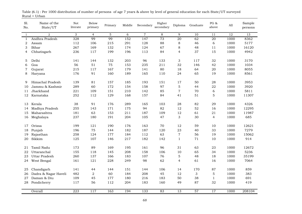| Sl.<br>No.   | Name of the<br>State/UT | Not<br>literate | Below<br>primary | Primary | Middle | Secondary      | Higher<br>secondary | Diploma                  | Graduate | PG &<br>above    | $\mathop{\rm All}\nolimits$ | Sample<br>persons |
|--------------|-------------------------|-----------------|------------------|---------|--------|----------------|---------------------|--------------------------|----------|------------------|-----------------------------|-------------------|
| $\mathbf{1}$ | $\overline{2}$          | 3               | $\overline{4}$   | 5       | 6      | $\overline{7}$ | 8                   | 9                        | 10       | 11               | 12                          | 13                |
| $\mathbf{1}$ | Andhra Pradesh          | 328             | 99               | 99      | 152    | 147            | 73                  | $\overline{20}$          | 62       | $\overline{20}$  | 1000                        | 8362              |
| 2            | Assam                   | 112             | 106              | 215     | 291    | 128            | 88                  | $\,8\,$                  | 46       | 6                | 1000                        | 5177              |
| 3            | Bihar                   | 267             | 169              | 132     | 174    | 124            | 67                  | $\,8\,$                  | 48       | 11               | 1000                        | 16120             |
| 4            | Chhatisgarh             | 236             | 117              | 199     | 196    | 113            | 84                  | $\overline{\mathcal{L}}$ | 37       | 15               | 1000                        | 4942              |
| 5            | Delhi                   | 141             | 144              | 132     | 203    | 96             | 133                 | 3                        | 117      | 32               | 1000                        | 3170              |
| 6            | Goa                     | 56              | 51               | 75      | 153    | 235            | 211                 | 32                       | 146      | 42               | 1000                        | 1034              |
| 7            | Gujarat                 | 215             | 117              | 167     | 179    | 141            | 80                  | 18                       | 64       | 20               | 1000                        | 8055              |
| 8            | Haryana                 | 176             | 91               | 160     | 189    | 165            | 110                 | 24                       | 65       | 19               | 1000                        | 8561              |
| 9            | Himachal Pradesh        | 139             | 81               | 157     | 185    | 193            | 151                 | 17                       | 50       | 28               | 1000                        | 3953              |
| 10           | Jammu & Kashmir         | 289             | 60               | 172     | 154    | 158            | 97                  | 5                        | 44       | 22               | 1000                        | 3920              |
| 11           | Jharkhand               | 221             | 109              | 151     | 210    | 142            | 85                  | $\sqrt{ }$               | 70       | $\boldsymbol{6}$ | 1000                        | 5811              |
| 12           | Karnataka               | 252             | 112              | 129     | 168    | 157            | 84                  | 41                       | 51       | 5                | 1000                        | 11307             |
|              |                         |                 |                  |         |        |                |                     |                          |          |                  |                             |                   |
| 13           | Kerala                  | 38              | 91               | 176     | 289    | 165            | 103                 | 28                       | 82       | 29               | 1000                        | 4326              |
| 14           | Madhya Pradesh          | 255             | 143              | 171     | 175    | 94             | 82                  | 12                       | 52       | 16               | 1000                        | 12295             |
| 15           | Maharashtra             | 181             | 63               | 153     | 211    | 187            | 109                 | 12                       | 61       | 21               | 1000                        | 11987             |
| 16           | Meghalaya               | 237             | 180              | 191     | 204    | 105            | 47                  | 3                        | 30       | $\overline{4}$   | 1000                        | 685               |
| 17           | Orissa                  | 199             | 121              | 190     | 176    | 163            | 70                  | 12                       | 59       | 10               | 1000                        | 12621             |
| 18           | Punjab                  | 196             | 75               | 144     | 182    | 187            | 120                 | 23                       | 40       | 33               | 1000                        | 7279              |
| 19           | Rajasthan               | 258             | 124              | 177     | 184    | 112            | 63                  | $\,7$                    | 56       | 19               | 1000                        | 15062             |
| 20           | Sikkim                  | 125             | 107              | 146     | 217    | 182            | 142                 | $1\,$                    | 71       | 10               | 1000                        | 914               |
| 21           | Tamil Nadu              | 173             | 89               | 169     | 195    | 161            | 96                  | 31                       | 63       | 23               | 1000                        | 12672             |
| 22           | Uttaranchal             | 155             | 118              | 145     | 208    | 158            | 106                 | 10                       | 65       | 34               | 1000                        | 5236              |
| 23           | Uttar Pradesh           | 260             | 137              | 166     | 183    | 107            | 76                  | $\mathbf 5$              | 48       | 18               | 1000                        | 35199             |
|              | West Bengal             | 161             | 121              | 228     | 249    | 98             | 62                  | $\overline{4}$           | 61       | 16               | 1000                        | 7064              |
| 24           |                         |                 |                  |         |        |                |                     |                          |          |                  |                             |                   |
| 25           | Chandigarh              | 141             | 44               | 144     | 151    | 144            | 106                 | 14                       | 170      | 87               | 1000                        | 859               |
| 26           | Dadra & Nagar Haveli    | 482             | $\mathbf 2$      | 60      | 184    | 208            | 45                  | 12                       | 3        | $\overline{5}$   | 1000                        | 383               |
| 27           | Daman & Diu             | 109             | 45               | 177     | 180    | 216            | 183                 | 50                       | 38       | $\mathbf{1}$     | 1000                        | 691               |
| 28           | Pondicherry             | 117             | 56               | 112     | 204    | 183            | 160                 | 49                       | 87       | 32               | 1000                        | 419               |
|              | Overall                 | 223             | 117              | 163     | 194    | 133            | 83                  | 13                       | 57       | 17               | 1000                        | 208104            |

Rural + Urban Table (6.1) : Per 1000 distribution of number of persons of age 7 years & above by level of general education for each State/UT surveyed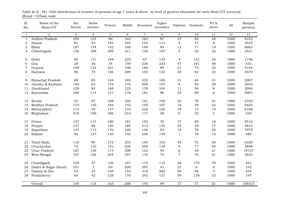| Sl.<br>No.   | Name of the<br>State/UT | Not<br>literate | Below<br>primary | Primary | Middle | Secondary      | Higher<br>secondary | Diploma         | Graduate        | PG $\&$<br>above | All  | Sample<br>persons |
|--------------|-------------------------|-----------------|------------------|---------|--------|----------------|---------------------|-----------------|-----------------|------------------|------|-------------------|
| $\mathbf{1}$ | $\overline{a}$          | 3               | $\overline{4}$   | 5       | 6      | $\overline{7}$ | $\,8\,$             | 9               | 10              | 11               | 12   | 13                |
| $\mathbf{1}$ | Andhra Pradesh          | 259             | 103              | 86      | 165    | 163            | 87                  | $\overline{27}$ | 82              | 28               | 1000 | 4222              |
| 2            | Assam                   | 81              | 93               | 193     | 303    | 142            | 113                 | 9               | 57              | $\,8\,$          | 1000 | 2635              |
| 3            | Bihar                   | 187             | 154              | 132     | 188    | 149            | 89                  | 12              | 71              | 19               | 1000 | 8663              |
| 4            | Chhatisgarh             | 156             | 109              | 209     | 211    | 129            | 107                 | 5               | 52              | 22               | 1000 | 2521              |
|              |                         |                 |                  |         |        |                |                     |                 |                 |                  |      |                   |
| 5            | Delhi                   | 88              | 131              | 184     | 225    | 67             | 125                 | $\overline{4}$  | 151             | 24               | 1000 | 1756              |
| 6            | Goa                     | 28              | 36               | 54      | 159    | 236            | 233                 | 47              | 161             | 48               | 1000 | 532               |
| 7            | Gujarat                 | 149             | 123              | 161     | 196    | 166            | 89                  | 21              | 75              | 22               | 1000 | 4144              |
| 8            | Haryana                 | 96              | 79               | 156     | 209    | 193            | 132                 | 30              | 82              | 22               | 1000 | 4570              |
| 9            | Himachal Pradesh        | 69              | 82               | 144     | 185    | 223            | 180                 | 21              | 64              | 31               | 1000 | 2007              |
| 10           | Jammu & Kashmir         | 193             | 63               | 174     | 176    | 200            | 107                 | 6               | 53              | 29               | 1000 | 2032              |
| 11           | Jharkhand               | 129             | 92               | 168     | 225    | 170            | 104                 | 11              | 94              | 8                | 1000 | 3094              |
| 12           | Karnataka               | 182             | 114              | 121     | 178    | 181            | 96                  | 53              | 68              | 6                | 1000 | 5901              |
|              |                         |                 |                  |         |        |                |                     |                 |                 |                  |      |                   |
| 13           | Kerala                  | 23              | 87               | 169     | 320    | 161            | 100                 | 32              | 78              | 31               | 1000 | 2103              |
| 14           | Madhya Pradesh          | 173             | 140              | 184     | 193    | 105            | 107                 | 16              | 59              | 22               | 1000 | 6454              |
| 15           | Maharashtra             | 114             | 59               | 157     | 210    | 222            | 126                 | 19              | 73              | 19               | 1000 | 6168              |
| 16           | Meghalaya               | 216             | 180              | 196     | 214    | 117            | 50                  | $\mathbf 0$     | 23              | 3                | 1000 | 334               |
| 17           | Orissa                  | 137             | 117              | 180     | 181    | 193            | 76                  | 15              | 85              | 16               | 1000 | 6516              |
| 18           | Punjab                  | 147             | 69               | 140     | 189    | 213            | 154                 | 25              | 35              | 27               | 1000 | 3833              |
| 19           | Rajasthan               | 147             | 113              | 176     | 220    | 146            | 83                  | 10              | 79              | 26               | 1000 | 7978              |
| 20           | Sikkim                  | 92              | 127              | 145     | 192    | 206            | 149                 | 1               | 78              | 10               | 1000 | 488               |
|              |                         |                 |                  |         |        |                |                     |                 |                 |                  |      |                   |
| 21           | Tamil Nadu              | 110             | 90               | 172     | 203    | 183            | 103                 | 42              | 72              | 24               | 1000 | 6320              |
| 22           | Uttaranchal             | 72              | 110              | 142     | 220    | 200            | 128                 | 9               | 77              | 40               | 1000 | 2698              |
| 23           | <b>Uttar Pradesh</b>    | 167             | 138              | 174     | 208    | 132            | 95                  | 6               | 59              | 21               | 1000 | 18727             |
| 24           | West Bengal             | 107             | 126              | 224     | 257    | 110            | 74                  | $\overline{7}$  | 75              | 21               | 1000 | 3633              |
| 25           | Chandigarh              | 104             | 37               | 136     | 167    | 172            | 119                 | 26              | 170             | 70               | 1000 | 461               |
| 26           | Dadra & Nagar Haveli    | 351             | 3                | 69      | 200    | 297            | 41                  | 23              | 6               | 9                | 1000 | 192               |
| 27           | Daman & Diu             | 52              | 37               | 168     | 153    | 219            | 262                 | 50              | 56              | 3                | 1000 | 354               |
|              |                         | 65              |                  |         |        |                |                     |                 |                 |                  |      |                   |
| 28           | Pondicherry             |                 | 42               | 128     | 170    | 242            | 121                 | 59              | 139             | 32               | 1000 | 197               |
|              | Overall                 | 150             | 115              | 163     | 208    | 155            | 99                  | 17              | $\overline{71}$ | $\overline{21}$  | 1000 | 108533            |

(Rural + Urban) male Table (6.2) : Per 1000 distribution of number of persons of age 7 years & above by level of general education for each State/UT surveyed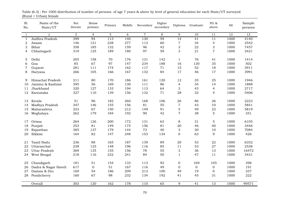| Sl.<br>No.   | Name of the<br>State/UT | Not<br>literate | <b>Below</b><br>primary | Primary     | Middle | Secondary      | Higher<br>secondary | Diploma         | Graduate       | PG $\&$<br>above | All  | Sample<br>persons |
|--------------|-------------------------|-----------------|-------------------------|-------------|--------|----------------|---------------------|-----------------|----------------|------------------|------|-------------------|
| $\mathbf{1}$ | $\overline{2}$          | 3               | $\overline{4}$          | $\mathbf 5$ | 6      | $\overline{7}$ | $\,8\,$             | 9               | 10             | 11               | 12   | 13                |
| $\mathbf{1}$ | Andhra Pradesh          | 399             | $\overline{94}$         | 113         | 140    | 130            | $\overline{59}$     | $\overline{14}$ | 41             | 11               | 1000 | 4140              |
| 2            | Assam                   | 146             | 121                     | 238         | 277    | 113            | 60                  | 7               | 34             | $\overline{4}$   | 1000 | 2542              |
| 3            | Bihar                   | 358             | 185                     | 132         | 159    | 96             | 42                  | 3               | 22             | 3                | 1000 | 7457              |
| 4            | Chhatisgarh             | 319             | 125                     | 189         | 180    | 97             | 59                  | 3               | 21             | $\overline{7}$   | 1000 | 2421              |
|              |                         |                 |                         |             |        |                |                     |                 |                |                  |      |                   |
| 5            | Delhi                   | 205             | 158                     | 70          | 176    | 131            | 142                 | $\mathbf{1}$    | 76             | 41               | 1000 | 1414              |
| 6            | Goa                     | 85              | 67                      | 97          | 147    | 234            | 188                 | 16              | 130            | 35               | 1000 | 502               |
| 7            | Gujarat                 | 281             | 111                     | 174         | 162    | 117            | 71                  | 15              | 52             | 18               | 1000 | 3911              |
| 8            | Haryana                 | 266             | 105                     | 166         | 167    | 132            | 84                  | 17              | 46             | 17               | 1000 | 3991              |
| 9            | Himachal Pradesh        | 211             | 80                      | 170         | 186    | 161            | 120                 | 12              | 35             | 25               | 1000 | 1946              |
| 10           | Jammu & Kashmir         | 395             | 56                      | 169         | 130    | 111            | 86                  | $\overline{4}$  | 34             | 14               | 1000 | 1888              |
| 11           | Jharkhand               | 320             | 127                     | 133         | 194    | 113            | 64                  | 3               | 43             | $\overline{4}$   | 1000 | 2717              |
| 12           | Karnataka               | 327             | 110                     | 139         | 156    | 132            | 71                  | 28              | 32             | 4                | 1000 | 5406              |
|              |                         |                 |                         |             |        |                |                     |                 |                |                  |      |                   |
| 13           | Kerala                  | 51              | 96                      | 182         | 260    | 168            | 106                 | 26              | 86             | 26               | 1000 | 2223              |
| 14           | Madhya Pradesh          | 347             | 146                     | 155         | 156    | 81             | 55                  | $\overline{7}$  | 43             | 10               | 1000 | 5841              |
| 15           | Maharashtra             | 253             | 67                      | 150         | 212    | 149            | 91                  | 5               | 49             | 23               | 1000 | 5819              |
| 16           | Meghalaya               | 262             | 179                     | 184         | 192    | 90             | 42                  | $\overline{7}$  | 38             | 5                | 1000 | 351               |
|              | Orissa                  | 264             | 126                     | 200         | 172    | 131            | 63                  | 8               | 31             | 5                | 1000 | 6105              |
| 17           |                         | 253             | 81                      |             | 175    | 156            | 81                  | 20              | 46             | 40               | 1000 | 3446              |
| 18           | Punjab                  |                 |                         | 149         |        |                |                     |                 |                |                  |      |                   |
| 19           | Rajasthan               | 385             | 137                     | 179         | 144    | 73             | 40                  | 3               | 30             | 10               | 1000 | 7084              |
| 20           | Sikkim                  | 164             | 82                      | 147         | 248    | 153            | 134                 | $\mathbf{0}$    | 63             | 9                | 1000 | 426               |
| 21           | Tamil Nadu              | 236             | 88                      | 165         | 187    | 139            | 89                  | 20              | 53             | 22               | 1000 | 6352              |
| 22           | Uttaranchal             | 238             | 125                     | 148         | 196    | 116            | 85                  | 11              | 53             | 27               | 1000 | 2538              |
| 23           | <b>Uttar Pradesh</b>    | 369             | 135                     | 155         | 156    | 78             | 55                  | 3               | 36             | 13               | 1000 | 16472             |
| 24           | West Bengal             | 218             | 116                     | 232         | 241    | 84             | 50                  | $\mathbf{1}$    | 47             | 11               | 1000 | 3431              |
|              |                         |                 |                         |             |        |                |                     |                 |                |                  |      |                   |
| 25           | Chandigarh              | 181             | 51                      | 154         | 133    | 113            | 92                  | $\mathbf 0$     | 169            | 105              | 1000 | 398               |
| 26           | Dadra & Nagar Haveli    | 617             | $\mathbf 0$             | 51          | 167    | 116            | 49                  | 0               | $\overline{0}$ | $\overline{0}$   | 1000 | 191               |
| 27           | Daman & Diu             | 169             | 54                      | 186         | 209    | 213            | 100                 | 49              | 19             | $\boldsymbol{0}$ | 1000 | 337               |
| 28           | Pondicherry             | 160             | 67                      | 98          | 232    | 134            | 192                 | 41              | 45             | 31               | 1000 | 222               |
|              | Overall                 | 303             | 120                     | 162         | 178    | 110            | $\overline{65}$     | 9               | 41             | 13               | 1000 | 99571             |

(Rural + Urban) female Table (6.3) : Per 1000 distribution of number of persons of age 7 years & above by level of general education for each State/UT surveyed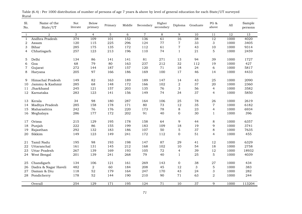| Sl.<br>No.     | Name of the<br>State/UT | <b>Not</b><br>literate | <b>Below</b><br>primary | Primary          | Middle | Secondary      | Higher<br>secondary | Diploma          | Graduate        | PG &<br>above             | $\mathop{\rm All}\nolimits$ | Sample<br>persons |
|----------------|-------------------------|------------------------|-------------------------|------------------|--------|----------------|---------------------|------------------|-----------------|---------------------------|-----------------------------|-------------------|
| $\mathbf{1}$   | 2                       | 3                      | $\overline{4}$          | 5                | 6      | $\overline{7}$ | 8                   | 9                | 10              | 11                        | 12                          | 13                |
| 1              | Andhra Pradesh          | 374                    | 109                     | 101              | 152    | 136            | $\overline{61}$     | $\overline{16}$  | $\overline{38}$ | $\overline{12}$           | 1000                        | 4020              |
| 2              | Assam                   | 120                    | 115                     | 225              | 296    | 124            | 77                  | $\overline{7}$   | 33              | 3                         | 1000                        | 3405              |
| 3              | Bihar                   | 285                    | 175                     | 135              | 172    | 112            | 61                  | $\boldsymbol{7}$ | 43              | 10                        | 1000                        | 9314              |
| 4              | Chhatisgarh             | 257                    | 123                     | 213              | 196    | 110            | 74                  | $\mathbf{1}$     | 21              | 5                         | 1000                        | 2459              |
| 5              | Delhi                   | 134                    | 86                      | 141              | 141    | 81             | 271                 | 13               | 94              | 39                        | 1000                        | 1727              |
| 6              | Goa                     | 68                     | 79                      | 80               | 163    | 237            | 212                 | 32               | 112             | 19                        | 1000                        | 427               |
| $\overline{7}$ | Gujarat                 | 272                    | 144                     | 187              | 157    | 120            | 71                  | 18               | 24              | 6                         | 1000                        | 5817              |
| 8              | Haryana                 | 205                    | 97                      | 166              | 186    | 169            | 100                 | 17               | 46              | 14                        | 1000                        | 4433              |
| 9              | Himachal Pradesh        | 149                    | 82                      | 163              | 189    | 189            | 147                 | 14               | 43              | 25                        | 1000                        | 2090              |
| 10             | Jammu & Kashmir         | 285                    | 68                      | 148              | 172    | 166            | 102                 | $\sqrt{2}$       | 37              | 20                        | 1000                        | 2360              |
| 11             | Jharkhand               | 245                    | 121                     | 157              | 203    | 135            | 76                  | 3                | 56              | $\overline{4}$            | 1000                        | 3582              |
| 12             | Karnataka               | 283                    | 123                     | 141              | 156    | 149            | 74                  | 34               | 37              | $\overline{4}$            | 1000                        | 5850              |
| 13             | Kerala                  | 34                     | 98                      | 180              | 287    | 164            | 106                 | 25               | 78              | 26                        | 1000                        | 2619              |
| 14             | Madhya Pradesh          | 285                    | 158                     | 178              | 171    | 80             | 73                  | 12               | 35              | $\overline{7}$            | 1000                        | 6182              |
| 15             | Maharashtra             | 242                    | 76                      | 176              | 220    | 173            | 78                  | 8                | 23              | 4                         | 1000                        | 6934              |
| 16             | Meghalaya               | 286                    | 177                     | 172              | 202    | 91             | 40                  | $\boldsymbol{0}$ | 30              | $\mathbf{1}$              | 1000                        | 396               |
| 17             | Orissa                  | 215                    | 129                     | 195              | 178    | 158            | 64                  | 9                | 44              | $\,8\,$                   | 1000                        | 6357              |
| 18             | Punjab                  | 222                    | 86                      | 155              | 199    | 183            | 109                 | 18               | 19              | 9                         | 1000                        | 3741              |
| 19             | Rajasthan               | 292                    | 132                     | 183              | 186    | 107            | 50                  | $\sqrt{5}$       | 37              | 8                         | 1000                        | 7635              |
| 20             | Sikkim                  | 149                    | 123                     | 149              | 241    | 172            | 112                 | $\Omega$         | 51              | $\overline{4}$            | 1000                        | 455               |
| 21             | Tamil Nadu              | 195                    | 98                      | 193              | 198    | 147            | 87                  | 29               | 41              | 12                        | 1000                        | 6329              |
| 22             | Uttaranchal             | 161                    | 131                     | 145              | 212    | 168            | 102                 | 10               | 54              | 18                        | 1000                        | 2758              |
| 23             | Uttar Pradesh           | 267                    | 139                     | 169              | 193    | 105            | 72                  | $\overline{4}$   | 39              | 12                        | 1000                        | 18932             |
| 24             | West Bengal             | 201                    | 139                     | 241              | 268    | 79             | 40                  | $\mathbf{1}$     | 25              | $\mathbf 5$               | 1000                        | 4039              |
| 25             | Chandigarh              | 134                    | 106                     | 121              | 161    | 269            | 143                 | $\mathbf 0$      | 38              | 27                        | 1000                        | 434               |
| 26             | Dadra & Nagar Haveli    | 482                    | 2                       | 60               | 184    | 208            | 45                  | 12               | 3               | $\mathbf 5$               | 1000                        | 383               |
| 27             | Daman & Diu             | 118                    | 52                      | 179              | 164    | 247            | 170                 | 43               | 24              | $\ensuremath{\mathsf{3}}$ | 1000                        | 282               |
| 28             | Pondicherry             | 178                    | 52                      | 144              | 190    | 210            | 90                  | 71               | 63              | $\sqrt{2}$                | 1000                        | 244               |
|                | Overall                 | 254                    | $\overline{129}$        | $\overline{171}$ | 195    | 124            | $\overline{71}$     | 10               | $\overline{37}$ | 9                         | 1000                        | 113204            |

Rural Table (6.4) : Per 1000 distribution of number of persons of age 7 years & above by level of general education for each State/UT surveyed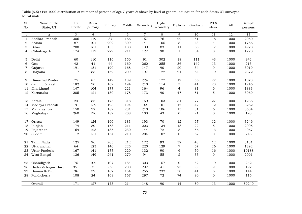| Sl.<br>No.   | Name of the<br>State/UT | Not<br>literate | Below<br>primary | Primary | Middle       | Secondary      | Higher<br>secondary | Diploma         | Graduate | PG &<br>above    | A11  | Sample<br>persons |
|--------------|-------------------------|-----------------|------------------|---------|--------------|----------------|---------------------|-----------------|----------|------------------|------|-------------------|
| $\mathbf{1}$ | 2                       | 3               | $\overline{4}$   | 5       | 6            | $\overline{7}$ | 8                   | 9               | 10       | 11               | 12   | 13                |
| $\mathbf{1}$ | Andhra Pradesh          | 306             | 119              | 87      | 166          | 157            | 76                  | $\overline{22}$ | 51       | $\overline{18}$  | 1000 | 2050              |
| 2            | Assam                   | 87              | 101              | 202     | 309          | 141            | 105                 | $\,8\,$         | 43       | $\overline{4}$   | 1000 | 1756              |
| 3            | Bihar                   | 200             | 161              | 135     | 188          | 139            | 83                  | 11              | 65       | 17               | 1000 | 4928              |
| 4            | Chhatisgarh             | 174             | 117              | 229     | 211          | 127            | 98                  | $\mathbf{1}$    | 34       | $\,8\,$          | 1000 | 1228              |
| 5            | Delhi                   | 60              | 110              | 116     | 150          | 91             | 302                 | 18              | 111      | 43               | 1000 | 942               |
| 6            | Goa                     | 42              | 41               | 44      | 160          | 260            | 255                 | 36              | 149      | 13               | 1000 | 213               |
| 7            | Gujarat                 | 191             | 151              | 190     | 168          | 147            | 90                  | 20              | 34       | 9                | 1000 | 3019              |
| 8            | Haryana                 | 117             | 88               | 162     | 209          | 197            | 122                 | 21              | 64       | 19               | 1000 | 2372              |
|              |                         |                 |                  |         |              |                |                     |                 |          |                  |      |                   |
| 9            | Himachal Pradesh        | 75              | 85               | 149     | 189          | 224            | 177                 | 17              | 56       | 27               | 1000 | 1073              |
| 10           | Jammu & Kashmir         | 182             | 70               | 162     | 194          | 210            | 114                 | 3               | 41       | 23               | 1000 | 1246              |
| 11           | Jharkhand               | 147             | 104              | 177     | 221          | 164            | 96                  | $\overline{4}$  | 81       | 6                | 1000 | 1883              |
| 12           | Karnataka               | 205             | 121              | 130     | 178          | 173            | 90                  | 47              | 51       | 5                | 1000 | 3069              |
|              | Kerala                  | 24              | 86               | 175     | 318          | 159            | 103                 | 31              | 77       | 27               | 1000 | 1286              |
| 13           | Madhya Pradesh          | 191             | 152              | 198     | 194          | 92             | 101                 | 17              | 42       | 12               | 1000 | 3262              |
| 14<br>15     | Maharashtra             | 150             | 72               | 182     | 231          | 210            | 106                 | 13              | 31       | 6                | 1000 | 3604              |
| 16           | Meghalaya               | 260             | 176              | 189     | 208          | 103            | 43                  | $\mathbf 0$     | 21       | $\boldsymbol{0}$ | 1000 | 198               |
|              |                         |                 |                  |         |              |                |                     |                 |          |                  |      |                   |
| 17           | Orissa                  | 149             | 124              | 190     | 183          | 193            | 70                  | 12              | 67       | 12               | 1000 | 3246              |
| 18           | Punjab                  | 174             | 80               | 153     | 211          | 203            | 134                 | 18              | 22       | $\mathbf 5$      | 1000 | 2005              |
| 19           | Rajasthan               | 169             | 125              | 185     | 230          | 144            | 72                  | $\,8\,$         | 56       | 13               | 1000 | 4067              |
| 20           | Sikkim                  | 112             | 151              | 154     | 210          | 204            | 107                 | $\mathbf{0}$    | 62       | $\mathbf 0$      | 1000 | 248               |
| 21           | Tamil Nadu              | 125             | 96               | 203     | 212          | 172            | 93                  | 39              | 48       | 12               | 1000 | 3181              |
| 22           | Uttaranchal             | 64              | 123              | 140     | 225          | 220            | 129                 | $\overline{7}$  | 67       | 26               | 1000 | 1392              |
| 23           | Uttar Pradesh           | 167             | 141              | 177     | 220          | 132            | 90                  | 6               | 50       | 16               | 1000 | 10188             |
| 24           | West Bengal             | 136             | 149              | 241     | 279          | 94             | 55                  | 2               | 35       | 9                | 1000 | 2091              |
|              |                         |                 |                  |         |              |                |                     |                 |          |                  |      |                   |
| 25           | Chandigarh              | 75              | 102              | 107     | 184          | 303            | 157                 | $\mathbf 0$     | 52       | 19               | 1000 | 242               |
| 26           | Dadra & Nagar Haveli    | 351             | 3                | 69      | 200          | 297            | 41                  | 23              | 6        | 9                | 1000 | 192               |
| 27           | Daman & Diu             | 36              | 39               | 187     | 154          | 255            | 232                 | 50              | 41       | $\mathbf 5$      | 1000 | 144               |
| 28           | Pondicherry             | 108             | 24               | 168     | 167          | 297            | 72                  | 74              | 90       | $\boldsymbol{0}$ | 1000 | 115               |
|              | Overall                 | 171             | $\overline{127}$ | 173     | $\sqrt{214}$ | 148            | $\overline{90}$     | 14              | 50       | 13               | 1000 | 59240             |
|              |                         |                 |                  |         |              |                |                     |                 |          |                  |      |                   |

Rural male Table (6.5) : Per 1000 distribution of number of persons of age 7 years & above by level of general education for each State/UT surveyed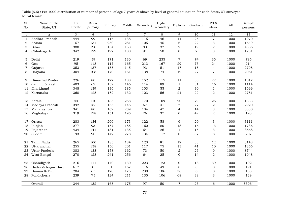| Sl.<br>No.   | Name of the<br>State/UT | Not<br>literate | Below<br>primary | Primary    | Middle     | Secondary      | Higher<br>secondary | Diploma          | Graduate        | PG $\&$<br>above          | All          | Sample<br>persons |
|--------------|-------------------------|-----------------|------------------|------------|------------|----------------|---------------------|------------------|-----------------|---------------------------|--------------|-------------------|
| $\mathbf{1}$ | $\overline{a}$          | 3               | $\overline{4}$   | 5          | 6          | $\overline{7}$ | 8                   | 9                | 10              | 11                        | 12           | 13                |
| $\mathbf{1}$ | Andhra Pradesh          | 444             | 99               | 116        | 138        | 115            | 46                  | 11               | $\overline{25}$ | $\overline{7}$            | 1000         | 1970              |
| 2            | Assam                   | 157             | 131              | 250        | 281        | 105            | 45                  | 6                | 22              | $\ensuremath{\mathsf{3}}$ | 1000         | 1649              |
| 3            | Bihar                   | 380             | 190              | 134        | 153        | 83             | 37                  | $\boldsymbol{2}$ | 19              | $\,2$                     | 1000         | 4386              |
| 4            | Chhatisgarh             | 342             | 129              | 197        | 180        | 91             | 50                  | $\mathbf 0$      | $\overline{7}$  | 3                         | 1000         | 1231              |
| 5            | Delhi                   | 219             | 59               | 171        | 130        | 69             | 235                 | $\sqrt{ }$       | 74              | 35                        | 1000         | 785               |
| 6            | Goa                     | 95              | 118              | 117        | 165        | 213            | 167                 | 29               | 73              | 24                        | 1000         | 214               |
| 7            | Gujarat                 | 353             | 137              | 185        | 145        | 93             | 51                  | 17               | 15              | $\overline{4}$            | 1000         | 2798              |
| 8            | Haryana                 | 304             | 108              | 170        | 161        | 138            | 74                  | 12               | 27              | 7                         | 1000         | 2061              |
|              |                         |                 |                  |            |            |                |                     |                  |                 |                           |              |                   |
| 9            | Himachal Pradesh        | 226             | 80               | 177        | 188        | 152            | 115                 | 11               | 30              | 22                        | 1000         | 1017              |
| 10           | Jammu & Kashmir         | 403             | 67               | 132        | 146        | 114            | 89                  | $\mathbf{1}$     | 31              | 16                        | 1000         | 1114              |
| 11           | Jharkhand               | 348<br>368      | 139<br>125       | 136<br>152 | 185<br>132 | 103<br>123     | 55<br>56            | $\sqrt{2}$<br>21 | 30<br>22        | $1\,$                     | 1000<br>1000 | 1699<br>2781      |
| 12           | Karnataka               |                 |                  |            |            |                |                     |                  |                 | $\boldsymbol{2}$          |              |                   |
| 13           | Kerala                  | 44              | 110              | 185        | 258        | 170            | 109                 | 20               | 79              | 25                        | 1000         | 1333              |
| 14           | Madhya Pradesh          | 392             | 165              | 155        | 145        | 67             | 41                  | $\overline{7}$   | 27              | $\boldsymbol{2}$          | 1000         | 2920              |
| 15           | Maharashtra             | 341             | 80               | 169        | 209        | 134            | 47                  | $\overline{4}$   | 14              | $\ensuremath{\mathsf{3}}$ | 1000         | 3330              |
| 16           | Meghalaya               | 319             | 178              | 151        | 195        | 76             | 37                  | $\boldsymbol{0}$ | 42              | $\sqrt{2}$                | 1000         | 198               |
| 17           | Orissa                  | 283             | 134              | 200        | 173        | 122            | 58                  | 6                | 20              | 3                         | 1000         | 3111              |
| 18           | Punjab                  | 277             | 93               | 157        | 185        | 160            | 80                  | 18               | 16              | 13                        | 1000         | 1736              |
| 19           | Rajasthan               | 434             | 141              | 181        | 135        | 64             | 26                  | $\mathbf{1}$     | 15              | 3                         | 1000         | 3568              |
| 20           | Sikkim                  | 193             | 90               | 142        | 278        | 134            | 117                 | $\mathbf{0}$     | 37              | 8                         | 1000         | 207               |
| 21           | Tamil Nadu              | 265             | 100              | 183        | 184        | 123            | 81                  | 19               | 33              | 12                        | 1000         | 3148              |
| 22           | Uttaranchal             | 255             | 138              | 150        | 201        | 117            | 75                  | 13               | 41              | 10                        | 1000         | 1366              |
| 23           | Uttar Pradesh           | 383             | 138              | 158        | 162        | 73             | 50                  | $\overline{a}$   | 26              | 9                         | 1000         | 8744              |
| 24           | West Bengal             | 270             | 128              | 241        | 256        | 64             | 25                  | 0                | 14              | $\boldsymbol{2}$          | 1000         | 1948              |
|              |                         |                 |                  |            |            |                |                     |                  |                 |                           |              |                   |
| 25           | Chandigarh              | 216             | 111              | 140        | 130        | 223            | 123                 | $\boldsymbol{0}$ | 18              | 39                        | 1000         | 192               |
| 26           | Dadra & Nagar Haveli    | 617             | $\boldsymbol{0}$ | 51         | 167        | 116            | 49                  | 0                | $\mathbf 0$     | $\mathbf 0$               | 1000         | 191               |
| 27           | Daman & Diu             | 204             | 65               | 170        | 175        | 238            | 106                 | 36               | 6               | $\boldsymbol{0}$          | 1000         | 138               |
| 28           | Pondicherry             | 239             | 75               | 124        | 211        | 135            | 106                 | 68               | 38              | $\mathfrak{S}$            | 1000         | 129               |
|              | Overall                 | 344             | 132              | 168        | 175        | 97             | 50                  | $\overline{7}$   | $\overline{23}$ | 6                         | 1000         | 53964             |

Rural female Table (6.6) : Per 1000 distribution of number of persons of age 7 years & above by level of general education for each State/UT surveyed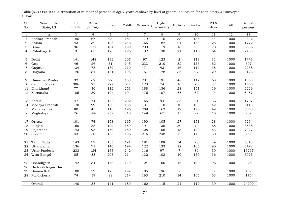| 2<br>3<br>$\mathbf{5}$<br>6<br>$\overline{7}$<br>8<br>12<br>$\overline{4}$<br>9<br>10<br>11<br>$\mathbf{1}$<br>67<br>185<br>$\overline{93}$<br>154<br>179<br>110<br>$\overline{33}$<br>136<br>44<br>Andhra Pradesh<br>1000<br>$\mathbf{1}$<br>43<br>32<br>246<br>182<br>$2\sqrt{1}$<br>158<br>1000<br>2<br>125<br>165<br>28<br>Assam<br>199<br>93<br>3<br>Bihar<br>96<br>111<br>104<br>239<br>119<br>18<br>20<br>1000<br>131<br>83<br>128<br>196<br>130<br>21<br>116<br>1000<br>Chhatisgarh<br>132<br>64<br>4<br>Delhi<br>148<br>132<br>207<br>97<br>123<br>$\sqrt{2}$<br>119<br>1000<br>5<br>141<br>31<br>Goa<br>46<br>26<br>71<br>145<br>233<br>210<br>32<br>176<br>62<br>1000<br>6<br>$\overline{7}$<br>134<br>78<br>139<br>210<br>171<br>93<br>119<br>38<br>1000<br>Gujarat<br>16<br>97<br>126<br>81<br>151<br>195<br>157<br>128<br>36<br>29<br>1000<br>8<br>Haryana<br>32<br>62<br>231<br>191<br>48<br>68<br>Himachal Pradesh<br>97<br>153<br>117<br>1000<br>9<br>78<br>306<br>23<br>272<br>123<br>74<br>16<br>76<br>Jammu & Kashmir<br>32<br>1000<br>10<br>Jharkhand<br>77<br>36<br>112<br>251<br>188<br>136<br>28<br>151<br>19<br>1000<br>11 | 13<br>4342<br>1772<br>6806 |
|-----------------------------------------------------------------------------------------------------------------------------------------------------------------------------------------------------------------------------------------------------------------------------------------------------------------------------------------------------------------------------------------------------------------------------------------------------------------------------------------------------------------------------------------------------------------------------------------------------------------------------------------------------------------------------------------------------------------------------------------------------------------------------------------------------------------------------------------------------------------------------------------------------------------------------------------------------------------------------------------------------------------------------------------------------------------------------------------------------------------------------------------------------|----------------------------|
|                                                                                                                                                                                                                                                                                                                                                                                                                                                                                                                                                                                                                                                                                                                                                                                                                                                                                                                                                                                                                                                                                                                                                     |                            |
|                                                                                                                                                                                                                                                                                                                                                                                                                                                                                                                                                                                                                                                                                                                                                                                                                                                                                                                                                                                                                                                                                                                                                     |                            |
|                                                                                                                                                                                                                                                                                                                                                                                                                                                                                                                                                                                                                                                                                                                                                                                                                                                                                                                                                                                                                                                                                                                                                     |                            |
|                                                                                                                                                                                                                                                                                                                                                                                                                                                                                                                                                                                                                                                                                                                                                                                                                                                                                                                                                                                                                                                                                                                                                     |                            |
|                                                                                                                                                                                                                                                                                                                                                                                                                                                                                                                                                                                                                                                                                                                                                                                                                                                                                                                                                                                                                                                                                                                                                     | 2483                       |
|                                                                                                                                                                                                                                                                                                                                                                                                                                                                                                                                                                                                                                                                                                                                                                                                                                                                                                                                                                                                                                                                                                                                                     | 1443                       |
|                                                                                                                                                                                                                                                                                                                                                                                                                                                                                                                                                                                                                                                                                                                                                                                                                                                                                                                                                                                                                                                                                                                                                     | 607                        |
|                                                                                                                                                                                                                                                                                                                                                                                                                                                                                                                                                                                                                                                                                                                                                                                                                                                                                                                                                                                                                                                                                                                                                     | 2238                       |
|                                                                                                                                                                                                                                                                                                                                                                                                                                                                                                                                                                                                                                                                                                                                                                                                                                                                                                                                                                                                                                                                                                                                                     | 4128                       |
|                                                                                                                                                                                                                                                                                                                                                                                                                                                                                                                                                                                                                                                                                                                                                                                                                                                                                                                                                                                                                                                                                                                                                     |                            |
|                                                                                                                                                                                                                                                                                                                                                                                                                                                                                                                                                                                                                                                                                                                                                                                                                                                                                                                                                                                                                                                                                                                                                     | 1863                       |
|                                                                                                                                                                                                                                                                                                                                                                                                                                                                                                                                                                                                                                                                                                                                                                                                                                                                                                                                                                                                                                                                                                                                                     | 1560                       |
|                                                                                                                                                                                                                                                                                                                                                                                                                                                                                                                                                                                                                                                                                                                                                                                                                                                                                                                                                                                                                                                                                                                                                     | 2229                       |
| 82<br>185<br>89<br>104<br>194<br>176<br>107<br>55<br>9<br>1000<br>12<br>Karnataka                                                                                                                                                                                                                                                                                                                                                                                                                                                                                                                                                                                                                                                                                                                                                                                                                                                                                                                                                                                                                                                                   | 5457                       |
| 47<br>74<br>165<br>292<br>165<br>94<br>36<br>91<br>36<br>1000<br>Kerala<br>13                                                                                                                                                                                                                                                                                                                                                                                                                                                                                                                                                                                                                                                                                                                                                                                                                                                                                                                                                                                                                                                                       | 1707                       |
| 188<br>Madhya Pradesh<br>170<br>99<br>150<br>131<br>110<br>10<br>100<br>42<br>1000<br>14                                                                                                                                                                                                                                                                                                                                                                                                                                                                                                                                                                                                                                                                                                                                                                                                                                                                                                                                                                                                                                                            | 6113                       |
| 162<br>Maharashtra<br>80<br>43<br>116<br>196<br>209<br>19<br>126<br>49<br>1000<br>15                                                                                                                                                                                                                                                                                                                                                                                                                                                                                                                                                                                                                                                                                                                                                                                                                                                                                                                                                                                                                                                                | 5053                       |
| 76<br>252<br>67<br>13<br>29<br>188<br>210<br>149<br>15<br>1000<br>Meghalaya<br>16                                                                                                                                                                                                                                                                                                                                                                                                                                                                                                                                                                                                                                                                                                                                                                                                                                                                                                                                                                                                                                                                   | 289                        |
| 158<br>190<br>27<br>28<br>1000<br>Orissa<br>101<br>74<br>165<br>105<br>151<br>17                                                                                                                                                                                                                                                                                                                                                                                                                                                                                                                                                                                                                                                                                                                                                                                                                                                                                                                                                                                                                                                                    | 6264                       |
| 70<br>160<br>58<br>129<br>159<br>135<br>30<br>1000<br>Punjab<br>191<br>68<br>18                                                                                                                                                                                                                                                                                                                                                                                                                                                                                                                                                                                                                                                                                                                                                                                                                                                                                                                                                                                                                                                                     | 3538                       |
| 143<br>159<br>180<br>128<br>106<br>120<br>53<br>1000<br>19<br>Rajasthan<br>98<br>13                                                                                                                                                                                                                                                                                                                                                                                                                                                                                                                                                                                                                                                                                                                                                                                                                                                                                                                                                                                                                                                                 | 7427                       |
| Sikkim<br>43<br>50<br>136<br>248<br>3<br>140<br>1000<br>20<br>136<br>216<br>30                                                                                                                                                                                                                                                                                                                                                                                                                                                                                                                                                                                                                                                                                                                                                                                                                                                                                                                                                                                                                                                                      | 459                        |
|                                                                                                                                                                                                                                                                                                                                                                                                                                                                                                                                                                                                                                                                                                                                                                                                                                                                                                                                                                                                                                                                                                                                                     |                            |
| Tamil Nadu<br>143<br>$77\,$<br>135<br>191<br>181<br>108<br>34<br>93<br>39<br>1000<br>21                                                                                                                                                                                                                                                                                                                                                                                                                                                                                                                                                                                                                                                                                                                                                                                                                                                                                                                                                                                                                                                             | 6343                       |
| 71<br>Uttaranchal<br>136<br>146<br>194<br>122<br>123<br>12<br>106<br>90<br>1000<br>22                                                                                                                                                                                                                                                                                                                                                                                                                                                                                                                                                                                                                                                                                                                                                                                                                                                                                                                                                                                                                                                               | 2478                       |
| 233<br>153<br>97<br>$\overline{7}$<br>89<br>1000<br>23<br><b>Uttar Pradesh</b><br>124<br>142<br>116<br>39                                                                                                                                                                                                                                                                                                                                                                                                                                                                                                                                                                                                                                                                                                                                                                                                                                                                                                                                                                                                                                           | 16267                      |
| 85<br>103<br>88<br>203<br>214<br>132<br>10<br>130<br>36<br>1000<br>West Bengal<br>24                                                                                                                                                                                                                                                                                                                                                                                                                                                                                                                                                                                                                                                                                                                                                                                                                                                                                                                                                                                                                                                                | 3025                       |
| Chandigarh<br>142<br>148<br>149<br>124<br>100<br>16<br>190<br>1000<br>34<br>96<br>25<br>Dadra & Nagar Haveli<br>26                                                                                                                                                                                                                                                                                                                                                                                                                                                                                                                                                                                                                                                                                                                                                                                                                                                                                                                                                                                                                                  | 425                        |
| Daman & Diu<br>100<br>39<br>175<br>185<br>196<br>56<br>53<br>$\boldsymbol{0}$<br>1000<br>197<br>27                                                                                                                                                                                                                                                                                                                                                                                                                                                                                                                                                                                                                                                                                                                                                                                                                                                                                                                                                                                                                                                  | 409                        |
| 74<br>59<br>88<br>214<br>163<br>210<br>34<br>105<br>53<br>1000<br>Pondicherry<br>28                                                                                                                                                                                                                                                                                                                                                                                                                                                                                                                                                                                                                                                                                                                                                                                                                                                                                                                                                                                                                                                                 | 175                        |
| 85<br>160<br>$\frac{115}{115}$<br>$\overline{21}$<br>110<br>$\overline{39}$<br>Overall<br>140<br>141<br>189<br>1000                                                                                                                                                                                                                                                                                                                                                                                                                                                                                                                                                                                                                                                                                                                                                                                                                                                                                                                                                                                                                                 |                            |

Urban Table (6.7) : Per 1000 distribution of number of persons of age 7 years & above by level of general education for each State/UT surveyed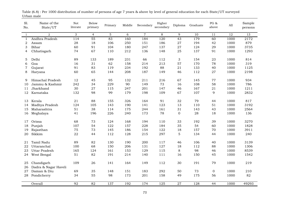| Sl.<br>No.   | Name of the<br>State/UT | Not<br>literate | Below<br>primary | Primary | Middle | Secondary      | Higher<br>secondary | Diploma          | Graduate         | PG $\&$<br>above | All  | Sample<br>persons |
|--------------|-------------------------|-----------------|------------------|---------|--------|----------------|---------------------|------------------|------------------|------------------|------|-------------------|
| $\mathbf{1}$ | $\overline{a}$          | 3               | $\overline{4}$   | 5       | 6      | $\overline{7}$ | 8                   | 9                | 10               | 11               | 12   | 13                |
| $\mathbf{1}$ | Andhra Pradesh          | 114             | $\overline{55}$  | 83      | 160    | 184            | 120                 | 43               | 179              | 60               | 1000 | 2172              |
| 2            | Assam                   | 28              | 18               | 106     | 250    | 151            | 186                 | 27               | 194              | 42               | 1000 | 879               |
| 3            | Bihar                   | 60              | 91               | 104     | 180    | 247            | 137                 | $\sqrt{27}$      | 124              | 29               | 1000 | 3735              |
| 4            | Chhatisgarh             | 74              | 67               | 110     | 212    | 136            | 148                 | 25               | 137              | 91               | 1000 | 1293              |
|              |                         |                 |                  |         |        |                |                     |                  |                  |                  |      |                   |
| 5            | Delhi                   | 89              | 133              | 189     | 231    | 66             | 112                 | $\mathfrak{S}$   | 154              | 23               | 1000 | 814               |
| 6            | Goa                     | 16              | 31               | 62      | 158    | 214            | 213                 | 57               | 170              | 78               | 1000 | 319               |
| 7            | Gujarat                 | 91              | 83               | 119     | 234    | 192            | 88                  | 21               | 133              | 40               | 1000 | 1125              |
| 8            | Haryana                 | 60              | 65               | 144     | 208    | 187            | 149                 | 46               | 112              | 27               | 1000 | 2198              |
| 9            | Himachal Pradesh        | 12              | 45               | 95      | 132    | 211            | 216                 | 67               | 145              | 77               | 1000 | 934               |
| 10           | Jammu & Kashmir         | 242             | 34               | 229     | 90     | 149            | 73                  | 16               | 108              | 58               | 1000 | 786               |
| 11           | Jharkhand               | 30              | $\sqrt{27}$      | 115     | 247    | 201            | 147                 | 46               | 167              | 21               | 1000 | 1211              |
| 12           | Karnataka               | 132             | 98               | 99      | 179    | 198            | 109                 | 67               | 107              | 9                | 1000 | 2832              |
|              |                         |                 |                  |         |        |                |                     |                  |                  |                  |      |                   |
| 13           | Kerala                  | 21              | 88               | 155     | 326    | 164            | 91                  | 32               | 79               | 44               | 1000 | 817               |
| 14           | Madhya Pradesh          | 124             | 105              | 143     | 190    | 141            | 123                 | 13               | 110              | $51\,$           | 1000 | 3192              |
| 15           | Maharashtra             | $5\sqrt{1}$     | 38               | 114     | 175    | 244            | 161                 | 31               | 143              | 43               | 1000 | 2564              |
| 16           | Meghalaya               | 41              | 196              | 226     | 240    | 173            | 78                  | $\boldsymbol{0}$ | 28               | 18               | 1000 | 136               |
|              |                         |                 |                  |         |        |                |                     |                  |                  |                  |      |                   |
| 17           | Orissa                  | 68              | 73               | 124     | 168    | 194            | 110                 | 33               | 192              | 39               | 1000 | 3270              |
| 18           | Punjab                  | 107             | 54               | 122     | 157    | 228            | 184                 | 35               | 54               | 60               | 1000 | 1828              |
| 19           | Rajasthan               | 75              | 73               | 145     | 186    | 154            | 122                 | 18               | 157              | 70               | 1000 | 3911              |
| 20           | Sikkim                  | 22              | 44               | 112     | 128    | 215            | 297                 | 5                | 134              | 44               | 1000 | 240               |
| 21           | Tamil Nadu              | 89              | 82               | 130     | 190    | 200            | 117                 | 46               | 106              | 40               | 1000 | 3139              |
| 22           | Uttaranchal             | 100             | 68               | 150     | 206    | 131            | 127                 | 18               | 112              | 88               | 1000 | 1306              |
| 23           | Uttar Pradesh           | 165             | 124              | 161     | 153    | 129            | 115                 | $\,8\,$          | 98               | 46               | 1000 | 8539              |
| 24           | West Bengal             | 51              | 82               | 191     | 214    | 140            | 111                 | 16               | 150              | 45               | 1000 | 1542              |
|              |                         |                 |                  |         |        |                |                     |                  |                  |                  |      |                   |
| 25           | Chandigarh              | 109             | 26               | 141     | 164    | 149            | 112                 | 30               | 191              | 79               | 1000 | 219               |
| 26           | Dadra & Nagar Haveli    |                 |                  |         |        |                |                     |                  |                  |                  |      |                   |
| 27           | Daman & Diu             | 69              | 35               | 148     | 151    | 183            | 292                 | 50               | 73               | $\boldsymbol{0}$ | 1000 | 210               |
| 28           | Pondicherry             | 34              | 55               | 98      | 173    | 201            | 158                 | 49               | 175              | 56               | 1000 | 82                |
|              |                         | $\overline{92}$ |                  |         |        |                |                     |                  |                  |                  |      |                   |
|              | Overall                 |                 | 82               | 137     | 192    | 174            | $\overline{125}$    | $\overline{27}$  | $\overline{128}$ | 44               | 1000 | 49293             |

Urban male Table (6.8) : Per 1000 distribution of number of persons of age 7 years & above by level of general education for each State/UT surveyed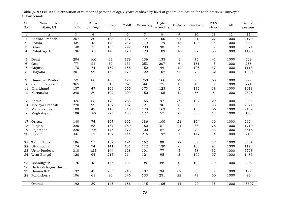| Sl.<br>No.   | Name of the<br>State/UT | Not<br>literate  | Below<br>primary | Primary | Middle | Secondary      | Higher<br>secondary | Diploma          | Graduate        | PG $\&$<br>above | All  | Sample<br>persons |
|--------------|-------------------------|------------------|------------------|---------|--------|----------------|---------------------|------------------|-----------------|------------------|------|-------------------|
| $\mathbf{1}$ | $\overline{a}$          | 3                | $\overline{4}$   | 5       | 6      | $\overline{7}$ | 8                   | 9                | 10              | 11               | 12   | 13                |
| $\mathbf{1}$ | Andhra Pradesh          | $\overline{257}$ | 80               | 103     | 147    | 174            | 100                 | $\overline{21}$  | 91              | $\overline{27}$  | 1000 | 2170              |
| 2            | Assam                   | 58               | 45               | 143     | 242    | 179            | 179                 | 15               | 125             | 14               | 1000 | 893               |
| 3            | Bihar                   | 140              | 135              | 105     | 222    | 230            | 98                  | $\overline{7}$   | 55              | $\,8\,$          | 1000 | 3071              |
| 4            | Chhatisgarh             | 196              | 101              | 148     | 178    | 128            | 109                 | 16               | 92              | 33               | 1000 | 1190              |
|              |                         |                  |                  |         |        |                |                     |                  |                 |                  |      |                   |
| 5            | Delhi                   | 204              | 166              | 63      | 179    | 136            | 135                 | $\mathbf{1}$     | 76              | 41               | 1000 | 629               |
| 6            | Goa                     | 77               | 21               | 79      | 131    | 253            | 207                 | 6                | 181             | 45               | 1000 | 288               |
| 7            | Gujarat                 | 178              | 74               | 159     | 186    | 150            | 99                  | 12               | 105             | 37               | 1000 | 1113              |
| 8            | Haryana                 | 201              | 99               | 160     | 179    | 122            | 102                 | 26               | 79              | 32               | 1000 | 1930              |
| 9            | Himachal Pradesh        | 52               | 80               | 100     | 173    | 250            | 166                 | 29               | 90              | 60               | 1000 | 929               |
| 10           | Jammu & Kashmir         | 365              | 13               | 313     | 67     | 99             | 75                  | 15               | 45              | $\,8\,$          | 1000 | 774               |
| 11           | Jharkhand               | 137              | 47               | 109     | 255    | 173            | 123                 | 5                | 132             | 18               | 1000 | 1018              |
| 12           | Karnataka               | 240              | 80               | 109     | 209    | 152            | 105                 | 42               | 55              | $\,8\,$          | 1000 | 2625              |
|              |                         |                  |                  |         |        |                |                     |                  |                 |                  |      |                   |
| 13           | Kerala                  | 69               | 63               | 173     | 263    | 165            | 97                  | 39               | 102             | 29               | 1000 | 890               |
| 14           | Madhya Pradesh          | 220              | 92               | 157     | 187    | 121            | 96                  | 6                | 89              | 33               | 1000 | 2921              |
| 15           | Maharashtra             | 109              | 47               | 118     | 218    | 173            | 163                 | $\sqrt{ }$       | 108             | 56               | 1000 | 2489              |
| 16           | Meghalaya               | 108              | 182              | 275     | 183    | 127            | 57                  | 25               | 30              | 12               | 1000 | 153               |
|              |                         |                  |                  |         |        |                |                     |                  |                 |                  |      |                   |
| 17           | Orissa                  | 140              | 74               | 197     | 162    | 186            | 100                 | 21               | 104             | 16               | 1000 | 2994              |
| 18           | Punjab                  | 220              | 63               | 137     | 160    | 150            | 81                  | 24               | 88              | 76               | 1000 | 1710              |
| 19           | Rajasthan               | 220              | 126              | 175     | 172    | 100            | 87                  | 8                | 79              | 33               | 1000 | 3516              |
| 20           | Sikkim                  | 66               | 57               | 162     | 144    | 216            | 192                 | $\mathbf{1}$     | 147             | 14               | 1000 | 219               |
| 21           | Tamil Nadu              | 196              | 73               | 139     | 191    | 162            | 99                  | 22               | 82              | 37               | 1000 | 3204              |
| 22           | Uttaranchal             | 174              | 74               | 141     | 181    | 112            | 120                 | 6                | 100             | 92               | 1000 | 1172              |
| 23           | Uttar Pradesh           | 310              | 125              | 144     | 128    | 101            | $77\,$              | $\mathbf 5$      | 78              | 32               | 1000 | 7728              |
| 24           | West Bengal             | 120              | 94               | 215     | 214    | 124            | 95                  | 3                | 109             | 27               | 1000 | 1483              |
|              |                         |                  |                  |         |        |                |                     |                  |                 |                  |      |                   |
| 25           | Chandigarh              | 176              | 43               | 156     | 134    | 98             | 88                  | $\boldsymbol{0}$ | 190             | 114              | 1000 | 206               |
| 26           | Dadra & Nagar Haveli    |                  |                  |         |        |                |                     |                  |                 |                  |      |                   |
| 27           | Daman & Diu             | 132              | 43               | 203     | 245    | 187            | 94                  | 62               | 33              | 0                | 1000 | 199               |
| 28           | Pondicherry             | 106              | 61               | 80      | 246    | 133            | 251                 | 22               | 49              | 50               | 1000 | 93                |
|              |                         |                  |                  |         |        |                |                     |                  |                 |                  |      |                   |
|              | Overall                 | 192              | 89               | 145     | 186    | 145            | 106                 | 14               | $\overline{90}$ | $\overline{35}$  | 1000 | 45607             |

Urban female Table (6.9) : Per 1000 distribution of number of persons of age 7 years & above by level of general education for each State/UT surveyed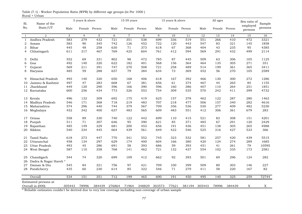|              |                         |        | 5 years & above |        |        | $15-59$ years  |        |        | 15 years & above |        |        | All ages |        | Sex ratio of        |                   |
|--------------|-------------------------|--------|-----------------|--------|--------|----------------|--------|--------|------------------|--------|--------|----------|--------|---------------------|-------------------|
| Sl.<br>No.   | Name of the<br>State/UT | Male   | Female          | Person | Male   | Female         | Person | Male   | Female Person    |        | Male   | Female   | Person | employed<br>persons | Sample<br>persons |
| $\mathbf{1}$ | $\overline{2}$          | 3      | $\overline{4}$  | 5      | 6      | $\overline{7}$ | 8      | 9      | 10               | 11     | 12     | 13       | 14     | 15                  | 16                |
| $\mathbf{1}$ | Andhra Pradesh          | 583    | 279             | 432    | 721    | 351            | 538    | 699    | 336              | 519    | 551    | 266      | 410    | 472                 | 3321              |
| 2            | Assam                   | 583    | 90              | 345    | 742    | 126            | 452    | 722    | 120              | 443    | 547    | 83       | 321    | 145                 | 1858              |
| 3            | Bihar                   | 445    | 48              | 258    | 630    | 71             | 373    | 618    | 67               | 368    | 404    | 43       | 235    | 95                  | 4385              |
| 4            | Chhatisgarh             | 611    | 317             | 467    | 769    | 425            | 604    | 761    | 412              | 594    | 569    | 291      | 432    | 499                 | 2114              |
| 5            | Delhi                   | 552    | 69              | 331    | 802    | 98             | 472    | 785    | 87               | 445    | 509    | 63       | 306    | 105                 | 1125              |
| 6            | Goa                     | 492    | 140             | 320    | 622    | 182            | 401    | 568    | 156              | 364    | 464    | 135      | 305    | 271                 | 351               |
| $\tau$       | Gujarat                 | 569    | 211             | 391    | 747    | 270            | 508    | 721    | 258              | 489    | 514    | 199      | 361    | 365                 | 3411              |
| 8            | Haryana                 | 485    | 59              | 288    | 657    | 79             | 384    | 634    | 73               | 369    | 452    | 56       | 270    | 105                 | 2589              |
| 9            | Himachal Pradesh        | 493    | 140             | 320    | 650    | 168            | 406    | 618    | 167              | 392    | 466    | 130      | 300    | 272                 | 1286              |
| 10           | Jammu & Kashmir         | 497    | 47              | 283    | 668    | 67             | 381    | 656    | 61               | 374    | 467    | 44       | 265    | 85                  | 1155              |
| 11           | Jharkhand               | 449    | 120             | 290    | 596    | 166            | 390    | 596    | 160              | 386    | 407    | 110      | 264    | 251                 | 1851              |
|              | 12 Karnataka            | 600    | 256             | 434    | 773    | 326            | 553    | 754    | 309              | 535    | 570    | 242      | 411    | 399                 | 4732              |
|              | 13 Kerala               | 496    | 132             | 309    | 692    | 175            | 419    | 625    | 157              | 378    | 462    | 122      | 287    | 280                 | 1463              |
| 14           | Madhya Pradesh          | 546    | 171             | 368    | 718    | 219            | 483    | 707    | 218              | 477    | 506    | 157      | 340    | 282                 | 4616              |
| 15           | Maharashtra             | 574    | 296             | 440    | 744    | 379            | 567    | 709    | 356              | 536    | 530    | 277      | 409    | 482                 | 5230              |
|              | 16 Meghalaya            | 452    | 342             | 400    | 637    | 483            | 565    | 609    | 483              | 551    | 412    | 306      | 361    | 679                 | 283               |
| 17           | Orissa                  | 558    | 89              | 330    | 740    | 122            | 442    | 699    | 110              | 415    | 521    | 83       | 308    | 151                 | 4201              |
| 18           | Punjab                  | 511    | 71              | 307    | 646    | 95             | 390    | 621    | 85               | 371    | 485    | 67       | 291    | 120                 | 2429              |
| 19           | Rajasthan               | 485    | 149             | 329    | 681    | 200            | 453    | 656    | 191              | 436    | 451    | 138      | 305    | 265                 | 4988              |
| 20           | Sikkim                  | 540    | 334             | 445    | 664    | 439            | 561    | 649    | 422              | 546    | 525    | 316      | 427    | 533                 | 366               |
| 21           | Tamil Nadu              | 618    | 273             | 447    | 770    | 341            | 552    | 745    | 323              | 532    | 581    | 257      | 420    | 439                 | 5515              |
| 22           | Uttaranchal             | 458    | 134             | 297    | 629    | 174            | 400    | 604    | 166              | 380    | 420    | 124      | 274    | 289                 | 1685              |
| 23           | Uttar Pradesh           | 493    | 45              | 286    | 691    | 58             | 393    | 686    | 59               | 393    | 451    | 41       | 261    | 79                  | 10595             |
| 24           | West Bengal             | 587    | 110             | 358    | 768    | 141            | 462    | 721    | 132              | 437    | 554    | 102      | 335    | 173                 | 2581              |
| 25           | Chandigarh              | 544    | 74              | 320    | 699    | 109            | 412    | 662    | 92               | 393    | 501    | 69       | 296    | 124                 | 282               |
| 26           | Dadra & Nagar Haveli*   |        |                 |        |        |                |        |        |                  |        |        |          |        |                     |                   |
| 27           | Daman & Diu             | 545    | 84              | 321    | 756    | 97             | 421    | 709    | 100              | 399    | 509    | 80       | 303    | 146                 | 227               |
|              | 28 Pondicherry          | 435    | 60              | 230    | 614    | 85             | 322    | 546    | 71               | 279    | 411    | 58       | 220    | 167                 | 82                |
|              | Overall                 | 534    | 151             | 351    | 712    | 199            | 465    | 690    | 191              | 450    | 495    | 140      | 325    | 259                 | 72744             |
|              | Estimated persons at    |        |                 |        |        |                |        |        |                  |        |        |          |        |                     |                   |
|              | Overall in (000)        | 305443 | 78996           | 384439 | 276864 | 71964          | 348829 | 303573 | 77621            | 381194 | 305443 | 78996    | 384439 | X                   | X                 |

Rural + Urban Table (7.1) : Worker Population Ratio (WPR) by different age groups (in Per 1000 )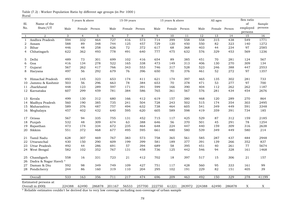| State/UT<br>No.<br>employed<br>Male<br>Female Person<br>Male<br>Female Person<br>Male<br>Female Person<br>Male<br>Female Person<br>persons<br>5<br>$\overline{7}$<br>$\overline{2}$<br>3<br>$\overline{4}$<br>6<br>8<br>9<br>10<br>12<br>13<br>15<br>11<br>14<br>1<br>558<br>315<br>Andhra Pradesh<br>594<br>332<br>464<br>727<br>416<br>573<br>714<br>399<br>558<br>438<br>549<br>$\mathbf{1}$<br>2<br>588<br>89<br>348<br>744<br>125<br>457<br>729<br>120<br>450<br>550<br>82<br>323<br>140<br>Assam<br>72<br>3<br>Bihar<br>446<br>48<br>258<br>626<br>372<br>617<br>68<br>368<br>403<br>44<br>234<br>97<br>622<br>362<br>493<br>778<br>491<br>640<br>777<br>475<br>632<br>576<br>329<br>453<br>569<br>Chhatisgarh<br>4<br>489<br>73<br>301<br>699<br>102<br>654<br>89<br>385<br>451<br>70<br>281<br>5<br>Delhi<br>416<br>124<br>278<br>522<br>165<br>338<br>473<br>149<br>406<br>130<br>270<br>309<br>6<br>Goa<br>416<br>134<br>313<br>388<br>567<br>262<br>417<br>766<br>343<br>553<br>746<br>317<br>528<br>523<br>246<br>447<br>7<br>Gujarat<br>497<br>56<br>292<br>679<br>76<br>396<br>70<br>376<br>52<br>272<br>97<br>650<br>461<br>8<br>Haryana<br>493<br>145<br>323<br>653<br>174<br>621<br>174<br>397<br>465<br>302<br>281<br>Himachal Pradesh<br>411<br>135<br>9<br>296<br>384<br>70<br>378<br>277<br>Jammu & Kashmir<br>503<br>56<br>663<br>78<br>653<br>471<br>53<br>97<br>10<br>448<br>289<br>597<br>390<br>262<br>262<br>Jharkhand<br>123<br>171<br>391<br>599<br>166<br>404<br>112<br>11<br>607<br>299<br>459<br>781<br>384<br>586<br>765<br>361<br>567<br>576<br>281<br>434<br>454<br>12<br>Karnataka<br>13 Kerala |            | Sex ratio |     | All ages |     |     | 15 years & above |     |     | 15-59 years |     |     | 5 years & above |     |             |     |
|-------------------------------------------------------------------------------------------------------------------------------------------------------------------------------------------------------------------------------------------------------------------------------------------------------------------------------------------------------------------------------------------------------------------------------------------------------------------------------------------------------------------------------------------------------------------------------------------------------------------------------------------------------------------------------------------------------------------------------------------------------------------------------------------------------------------------------------------------------------------------------------------------------------------------------------------------------------------------------------------------------------------------------------------------------------------------------------------------------------------------------------------------------------------------------------------------------------------------------------------------------------------------------------------------------------------------------------------------------------------------------------------------------------------------------------------------------------------------------------------------------------------------------------------------------------------------------------------------------------------------------------|------------|-----------|-----|----------|-----|-----|------------------|-----|-----|-------------|-----|-----|-----------------|-----|-------------|-----|
|                                                                                                                                                                                                                                                                                                                                                                                                                                                                                                                                                                                                                                                                                                                                                                                                                                                                                                                                                                                                                                                                                                                                                                                                                                                                                                                                                                                                                                                                                                                                                                                                                                     | Sample     | of        |     |          |     |     |                  |     |     |             |     |     |                 |     | Name of the | Sl. |
|                                                                                                                                                                                                                                                                                                                                                                                                                                                                                                                                                                                                                                                                                                                                                                                                                                                                                                                                                                                                                                                                                                                                                                                                                                                                                                                                                                                                                                                                                                                                                                                                                                     | persons    |           |     |          |     |     |                  |     |     |             |     |     |                 |     |             |     |
|                                                                                                                                                                                                                                                                                                                                                                                                                                                                                                                                                                                                                                                                                                                                                                                                                                                                                                                                                                                                                                                                                                                                                                                                                                                                                                                                                                                                                                                                                                                                                                                                                                     |            |           |     |          |     |     |                  |     |     |             |     |     |                 |     |             |     |
|                                                                                                                                                                                                                                                                                                                                                                                                                                                                                                                                                                                                                                                                                                                                                                                                                                                                                                                                                                                                                                                                                                                                                                                                                                                                                                                                                                                                                                                                                                                                                                                                                                     | 16<br>1771 |           |     |          |     |     |                  |     |     |             |     |     |                 |     |             |     |
|                                                                                                                                                                                                                                                                                                                                                                                                                                                                                                                                                                                                                                                                                                                                                                                                                                                                                                                                                                                                                                                                                                                                                                                                                                                                                                                                                                                                                                                                                                                                                                                                                                     | 1272       |           |     |          |     |     |                  |     |     |             |     |     |                 |     |             |     |
|                                                                                                                                                                                                                                                                                                                                                                                                                                                                                                                                                                                                                                                                                                                                                                                                                                                                                                                                                                                                                                                                                                                                                                                                                                                                                                                                                                                                                                                                                                                                                                                                                                     | 2585       |           |     |          |     |     |                  |     |     |             |     |     |                 |     |             |     |
|                                                                                                                                                                                                                                                                                                                                                                                                                                                                                                                                                                                                                                                                                                                                                                                                                                                                                                                                                                                                                                                                                                                                                                                                                                                                                                                                                                                                                                                                                                                                                                                                                                     | 1236       |           |     |          |     |     |                  |     |     |             |     |     |                 |     |             |     |
|                                                                                                                                                                                                                                                                                                                                                                                                                                                                                                                                                                                                                                                                                                                                                                                                                                                                                                                                                                                                                                                                                                                                                                                                                                                                                                                                                                                                                                                                                                                                                                                                                                     |            |           |     |          |     |     |                  |     |     |             |     |     |                 |     |             |     |
|                                                                                                                                                                                                                                                                                                                                                                                                                                                                                                                                                                                                                                                                                                                                                                                                                                                                                                                                                                                                                                                                                                                                                                                                                                                                                                                                                                                                                                                                                                                                                                                                                                     | 567        |           |     |          |     |     |                  |     |     |             |     |     |                 |     |             |     |
|                                                                                                                                                                                                                                                                                                                                                                                                                                                                                                                                                                                                                                                                                                                                                                                                                                                                                                                                                                                                                                                                                                                                                                                                                                                                                                                                                                                                                                                                                                                                                                                                                                     | 134        |           |     |          |     |     |                  |     |     |             |     |     |                 |     |             |     |
|                                                                                                                                                                                                                                                                                                                                                                                                                                                                                                                                                                                                                                                                                                                                                                                                                                                                                                                                                                                                                                                                                                                                                                                                                                                                                                                                                                                                                                                                                                                                                                                                                                     | 2553       |           |     |          |     |     |                  |     |     |             |     |     |                 |     |             |     |
|                                                                                                                                                                                                                                                                                                                                                                                                                                                                                                                                                                                                                                                                                                                                                                                                                                                                                                                                                                                                                                                                                                                                                                                                                                                                                                                                                                                                                                                                                                                                                                                                                                     | 1357       |           |     |          |     |     |                  |     |     |             |     |     |                 |     |             |     |
|                                                                                                                                                                                                                                                                                                                                                                                                                                                                                                                                                                                                                                                                                                                                                                                                                                                                                                                                                                                                                                                                                                                                                                                                                                                                                                                                                                                                                                                                                                                                                                                                                                     |            |           |     |          |     |     |                  |     |     |             |     |     |                 |     |             |     |
|                                                                                                                                                                                                                                                                                                                                                                                                                                                                                                                                                                                                                                                                                                                                                                                                                                                                                                                                                                                                                                                                                                                                                                                                                                                                                                                                                                                                                                                                                                                                                                                                                                     | 733        |           |     |          |     |     |                  |     |     |             |     |     |                 |     |             |     |
|                                                                                                                                                                                                                                                                                                                                                                                                                                                                                                                                                                                                                                                                                                                                                                                                                                                                                                                                                                                                                                                                                                                                                                                                                                                                                                                                                                                                                                                                                                                                                                                                                                     | 700        |           |     |          |     |     |                  |     |     |             |     |     |                 |     |             |     |
|                                                                                                                                                                                                                                                                                                                                                                                                                                                                                                                                                                                                                                                                                                                                                                                                                                                                                                                                                                                                                                                                                                                                                                                                                                                                                                                                                                                                                                                                                                                                                                                                                                     | 1187       |           |     |          |     |     |                  |     |     |             |     |     |                 |     |             |     |
|                                                                                                                                                                                                                                                                                                                                                                                                                                                                                                                                                                                                                                                                                                                                                                                                                                                                                                                                                                                                                                                                                                                                                                                                                                                                                                                                                                                                                                                                                                                                                                                                                                     | 2676       |           |     |          |     |     |                  |     |     |             |     |     |                 |     |             |     |
|                                                                                                                                                                                                                                                                                                                                                                                                                                                                                                                                                                                                                                                                                                                                                                                                                                                                                                                                                                                                                                                                                                                                                                                                                                                                                                                                                                                                                                                                                                                                                                                                                                     |            |           |     |          |     |     |                  |     |     |             |     |     |                 |     |             |     |
|                                                                                                                                                                                                                                                                                                                                                                                                                                                                                                                                                                                                                                                                                                                                                                                                                                                                                                                                                                                                                                                                                                                                                                                                                                                                                                                                                                                                                                                                                                                                                                                                                                     | 864        | 270       | 289 | 120      | 468 | 380 | 157              | 619 | 412 | 166         | 680 | 312 | 130             | 499 |             |     |
| 385<br>735<br>728<br>502<br>354<br>303<br>Madhya Pradesh<br>560<br>190<br>241<br>504<br>243<br>515<br>174<br>14                                                                                                                                                                                                                                                                                                                                                                                                                                                                                                                                                                                                                                                                                                                                                                                                                                                                                                                                                                                                                                                                                                                                                                                                                                                                                                                                                                                                                                                                                                                     | 2495       |           |     |          |     |     |                  |     |     |             |     |     |                 |     |             |     |
| 589<br>487<br>757<br>738<br>376<br>494<br>632<br>464<br>605<br>541<br>349<br>449<br>591<br>15 Maharashtra                                                                                                                                                                                                                                                                                                                                                                                                                                                                                                                                                                                                                                                                                                                                                                                                                                                                                                                                                                                                                                                                                                                                                                                                                                                                                                                                                                                                                                                                                                                           | 3348       |           |     |          |     |     |                  |     |     |             |     |     |                 |     |             |     |
| 457<br>402<br>432<br>640<br>595<br>620<br>605<br>589<br>598<br>359<br>391<br>734<br>16 Meghalaya<br>419                                                                                                                                                                                                                                                                                                                                                                                                                                                                                                                                                                                                                                                                                                                                                                                                                                                                                                                                                                                                                                                                                                                                                                                                                                                                                                                                                                                                                                                                                                                             | 185        |           |     |          |     |     |                  |     |     |             |     |     |                 |     |             |     |
|                                                                                                                                                                                                                                                                                                                                                                                                                                                                                                                                                                                                                                                                                                                                                                                                                                                                                                                                                                                                                                                                                                                                                                                                                                                                                                                                                                                                                                                                                                                                                                                                                                     |            |           |     |          |     |     |                  |     |     |             |     |     |                 |     |             |     |
| 567<br>94<br>335<br>755<br>131<br>452<br>715<br>117<br>425<br>529<br>87<br>312<br>159<br>Orissa<br>17                                                                                                                                                                                                                                                                                                                                                                                                                                                                                                                                                                                                                                                                                                                                                                                                                                                                                                                                                                                                                                                                                                                                                                                                                                                                                                                                                                                                                                                                                                                               | 2185       |           |     |          |     |     |                  |     |     |             |     |     |                 |     |             |     |
| 532<br>674<br>56<br>370<br>Punjab<br>48<br>309<br>63<br>388<br>646<br>501<br>45<br>291<br>78<br>18                                                                                                                                                                                                                                                                                                                                                                                                                                                                                                                                                                                                                                                                                                                                                                                                                                                                                                                                                                                                                                                                                                                                                                                                                                                                                                                                                                                                                                                                                                                                  | 1254       |           |     |          |     |     |                  |     |     |             |     |     |                 |     |             |     |
| 235<br>473<br>174<br>334<br>672<br>464<br>648<br>224<br>447<br>440<br>159<br>309<br>316<br>Rajasthan<br>19                                                                                                                                                                                                                                                                                                                                                                                                                                                                                                                                                                                                                                                                                                                                                                                                                                                                                                                                                                                                                                                                                                                                                                                                                                                                                                                                                                                                                                                                                                                          | 2638       |           |     |          |     |     |                  |     |     |             |     |     |                 |     |             |     |
| Sikkim<br>551<br>372<br>468<br>677<br>495<br>595<br>480<br>580<br>539<br>449<br>580<br>661<br>349<br>20                                                                                                                                                                                                                                                                                                                                                                                                                                                                                                                                                                                                                                                                                                                                                                                                                                                                                                                                                                                                                                                                                                                                                                                                                                                                                                                                                                                                                                                                                                                             | 214        |           |     |          |     |     |                  |     |     |             |     |     |                 |     |             |     |
|                                                                                                                                                                                                                                                                                                                                                                                                                                                                                                                                                                                                                                                                                                                                                                                                                                                                                                                                                                                                                                                                                                                                                                                                                                                                                                                                                                                                                                                                                                                                                                                                                                     |            |           |     |          |     |     |                  |     |     |             |     |     |                 |     |             |     |
| 307<br>469<br>767<br>573<br>758<br>365<br>287<br>484<br>Tamil Nadu<br>628<br>383<br>561<br>585<br>437<br>21                                                                                                                                                                                                                                                                                                                                                                                                                                                                                                                                                                                                                                                                                                                                                                                                                                                                                                                                                                                                                                                                                                                                                                                                                                                                                                                                                                                                                                                                                                                         | 2948       |           |     |          |     |     |                  |     |     |             |     |     |                 |     |             |     |
| 430<br>150<br>290<br>609<br>199<br>399<br>581<br>189<br>377<br>391<br>139<br>266<br>352<br>Uttaranchal<br>22                                                                                                                                                                                                                                                                                                                                                                                                                                                                                                                                                                                                                                                                                                                                                                                                                                                                                                                                                                                                                                                                                                                                                                                                                                                                                                                                                                                                                                                                                                                        | 837        |           |     |          |     |     |                  |     |     |             |     |     |                 |     |             |     |
| 57<br>58<br>492<br>44<br>286<br>691<br>394<br>689<br>395<br>451<br>40<br>261<br>77<br>Uttar Pradesh<br>23                                                                                                                                                                                                                                                                                                                                                                                                                                                                                                                                                                                                                                                                                                                                                                                                                                                                                                                                                                                                                                                                                                                                                                                                                                                                                                                                                                                                                                                                                                                           | 5674       |           |     |          |     |     |                  |     |     |             |     |     |                 |     |             |     |
| 582<br>102<br>352<br>767<br>131<br>458<br>125<br>442<br>546<br>328<br>161<br>West Bengal<br>736<br>94<br>24                                                                                                                                                                                                                                                                                                                                                                                                                                                                                                                                                                                                                                                                                                                                                                                                                                                                                                                                                                                                                                                                                                                                                                                                                                                                                                                                                                                                                                                                                                                         | 1468       |           |     |          |     |     |                  |     |     |             |     |     |                 |     |             |     |
| 723<br>702<br>397<br>Chandigarh<br>558<br>16<br>331<br>21<br>412<br>18<br>517<br>15<br>306<br>21<br>25                                                                                                                                                                                                                                                                                                                                                                                                                                                                                                                                                                                                                                                                                                                                                                                                                                                                                                                                                                                                                                                                                                                                                                                                                                                                                                                                                                                                                                                                                                                              | 157        |           |     |          |     |     |                  |     |     |             |     |     |                 |     |             |     |
| Dadra & Nagar Haveli*<br>26                                                                                                                                                                                                                                                                                                                                                                                                                                                                                                                                                                                                                                                                                                                                                                                                                                                                                                                                                                                                                                                                                                                                                                                                                                                                                                                                                                                                                                                                                                                                                                                                         |            |           |     |          |     |     |                  |     |     |             |     |     |                 |     |             |     |
| 749<br>Daman & Diu<br>592<br>98<br>349<br>109<br>427<br>751<br>117<br>428<br>560<br>95<br>333<br>161<br>27                                                                                                                                                                                                                                                                                                                                                                                                                                                                                                                                                                                                                                                                                                                                                                                                                                                                                                                                                                                                                                                                                                                                                                                                                                                                                                                                                                                                                                                                                                                          | 99         |           |     |          |     |     |                  |     |     |             |     |     |                 |     |             |     |
| 86<br>110<br>204<br>295<br>102<br>229<br>82<br>151<br>405<br>244<br>160<br>319<br>191<br>28 Pondicherry                                                                                                                                                                                                                                                                                                                                                                                                                                                                                                                                                                                                                                                                                                                                                                                                                                                                                                                                                                                                                                                                                                                                                                                                                                                                                                                                                                                                                                                                                                                             | 39         |           |     |          |     |     |                  |     |     |             |     |     |                 |     |             |     |
|                                                                                                                                                                                                                                                                                                                                                                                                                                                                                                                                                                                                                                                                                                                                                                                                                                                                                                                                                                                                                                                                                                                                                                                                                                                                                                                                                                                                                                                                                                                                                                                                                                     |            |           |     |          |     |     |                  |     |     |             |     |     |                 |     |             |     |
| 533<br>711<br>217<br>474<br>463<br>329<br>278<br>163<br>356<br>696<br>209<br>492<br>150<br>Overall                                                                                                                                                                                                                                                                                                                                                                                                                                                                                                                                                                                                                                                                                                                                                                                                                                                                                                                                                                                                                                                                                                                                                                                                                                                                                                                                                                                                                                                                                                                                  | 41199      |           |     |          |     |     |                  |     |     |             |     |     |                 |     |             |     |
| Estimated persons at                                                                                                                                                                                                                                                                                                                                                                                                                                                                                                                                                                                                                                                                                                                                                                                                                                                                                                                                                                                                                                                                                                                                                                                                                                                                                                                                                                                                                                                                                                                                                                                                                |            |           |     |          |     |     |                  |     |     |             |     |     |                 |     |             |     |
| Overall in (000)<br>224388<br>62490<br>56533<br>222750<br>61221<br>283972<br>224388<br>62490<br>286878<br>286878<br>201167<br>257700<br>X                                                                                                                                                                                                                                                                                                                                                                                                                                                                                                                                                                                                                                                                                                                                                                                                                                                                                                                                                                                                                                                                                                                                                                                                                                                                                                                                                                                                                                                                                           | X          |           |     |          |     |     |                  |     |     |             |     |     |                 |     |             |     |

Rural Table (7.2) : Worker Population Ratio by different age groups (in Per 1000 )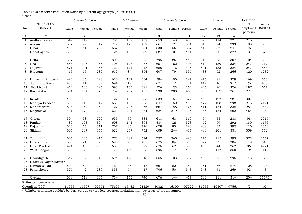|                |                                          |       | 5 years & above |       |       | 15-59 years    |       |       | 15 years & above |       |                  | All ages         |       | Sex ratio           |         |
|----------------|------------------------------------------|-------|-----------------|-------|-------|----------------|-------|-------|------------------|-------|------------------|------------------|-------|---------------------|---------|
| Sl.            | Name of the                              |       |                 |       |       |                |       |       |                  |       |                  |                  |       | of                  | Sample  |
| No.            | State/UT                                 | Male  | Female Person   |       | Male  | Female Person  |       | Male  | Female Person    |       | Male             | Female Person    |       | employed<br>persons | persons |
| $\mathbf{1}$   | $\overline{2}$                           | 3     | $\overline{4}$  | 5     | 6     | $\overline{7}$ | 8     | 9     | 10               | 11    | 12               | 13               | 14    | 15                  | 16      |
| $\mathbf{1}$   | Andhra Pradesh                           | 549   | 119             | 335   | 701   | 157            | 432   | 653   | 143              | 400   | 528              | 114              | 321   | 215                 | 1550    |
| 2              | Assam                                    | 537   | 99              | 312   | 719   | 128            | 402   | 661   | 121              | 384   | 516              | 94               | 299   | 193                 | 586     |
| 3              | Bihar                                    | 436   | 41              | 258   | 667   | 60             | 384   | 630   | 56               | 367   | 410              | 37               | 241   | 76                  | 1800    |
| $\overline{4}$ | Chhatisgarh                              | 558   | 83              | 335   | 724   | 107            | 432   | 687   | 101              | 411   | 533              | 80               | 322   | 131                 | 878     |
| 5              | Delhi                                    | 557   | 68              | 333   | 809   | 98             | 475   | 795   | 86               | 449   | 513              | 63               | 307   | 104                 | 558     |
| 6              | Goa                                      | 558   | 145             | 356   | 708   | 197            | 457   | 651   | 162              | 408   | 510              | 139              | 334   | 247                 | 217     |
| 7              | Gujarat                                  | 571   | 141             | 355   | 722   | 174            | 448   | 688   | 176              | 436   | 501              | 133              | 324   | 247                 | 858     |
| 8              | Haryana                                  | 465   | 65              | 280   | 619   | 84             | 364   | 607   | 79               | 356   | 438              | 62               | 266   | 120                 | 1232    |
| 9              | Himachal Pradesh                         | 492   | 85              | 290   | 620   | 107            | 364   | 594   | 100              | 347   | 475              | 81               | 279   | 169                 | 553     |
| 10             | Jammu & Kashmir                          | 473   | 11              | 232   | 694   | 18             | 365   | 671   | 17               | 351   | 449              | 10               | 217   | 25                  | 455     |
| 11             | Jharkhand                                | 452   | 103             | 295   | 593   | 133            | 381   | 576   | 123              | 362   | 425              | 96               | 276   | 187                 | 664     |
|                | 12 Karnataka                             | 584   | 164             | 378   | 757   | 202            | 483   | 730   | 200              | 466   | 555              | 157              | 361   | 271                 | 2056    |
|                | 13 Kerala                                | 488   | 136             | 303   | 722   | 196            | 438   | 639   | 157              | 372   | 446              | 127              | 281   | 307                 | 599     |
| 14             | Madhya Pradesh                           | 505   | 116             | 317   | 669   | 157            | 423   | 647   | 150              | 409   | 477              | 108              | 298   | 215                 | 2121    |
|                | 15 Maharashtra                           | 548   | 162             | 360   | 722   | 205            | 466   | 661   | 188              | 426   | 511              | 154              | 338   | 281                 | 1882    |
|                | 16 Meghalaya                             | 431   | 170             | 292   | 624   | 204            | 384   | 624   | 219              | 395   | 386              | 154              | 262   | 454                 | 98      |
| 17             | Orissa                                   | 504   | 58              | 299   | 655   | 70             | 383   | 611   | 68               | 360   | 474              | 55               | 283   | 98                  | 2016    |
| 18             | Punjab                                   | 480   | 103             | 304   | 608   | 141            | 393   | 584   | 128              | 373   | 462              | 99               | 292   | 189                 | 1175    |
| 19             | Rajasthan                                | 523   | 66              | 311   | 707   | 86             | 416   | 678   | 83               | 398   | 488              | 63               | 292   | 110                 | 2350    |
|                | 20 Sikkim                                | 505   | 207             | 365   | 622   | 267            | 452   | 609   | 244              | 436   | 480              | 201              | 351   | 359                 | 152     |
| 21             | Tamil Nadu                               | 605   | 226             | 415   | 773   | 282            | 524   | 727   | 265              | 493   | 575              | 215              | 395   | 373                 | 2567    |
| 22             | Uttaranchal                              | 556   | 71              | 323   | 690   | 90             | 405   | 675   | 84               | 388   | 522              | 67               | 304   | 119                 | 848     |
| 23             | Uttar Pradesh                            | 494   | 48              | 285   | 688   | 63             | 392   | 676   | 62               | 385   | 453              | 44               | 262   | 86                  | 4921    |
| 24             | West Bengal                              | 599   | 124             | 369   | 771   | 159            | 468   | 695   | 144              | 430   | 569              | 117              | 350   | 194                 | 1113    |
| 25             | Chandigarh                               | 542   | 82              | 318   | 694   | 123            | 413   | 655   | 103              | 392   | 499              | 76               | 295   | 143                 | 125     |
| 26             | Dadra & Nagar Haveli*                    |       |                 |       |       |                |       |       |                  |       |                  |                  |       |                     |         |
| 27             | Daman & Diu                              | 500   | 69              | 293   | 763   | 85             | 415   | 667   | 82               | 369   | 461              | 66               | 274   | 128                 | 128     |
|                | 28 Pondicherry                           | 576   | 42              | 280   | 853   | 64             | 417   | 746   | 50               | 343   | 548              | 41               | 269   | 92                  | 43      |
|                | Overall                                  | 538   | 118             | 335   | 714   | 153            | 440   | 676   | 144              | 417   | $\overline{503}$ | $\overline{111}$ | 314   | $\overline{204}$    | 31545   |
|                | Estimated persons at<br>Overall in (000) | 81055 | 16507           | 97561 | 75697 | 15432          | 91129 | 80823 | 16399            | 97222 | 81055            | 16507            | 97561 | X                   | X       |
|                |                                          |       |                 |       |       |                |       |       |                  |       |                  |                  |       |                     |         |

Urban Table (7.3) : Worker Population Ratio by different age groups (in Per 1000 )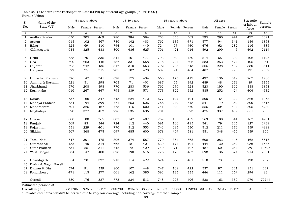| Sl.          | Name of the            |        | 5 years & above |        |        | 15-59 years    |                  |        | 15 years & above |                     |                  | All ages      |        | Sex ratio          | Sample  |
|--------------|------------------------|--------|-----------------|--------|--------|----------------|------------------|--------|------------------|---------------------|------------------|---------------|--------|--------------------|---------|
| No.          | State/UT               | Male   | Female Person   |        | Male   | Female Person  |                  | Male   | Female Person    |                     | Male             | Female Person |        | of labour<br>force | persons |
| $\mathbf{1}$ | $\overline{2}$         | 3      | $\overline{4}$  | 5      | 6      | $\overline{7}$ | 8                | 9      | 10               | 11                  | 12               | 13            | 14     | 15                 | 16      |
| $\mathbf{1}$ | Andhra Pradesh         | 630    | 305             | 469    | 780    | 384            | 584              | 753    | 366              | 562                 | $\overline{595}$ | 290           | 444    | 477                | 3321    |
| 2            | Assam                  | 615    | 102             | 367    | 786    | 142            | 483              | 762    | 135              | 471                 | 577              | 94            | 341    | 154                | 1858    |
| 3            | Bihar                  | 525    | 69              | 310    | 744    | 101            | 449              | 724    | 97               | 440                 | 476              | 62            | 282    | 116                | 4385    |
| 4            | Chhatisgarh            | 635    | 325             | 483    | 800    | 436            | 625              | 791    | 421              | 614                 | 592              | 299           | 447    | 492                | 2114    |
| 5            | Delhi                  | 558    | 70              | 335    | 811    | 101            | 477              | 793    | 89               | 450                 | 514              | 65            | 309    | 106                | 1125    |
| 6            | Goa                    | 620    | 263             | 446    | 787    | 331            | 558              | 715    | 294              | 506                 | 583              | 253           | 424    | 405                | 351     |
| 7            | Gujarat                | 625    | 242             | 435    | 817    | 310            | 563              | 792    | 295              | 543                 | 565              | 228           | 402    | 380                | 3411    |
| 8            | Haryana                | 522    | 75              | 315    | 705    | 102            | 420              | 682    | 94               | 404                 | 487              | 71            | 296    | 125                | 2589    |
| 9            | Himachal Pradesh       | 526    | 147             | 341    | 698    | 175            | 434              | 660    | 175              | 417                 | 497              | 136           | 319    | 267                | 1286    |
| 10           | Jammu & Kashmir        | 521    | 51              | 298    | 703    | 71             | 401              | 687    | 65               | 392                 | 489              | 48            | 279    | 89                 | 1155    |
| 11           | Jharkhand              | 576    | 208             | 398    | 770    | 283            | 536              | 762    | 276              | 528                 | 523              | 190           | 362    | 338                | 1851    |
|              | 12 Karnataka           | 616    | 267             | 447    | 795    | 339            | 571              | 773    | 322              | 552                 | 585              | 252           | 424    | 404                | 4732    |
| 13           | Kerala                 | 537    | 166             | 347    | 748    | 224            | 472              | 677    | 197              | 424                 | 500              | 154           | 322    | 326                | 1463    |
| 14           | Madhya Pradesh         | 584    | 194             | 399    | 771    | 253            | 526              | 756    | 249              | 518                 | 541              | 179           | 369    | 300                | 4616    |
| 15           | Maharashtra            | 601    | 325             | 467    | 778    | 415            | 602              | 741    | 390              | 570                 | 555              | 304           | 434    | 505                | 5230    |
|              | 16 Meghalaya           | 520    | 377             | 452    | 726    | 535            | 636              | 701    | 533              | 623                 | 475              | 337           | 409    | 651                | 283     |
| 17           | Orissa                 | 608    | 108             | 365    | 803    | 147            | 487              | 759    | 133              | 457                 | 569              | 100           | 341    | 167                | 4201    |
| 18           | Punjab                 | 569    | 83              | 344    | 724    | 112            | 440              | 691    | 100              | 415                 | 541              | 79            | 326    | 127                | 2429    |
| 19           | Rajasthan              | 551    | 229             | 401    | 770    | 312            | 553              | 742    | 295              | 530                 | 512              | 211           | 372    | 359                | 4988    |
| 20           | Sikkim                 | 567    | 368             | 475    | 697    | 485            | 600              | 678    | 464              | 581                 | 551              | 348           | 456    | 559                | 366     |
| 21           | Tamil Nadu             | 647    | 301             | 475    | 806    | 374            | 587              | 779    | 354              | 565                 | 608              | 283           | 446    | 462                | 5515    |
| 22           | Uttaranchal            | 485    | 140             | 314    | 665    | 181            | 421              | 639    | 174              | 401                 | 444              | 130           | 289    | 286                | 1685    |
| 23           | Uttar Pradesh          | 531    | 55              | 311    | 745    | 72             | 429              | 740    | 71               | 427                 | 487              | 50            | 284    | 89                 | 10595   |
|              | 24 West Bengal         | 634    | 147             | 400    | 828    | 190            | 516              | 776    | 176              | 487                 | 598              | 136           | 374    | 214                | 2581    |
| 25           | Chandigarh             | 554    | 78              | 327    | 713    | 114            | 422              | 674    | 97               | 401                 | 510              | 73            | 303    | 128                | 282     |
| 26           | Dadra & Nagar Haveli * |        |                 |        |        |                |                  |        |                  |                     |                  |               |        |                    |         |
| 27           | Daman & Diu            | 574    | 91              | 339    | 800    | 107            | 448              | 747    | 109              | 422                 | 537              | 87            | 321    | 151                | 227     |
|              | 28 Pondicherry         | 471    | 115             | 277    | 661    | 162            | 385              | 592    | 135              | 335                 | 446              | 111           | 264    | 294                | 82      |
|              | Overall                | 580    | 176             | 387    | 773    | 234            | $\overline{513}$ | 748    | 223              | 496                 | 538              | 163           | 359    | 279                | 72744   |
|              | Estimated persons at   |        |                 |        |        |                |                  |        |                  |                     |                  |               |        |                    |         |
|              | Overall in (000)       | 331705 | 92517           | 424221 | 300790 | 84578          | 385367           | 329037 |                  | 90856 419893 331705 |                  | 92517         | 424221 | X                  | X       |

Rural + Urban Table (8.1) : Labour Force Participation Rate (LFPR) by different age groups (in Per 1000 )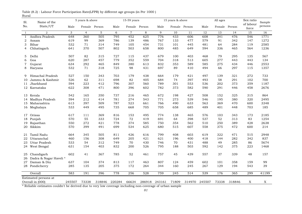| S1. | Name of the                              |        | 5 years & above |        |        | 15-59 years    |        |        | 15 years & above |        |        | All ages |        | Sex ratio          | Sample  |
|-----|------------------------------------------|--------|-----------------|--------|--------|----------------|--------|--------|------------------|--------|--------|----------|--------|--------------------|---------|
| No. | State/UT                                 | Male   | Female Person   |        | Male   | Female Person  |        | Male   | Female           | Person | Male   | Female   | Person | of labour<br>force | persons |
| 1   | $\overline{2}$                           | 3      | $\overline{4}$  | 5      | 6      | $\overline{7}$ | 8      | 9      | 10               | 11     | 12     | 13       | 14     | 15                 | 16      |
| 1   | Andhra Pradesh                           | 648    | 360             | 505    | 795    | 452            | 625    | 776    | 433              | 606    | 608    | 341      | 476    | 546                | 1771    |
| 2   | Assam                                    | 619    | 99              | 369    | 786    | 139            | 486    | 767    | 133              | 477    | 579    | 91       | 342    | 147                | 1272    |
| 3   | Bihar                                    | 532    | 71              | 314    | 749    | 105            | 454    | 731    | 101              | 445    | 481    | 64       | 284    | 119                | 2585    |
| 4   | Chhatisgarh                              | 641    | 370             | 507    | 802    | 503            | 658    | 800    | 485              | 649    | 594    | 336      | 465    | 564                | 1236    |
| 5   | Delhi                                    | 507    | 82              | 315    | 727    | 115            | 437    | 679    | 100              | 403    | 468    | 79       | 295    | 135                | 567     |
| 6   | Goa                                      | 620    | 287             | 457    | 779    | 352            | 559    | 704    | 318              | 513    | 605    | 277      | 443    | 443                | 134     |
| 7   | Gujarat                                  | 634    | 292             | 465    | 849    | 380            | 613    | 832    | 353              | 589    | 585    | 275      | 434    | 446                | 2553    |
| 8   | Haryana                                  | 532    | 71              | 318    | 725    | 98             | 431    | 697    | 89               | 410    | 494    | 66       | 297    | 115                | 1357    |
| 9   | Himachal Pradesh                         | 527    | 150             | 343    | 703    | 179            | 438    | 664    | 179              | 421    | 497    | 139      | 321    | 272                | 733     |
| 10  | Jammu & Kashmir                          | 526    | 62              | 311    | 698    | 82             | 405    | 684    | 74               | 397    | 493    | 58       | 291    | 102                | 700     |
| 11  | Jharkhand                                | 594    | 223             | 412    | 796    | 307            | 560    | 789    | 301              | 553    | 536    | 202      | 373    | 359                | 1187    |
|     | 12 Karnataka                             | 622    | 308             | 471    | 800    | 396            | 602    | 782    | 373              | 582    | 590    | 291      | 446    | 458                | 2676    |
|     | 13 Kerala                                | 542    | 165             | 350    | 737    | 216            | 465    | 672    | 198              | 427    | 508    | 152      | 325    | 315                | 864     |
| 14  | Madhya Pradesh                           | 594    | 212             | 414    | 781    | 274            | 543    | 771    | 273              | 539    | 546    | 195      | 380    | 320                | 2495    |
| 15  | Maharashtra                              | 613    | 397             | 509    | 787    | 523            | 661    | 766    | 490              | 633    | 563    | 369      | 470    | 600                | 3348    |
|     | 16 Meghalaya                             | 533    | 449             | 495    | 735    | 668            | 705    | 705    | 658              | 685    | 489    | 401      | 448    | 703                | 185     |
| 17  | Orissa                                   | 617    | 111             | 369    | 816    | 153            | 495    | 774    | 138              | 465    | 576    | 103      | 343    | 173                | 2185    |
| 18  | Punjab                                   | 570    | 55              | 333    | 724    | 72             | 419    | 691    | 64               | 398    | 537    | 52       | 313    | 83                 | 1254    |
| 19  | Rajasthan                                | 550    | 272             | 421    | 778    | 374            | 585    | 750    | 354              | 562    | 510    | 250      | 389    | 428                | 2638    |
| 20  | Sikkim                                   | 570    | 399             | 491    | 699    | 534            | 625    | 680    | 515              | 607    | 558    | 375      | 472    | 600                | 214     |
| 21  | Tamil Nadu                               | 664    | 345             | 505    | 811    | 426            | 616    | 799    | 408              | 603    | 619    | 322      | 471    | 515                | 2948    |
| 22  | Uttaranchal                              | 460    | 156             | 308    | 649    | 205            | 421    | 621    | 196              | 400    | 418    | 144      | 282    | 342                | 837     |
| 23  | Uttar Pradesh                            | 533    | 54              | 312    | 749    | 70             | 430    | 746    | 70               | 431    | 488    | 49       | 285    | 86                 | 5674    |
|     | 24 West Bengal                           | 631    | 154             | 403    | 832    | 200            | 526    | 795    | 188              | 503    | 592    | 142      | 375    | 223                | 1468    |
| 25  | Chandigarh                               | 602    | 41              | 367    | 785    | 52             | 461    | 757    | 45               | 439    | 557    | 37       | 339    | 48                 | 157     |
|     | 26 Dadra & Nagar Haveli *                |        |                 |        |        |                |        |        |                  |        |        |          |        |                    |         |
|     | 27 Daman & Diu                           | 637    | 104             | 374    | 813    | 117            | 463    | 807    | 124              | 459    | 602    | 101      | 358    | 159                | 99      |
|     | 28 Pondicherry                           | 285    | 135             | 205    | 375    | 172            | 264    | 344    | 160              | 245    | 267    | 129      | 194    | 543                | 39      |
|     | Overall                                  | 583    | 191             | 396    | 778    | 256            | 528    | 759    | 245              | 514    | 539    | 176      | 365    | 299                | 41199   |
|     | Estimated persons at<br>Overall in (000) | 245507 | 73338           | 318846 | 220284 | 66634          | 286918 | 243161 | 71809            | 314970 | 245507 | 73338    | 318846 | X                  | X       |

Rural Table (8.2) : Labour Force Participation Rate(LFPR) by different age groups (in Per 1000 )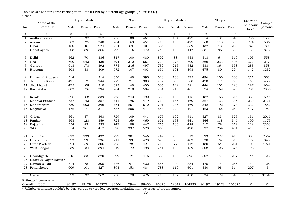| Sl.            | Name of the           |       | 5 years & above |               |       | 15-59 years    |               |       | 15 years & above |        |       | All ages |               | Sex ratio          | Sample  |
|----------------|-----------------------|-------|-----------------|---------------|-------|----------------|---------------|-------|------------------|--------|-------|----------|---------------|--------------------|---------|
| No.            | State/UT              | Male  |                 | Female Person | Male  |                | Female Person | Male  | Female Person    |        | Male  |          | Female Person | of labour<br>force | persons |
| 1              | $\overline{2}$        | 3     | $\overline{4}$  | 5             | 6     | $\overline{7}$ | 8             | 9     | 10               | 11     | 12    | 13       | 14            | 15                 | 16      |
| $\mathbf{1}$   | Andhra Pradesh        | 575   | 137             | 357           | 736   | 180            | 461           | 685   | 164              | 427    | 554   | 131      | 343           | 236                | 1550    |
| $\overline{2}$ | Assam                 | 583   | 125             | 348           | 784   | 163            | 451           | 716   | 153              | 427    | 560   | 118      | 333           | 224                | 586     |
| 3              | Bihar                 | 460   | 46              | 274           | 704   | 69             | 407           | 664   | 65               | 389    | 432   | 43       | 255           | 82                 | 1800    |
| 4              | Chhatisgarh           | 608   | 89              | 365           | 792   | 116            | 472           | 748   | 109              | 447    | 581   | 86       | 350           | 130                | 878     |
| 5              | Delhi                 | 562   | 70              | 336           | 817   | 100            | 480           | 802   | 88               | 453    | 518   | 64       | 310           | 105                | 558     |
| 6              | Goa                   | 620   | 243             | 436           | 794   | 312            | 557           | 724   | 273              | 500    | 566   | 233      | 408           | 372                | 217     |
| 7              | Gujarat               | 613   | 173             | 392           | 775   | 216            | 497           | 739   | 215              | 482    | 538   | 164      | 358           | 283                | 858     |
| 8              | Haryana               | 503   | 83              | 309           | 672   | 107            | 403           | 656   | 101              | 393    | 475   | 80       | 294           | 142                | 1232    |
| 9              | Himachal Pradesh      | 514   | 111             | 314           | 650   | 140            | 395           | 620   | 130              | 375    | 496   | 106      | 303           | 211                | 553     |
| 10             | Jammu & Kashmir       | 495   | 12              | 244           | 727   | 21             | 383           | 702   | 20               | 368    | 470   | 12       | 228           | 27                 | 455     |
| 11             | Jharkhand             | 475   | 108             | 310           | 623   | 140            | 400           | 605   | 129              | 381    | 446   | 101      | 290           | 187                | 664     |
| 12             | Karnataka             | 603   | 176             | 394           | 784   | 218            | 504           | 754   | 213              | 485    | 574   | 169      | 376           | 281                | 2056    |
| 13             | Kerala                | 526   | 168             | 339           | 778   | 243            | 490           | 689   | 195              | 415    | 482   | 158      | 314           | 353                | 599     |
| 14             | Madhya Pradesh        | 557   | 143             | 357           | 741   | 195            | 479           | 714   | 185              | 460    | 527   | 133      | 336           | 239                | 2121    |
| 15             | Maharashtra           | 580   | 203             | 396           | 764   | 251            | 510           | 701   | 235              | 469    | 542   | 192      | 373           | 332                | 1882    |
|                | 16 Meghalaya          | 472   | 171             | 311           | 687   | 206            | 411           | 683   | 220              | 421    | 423   | 155      | 280           | 417                | 98      |
| 17             | Orissa                | 561   | 87              | 343           | 729   | 109            | 441           | 677   | 102              | 411    | 527   | 83       | 325           | 131                | 2016    |
| 18             | Punjab                | 568   | 123             | 359           | 725   | 169            | 469           | 691   | 153              | 441    | 546   | 118      | 346           | 190                | 1175    |
| 19             | Rajasthan             | 554   | 82              | 335           | 747   | 108            | 447           | 716   | 103              | 428    | 517   | 78       | 314           | 129                | 2350    |
| 20             | Sikkim                | 554   | 261             | 417           | 690   | 337            | 520           | 668   | 308              | 498    | 527   | 254      | 401           | 413                | 152     |
| 21             | Tamil Nadu            | 623   | 239             | 432           | 799   | 301            | 546           | 749   | 280              | 512    | 593   | 227      | 410           | 383                | 2567    |
| 22             | Uttaranchal           | 573   | 79              | 336           | 711   | 99             | 420           | 695   | 93               | 402    | 538   | 74       | 315           | 127                | 848     |
| 23             | Uttar Pradesh         | 524   | 59              | 306           | 728   | 78             | 421           | 715   | 77               | 412    | 480   | 54       | 281           | 100                | 4921    |
|                | 24 West Bengal        | 639   | 134             | 394           | 819   | 172            | 498           | 741   | 155              | 459    | 608   | 126      | 374           | 196                | 1113    |
| 25             | Chandigarh            | 545   | 83              | 320           | 699   | 124            | 416           | 660   | 105              | 395    | 502   | 77       | 297           | 144                | 125     |
| 26             | Dadra & Nagar Haveli* |       |                 |               |       |                |               |       |                  |        |       |          |               |                    |         |
| 27             | Daman & Diu           | 514   | 78              | 305           | 786   | 97             | 432           | 686   | 93               | 384    | 475   | 74       | 285           | 141                | 128     |
| 28             | Pondicherry           | 609   | 101             | 327           | 893   | 153            | 484           | 788   | 119              | 401    | 580   | 98       | 314           | 207                | 43      |
|                | Overall               | 572   | 137             | 362           | 760   | 178            | 476           | 718   | 167              | 450    | 534   | 129      | 340           | 222                | 31545   |
|                | Estimated persons at  |       |                 |               |       |                |               |       |                  |        |       |          |               |                    |         |
|                | Overall in (000)      | 86197 | 19178           | 105375        | 80506 | 17944          | 98450         | 85876 | 19047            | 104923 | 86197 | 19178    | 105375        | X                  | X       |

Urban Table (8.3) : Labour Force Participation Rate (LFPR) by different age groups (in Per 1000 )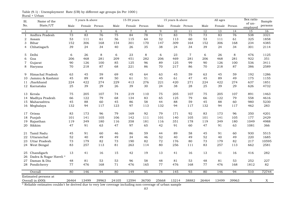| Sl.          | Name of the                              |       | 5 years & above |       |       | 15-59 years    |       |       | 15 years & above |                |       | All ages |        | Sex ratio          | Sample  |
|--------------|------------------------------------------|-------|-----------------|-------|-------|----------------|-------|-------|------------------|----------------|-------|----------|--------|--------------------|---------|
| No.          | State/UT                                 | Male  | Female Person   |       | Male  | Female Person  |       | Male  | Female Person    |                | Male  | Female   | Person | of un-<br>employed | persons |
| 1            | $\overline{2}$                           | 3     | $\overline{4}$  | 5     | 6     | $\overline{7}$ | 8     | 9     | 10               | 11             | 12    | 13       | 14     | 15                 | 16      |
| $\mathbf{1}$ | Andhra Pradesh                           | 73    | 83              | 76    | 75    | 84             | 78    | 71    | 83               | 75             | 73    | 83       | 76     | 538                | 3321    |
| $\sqrt{2}$   | Assam                                    | 53    | 111             | 61    | 56    | 115            | 64    | 52    | 113              | 60             | 53    | 111      | 61     | 325                | 1858    |
| 3            | Bihar                                    | 152   | 306             | 168   | 154   | 301            | 170   | 147   | 309              | 164            | 152   | 306      | 168    | 234                | 4385    |
| 4            | Chhatisgarh                              | 39    | 24              | 34    | 40    | 26             | 35    | 38    | 24               | 34             | 39    | 24       | 34     | 301                | 2114    |
| 5.           | Delhi                                    | 6     | 26              | 8     | 6     | 23             | 8     | 6     | 23               | $\overline{7}$ | 6     | 26       | 8      | 476                | 1125    |
| 6            | Goa                                      | 206   | 468             | 281   | 209   | 451            | 282   | 206   | 469              | 281            | 206   | 468      | 281    | 922                | 351     |
| 7            | Gujarat                                  | 90    | 126             | 100   | 85    | 125            | 96    | 89    | 125              | 99             | 90    | 126      | 100    | 536                | 3411    |
| 8            | Haryana                                  | 70    | 218             | 87    | 68    | 221            | 86    | 70    | 217              | 86             | 70    | 218      | 87     | 386                | 2589    |
| 9            | Himachal Pradesh                         | 63    | 45              | 59    | 69    | 45             | 64    | 63    | 45               | 59             | 63    | 45       | 59     | 192                | 1286    |
| 10           | Jammu & Kashmir                          | 45    | 89              | 49    | 50    | 61             | 51    | 45    | 61               | 47             | 45    | 89       | 49     | 175                | 1155    |
| 11           | Jharkhand                                | 224   | 422             | 274   | 229   | 413            | 276   | 221   | 420              | 271            | 224   | 422      | 274    | 637                | 1851    |
|              | 12 Karnataka                             | 25    | 39              | 29    | 26    | 39             | 30    | 24    | 38               | 28             | 25    | 39       | 29     | 626                | 4732    |
| 13           | Kerala                                   | 75    | 205             | 107   | 74    | 219            | 110   | 75    | 205              | 107            | 75    | 205      | 107    | 891                | 1463    |
| 14           | Madhya Pradesh                           | 66    | 122             | 79    | 68    | 134            | 83    | 65    | 125              | 79             | 66    | 122      | 79     | 558                | 4616    |
|              | 15 Maharashtra                           | 45    | 88              | 60    | 45    | 86             | 58    | 44    | 88               | 59             | 45    | 88       | 60     | 980                | 5230    |
| 16           | Meghalaya                                | 132   | 94              | 117   | 123   | 97             | 113   | 132   | 94               | 117            | 132   | 94       | 117    | 462                | 283     |
| 17           | Orissa                                   | 83    | 173             | 96    | 79    | 169            | 92    | 79    | 171              | 92             | 83    | 173      | 96     | 350                | 4201    |
| 18           | Punjab                                   | 101   | 141             | 105   | 106   | 142            | 111   | 101   | 140              | 105            | 101   | 141      | 105    | 177                | 2429    |
| 19           | Rajasthan                                | 119   | 349             | 180   | 116   | 358            | 181   | 116   | 351              | 178            | 119   | 349      | 180    | 1049               | 4988    |
| 20           | Sikkim                                   | 47    | 91              | 63    | 47    | 97             | 65    | 42    | 91               | 60             | 47    | 91       | 63     | 1081               | 366     |
| 21           | Tamil Nadu                               | 45    | 91              | 60    | 46    | 86             | 59    | 44    | 89               | 58             | 45    | 91       | 60     | 930                | 5515    |
| 22           | Uttaranchal                              | 52    | 40              | 49    | 49    | 34             | 46    | 52    | 40               | 49             | 52    | 40       | 49     | 220                | 1685    |
| 23           | Uttar Pradesh                            | 73    | 179             | 82    | 73    | 190            | 82    | 72    | 176              | 80             | 73    | 179      | 82     | 217                | 10595   |
| 24           | West Bengal                              | 83    | 257             | 113   | 81    | 263            | 114   | 80    | 256              | 111            | 83    | 257      | 113    | 662                | 2581    |
| 25           | Chandigarh                               | 13    | 41              | 16    | 15    | 42             | 19    | 13    | 41               | 16             | 13    | 41       | 16     | 416                | 282     |
| 26           | Dadra & Nagar Haveli *                   |       |                 |       |       |                |       |       |                  |                |       |          |        |                    |         |
| 27           | Daman & Diu                              | 48    | 81              | 53    | 53    | 96             | 58    | 48    | 81               | 53             | 48    | 81       | 53     | 252                | 227     |
|              | 28 Pondicherry                           | 77    | 476             | 168   | 71    | 476            | 165   | 77    | 476              | 168            | 77    | 476      | 168    | 1812               | 82      |
|              | Overall                                  | 80    | 146             | 94    | 80    | 149            | 95    | 78    | 145              | 93             | 80    | 146      | 94     | 510                | 72744   |
|              | Estimated persons at<br>Overall in (000) | 26464 | 13499           | 39963 | 24105 | 12594          | 36700 | 25668 | 13214            | 38882          | 26464 | 13499    | 39963  | X                  | X       |
|              |                                          |       |                 |       |       |                |       |       |                  |                |       |          |        |                    |         |

Rural + Urban Table (9.1) : Unemployment Rate (UR) by different age groups (in Per 1000 )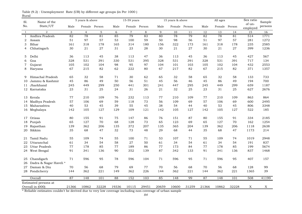| Sl.          | Name of the            |       | 5 years & above |       |        | 15-59 years    |               |       | 15 years & above |               |       | All ages |               | Sex ratio          | Sample  |
|--------------|------------------------|-------|-----------------|-------|--------|----------------|---------------|-------|------------------|---------------|-------|----------|---------------|--------------------|---------|
| No.          | State/UT               | Male  | Female Person   |       | Male   |                | Female Person | Male  |                  | Female Person | Male  |          | Female Person | of un-<br>employed | persons |
| $\mathbf{1}$ | $\overline{2}$         | 3     | $\overline{4}$  | 5     | 6      | $\overline{7}$ | 8             | 9     | 10               | 11            | 12    | 13       | 14            | 15                 | 16      |
| $\mathbf{1}$ | Andhra Pradesh         | 82    | 78              | 81    | 85     | 79             | 83            | 80    | 78               | 79            | 82    | 78       | 81            | 514                | 1771    |
| 2            | Assam                  | 51    | 97              | 57    | 53     | 100            | 59            | 50    | 98               | 56            | 51    | 97       | 57            | 281                | 1272    |
| 3            | Bihar                  | 161   | 318             | 178   | 165    | 314            | 180           | 156   | 322              | 173           | 161   | 318      | 178           | 235                | 2585    |
| 4            | Chhatisgarh            | 30    | 21              | 27    | 31     | 23             | 28            | 30    | 21               | 27            | 30    | 21       | 27            | 399                | 1236    |
| 5            | Delhi                  | 36    | 113             | 45    | 38     | 113            | 47            | 36    | 113              | 45            | 36    | 113      | 45            | 427                | 567     |
| 6            | Goa                    | 328   | 531             | 391   | 330    | 531            | 395           | 328   | 531              | 391           | 328   | 531      | 391           | 717                | 134     |
| 7            | Gujarat                | 105   | 102             | 104   | 98     | 95             | 97            | 104   | 101              | 103           | 105   | 102      | 104           | 432                | 2553    |
| 8            | Haryana                | 67    | 215             | 82    | 62     | 222            | 80            | 67    | 217              | 82            | 67    | 215      | 82            | 371                | 1357    |
| 9            | Himachal Pradesh       | 65    | 32              | 58    | 71     | 30             | 62            | 65    | 32               | 58            | 65    | 32       | 58            | 133                | 733     |
| 10           | Jammu & Kashmir        | 45    | 86              | 49    | 50     | 56             | 51            | 45    | 56               | 46            | 45    | 86       | 49            | 194                | 700     |
| 11           | Jharkhand              | 245   | 449             | 299   | 250    | 441            | 301           | 241   | 447              | 295           | 245   | 449      | 299           | 659                | 1187    |
|              | 12 Karnataka           | 23    | 31              | 25    | 24     | 31             | 26            | 21    | 32               | 25            | 23    | 31       | 25            | 627                | 2676    |
|              | 13 Kerala              | 77    | 210             | 109   | 76     | 232            | 113           | 77    | 210              | 109           | 77    | 210      | 109           | 863                | 864     |
| 14           | Madhya Pradesh         | 57    | 106             | 69    | 59     | 118            | 73            | 56    | 109              | 69            | 57    | 106      | 69            | 600                | 2495    |
| 15           | Maharashtra            | 40    | 53              | 45    | 39     | 55             | 45            | 38    | 54               | 44            | 40    | 53       | 45            | 806                | 3348    |
|              | 16 Meghalaya           | 142   | 105             | 127   | 129    | 109            | 121           | 142   | 105              | 127           | 142   | 105      | 127           | 522                | 185     |
| 17           | Orissa                 | 80    | 155             | 91    | 75     | 147            | 86            | 76    | 151              | 87            | 80    | 155      | 91            | 334                | 2185    |
| 18           | Punjab                 | 65    | 127             | 70    | 68     | 128            | 73            | 65    | 123              | 69            | 65    | 127      | 70            | 162                | 1254    |
| 19           | Rajasthan              | 139   | 362             | 206   | 135    | 372            | 207           | 135   | 365              | 204           | 139   | 362      | 206           | 1118               | 2638    |
| 20           | Sikkim                 | 35    | 68              | 47    | 32     | 73             | 48            | 29    | 68               | 44            | 35    | 68       | 47            | 1173               | 214     |
| 21           | Tamil Nadu             | 55    | 109             | 74    | 55     | 100            | 71            | 53    | 107              | 71            | 55    | 109      | 74            | 1019               | 2948    |
| 22           | Uttaranchal            | 61    | 34              | 54    | 58     | 27             | 50            | 61    | 34               | 54            | 61    | 34       | 54            | 191                | 837     |
| 23           | <b>Uttar Pradesh</b>   | 77    | 178             | 85    | $77\,$ | 189            | 86            | 77    | 173              | 84            | 77    | 178      | 85            | 199                | 5674    |
|              | 24 West Bengal         | 91    | 341             | 136   | 90     | 352            | 139           | 87    | 342              | 133           | 91    | 341      | 136           | 837                | 1468    |
|              | 25 Chandigarh          | 71    | 596             | 95    | 78     | 596            | 104           | 71    | 596              | 95            | 71    | 596      | 95            | 407                | 157     |
| 26           | Dadra & Nagar Haveli * |       |                 |       |        |                |               |       |                  |               |       |          |               |                    |         |
|              | 27 Daman & Diu         | 70    | 56              | 68    | 79     | 69             | 77            | 70    | 56               | 68            | 70    | 56       | 68            | 128                | 99      |
|              | 28 Pondicherry         | 144   | 362             | 221   | 149    | 362            | 226           | 144   | 362              | 221           | 144   | 362      | 221           | 1365               | 39      |
|              | Overall                | 87    | 148             | 101   | 88     | 152            | 103           | 85    | 148              | 99            | 87    | 148      | 101           | 508                | 41199   |
|              | Estimated persons at   |       |                 |       |        |                |               |       |                  |               |       |          |               |                    |         |
|              | Overall in (000)       | 21366 | 10862           | 32228 | 19336  | 10115          | 29451         | 20659 | 10600            | 31259         | 21366 | 10862    | 32228         | X                  | X       |

Rural Table (9.2) : Unemployment Rate (UR) by different age groups (in Per 1000 )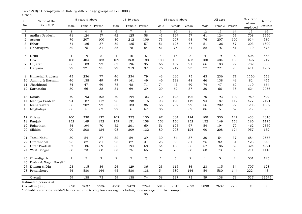| Sl.          | Name of the                              |                 | 5 years & above |                |                | 15-59 years      |               |                 | 15 years & above |                |                | All ages |        | Sex ratio          | Sample      |
|--------------|------------------------------------------|-----------------|-----------------|----------------|----------------|------------------|---------------|-----------------|------------------|----------------|----------------|----------|--------|--------------------|-------------|
| No.          | State/UT                                 | Male            | Female Person   |                | Male           |                  | Female Person | Male            | Female Person    |                | Male           | Female   | Person | of un-<br>employed | persons     |
| $\mathbf{1}$ | $\overline{2}$                           | 3               | $\overline{4}$  | 5              | 6              | $\overline{7}$   | 8             | 9               | 10               | $1\,1$         | $12\,$         | 13       | 14     | 15                 | 16          |
| $\mathbf{1}$ | Andhra Pradesh                           | $\overline{41}$ | 124             | 57             | 42             | $\overline{125}$ | 58            | $\overline{41}$ | 124              | 57             | 41             | 124      | 57     | 708                | 1550        |
| 2            | Assam                                    | 76              | 207             | 100            | 80             | 212              | 106           | 73              | 207              | 98             | 76             | 207      | 100    | 614                | 586         |
| 3            | Bihar                                    | 51              | 126             | 57             | 52             | 125              | 57            | 51              | 125              | 57             | 51             | 126      | 57     | 203                | 1800        |
| 4            | Chhatisgarh                              | 82              | 75              | 81             | 85             | 78               | 84            | 81              | 75               | 81             | 82             | 75       | 81     | 119                | 878         |
| 5            | Delhi                                    | $\overline{4}$  | 19              | 5              | $\overline{4}$ | 16               | 5             | $\overline{4}$  | 16               | 5              | $\overline{4}$ | 19       | 5      | 505                | 558         |
| 6            | Goa                                      | 100             | 404             | 183            | 109            | 368              | 180           | 100             | 405              | 183            | 100            | 404      | 183    | 1497               | 217         |
| 7            | Gujarat                                  | 66              | 183             | 92             | 67             | 196              | 95            | 66              | 182              | 91             | 66             | 183      | 92     | 782                | 858         |
| 8            | Haryana                                  | 77              | 221             | 95             | 79             | 219              | 97            | 76              | 217              | 93             | 77             | 221      | 95     | 411                | 1232        |
| 9            | Himachal Pradesh                         | 43              | 236             | 77             | 46             | 234              | 79            | 43              | 226              | 75             | 43             | 236      | 77     | 1160               | 553         |
| 10           | Jammu & Kashmir                          | 46              | 138             | 49             | 47             | 141              | 49            | 46              | 138              | 48             | 46             | 138      | 49     | 82                 | 455         |
| 11           | Jharkhand                                | 74              | 47              | 69             | 75             | 48               | 71            | 74              | 47               | 69             | 74             | 47       | 69     | 119                | 664         |
|              | 12 Karnataka                             | 30              | 66              | 38             | 31             | 69               | 39            | 29              | 62               | 37             | 30             | 66       | 38     | 624                | 2056        |
| 13           | Kerala                                   | 70              | 193             | 102            | 70             | 194              | 103           | 70              | 193              | 102            | 70             | 193      | 102    | 969                | 599         |
| 14           | Madhya Pradesh                           | 94              | 187             | 112            | 96             | 198              | 116           | 93              | 190              | 112            | 94             | 187      | 112    | 477                | 2121        |
| 15           | Maharashtra                              | 56              | 202             | 92             | 55             | 183              | 86            | 56              | 202              | 92             | 56             | 202      | 92     | 1203               | 1882        |
|              | 16 Meghalaya                             | 86              | 5               | 62             | 92             | 6                | 67            | 86              | 5                | 62             | 86             | 5        | 62     | 25                 | 98          |
| 17           | Orissa                                   | 100             | 330             | 127            | 102            | 352              | 130           | 97              | 334              | 124            | 100            | 330      | 127    | 433                | 2016        |
| 18           | Punjab                                   | 152             | 149             | 152            | 159            | 151              | 158           | 153             | 150              | 152            | 152            | 149      | 152    | 186                | 1175        |
| 19           | Rajasthan                                | 54              | 194             | 70             | 52             | 201              | 69            | 51              | 195              | 67             | 54             | 194      | 70     | 462                | 2350        |
| 20           | Sikkim                                   | 90              | 208             | 124            | 98             | 209              | 132           | 89              | 208              | 124            | 90             | 208      | 124    | 957                | 152         |
| 21           | Tamil Nadu                               | 30              | 54              | 37             | 32             | 59               | 39            | 30              | 54               | 37             | 30             | 54       | 37     | 684                | 2567        |
| 22           | Uttaranchal                              | 25              | 82              | 31             | 25             | 82               | 31            | 25              | 83               | 31             | 25             | 82       | 31     | 423                | 848         |
| 23           | <b>Uttar Pradesh</b>                     | 57              | 186             | 69             | 55             | 194              | 68            | 54              | 188              | 66             | 57             | 186      | 69     | 324                | 4921        |
|              | 24 West Bengal                           | 68              | 73              | 68             | 63             | 75               | 65            | 67              | 73               | 68             | 68             | 73       | 68     | 211                | 1113        |
| 25           | Chandigarh                               | $\mathbf{1}$    | 5               | $\overline{2}$ | 2              | 5                | 2             | $\mathbf{1}$    | 5                | $\overline{2}$ | $\mathbf{1}$   | 5        | 2      | 501                | 125         |
| 26           | Dadra & Nagar Haveli *                   |                 |                 |                |                |                  |               |                 |                  |                |                |          |        |                    |             |
| 27           | Daman & Diu                              | 23              | 115             | 34             | 24             | 129              | 36            | 23              | 115              | 34             | 23             | 115      | 34     | 707                | 128         |
|              | 28 Pondicherry                           | 54              | 580             | 144            | 45             | 580              | 138           | 54              | 580              | 144            | 54             | 580      | 144    | 2224               | 43          |
|              | Overall                                  | 59              | 138             | 73             | 59             | 138              | 74            | 58              | 137              | 73             | 59             | 138      | 73     | 517                | 31545       |
|              | Estimated persons at<br>Overall in (000) | 5098            | 2637            | 7736           | 4770           | 2479             | 7249          | 5010            | 2613             | 7623           | 5098           | 2637     | 7736   | $\boldsymbol{X}$   | $\mathbf X$ |

Urban Table (9.3) : Unemployment Rate by different age groups (in Per 1000 )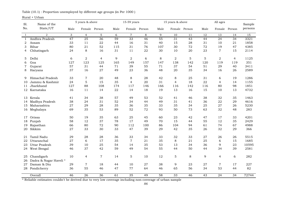## Rural + Urban

| Sl.          | Name of the           |      | 5 years & above |                |      | 15-59 years     |         |      | 15 years & above |                 |      | All ages        |                 | Sample          |
|--------------|-----------------------|------|-----------------|----------------|------|-----------------|---------|------|------------------|-----------------|------|-----------------|-----------------|-----------------|
| No.          | State/UT              | Male | Female Person   |                | Male | Female Person   |         | Male | Female Person    |                 | Male |                 | Female Person   | persons         |
| $\mathbf{1}$ | $\overline{2}$        | 3    | $\overline{4}$  | 5              | 6    | $\overline{7}$  | $\,8\,$ | 9    | 10               | 11              | 12   | 13              | 14              | $\overline{15}$ |
| $\mathbf{1}$ | Andhra Pradesh        | 47   | $\overline{25}$ | 36             | 59   | $\overline{33}$ | 46      | 55   | $\overline{31}$  | $\overline{43}$ | 44   | $\overline{24}$ | $\overline{34}$ | 3321            |
| 2            | Assam                 | 33   | 11              | 22             | 44   | 16              | 31      | 40   | 15               | 28              | 31   | 10              | 21              | 1858            |
| 3            | Bihar                 | 80   | 21              | 52             | 115  | 31              | 76      | 107  | 30               | 72              | 72   | 19              | 47              | 4385            |
| 4            | Chhatisgarh           | 24   | 8               | 16             | 31   | 11              | 22      | 30   | 10               | 20              | 23   | $\overline{7}$  | 15              | 2114            |
| 5            | Delhi                 | 6    | 2               | $\overline{4}$ | 9    | 2               | 6       | 8    | $\overline{2}$   | 5               | 5    | 2               | $\overline{4}$  | 1125            |
| 6            | Goa                   | 127  | 123             | 125            | 165  | 149             | 157     | 147  | 138              | 142             | 120  | 119             | 119             | 351             |
| 7            | Gujarat               | 57   | 31              | 44             | 71   | 39              | 55      | 71   | 37               | 54              | 51   | 29              | 40              | 3411            |
| 8            | Haryana               | 37   | 16              | 27             | 49   | 23              | 36      | 48   | 20               | 35              | 34   | 16              | 26              | 2589            |
| 9            | Himachal Pradesh      | 33   | 7               | 20             | 48   | 8               | 28      | 42   | 8                | 25              | 31   | 6               | 19              | 1286            |
| 10           | Jammu & Kashmir       | 24   | 5               | 15             | 35   | $\overline{4}$  | 20      | 31   | $\overline{4}$   | 18              | 22   | $\overline{4}$  | 14              | 1155            |
| 11           | Jharkhand             | 127  | 88              | 108            | 174  | 117             | 146     | 166  | 116              | 142             | 116  | 80              | 98              | 1851            |
|              | 12 Karnataka          | 16   | 11              | 14             | 22   | 14              | 18      | 19   | 13               | 16              | 15   | 10              | 13              | 4732            |
| 13           | Kerala                | 41   | 34              | 38             | 57   | 49              | 53      | 52   | 41               | 46              | 38   | 32              | 35              | 1463            |
| 14           | Madhya Pradesh        | 38   | 24              | 31             | 52   | 34              | 44      | 49   | 31               | 41              | 36   | 22              | 29              | 4616            |
| 15           | Maharashtra           | 27   | 29              | 28             | 35   | 36              | 35      | 33   | 35               | 34              | 25   | 27              | 26              | 5230            |
| 16           | Meghalaya             | 69   | 35              | 53             | 89   | 52              | 72      | 93   | 50               | 73              | 63   | 32              | 48              | 283             |
| 17           | Orissa                | 50   | 19              | 35             | 63   | 25              | 45      | 60   | 23               | 42              | 47   | 17              | 33              | 4201            |
| 18           | Punjab                | 58   | 12              | 37             | 78   | 17              | 49      | 70   | 15               | 44              | 55   | 12              | 35              | 2429            |
| 19           | Rajasthan             | 66   | 80              | 72             | 90   | 112             | 100     | 86   | 104              | 94              | 61   | 74              | 67              | 4988            |
| 20           | Sikkim                | 27   | 33              | 30             | 33   | 47              | 39      | 29   | 42               | 35              | 26   | 32              | 29              | 366             |
| 21           | Tamil Nadu            | 29   | 28              | 28             | 36   | 33              | 34      | 33   | 32               | 33              | 27   | 26              | 26              | 5515            |
| 22           | Uttaranchal           | 27   | 6               | 17             | 35   | $\overline{7}$  | 21      | 35   | 8                | 21              | 25   | 6               | 15              | 1685            |
| 23           | Uttar Pradesh         | 39   | 10              | 25             | 54   | 14              | 35      | 53   | 13               | 34              | 36   | 9               | 23              | 10595           |
| 24           | West Bengal           | 46   | 37              | 42             | 59   | 49              | 54      | 55   | 44               | 50              | 44   | 34              | 39              | 2581            |
| 25           | Chandigarh            | 10   | $\overline{4}$  | $\overline{7}$ | 14   | 5               | 10      | 12   | 5                | 8               | 9    | $\overline{4}$  | 6               | 282             |
| 26           | Dadra & Nagar Haveli* |      |                 |                |      |                 |         |      |                  |                 |      |                 |                 |                 |
| 27           | Daman & Diu           | 29   | $\overline{7}$  | 18             | 44   | 10              | 27      | 38   | 9                | 23              | 27   | $\overline{7}$  | 17              | 227             |
|              | 28 Pondicherry        | 36   | 55              | 46             | 47   | 77              | 64      | 46   | 65               | 56              | 34   | 53              | 44              | 82              |
|              | Overall               | 46   | 26              | 36             | 61   | 35              | 49      | 58   | 33               | 46              | 43   | 24              | 34              | 72744           |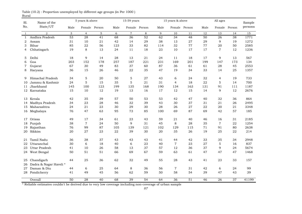| Sl.            | Name of the                         |                 | 5 years & above |        |      | 15-59 years     |                 |        | 15 years & above |                 |      | All ages        |        | Sample          |
|----------------|-------------------------------------|-----------------|-----------------|--------|------|-----------------|-----------------|--------|------------------|-----------------|------|-----------------|--------|-----------------|
| No.            | State/UT                            | Male            | Female          | Person | Male | Female          | Person          | Male   |                  | Female Person   | Male | Female Person   |        | persons         |
| $\mathbf{1}$   | $\overline{2}$                      | 3               | $\overline{4}$  | 5      | 6    | $\overline{7}$  | 8               | 9      | 10               | 11              | 12   | 13              | 14     | $\overline{15}$ |
| $\mathbf{1}$   | Andhra Pradesh                      | $\overline{53}$ | 28              | 41     | 68   | $\overline{36}$ | $\overline{52}$ | 62     | 34               | $\overline{48}$ | 50   | $\overline{26}$ | 38     | 1771            |
| $\overline{2}$ | Assam                               | 31              | 10              | 21     | 42   | 14              | 29              | 38     | 13               | 27              | 29   | 9               | 19     | 1272            |
| 3              | Bihar                               | 85              | 22              | 56     | 123  | 33              | 82              | 114    | 32               | 77              | 77   | 20              | 50     | 2585            |
| 4              | Chhatisgarh                         | 19              | 8               | 13     | 24   | 11              | 18              | 23     | 10               | 17              | 17   | $\overline{7}$  | 12     | 1236            |
| 5              | Delhi                               | 18              | 9               | 14     | 28   | 13              | 21              | 24     | 11               | 18              | 17   | 9               | 13     | 567             |
| 6              | Goa                                 | 203             | 152             | 178    | 257  | 187             | 221             | 231    | 169              | 201             | 199  | 147             | 173    | 134             |
| 7              | Gujarat                             | 67              | 30              | 49     | 83   | 37              | 60              | 87     | 36               | 61              | 61   | 28              | 45     | 2553            |
| 8              | Haryana                             | 36              | 15              | 26     | 46   | 22              | 35              | 47     | 19               | 34              | 33   | 14              | 25     | 1357            |
| 9              | Himachal Pradesh                    | 34              | $\mathbf 5$     | 20     | 50   | 5               | 27              | 43     | 6                | 24              | 32   | $\overline{4}$  | 19     | 733             |
| 10             | Jammu & Kashmir                     | 24              | 5               | 15     | 35   | 5               | 21              | 31     | $\overline{4}$   | 18              | 22   | 5               | 14     | 700             |
| 11             | Jharkhand                           | 145             | 100             | 123    | 199  | 135             | 168             | 190    | 134              | 163             | 131  | 91              | 111    | 1187            |
|                | 12 Karnataka                        | 15              | 10              | 12     | 19   | 13              | 16              | $17\,$ | 12               | 15              | 14   | 9               | $12\,$ | 2676            |
| 13             | Kerala                              | 42              | 35              | 39     | 57   | 50              | 53              | 53     | 42               | 47              | 40   | 32              | 36     | 864             |
| 14             | Madhya Pradesh                      | 34              | 23              | 28     | 46   | 32              | 39              | 43     | 30               | 37              | 31   | 21              | 26     | 2495            |
| 15             | Maharashtra                         | 24              | 21              | 23     | 30   | 29              | 30              | 28     | 26               | 27              | 22   | 20              | 21     | 3348            |
|                | 16 Meghalaya                        | 76              | 47              | 63     | 95   | 73              | 85              | 100    | 69               | 87              | 69   | 42              | 57     | 185             |
|                | 17 Orissa                           | 49              | 17              | 34     | 61   | 23              | 43              | 59     | 21               | 40              | 46   | 16              | 31     | 2185            |
| 18             | Punjab                              | 38              | $\overline{7}$  | 24     | 50   | 9               | 31              | 45     | 8                | 28              | 35   | $\overline{7}$  | 22     | 1254            |
| 19             | Rajasthan                           | 76              | 99              | 87     | 105  | 139             | 121             | 102    | 129              | 115             | 71   | 91              | 80     | 2638            |
| 20             | Sikkim                              | 20              | 27              | 23     | 22   | 39              | 30              | 20     | 35               | 26              | 19   | 25              | 22     | 214             |
| 21             | Tamil Nadu                          | 36              | 38              | 37     | 43   | 43              | 43              | 41     | 44               | 42              | 33   | 35              | 34     | 2948            |
| 22             | Uttaranchal                         | 30              | 6               | 18     | 40   | 6               | 23              | 40     | $\overline{7}$   | 23              | 27   | 5               | 16     | 837             |
| 23             | Uttar Pradesh                       | 41              | 10              | 26     | 58   | 13              | 37              | 57     | 12               | 36              | 37   | 9               | 24     | 5674            |
|                | 24 West Bengal                      | 50              | 51              | 51     | 66   | 69              | 67              | 59     | 63               | 61              | 47   | 47              | 47     | 1468            |
| 25<br>26       | Chandigarh<br>Dadra & Nagar Haveli* | 44              | 25              | 36     | 62   | 32              | 49              | 55     | 28               | 43              | 41   | 23              | 33     | 157             |
| 27             | Daman & Diu                         | 44              | 6               | 25     | 64   | 8               | 36              | 56     | $\overline{7}$   | 31              | 42   | 6               | 24     | 99              |
|                | 28 Pondicherry                      | 41              | 49              | 45     | 56   | 62              | 59              | 50     | 58               | 54              | 39   | 47              | 43     | 39              |
|                | Overall                             | 50              | 28              | 40     | 68   | 39              | 54              | 64     | 36               | 51              | 46   | 26              | 37     | 41199           |

Rural Table (10.2) : Proportion unemployed by different age groups (in Per 1000 )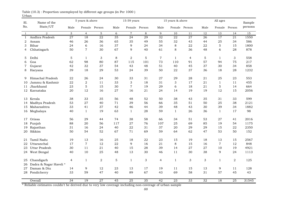| Sl.          | Name of the           |                 | 5 years & above  |                 |             | 15-59 years     |                 |      | 15 years & above |                 |                 | All ages       |                 | Sample  |
|--------------|-----------------------|-----------------|------------------|-----------------|-------------|-----------------|-----------------|------|------------------|-----------------|-----------------|----------------|-----------------|---------|
| No.          | State/UT              | Male            | Female           | Person          | Male        | Female          | Person          | Male |                  | Female Person   | Male            | Female         | Person          | persons |
| 1            | $\overline{2}$        | 3               | $\overline{4}$   | 5               | 6           | $\overline{7}$  | 8               | 9    | 10               | 11              | 12              | 13             | 14              | 15      |
| $\mathbf{1}$ | Andhra Pradesh        | 27              | 18               | 22              | 35          | 24              | 29              | 32   | 22               | 27              | $\overline{26}$ | 17             | $\overline{21}$ | 1550    |
| 2            | Assam                 | 46              | 26               | 36              | 65          | 35              | 49              | 55   | 32               | 43              | 44              | 25             | 34              | 586     |
| 3            | Bihar                 | 24              | 6                | 16              | 37          | 9               | 24              | 34   | 8                | 22              | 22              | 5              | 15              | 1800    |
| 4            | Chhatisgarh           | 50              | $\overline{7}$   | 30              | 67          | 9               | 40              | 61   | 8                | 36              | 48              | 6              | 28              | 878     |
| 5            | Delhi                 | 5               | 1                | 3               | 8           | 2               | 5               | 7    | $\mathbf{1}$     | 4               | 5               | $\mathbf{1}$   | 3               | 558     |
| 6            | Goa                   | 62              | 98               | 80              | 87          | 115             | 101             | 73   | 110              | 91              | 57              | 94             | 75              | 217     |
| 7            | Gujarat               | 42              | 32               | 37              | 54          | 43              | 48              | 51   | 40               | 45              | 37              | 30             | 34              | 858     |
| 8            | Haryana               | 39              | 18               | 29              | 53          | 24              | 39              | 50   | 22               | 37              | 36              | 18             | 28              | 1232    |
| 9            | Himachal Pradesh      | 22              | 26               | 24              | 30          | 33              | 31              | 27   | 29               | 28              | 21              | 25             | 23              | 553     |
| 10           | Jammu & Kashmir       | 22              | 2                | 11              | 33          | 3               | 18              | 31   | 3                | 17              | 21              | $\mathbf{1}$   | 11              | 455     |
| 11           | Jharkhand             | 23              | 5                | 15              | 30          | $\overline{7}$  | 19              | 29   | 6                | 18              | 21              | 5              | 14              | 664     |
|              | 12 Karnataka          | 20              | 12               | 16              | 27          | 16              | 21              | 24   | 14               | 19              | 19              | 12             | 15              | 2056    |
| 13           | Kerala                | 38              | 33               | 35              | 56          | 48              | 52              | 50   | 38               | 43              | 35              | 31             | 33              | 599     |
| 14           | Madhya Pradesh        | 53              | 27               | 40              | 71          | 39              | 56              | 66   | 35               | 51              | 50              | 25             | 38              | 2121    |
| 15           | Maharashtra           | 33              | 41               | 37              | 42          | 46              | 44              | 39   | 48               | 43              | 30              | 39             | 34              | 1882    |
| 16           | Meghalaya             | 40              | $\mathbf{1}$     | 19              | 63          | $\mathbf{1}$    | 28              | 59   | $\mathbf{1}$     | 26              | 36              | $\mathbf{1}$   | 17              | 98      |
| 17           | Orissa                | 56              | 29               | 44              | 74          | 38              | 58              | 66   | 34               | 51              | 53              | 27             | 41              | 2016    |
| 18           | Punjab                | 88              | 20               | 56              | 117         | 27              | 76              | 107  | 25               | 69              | 85              | 19             | 54              | 1175    |
| 19           | Rajasthan             | 31              | 16               | 24              | 40          | 22              | 31              | 37   | 20               | 29              | 29              | 15             | 22              | 2350    |
| 20           | Sikkim                | 50              | 54               | 52              | 67          | 71              | 69              | 59   | 64               | 62              | 47              | 53             | 50              | 152     |
| 21           | Tamil Nadu            | 19              | 13               | 16              | 25          | 18              | 22              | 23   | 15               | 19              | 18              | 13             | 15              | 2567    |
| 22           | Uttaranchal           | 17              | $\boldsymbol{7}$ | 12              | 22          | 9               | 16              | 21   | 8                | 15              | 16              | $\overline{7}$ | 12              | 848     |
| 23           | Uttar Pradesh         | 30              | 11               | 21              | 40          | 15              | 28              | 39   | 14               | 27              | 27              | 10             | 19              | 4921    |
| 24           | West Bengal           | 40              | 10               | 25              | 48          | 13              | 30              | 46   | 11               | 30              | 38              | 9              | 24              | 1113    |
| 25           | Chandigarh            | $\overline{4}$  | 1                | 2               | $\mathbf 5$ | $\mathbf{1}$    | 3               | 4    | $\mathbf{1}$     | 3               | 3               | $\mathbf{1}$   | 2               | 125     |
| 26           | Dadra & Nagar Haveli* |                 |                  |                 |             |                 |                 |      |                  |                 |                 |                |                 |         |
| 27           | Daman & Diu           | 14              | $\boldsymbol{9}$ | 12              | 23          | 13              | 17              | 19   | 11               | 15              | 13              | 9              | 11              | 128     |
|              | 28 Pondicherry        | 33              | 59               | 47              | 40          | 89              | 67              | 43   | 69               | 58              | 31              | 57             | 45              | 43      |
|              | Overall               | $\overline{34}$ | 19               | $\overline{27}$ | 45          | $\overline{25}$ | $\overline{35}$ | 42   | $\overline{23}$  | $\overline{33}$ | $\overline{32}$ | 18             | $\overline{25}$ | 31545   |

Urban Table (10.3) : Proportion unemployed by different age groups (in Per 1000 )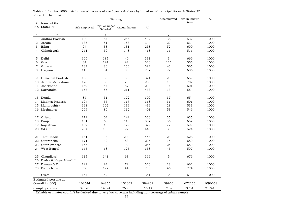|                | <b>Prodit The</b>               |                           |                           | Working       |        | Unemployed       | Not in labour<br>force | All     |
|----------------|---------------------------------|---------------------------|---------------------------|---------------|--------|------------------|------------------------|---------|
|                | Sl. Name of the<br>No. State/UT | Self employed             | Regular wage/<br>Salaried | Casual labour | A11    |                  |                        |         |
| $\mathbf{1}$   | $\overline{2}$                  | $\ensuremath{\mathsf{3}}$ | $\overline{4}$            | 5             | 6      | $\boldsymbol{7}$ | 8                      | 9       |
| $\mathbf{1}$   | Andhra Pradesh                  | 132                       | 54                        | 246           | 432    | 36               | 532                    | 1000    |
| 2              | Assam                           | 135                       | 51                        | 158           | 344    | 22               | 634                    | 1000    |
| 3              | Bihar                           | 94                        | 33                        | 131           | 258    | 52               | 690                    | 1000    |
| 4              | Chhatisgarh                     | 261                       | 59                        | 148           | 468    | 16               | 516                    | 1000    |
| 5              | Delhi                           | 106                       | 185                       | 40            | 331    | 3                | 666                    | 1000    |
| 6              | Goa                             | 84                        | 194                       | 42            | 320    | 125              | 555                    | 1000    |
| $\overline{7}$ | Gujarat                         | 182                       | 80                        | 130           | 392    | 43               | 565                    | 1000    |
| 8              | Haryana                         | 145                       | 54                        | 88            | 287    | 27               | 686                    | 1000    |
| 9              | Himachal Pradesh                | 188                       | 83                        | 50            | 321    | 20               | 659                    | 1000    |
| 10             | Jammu & Kashmir                 | 128                       | 85                        | 70            | 283    | 15               | 702                    | 1000    |
| 11             | Jharkhand                       | 159                       | 44                        | 87            | 290    | 109              | 601                    | 1000    |
| 12             | Karnataka                       | 167                       | 55                        | 211           | 433    | 13               | 554                    | 1000    |
| 13             | Kerala                          | 86                        | 51                        | 172           | 309    | 37               | 654                    | 1000    |
| 14             | Madhya Pradesh                  | 194                       | 57                        | 117           | 368    | 31               | 601                    | 1000    |
| 15             | Maharashtra                     | 198                       | 102                       | 139           | 439    | 28               | 533                    | 1000    |
| 16             | Meghalaya                       | 209                       | 80                        | 112           | 401    | 53               | 546                    | 1000    |
| 17             | Orissa                          | 119                       | 62                        | 149           | 330    | 35               | 635                    | 1000    |
| 18             | Punjab                          | 131                       | 63                        | 113           | 307    | 36               | 657                    | 1000    |
| 19             | Rajasthan                       | 157                       | 43                        | 129           | 329    | 72               | 599                    | 1000    |
| 20             | Sikkim                          | 254                       | 100                       | 92            | 446    | 30               | 524                    | 1000    |
| 21             | Tamil Nadu                      | 151                       | 95                        | 200           | 446    | 28               | 526                    | 1000    |
| 22             | Uttaranchal                     | 171                       | 42                        | 83            | 296    | 15               | 689                    | 1000    |
| 23             | Uttar Pradesh                   | 155                       | 32                        | 99            | 286    | 25               | 689                    | 1000    |
| 24             | West Bengal                     | 165                       | 68                        | 125           | 358    | 45               | 597                    | 1000    |
| 25             | Chandigarh                      | 115                       | 141                       | 63            | 319    | 5                | 676                    | 1000    |
| 26             | Dadra & Nagar Haveli *          |                           |                           |               |        |                  |                        |         |
| 27             | Daman & Diu                     | 149                       | 92                        | 79            | 320    | 18               | 662                    | 1000    |
|                | 28 Pondicherry                  | 59                        | 127                       | 44            | 230    | 46               | 724                    | 1000    |
|                | Overall                         | 154                       | $\overline{59}$           | 138           | 351    | $\overline{36}$  | 613                    | 1000    |
|                | Estimated persons at            |                           |                           |               |        |                  |                        |         |
|                | Overall in (000)                | 168544                    | 64855                     | 151039        | 384439 | 39963            | 672266                 | 1096668 |
|                | Sample persons                  | 32020                     | 14394                     | 26330         | 72744  | 7159             | 137515                 | 217418  |

 $Rural + Urban (ps)$ Table (11.1) : Per 1000 distribution of persons of age 5 years & above by broad usual principal for each State/UT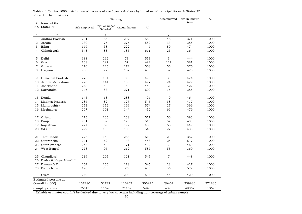|                | Kurai + Orban (ps) mait         |               |                           | Working          |        | Unemployed     | Not in labour<br>force | All    |
|----------------|---------------------------------|---------------|---------------------------|------------------|--------|----------------|------------------------|--------|
|                | Sl. Name of the<br>No. State/UT | Self employed | Regular wage/<br>Salaried | Casual labour    | A11    |                |                        |        |
| $\mathbf{1}$   | $\overline{2}$                  | 3             | $\overline{4}$            | 5                | 6      | $\overline{7}$ | 8                      | 9      |
| $\mathbf{1}$   | Andhra Pradesh                  | 201           | 85                        | $\overline{297}$ | 583    | 46             | 371                    | 1000   |
| $\overline{2}$ | Assam                           | 230           | 76                        | 276              | 582    | 33             | 385                    | 1000   |
| 3              | Bihar                           | 166           | 58                        | 222              | 446    | 80             | 474                    | 1000   |
| $\overline{4}$ | Chhatisgarh                     | 343           | 83                        | 185              | 611    | 25             | 364                    | 1000   |
| 5              | Delhi                           | 188           | 292                       | 73               | 553    | 3              | 444                    | 1000   |
| 6              | Goa                             | 138           | 297                       | 57               | 492    | 127            | 381                    | 1000   |
| $\,7$          | Gujarat                         | 270           | 126                       | 172              | 568    | 56             | 376                    | 1000   |
| 8              | Haryana                         | 236           | 92                        | 157              | 485    | 37             | 478                    | 1000   |
| 9              | Himachal Pradesh                | 276           | 134                       | 83               | 493    | 33             | 474                    | 1000   |
| 10             | Jammu & Kashmir                 | 223           | 144                       | 130              | 497    | 24             | 479                    | 1000   |
| 11             | Jharkhand                       | 248           | 58                        | 143              | 449    | 129            | 422                    | 1000   |
| 12             | Karnataka                       | 246           | 83                        | 271              | 600    | 15             | 385                    | 1000   |
| 13             | Kerala                          | 145           | 63                        | 288              | 496    | 40             | 464                    | 1000   |
| 14             | Madhya Pradesh                  | 286           | 82                        | 177              | 545    | 38             | 417                    | 1000   |
| 15             | Maharashtra                     | 253           | 152                       | 169              | 574    | 27             | 399                    | 1000   |
| 16             | Meghalaya                       | 207           | 101                       | 144              | 452    | 69             | 479                    | 1000   |
| 17             | Orissa                          | 213           | 106                       | 238              | 557    | 50             | 393                    | 1000   |
| 18             | Punjab                          | 231           | 89                        | 190              | 510    | 57             | 433                    | 1000   |
| 19             | Rajasthan                       | 224           | 69                        | 192              | 485    | 66             | 449                    | 1000   |
| 20             | Sikkim                          | 299           | 133                       | 108              | 540    | 27             | 433                    | 1000   |
| 21             | Tamil Nadu                      | 225           | 140                       | 254              | 619    | 29             | 352                    | 1000   |
| 22             | Uttaranchal                     | 241           | 69                        | 148              | 458    | 25             | 517                    | 1000   |
| 23             | Uttar Pradesh                   | 268           | 53                        | 171              | 492    | 39             | 469                    | 1000   |
|                | 24 West Bengal                  | 278           | 97                        | 212              | 587    | 53             | 360                    | 1000   |
| 25             | Chandigarh                      | 219           | 205                       | 121              | 545    | $\overline{7}$ | 448                    | 1000   |
| 26             | Dadra & Nagar Haveli *          |               |                           |                  |        |                |                        |        |
|                | 27 Daman & Diu                  | 264           | 163                       | 118              | 545    | 28             | 427                    | 1000   |
|                | 28 Pondicherry                  | 126           | 233                       | 76               | 435    | 36             | 529                    | 1000   |
|                | Overall                         | 240           | 90                        | 204              | 534    | 46             | 420                    | 1000   |
|                | Estimated persons at            |               |                           |                  |        |                |                        |        |
|                | Overall in (000)                | 137280        | 51727                     | 116437           | 305443 | 26464          | 239980                 | 571886 |
|                | Sample persons                  | 26643         | 11626                     | 21167            | 59436  | 4823           | 49367                  | 113626 |

Rural + Urban (ps) male Table (11.2) : Per 1000 distribution of persons of age 5 years & above by broad usual principal for each State/UT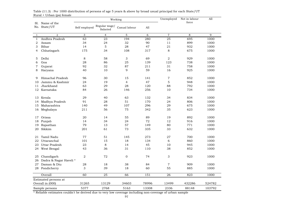|                | Kurai + Orvan (ps) iciliait<br>Sl. Name of the |               |                           | Working        |       | Unemployed     | Not in labour<br>force | All    |
|----------------|------------------------------------------------|---------------|---------------------------|----------------|-------|----------------|------------------------|--------|
|                | No. State/UT                                   | Self employed | Regular wage/<br>Salaried | Casual labour  | All   |                |                        |        |
| $\mathbf{1}$   | $\overline{2}$                                 | 3             | $\overline{4}$            | 5              | 6     | $\overline{7}$ | 8                      | 9      |
| $\mathbf{1}$   | Andhra Pradesh                                 | 63            | 23                        | 194            | 280   | 25             | 695                    | 1000   |
| 2              | Assam                                          | 34            | 24                        | 32             | 90    | 11             | 899                    | 1000   |
| 3              | Bihar                                          | 14            | 5                         | 28             | 47    | 21             | 932                    | 1000   |
| 4              | Chhatisgarh                                    | 175           | 34                        | 108            | 317   | 8              | 675                    | 1000   |
| 5              | Delhi                                          | 8             | 58                        | 3              | 69    | $\overline{2}$ | 929                    | 1000   |
| 6              | Goa                                            | 28            | 86                        | 25             | 139   | 123            | 738                    | 1000   |
| $\overline{7}$ | Gujarat                                        | 92            | 32                        | 87             | 211   | 31             | 758                    | 1000   |
| 8              | Haryana                                        | 40            | 10                        | 9              | 59    | 16             | 925                    | 1000   |
| 9              | Himachal Pradesh                               | 96            | 30                        | 15             | 141   | 7              | 852                    | 1000   |
| 10             | Jammu & Kashmir                                | 24            | 19                        | $\overline{4}$ | 47    | 5              | 948                    | 1000   |
| 11             | Jharkhand                                      | 63            | 29                        | 28             | 120   | 88             | 792                    | 1000   |
| 12             | Karnataka                                      | 84            | 26                        | 146            | 256   | 10             | 734                    | 1000   |
| 13             | Kerala                                         | 29            | 40                        | 63             | 132   | 34             | 834                    | 1000   |
| 14             | Madhya Pradesh                                 | 91            | 28                        | 51             | 170   | 24             | 806                    | 1000   |
| 15             | Maharashtra                                    | 140           | 49                        | 107            | 296   | 29             | 675                    | 1000   |
| 16             | Meghalaya                                      | 211           | 56                        | 75             | 342   | 35             | 623                    | 1000   |
| 17             | Orissa                                         | 20            | 14                        | 55             | 89    | 19             | 892                    | 1000   |
| 18             | Punjab                                         | 14            | 34                        | 24             | 72    | 12             | 916                    | 1000   |
| 19             | Rajasthan                                      | 79            | 13                        | 57             | 149   | 80             | 771                    | 1000   |
| 20             | Sikkim                                         | 201           | 61                        | 73             | 335   | 33             | 632                    | 1000   |
| 21             | Tamil Nadu                                     | 77            | 51                        | 145            | 273   | 27             | 700                    | 1000   |
| 22             | Uttaranchal                                    | 101           | 15                        | 18             | 134   | 6              | 860                    | 1000   |
| 23             | Uttar Pradesh                                  | 23            | 8                         | 14             | 45    | 10             | 945                    | 1000   |
|                | 24 West Bengal                                 | 43            | 36                        | 31             | 110   | 38             | 852                    | 1000   |
| 25             | Chandigarh                                     | $\mathbf 2$   | 72                        | $\mathbf{O}$   | 74    | 3              | 923                    | 1000   |
|                | 26 Dadra & Nagar Haveli*                       |               |                           |                |       |                |                        |        |
| 27             | Daman & Diu                                    | 28            | 18                        | 38             | 84    | $\overline{7}$ | 909                    | 1000   |
|                | 28 Pondicherry                                 | 3             | 39                        | 18             | 60    | 55             | 885                    | 1000   |
|                | Overall                                        | 60            | 25                        | 66             | 151   | 26             | 823                    | 1000   |
|                | Estimated persons at                           |               |                           |                |       |                |                        |        |
|                | Overall in (000)                               | 31265         | 13129                     | 34603          | 78996 | 13499          | 432286                 | 524782 |
|                | Sample persons                                 | 5377          | 2768                      | 5163           | 13308 | 2336           | 88148                  | 103792 |

 $Rural + Urban (ps) female$ Table (11.3) : Per 1000 distribution of persons of age 5 years & above by broad usual principal for each State/UT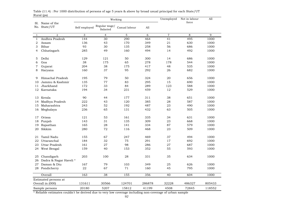| natai <sub>(P</sub> o<br>Sl. Name of the |                        |               |                           | Working       |        | Unemployed       | Not in labour<br>force | All    |
|------------------------------------------|------------------------|---------------|---------------------------|---------------|--------|------------------|------------------------|--------|
|                                          | No. State/UT           | Self employed | Regular wage/<br>Salaried | Casual labour | A11    |                  |                        |        |
| 1                                        | $\overline{2}$         | 3             | $\overline{4}$            | $\mathbf 5$   | 6      | $\boldsymbol{7}$ | 8                      | 9      |
| $\mathbf{1}$                             | Andhra Pradesh         | 144           | 30                        | 290           | 464    | 41               | 495                    | 1000   |
| 2                                        | Assam                  | 136           | 43                        | 170           | 349    | 21               | 630                    | 1000   |
| 3                                        | Bihar                  | 93            | 30                        | 135           | 258    | 56               | 686                    | 1000   |
| 4                                        | Chhatisgarh            | 285           | 49                        | 160           | 494    | 14               | 492                    | 1000   |
| 5                                        | Delhi                  | 129           | 121                       | 50            | 300    | 14               | 686                    | 1000   |
| 6                                        | Goa                    | 38            | 175                       | 65            | 278    | 178              | 544                    | 1000   |
| $\overline{7}$                           | Gujarat                | 204           | 38                        | 175           | 417    | 48               | 535                    | 1000   |
| 8                                        | Haryana                | 160           | 37                        | 95            | 292    | 26               | 682                    | 1000   |
| 9                                        | Himachal Pradesh       | 195           | 79                        | 50            | 324    | 20               | 656                    | 1000   |
| 10                                       | Jammu & Kashmir        | 135           | 77                        | 83            | 295    | 15               | 690                    | 1000   |
| 11                                       | Jharkhand              | 172           | 33                        | 84            | 289    | 123              | 588                    | 1000   |
| 12                                       | Karnataka              | 194           | 34                        | 231           | 459    | 12               | 529                    | 1000   |
| 13                                       | Kerala                 | 90            | 44                        | 177           | 311    | 38               | 651                    | 1000   |
| 14                                       | Madhya Pradesh         | 222           | 43                        | 120           | 385    | 28               | 587                    | 1000   |
| 15                                       | Maharashtra            | 243           | 52                        | 192           | 487    | 23               | 490                    | 1000   |
| 16                                       | Meghalaya              | 236           | 65                        | 131           | 432    | 63               | 505                    | 1000   |
| 17                                       | Orissa                 | 121           | 53                        | 161           | 335    | 34               | 631                    | 1000   |
| 18                                       | Punjab                 | 143           | 31                        | 135           | 309    | 23               | 668                    | 1000   |
| 19                                       | Rajasthan              | 165           | 28                        | 141           | 334    | 87               | 579                    | 1000   |
| 20                                       | Sikkim                 | 280           | 72                        | 116           | 468    | 23               | 509                    | 1000   |
| 21                                       | Tamil Nadu             | 155           | 67                        | 247           | 469    | 37               | 494                    | 1000   |
| 22                                       | Uttaranchal            | 184           | 32                        | 75            | 291    | 17               | 692                    | 1000   |
| 23                                       | Uttar Pradesh          | 161           | 27                        | 98            | 286    | 27               | 687                    | 1000   |
| 24                                       | West Bengal            | 159           | 40                        | 153           | 352    | 55               | 593                    | 1000   |
| 25                                       | Chandigarh             | 203           | 100                       | 28            | 331    | 35               | 634                    | 1000   |
| 26                                       | Dadra & Nagar Haveli * |               |                           |               |        |                  |                        |        |
|                                          | 27 Daman & Diu         | 167           | 79                        | 103           | 349    | 25               | 626                    | 1000   |
|                                          | 28 Pondicherry         | ${\bf 22}$    | 67                        | 71            | 160    | 45               | 795                    | 1000   |
|                                          | Overall                | 163           | $\overline{38}$           | 155           | 356    | $\overline{40}$  | 604                    | 1000   |
|                                          | Estimated persons at   |               |                           |               |        |                  |                        |        |
|                                          | Overall in (000)       | 131611        | 30566                     | 124701        | 286878 | 32228            | 486327                 | 805433 |
|                                          | Sample persons         | 20180         | 5207                      | 15812         | 41199  | 4508             | 72845                  | 118552 |

Rural (ps) Table (11.4) : Per 1000 distribution of persons of age 5 years & above by broad usual principal for each State/UT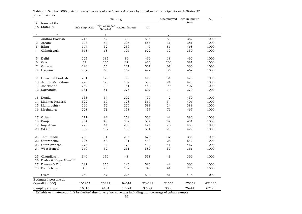| nanan <sub>(P</sub> o) man<br>Sl. Name of the |                       |               |                           | Working          |             | Unemployed       | Not in labour<br>force | All    |
|-----------------------------------------------|-----------------------|---------------|---------------------------|------------------|-------------|------------------|------------------------|--------|
|                                               | No. State/UT          | Self employed | Regular wage/<br>Salaried | Casual labour    | A11         |                  |                        |        |
| 1                                             | $\overline{a}$        | 3             | $\overline{4}$            | 5                | $\,$ 6 $\,$ | $\boldsymbol{7}$ | 8                      | 9      |
| $\mathbf{1}$                                  | Andhra Pradesh        | 215           | 42                        | 338              | 595         | 53               | 352                    | 1000   |
| $\overline{2}$                                | Assam                 | 228           | 64                        | 296              | 588         | 31               | 381                    | 1000   |
| 3                                             | Bihar                 | 164           | 52                        | 230              | 446         | 86               | 468                    | 1000   |
| 4                                             | Chhatisgarh           | 363           | 63                        | 196              | 622         | 19               | 359                    | 1000   |
| 5                                             | Delhi                 | 225           | 185                       | 80               | 490         | 18               | 492                    | 1000   |
| 6                                             | Goa                   | 64            | 265                       | 87               | 416         | 203              | 381                    | 1000   |
| $\overline{7}$                                | Gujarat               | 290           | 56                        | 221              | 567         | 67               | 366                    | 1000   |
| 8                                             | Haryana               | 262           | 66                        | 169              | 497         | 36               | 467                    | 1000   |
| 9                                             | Himachal Pradesh      | 281           | 129                       | 83               | 493         | 34               | 473                    | 1000   |
| 10                                            | Jammu & Kashmir       | 226           | 125                       | 152              | 503         | 24               | 473                    | 1000   |
| 11                                            | Jharkhand             | 269           | 38                        | 141              | 448         | 145              | 407                    | 1000   |
| 12                                            | Karnataka             | 281           | 51                        | 275              | 607         | 14               | 379                    | 1000   |
| 13                                            | Kerala                | 153           | 54                        | 292              | 499         | 42               | 459                    | 1000   |
| 14                                            | Madhya Pradesh        | 322           | 60                        | 178              | 560         | 34               | 406                    | 1000   |
| 15                                            | Maharashtra           | 290           | 72                        | 226              | 588         | 24               | 388                    | 1000   |
| 16                                            | Meghalaya             | 228           | 71                        | 158              | 457         | 76               | 467                    | 1000   |
| 17                                            | Orissa                | 217           | 92                        | 259              | 568         | 49               | 383                    | 1000   |
| 18                                            | Punjab                | 254           | 46                        | 232              | 532         | 37               | 431                    | 1000   |
| 19                                            | Rajasthan             | 225           | 44                        | 205              | 474         | 76               | 450                    | 1000   |
| 20                                            | Sikkim                | 309           | 107                       | 135              | 551         | 20               | 429                    | 1000   |
| 21                                            | Tamil Nadu            | 238           | 91                        | 299              | 628         | 37               | 335                    | 1000   |
| 22                                            | Uttaranchal           | 246           | 53                        | 131              | 430         | 28               | 542                    | 1000   |
| 23                                            | Uttar Pradesh         | 278           | 44                        | 170              | 492         | 41               | 467                    | 1000   |
|                                               | 24 West Bengal        | 269           | 52                        | 261              | 582         | 57               | 361                    | 1000   |
| 25                                            | Chandigarh            | 340           | 170                       | 48               | 558         | 43               | 399                    | 1000   |
| 26                                            | Dadra & Nagar Haveli* |               |                           |                  |             |                  |                        |        |
|                                               | 27 Daman & Diu        | 291           | 156                       | 146              | 593         | 44               | 363                    | 1000   |
|                                               | 28 Pondicherry        | 46            | 95                        | 102              | 243         | 41               | 716                    | 1000   |
|                                               | Overall               | 252           | 57                        | $\overline{225}$ | 534         | $\overline{51}$  | 415                    | 1000   |
|                                               | Estimated persons at  |               |                           |                  |             |                  |                        |        |
|                                               | Overall in (000)      | 105953        | 23822                     | 94614            | 224388      | 21366            | 175369                 | 421123 |
|                                               | Sample persons        | 16316         | 4134                      | 12274            | 32724       | 3005             | 26444                  | 62173  |

Rural (ps) male Table (11.5) : Per 1000 distribution of persons of age 5 years & above by broad usual principal for each State/UT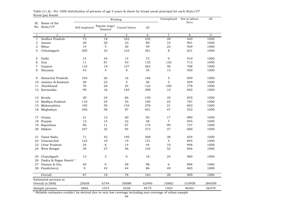|                | Kurai (ps) iciliaic             |                 |                           | Working          |       | Unemployed     | Not in labour<br>force | All    |
|----------------|---------------------------------|-----------------|---------------------------|------------------|-------|----------------|------------------------|--------|
|                | Sl. Name of the<br>No. State/UT | Self employed   | Regular wage/<br>Salaried | Casual labour    | A11   |                |                        |        |
| $\mathbf{1}$   | $\overline{2}$                  | 3               | $\overline{4}$            | 5                | 6     | $\overline{7}$ | 8                      | 9      |
| $\mathbf{1}$   | Andhra Pradesh                  | $\overline{72}$ | 18                        | $\overline{242}$ | 332   | 28             | 640                    | 1000   |
| $\overline{2}$ | Assam                           | 36              | 20                        | 33               | 89    | 10             | 901                    | 1000   |
| 3              | Bihar                           | 14              | 5                         | 30               | 49    | 22             | 929                    | 1000   |
| $\overline{4}$ | Chhatisgarh                     | 205             | 33                        | 123              | 361   | 8              | 631                    | 1000   |
| 5              | Delhi                           | 14              | 44                        | 14               | 72    | 9              | 919                    | 1000   |
| 6              | Goa                             | 11              | 81                        | 43               | 135   | 152            | 713                    | 1000   |
| 7              | Gujarat                         | 116             | 19                        | 127              | 262   | 30             | 708                    | 1000   |
| 8              | Haryana                         | 43              | $\overline{4}$            | 8                | 55    | 15             | 930                    | 1000   |
| 9              | Himachal Pradesh                | 104             | 26                        | 16               | 146   | 5              | 849                    | 1000   |
| 10             | Jammu & Kashmir                 | 30              | 22                        | $\overline{4}$   | 56    | 5              | 939                    | 1000   |
| 11             | Jharkhand                       | 70              | 28                        | 24               | 122   | 100            | 778                    | 1000   |
| 12             | Karnataka                       | 99              | 16                        | 183              | 298   | 10             | 692                    | 1000   |
| 13             | Kerala                          | 30              | 34                        | 66               | 130   | 35             | 835                    | 1000   |
| 14             | Madhya Pradesh                  | 110             | 25                        | 55               | 190   | 23             | 787                    | 1000   |
|                | 15 Maharashtra                  | 192             | 30                        | 154              | 376   | 21             | 603                    | 1000   |
| 16             | Meghalaya                       | 246             | 58                        | 97               | 401   | 47             | 552                    | 1000   |
| 17             | Orissa                          | 21              | 12                        | 60               | 93    | 17             | 890                    | 1000   |
| 18             | Punjab                          | 12              | 14                        | 22               | 48    | $\tau$         | 945                    | 1000   |
| 19             | Rajasthan                       | 96              | 11                        | 67               | 174   | 99             | 727                    | 1000   |
| 20             | Sikkim                          | 247             | 32                        | 94               | 373   | 27             | 600                    | 1000   |
| 21             | Tamil Nadu                      | 71              | 42                        | 195              | 308   | 38             | 654                    | 1000   |
|                | 22 Uttaranchal                  | 122             | 10                        | 19               | 151   | 5              | 844                    | 1000   |
|                | 23 Uttar Pradesh                | 24              | 6                         | 14               | 44    | 10             | 946                    | 1000   |
|                | 24 West Bengal                  | 39              | 27                        | 36               | 102   | 52             | 846                    | 1000   |
| 25             | Chandigarh                      | 13              | 3                         | $\mathbf{0}$     | 16    | 24             | 960                    | 1000   |
| 26             | Dadra & Nagar Haveli *          |                 |                           |                  |       |                |                        |        |
|                | 27 Daman & Diu                  | 40              | 0                         | 58               | 98    | 6              | 896                    | 1000   |
|                | 28 Pondicherry                  | $\mathbf{O}$    | 42                        | 44               | 86    | 49             | 865                    | 1000   |
|                | Overall                         | 67              | 18                        | 78               | 163   | 28             | 809                    | 1000   |
|                | Estimated persons at            |                 |                           |                  |       |                |                        |        |
|                | Overall in (000)                | 25658           | 6744                      | 30088            | 62490 | 10862          | 310958                 | 384309 |
|                | Sample persons                  | 3864            | 1073                      | 3538             | 8475  | 1503           | 46401                  | 56379  |

Rural (ps) female Table (11.6) : Per 1000 distribution of persons of age 5 years & above by broad usual principal for each State/UT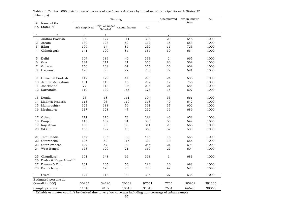| orpan (po<br>Sl. Name of the |                       |                  |                           | Working       |       | Unemployed     | Not in labour<br>force | All    |
|------------------------------|-----------------------|------------------|---------------------------|---------------|-------|----------------|------------------------|--------|
|                              | No. State/UT          | Self employed    | Regular wage/<br>Salaried | Casual labour | A11   |                |                        |        |
| 1                            | $\overline{2}$        | 3                | $\overline{4}$            | $\mathbf 5$   | 6     | $\,7$          | 8                      | 9      |
| $\mathbf{1}$                 | Andhra Pradesh        | 96               | 127                       | 111           | 334   | 20             | 646                    | 1000   |
| 2                            | Assam                 | 130              | 123                       | 59            | 312   | 35             | 653                    | 1000   |
| 3                            | Bihar                 | 109              | 64                        | 86            | 259   | 16             | 725                    | 1000   |
| 4                            | Chhatisgarh           | 141              | 109                       | 86            | 336   | 30             | 634                    | 1000   |
| 5                            | Delhi                 | 104              | 189                       | 40            | 333   | $\overline{2}$ | 665                    | 1000   |
| 6                            | Goa                   | 124              | 211                       | 21            | 356   | 80             | 564                    | 1000   |
| $\overline{7}$               | Gujarat               | 150              | 138                       | 67            | 355   | 36             | 609                    | 1000   |
| 8                            | Haryana               | 120              | 83                        | 77            | 280   | 29             | 691                    | 1000   |
| 9                            | Himachal Pradesh      | 117              | 129                       | 44            | 290   | 24             | 686                    | 1000   |
| 10                           | Jammu & Kashmir       | 101              | 115                       | 16            | 232   | 12             | 756                    | 1000   |
| 11                           | Jharkhand             | 77               | 113                       | 105           | 295   | 21             | 684                    | 1000   |
| 12                           | Karnataka             | 110              | 102                       | 166           | 378   | 15             | 607                    | 1000   |
| 13                           | Kerala                | 75               | 68                        | 161           | 304   | 35             | 661                    | 1000   |
| 14                           | Madhya Pradesh        | 113              | 95                        | 110           | 318   | 40             | 642                    | 1000   |
| 15                           | Maharashtra           | 123              | 188                       | 50            | 361   | 37             | 602                    | 1000   |
| 16                           | Meghalaya             | 117              | 128                       | 47            | 292   | 19             | 689                    | 1000   |
| 17                           | Orissa                | 111              | 116                       | 72            | 299   | 43             | 658                    | 1000   |
| 18                           | Punjab                | 113              | 109                       | 81            | 303   | 55             | 642                    | 1000   |
| 19                           | Rajasthan             | 130              | 93                        | 88            | 311   | 23             | 666                    | 1000   |
| 20                           | Sikkim                | 163              | 192                       | 10            | 365   | 52             | 583                    | 1000   |
| 21                           | Tamil Nadu            | 147              | 136                       | 133           | 416   | 16             | 568                    | 1000   |
| 22                           | Uttaranchal           | 126              | 82                        | 116           | 324   | 10             | 666                    | 1000   |
| 23                           | Uttar Pradesh         | 129              | 57                        | 99            | 285   | 21             | 694                    | 1000   |
| 24                           | West Bengal           | 178              | 120                       | 71            | 369   | 27             | 604                    | 1000   |
| 25                           | Chandigarh            | 101              | 148                       | 69            | 318   | $\mathbf{1}$   | 681                    | 1000   |
| 26                           | Dadra & Nagar Haveli* |                  |                           |               |       |                |                        |        |
|                              | 27 Daman & Diu        | 131              | 105                       | 56            | 292   | 10             | 698                    | 1000   |
|                              | 28 Pondicherry        | 85               | 170                       | 25            | 280   | 47             | 673                    | 1000   |
|                              | Overall               | $\overline{127}$ | 118                       | 90            | 335   | 27             | 638                    | 1000   |
|                              | Estimated persons at  |                  |                           |               |       |                |                        |        |
|                              | Overall in (000)      | 36933            | 34290                     | 26338         | 97561 | 7736           | 185939                 | 291236 |
|                              | Sample persons        | 11840            | 9187                      | 10518         | 31545 | 2651           | 64670                  | 98866  |

Urban (ps) Table (11.7) : Per 1000 distribution of persons of age 5 years & above by broad usual principal for each State/UT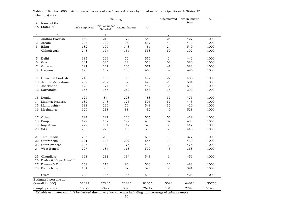|                      | orban (po) maic<br>Sl. Name of the |                  |                           | Working       | Unemployed | Not in labour<br>force | All   |        |
|----------------------|------------------------------------|------------------|---------------------------|---------------|------------|------------------------|-------|--------|
|                      | No. State/UT                       | Self employed    | Regular wage/<br>Salaried | Casual labour | All        |                        |       |        |
| 1                    | $\overline{a}$                     | 3                | $\overline{4}$            | $\mathbf 5$   | 6          | $\,7$                  | 8     | 9      |
| $\mathbf{1}$         | Andhra Pradesh                     | 159              | 218                       | 172           | 549        | 24                     | 427   | 1000   |
| 2                    | Assam                              | 247              | 192                       | 98            | 537        | 44                     | 419   | 1000   |
| 3                    | Bihar                              | 182              | 106                       | 148           | 436        | 24                     | 540   | 1000   |
| 4                    | Chhatisgarh                        | 248              | 174                       | 136           | 558        | 50                     | 392   | 1000   |
| 5                    | Delhi                              | 185              | 299                       | 72            | 556        | 2                      | 442   | 1000   |
| 6                    | 201<br>Goa                         |                  | 325                       | 32            | 558        | 62                     | 380   | 1000   |
| $\overline{7}$       | Gujarat                            | 241              | 227                       | 103<br>571    |            | 388<br>41              |       | 1000   |
| 8                    | Haryana                            | 193              | 137                       | 135           | 465        | 39                     | 496   | 1000   |
| 9                    | Himachal Pradesh                   | 218              | 189                       | 85            | 492        | 22                     | 486   | 1000   |
| 10                   | Jammu & Kashmir                    | 209              | 232                       | 32            | 473        | 23                     | 504   | 1000   |
| 11                   | Jharkhand                          | 128              | 174                       | 150           | 452        | 35                     | 513   | 1000   |
| 12                   | Karnataka                          | 166              | 155                       | 262           | 583        | 18                     | 399   | 1000   |
| 13                   | Kerala                             | 126              | 84                        | 278           | 488        | 37                     | 475   | 1000   |
| 14                   | Madhya Pradesh<br>182<br>148       |                  | 175                       | 505           | 52         | 443                    | 1000  |        |
| 15                   | Maharashtra                        | 188              | 290                       | 70            | 548        | 32                     | 420   | 1000   |
| 16                   | Meghalaya                          | 126              | 218                       | 88            | 432        | 40                     | 528   | 1000   |
| 17                   | Orissa                             | 194              | 191                       | 120           | 505        | 56                     | 439   | 1000   |
| 18                   | Punjab                             | 199              | 152                       | 129           | 480        | 87                     | 433   | 1000   |
| 19                   | Rajasthan                          | 222              | 154                       | 147           | 523        | 30                     | 447   | 1000   |
| 20                   | Sikkim                             | 266              | 223                       | 16            | 505        | 50                     | 445   | 1000   |
| 21                   | Tamil Nadu                         | 206              | 208                       | 190           | 604        | 19                     | 377   | 1000   |
| 22                   | Uttaranchal                        | 221              | 128                       | 207           | 556        | 14                     | 430   | 1000   |
|                      | 23 Uttar Pradesh                   | 225              | 94                        | 175           | 494        | 30                     | 476   | 1000   |
|                      | 24 West Bengal                     | 297              | 184                       | 118           | 599        | 43                     | 358   | 1000   |
| 25                   | Chandigarh                         | 198              | 211                       | 134           | 543        | $\mathbf{1}$           | 456   | 1000   |
| 26                   | Dadra & Nagar Haveli *             |                  |                           |               |            |                        |       |        |
|                      | 27 Daman & Diu                     | 238              | 170                       | 92            | 500        | 12                     | 488   | 1000   |
|                      | 28 Pondicherry                     | 184              | 335                       | 57            | 576        | 33                     | 391   | 1000   |
|                      | Overall                            | $\overline{208}$ | 185                       | 145           | 538        | 34                     | 428   | 1000   |
| Estimated persons at |                                    |                  |                           |               |            |                        |       |        |
|                      | Overall in (000)                   | 31327            | 27905                     | 21823         | 81055      | 5098                   | 64610 | 150763 |
| Sample persons       |                                    | 10327            | 7492                      | 8893          | 26712      | 1818                   | 22923 | 51453  |

Urban (ps) male Table (11.8) : Per 1000 distribution of persons of age 5 years & above by broad usual principal for each State/UT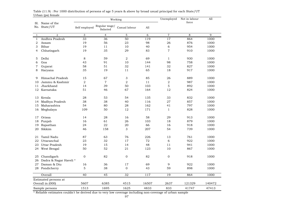|                      | orban (po) icmaic<br>Sl. Name of the |                |                           | Working        | Unemployed | Not in labour<br>force | All    |        |
|----------------------|--------------------------------------|----------------|---------------------------|----------------|------------|------------------------|--------|--------|
|                      | No. State/UT                         | Self employed  | Regular wage/<br>Salaried | Casual labour  | A11        |                        |        |        |
| $\mathbf{1}$         | $\overline{2}$                       | 3              | 4                         | 5              | 6          | $\overline{7}$         | 8      | 9      |
| $\mathbf{1}$         | Andhra Pradesh                       | 33             | 36                        | 50             | 119        | $\overline{17}$        | 864    | 1000   |
| 2                    | Assam                                | 19             | 56                        | 23             | 98         | 26                     | 876    | 1000   |
| 3                    | Bihar                                | 19             | 11                        | 10             | 40         | 6                      | 954    | 1000   |
| 4                    | Chhatisgarh                          | 19             | 35                        | 29             | 83         | $\overline{7}$         | 910    | 1000   |
| 5                    | Delhi                                | 8              | 59                        | 2              | 69         | $\mathbf{1}$           | 930    | 1000   |
| 6                    | Goa<br>43                            |                | 91                        | 10             | 144        | 98                     | 758    | 1000   |
| $\overline{7}$       | Gujarat                              | 58             | 51                        | 32             | 141        | 32                     | 827    | 1000   |
| 8                    | Haryana                              | 35             | 19                        | 65<br>11       |            | 18                     | 917    | 1000   |
| 9                    | Himachal Pradesh                     | 15             | 67                        | 3              | 85         | 26                     | 889    | 1000   |
| 10                   | Jammu & Kashmir                      | $\overline{2}$ | $\overline{7}$            | $\overline{2}$ | 11         | $\overline{2}$         | 987    | 1000   |
| 11                   | Jharkhand                            | 14             | 39                        | 50             | 103        | 5                      | 892    | 1000   |
| 12                   | Karnataka                            | 51             | 46                        | 67             | 164        | 12                     | 824    | 1000   |
|                      | 13 Kerala                            | 28             | 53                        | 54             | 135        | 33                     | 832    | 1000   |
| 14                   | Madhya Pradesh                       | 38             | 38                        | 40             | 116        | 27                     | 857    | 1000   |
| 15                   | Maharashtra                          | 54             | 80                        | 28             | 162        | 41                     | 797    | 1000   |
|                      | 16 Meghalaya                         | 109            | 50                        | 12             | 171        | 1                      | 828    | 1000   |
| 17                   | Orissa                               | 14             | 28                        | 16             | 58         | 29                     | 913    | 1000   |
| 18                   | Punjab                               | 16             | 61                        | 26             | 103        | 18                     | 879    | 1000   |
| 19                   | Rajasthan                            | 24             | 22                        | 20             | 66         | 16                     | 918    | 1000   |
| 20                   | Sikkim                               | 46             | 158                       | 3              | 207        | 54                     | 739    | 1000   |
| 21                   | Tamil Nadu                           | 87             | 63                        | 76             | 226        | 13                     | 761    | 1000   |
| 22                   | Uttaranchal                          | 23             | 32                        | 17             | 72         | 6                      | 922    | 1000   |
| 23                   | Uttar Pradesh                        | 19             | 15                        | 14             | 48         | 11                     | 941    | 1000   |
| 24                   | West Bengal                          | 50             | 52                        | 21             | 123        | 10                     | 867    | 1000   |
| 25                   | Chandigarh                           | $\mathbf 0$    | 82                        | $\mathbf{O}$   | 82         | $\Omega$               | 918    | 1000   |
|                      | 26 Dadra & Nagar Haveli*             |                |                           |                |            |                        |        |        |
|                      | 27 Daman & Diu                       | 16             | 36                        | 17             | 69         | 9                      | 922    | 1000   |
|                      | 28 Pondicherry                       | $\mathbf 5$    | 38                        | $\mathbf 0$    | 43         | 59                     | 898    | 1000   |
|                      | Overall                              | 40             | 45                        | 32             | 117        | 19                     | 864    | 1000   |
| Estimated persons at |                                      |                |                           |                |            |                        |        |        |
|                      | Overall in (000)                     | 5607           | 6385                      | 4515           | 16507      | 2637                   | 121329 | 140472 |
|                      | Sample persons                       | 1513           | 1695                      | 1625           | 4833       | 833                    | 41747  | 47413  |

Urban (ps) female Table (11.9) : Per 1000 distribution of persons of age 5 years & above by broad usual principal for each State/UT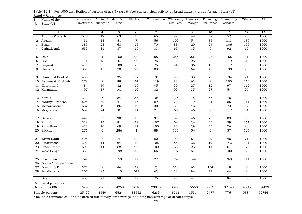| Sl.<br>No.                 | Name of the<br>State/UT | Agricuture,<br>forestry etc. | quarrying        | Mining & Manufactu Electricity<br>ring |                 | Construction Wholesale, | retail etc. | Transport,<br>storage | Financing,<br>insurance | Community<br>services | Others         | All    |
|----------------------------|-------------------------|------------------------------|------------------|----------------------------------------|-----------------|-------------------------|-------------|-----------------------|-------------------------|-----------------------|----------------|--------|
|                            |                         |                              |                  |                                        |                 |                         |             |                       |                         |                       |                |        |
| $\overline{1}$             | $\overline{2}$          | 3                            | $\overline{4}$   | 5                                      | 6               | $\overline{7}$          | 8           | 9                     | 10                      | 11                    | 12             | 13     |
| 1                          | Andhra Pradesh          | 530                          | 19               | 63                                     | 15              | 65                      | 89          | 44                    | 27                      | 52                    | 96             | 1000   |
| 2                          | Assam                   | 436                          | 18               | 51                                     | $\overline{7}$  | 56                      | 100         | 54                    | 35                      | 113                   | 130            | 1000   |
| 3                          | Bihar                   | 385                          | 23               | 68                                     | 15              | 70                      | 83          | 29                    | 24                      | 106                   | 197            | 1000   |
| 4                          | Chhatisgarh             | 635                          | 31               | 37                                     | 16              | 33                      | 65          | 15                    | 9                       | 92                    | 67             | 1000   |
| 5                          | Delhi                   | 13                           | $\mathbf{1}$     | 150                                    | 20              | 68                      | 266         | 223                   | 93                      | 155                   | 11             | 1000   |
| 6                          | Goa                     | 70                           | 48               | 161                                    | 29              | 25                      | 136         | 26                    | 38                      | 149                   | 318            | 1000   |
| 7                          | Gujarat                 | 421                          | 8                | 100                                    | 6               | 75                      | 94          | 36                    | 15                      | 112                   | 133            | 1000   |
| 8                          | Haryana                 | 351                          | 13               | 70                                     | 29              | 83                      | 116         | 64                    | 49                      | 130                   | 95             | 1000   |
| 9                          | Himachal Pradesh        | 435                          | $\,$ 6 $\,$      | 35                                     | 32              | 131                     | 95          | 38                    | 23                      | 134                   | 71             | 1000   |
| 10                         | Jammu & Kashmir         | 279                          | 9                | 88                                     | 34              | 119                     | 88          | 63                    | 8                       | 100                   | 212            | 1000   |
| 11                         | Jharkhand               | 484                          | 59               | 82                                     | 16              | 45                      | 59          | 27                    | 12                      | 97                    | 119            | 1000   |
|                            | 12 Karnataka            | 497                          | 17               | 103                                    | 10              | 82                      | 99          | 35                    | 27                      | 54                    | 76             | 1000   |
|                            | 13 Kerala               | 333                          | 6                | 84                                     | 37              | 104                     | 126         | 75                    | 56                      | 76                    | 103            | 1000   |
| 14                         | Madhya Pradesh          | 508                          | 32               | 47                                     | 15              | 89                      | 73          | 19                    | 21                      | 85                    | 111            | 1000   |
| 15                         | Maharashtra             | 567                          | 12               | 86                                     | 19              | 30                      | 80          | 46                    | 35                      | 73                    | 52             | 1000   |
|                            | 16 Meghalaya            | 659                          | 24               | $\overline{0}$                         | $11$            | 21                      | 66          | 46                    | $\overline{7}$          | 112                   | 54             | 1000   |
| 17                         | Orissa                  | 442                          | 53               | 90                                     | 16              | 91                      | 89          | 46                    | 26                      | 89                    | 58             | 1000   |
| 18                         | Punjab                  | 329                          | 13               | 81                                     | 39              | 107                     | 64          | 24                    | 23                      | 59                    | 261            | 1000   |
| 19                         | Rajasthan               | 433                          | 76               | 69                                     | 11              | 105                     | 80          | 29                    | 23                      | 76                    | 98             | 1000   |
| 20                         | Sikkim                  | 276                          | $\mathbf{O}$     | 286                                    | $\mathbf{1}$    | 88                      | 133         | 54                    | $\overline{0}$          | 37                    | 125            | 1000   |
| 21                         | Tamil Nadu              | 406                          | 8                | 141                                    | 22              | 82                      | 94          | 51                    | 29                      | 96                    | 71             | 1000   |
| 22                         | Uttaranchal             | 392                          | 14               | 64                                     | 10              | 105                     | 86          | 36                    | 19                      | 143                   | 131            | 1000   |
| 23                         | Uttar Pradesh           | 501                          | 14               | 68                                     | 27              | 100                     | 66          | 25                    | 14                      | 61                    | 124            | 1000   |
| 24                         | West Bengal             | 351                          | 5                | 198                                    | 17              | 66                      | 107         | 57                    | 33                      | 100                   | 66             | 1000   |
| 25                         | Chandigarh              | 54                           | $\boldsymbol{0}$ | 159                                    | 17              | 27                      | 169         | 144                   | 50                      | 269                   | 111            | 1000   |
| 26                         | Dadra & Nagar Haveli *  |                              |                  |                                        |                 |                         |             |                       |                         |                       |                |        |
| 27                         | Daman & Diu             | 372                          | $\,8\,$          | 46                                     | 39              | $\sqrt{2}$              | 318         | 63                    | 134                     | 18                    | $\mathbf 0$    | 1000   |
|                            | 28 Pondicherry          | 167                          | 83               | 113                                    | 347             | 62                      | 38          | 84                    | 42                      | 64                    | $\overline{0}$ | 1000   |
|                            | Overall                 | 455                          | $\overline{21}$  | 89                                     | $\overline{18}$ | 75                      | 88          | $\overline{41}$       | $\overline{26}$         | 84                    | 103            | 1000   |
| Estimated persons at       |                         |                              |                  |                                        |                 |                         |             |                       |                         |                       |                |        |
| 174825<br>Overall in (000) |                         |                              | 7905             | 34259                                  | 7010            | 29010                   | 33726       | 15660                 | 9959                    | 32140                 | 39947          | 384439 |
| Sample persons             |                         | 25479                        | 1549             | 6524                                   | 33552           | 6285                    | 8261        | 3531                  | 2477                    | 7764                  | 9384           | 72744  |

 $Rural + Urban (ps)$ Table (12.1) : Per 1000 distribution of persons of age 5 years & above in principal activity by broad industry group for each State/UT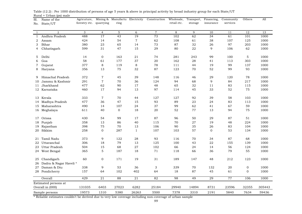| Sl.<br>No.     | Name of the<br>State/UT  | Agricuture,<br>forestry etc. | quarrying        | Mining & Manufactu Electricity<br>ring |                | Construction   | Wholesale,<br>retail etc. | Transport,<br>storage | Financing,<br>insurance | Community<br>services | Others         | All    |
|----------------|--------------------------|------------------------------|------------------|----------------------------------------|----------------|----------------|---------------------------|-----------------------|-------------------------|-----------------------|----------------|--------|
|                |                          |                              |                  |                                        |                |                |                           |                       |                         |                       |                |        |
| 1              | 2                        | 3                            | $\overline{4}$   | 5                                      | 6              | $\overline{7}$ | 8                         | 9                     | 10                      | 11                    | 12             | 13     |
| $\mathbf{1}$   | Andhra Pradesh           | 488                          | 17               | 43                                     | 19             | 73             | 102                       | 62                    | 34                      | 61                    | 101            | 1000   |
| 2              | Assam                    | 424                          | 14               | 54                                     | $\overline{7}$ | 62             | 108                       | 61                    | 38                      | 107                   | 125            | 1000   |
| 3              | Bihar                    | 380                          | 23               | 65                                     | 14             | 73             | 87                        | 32                    | 26                      | 97                    | 203            | 1000   |
| $\overline{4}$ | Chhatisgarh              | 599                          | 31               | 47                                     | 15             | 29             | 80                        | 22                    | 9                       | 106                   | 62             | 1000   |
| 5              | Delhi                    | 14                           | $\mathbf{0}$     | 163                                    | 21             | 74             | 281                       | 243                   | 99                      | 100                   | 5              | 1000   |
| 6              | Goa                      | 58                           | 61               | 177                                    | 37             | 20             | 162                       | 28                    | 41                      | 113                   | 303            | 1000   |
| 7              | Gujarat                  | 377                          | 8                | 119                                    | 8              | 78             | 111                       | 44                    | 19                      | 99                    | 137            | 1000   |
| 8              | Haryana                  | 356                          | 13               | 75                                     | 32             | 87             | 123                       | 70                    | 52                      | 99                    | 93             | 1000   |
| 9              | Himachal Pradesh         | 372                          | $\overline{7}$   | 45                                     | 39             | 148            | 116                       | 46                    | 29                      | 120                   | 78             | 1000   |
| 10             | Jammu & Kashmir          | 291                          | $\sqrt{ }$       | 70                                     | 36             | 124            | 94                        | 68                    | 9                       | 84                    | 217            | 1000   |
| 11             | Jharkhand                | 477                          | 62               | 90                                     | 17             | 48             | 65                        | 32                    | 11                      | 83                    | 115            | 1000   |
|                | 12 Karnataka             | 460                          | 17               | 94                                     | 13             | 97             | 114                       | 45                    | 33                      | 52                    | 75             | 1000   |
|                | 13 Kerala                | 333                          | $\overline{7}$   | 70                                     | 44             | 127            | 127                       | 92                    | 39                      | 58                    | 103            | 1000   |
| 14             | Madhya Pradesh           | 477                          | 36               | 47                                     | 15             | 93             | 89                        | 23                    | 24                      | 83                    | 113            | 1000   |
| 15             | Maharashtra              | 490                          | 14               | 107                                    | 24             | 37             | 99                        | 62                    | 41                      | 67                    | 59             | 1000   |
|                | 16 Meghalaya             | 611                          | 40               | $\overline{0}$                         | 18             | 20             | 52                        | 77                    | 13                      | 94                    | 75             | 1000   |
| 17             | Orissa                   | 430                          | 54               | 99                                     | 17             | 87             | 96                        | 50                    | 29                      | 87                    | 51             | 1000   |
| 18             | Punjab                   | 358                          | 13               | 86                                     | 40             | 115            | 70                        | 27                    | 19                      | 48                    | 224            | 1000   |
| 19             | Rajasthan                | 398                          | 75               | 70                                     | 13             | 106            | 90                        | 35                    | 26                      | 83                    | 104            | 1000   |
|                | 20 Sikkim                | 258                          | $\mathbf{O}$     | 287                                    | $\mathbf{1}$   | 107            | 103                       | 57                    | $\overline{0}$          | 53                    | 134            | 1000   |
| 21             | Tamil Nadu               | 373                          | 9                | 122                                    | 28             | 93             | 116                       | 70                    | 34                      | 87                    | 68             | 1000   |
| 22             | Uttaranchal              | 306                          | 18               | 79                                     | 13             | 125            | 100                       | 43                    | 22                      | 155                   | 139            | 1000   |
| 23             | Uttar Pradesh            | 504                          | 15               | 68                                     | 27             | 102            | 66                        | 24                    | 14                      | 56                    | 124            | 1000   |
| 24             | West Bengal              | 365                          | 5                | 187                                    | 18             | 71             | 118                       | 66                    | 36                      | 79                    | 55             | 1000   |
| 25             | Chandigarh               | 60                           | $\boldsymbol{0}$ | 171                                    | 19             | 31             | 189                       | 147                   | 48                      | 212                   | 123            | 1000   |
|                | 26 Dadra & Nagar Haveli* |                              |                  |                                        |                |                |                           |                       |                         |                       |                |        |
| 27             | Daman & Diu              | 338                          | 9                | 53                                     | 36             | 3              | 339                       | 70                    | 132                     | 20                    | $\overline{0}$ | 1000   |
|                | 28 Pondicherry           | 157                          | 64               | 102                                    | 402            | 64             | 18                        | 87                    | 45                      | 61                    | $\overline{0}$ | 1000   |
|                | Overall                  | 429                          | $\overline{21}$  | 88                                     | 21             | 82             | 98                        | 49                    | 29                      | 77                    | 106            | 1000   |
|                | Estimated persons at     |                              |                  |                                        |                |                |                           |                       |                         |                       |                |        |
|                | Overall in (000)         | 131035                       | 6403             | 27023                                  | 6282           | 25184          | 29940                     | 14894                 | 8731                    | 23596                 | 32355          | 305443 |
|                | Sample persons           | 19573                        | 1310             | 5380                                   | 26263          | 5500           | 7378                      | 3310                  | 2191                    | 5840                  | 7634           | 59436  |

Rural + Urban (ps) male Table (12.2) : Per 1000 distribution of persons of age 5 years & above in principal activity by broad industry group for each State/UT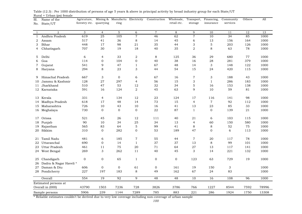| Sl.<br>No.   | Name of the<br>State/UT | Agricuture,<br>forestry etc. | quarrying                 | Mining & Manufactu Electricity<br>ring |                  | Construction   | Wholesale,<br>retail etc. | Transport,<br>storage | Financing,<br>insurance   | Community<br>services | Others | All   |
|--------------|-------------------------|------------------------------|---------------------------|----------------------------------------|------------------|----------------|---------------------------|-----------------------|---------------------------|-----------------------|--------|-------|
| 1            | $\overline{a}$          | 3                            | $\overline{4}$            | $5\phantom{.}$                         | 6                | $\overline{7}$ | 8                         | 9                     | 10                        | 11                    | 12     | 13    |
| $\mathbf{1}$ | Andhra Pradesh          | 619                          | $\overline{25}$           | 105                                    | $\overline{7}$   | 46             | 62                        | $\overline{7}$        | 10                        | $\overline{34}$       | 85     | 1000  |
| 2            | Assam                   | 517                          | 41                        | 36                                     | 8                | 14             | 45                        | 6                     | 13                        | 156                   | 164    | 1000  |
| 3            | Bihar                   | 448                          | 17                        | 98                                     | $2\sqrt{1}$      | 35             | 44                        | 3                     | $\mathbf 5$               | 203                   | 126    | 1000  |
| 4            | Chhatisgarh             | 707                          | 30                        | 19                                     | 18               | 40             | 35                        | $\overline{2}$        | 8                         | 63                    | 78     | 1000  |
| 5            | Delhi                   | 6                            | $\overline{4}$            | 33                                     | $\overline{2}$   | $\,8\,$        | 125                       | 36                    | 29                        | 680                   | 77     | 1000  |
| 6            | Goa                     | 114                          | $\mathbf 0$               | 104                                    | $\boldsymbol{0}$ | 40             | 38                        | 16                    | 28                        | 281                   | 379    | 1000  |
| 7            | Gujarat                 | 541                          | 9                         | 47                                     | $\mathbf{1}$     | 67             | 48                        | 14                    | 3                         | 148                   | 122    | 1000  |
| 8            | Haryana                 | 294                          | 8                         | 23                                     | 3                | 44             | 54                        | 15                    | 24                        | 420                   | 115    | 1000  |
| 9            | Himachal Pradesh        | 667                          | $\ensuremath{\mathsf{3}}$ | $\mathbf 0$                            | 6                | 67             | 16                        | $\boldsymbol{7}$      | $\ensuremath{\mathsf{3}}$ | 188                   | 43     | 1000  |
| 10           | Jammu & Kashmir         | 128                          | 27                        | 297                                    | $\overline{4}$   | 56             | 15                        | 3                     | $\mathbf{1}$              | 286                   | 183    | 1000  |
| 11           | Jharkhand               | 510                          | 47                        | 53                                     | 12               | 32             | 34                        | $\mathbf 5$           | 16                        | 153                   | 138    | 1000  |
|              | 12 Karnataka            | 591                          | 16                        | 124                                    | $\overline{2}$   | 45             | 63                        | 9                     | 10                        | 59                    | 81     | 1000  |
| 13           | Kerala                  | 331                          | $\overline{4}$            | 134                                    | 12               | 23             | 124                       | 17                    | 116                       | 141                   | 98     | 1000  |
| 14           | Madhya Pradesh          | 618                          | 17                        | 48                                     | 14               | 73             | 15                        | $\overline{4}$        | $\overline{7}$            | 92                    | 112    | 1000  |
| 15           | Maharashtra             | 726                          | 10                        | 43                                     | 10               | 16             | 41                        | 13                    | 23                        | 85                    | 33     | 1000  |
| 16           | Meghalaya               | 730                          | $\overline{0}$            | $\overline{0}$                         | $\mathbf 0$      | 22             | 87                        | $\mathbf{1}$          | $\overline{0}$            | 139                   | 21     | 1000  |
| 17           | Orissa                  | 521                          | 45                        | 26                                     | 12               | 111            | 40                        | 21                    | 6                         | 103                   | 115    | 1000  |
| 18           | Punjab                  | 90                           | 10                        | 34                                     | 25               | 34             | 13                        | $\overline{4}$        | 60                        | 150                   | 580    | 1000  |
| 19           | Rajasthan               | 565                          | 83                        | 64                                     | $\mathbf 5$      | 99             | 41                        | 8                     | 8                         | 52                    | 75     | 1000  |
| 20           | Sikkim                  | 310                          | $\mathbf{O}$              | 282                                    | $\boldsymbol{0}$ | 53             | 189                       | 47                    | $\overline{0}$            | 6                     | 113    | 1000  |
| 21           | Tamil Nadu              | 481                          | 6                         | 185                                    | $\overline{7}$   | 55             | 44                        | $\mathbf 7$           | 20                        | 117                   | 78     | 1000  |
| 22           | Uttaranchal             | 690                          | $\mathbf{0}$              | 14                                     | $\mathbf{1}$     | 37             | 37                        | 13                    | 8                         | 99                    | 101    | 1000  |
| 23           | Uttar Pradesh           | 461                          | 11                        | 75                                     | 20               | 71             | 64                        | 27                    | 13                        | 117                   | 141    | 1000  |
| 24           | West Bengal             | 269                          | 3                         | 262                                    | 11               | 40             | 45                        | 3                     | 14                        | 221                   | 132    | 1000  |
| 25           | Chandigarh              | 0                            | $\boldsymbol{0}$          | 65                                     | $\mathbf{1}$     | $\mathbf 0$    | $\boldsymbol{0}$          | 123                   | 63                        | 729                   | 19     | 1000  |
| 26           | Dadra & Nagar Haveli *  |                              |                           |                                        |                  |                |                           |                       |                           |                       |        |       |
| 27           | Daman & Diu             | 606                          | $\mathbf{0}$              | $\overline{0}$                         | 61               | $\mathbf 0$    | 161                       | 19                    | 150                       | 3                     |        | 1000  |
|              | 28 Pondicherry          | 227                          | 197                       | 183                                    | 8                | 49             | 162                       | 67                    | 24                        | 83                    |        | 1000  |
|              | Overall                 | 554                          | $\overline{19}$           | 92                                     | 9                | 48             | $\overline{48}$           | 10                    | 16                        | 108                   | 96     | 1000  |
|              | Estimated persons at    |                              |                           |                                        |                  |                |                           |                       |                           |                       |        |       |
|              | Overall in (000)        | 43790                        | 1503                      | 7236                                   | 728              | 3826           | 3786                      | 766                   | 1227                      | 8544                  | 7592   | 78996 |
|              | Sample persons          | 5906                         | 239                       | 1144                                   | 7289             | 785            | 883                       | 221                   | 286                       | 1924                  | 1750   | 13308 |

Rural + Urban (ps) female Table (12.3) : Per 1000 distribution of persons of age 5 years & above in principal activity by broad industry group for each State/UT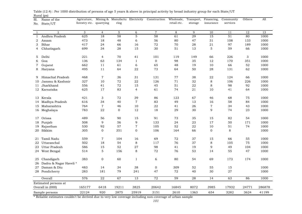| Sl.<br>No.   | Name of the<br>State/UT | Agricuture,<br>forestry etc. quarrying |                  | Mining & Manufactu Electricity<br>ring |                     | Construction         | Wholesale,<br>retail etc. | Transport,<br>storage | Financing,<br>insurance | Community<br>services | Others | All    |
|--------------|-------------------------|----------------------------------------|------------------|----------------------------------------|---------------------|----------------------|---------------------------|-----------------------|-------------------------|-----------------------|--------|--------|
|              |                         |                                        |                  |                                        |                     |                      |                           |                       |                         |                       |        |        |
| -1           | 2                       | 3                                      | $\overline{4}$   | 5<br>58                                | 6<br>$\overline{5}$ | $\overline{7}$<br>58 | 8                         | 9                     | 10                      | 11<br>51              | 12     | 13     |
| $\mathbf{1}$ | Andhra Pradesh          | 625                                    | 18               |                                        |                     |                      | 61                        | 29                    | 15                      |                       | 80     | 1000   |
| 2            | Assam                   | 473                                    | 18               | 48                                     | 6                   | 56                   | 80                        | 47                    | 31                      | 108                   | 133    | 1000   |
| 3            | Bihar                   | 417                                    | 24               | 66                                     | 16                  | 72                   | 70                        | 28                    | 21                      | 97                    | 189    | 1000   |
| 4            | Chhatisgarh             | 699                                    | 34               | 28                                     | 15                  | 30                   | 51                        | 13                    | $\overline{5}$          | 59                    | 66     | 1000   |
| 5            | Delhi                   | 221                                    | $\overline{4}$   | 70                                     | 41                  | 101                  | 119                       | 149                   | 66                      | 226                   | 3      | 1000   |
| 6            | Goa                     | 136                                    | 63               | 134                                    | $\mathbf{1}$        | $\overline{0}$       | 98                        | 35                    | 12                      | 170                   | 351    | 1000   |
| 7            | Gujarat                 | 662                                    | 11               | 61                                     | 6                   | 65                   | 48                        | 19                    | 10                      | 66                    | 52     | 1000   |
| 8            | Haryana                 | 495                                    | 11               | 64                                     | ${\bf 22}$          | 73                   | 64                        | 50                    | 28                      | 131                   | 62     | 1000   |
| 9            | Himachal Pradesh        | 468                                    | $\sqrt{7}$       | 36                                     | 31                  | 131                  | 77                        | 38                    | 22                      | 124                   | 66     | 1000   |
| 10           | Jammu & Kashmir         | 327                                    | 10               | 72                                     | 22                  | 126                  | 71                        | 32                    | 8                       | 106                   | 226    | 1000   |
| 11           | Jharkhand               | 556                                    | 41               | 72                                     | 15                  | 45                   | 51                        | ${\bf 22}$            | 8                       | 98                    | 92     | 1000   |
|              | 12 Karnataka            | 625                                    | 17               | 83                                     | 4                   | 61                   | 74                        | 21                    | 10                      | 41                    | 64     | 1000   |
| 13           | Kerala                  | 421                                    | 3                | 72                                     | 39                  | 86                   | 123                       | 67                    | 46                      | 68                    | 75     | 1000   |
| 14           | Madhya Pradesh          | 616                                    | 34               | 40                                     | $\overline{7}$      | 83                   | 49                        | 13                    | 16                      | 58                    | 84     | 1000   |
| 15           | Maharashtra             | 764                                    | $\overline{7}$   | 46                                     | $10\,$              | 22                   | 41                        | 26                    | $\overline{7}$          | 34                    | 43     | 1000   |
|              | 16 Meghalaya            | 783                                    | 22               | $\mathbf{O}$                           | 12                  | 18                   | 29                        | 30                    | 9                       | 74                    | 23     | 1000   |
| 17           | Orissa                  | 489                                    | 56               | 90                                     | 15                  | 91                   | 73                        | 35                    | 15                      | 82                    | 54     | 1000   |
| 18           | Punjab                  | 508                                    | 9                | 56                                     | 9                   | 133                  | 24                        | 23                    | 17                      | 50                    | 171    | 1000   |
| 19           | Rajasthan               | 530                                    | 92               | 57                                     | $\overline{7}$      | 105                  | 52                        | 22                    | 10                      | 51                    | 74     | 1000   |
| 20           | Sikkim                  | 305                                    | $\mathbf{O}$     | 351                                    | 0                   | 106                  | 164                       | 66                    | $\mathbf 0$             | 8                     |        | 1000   |
| 21           | Tamil Nadu              | 559                                    | $\sqrt{7}$       | 104                                    | 16                  | 69                   | 72                        | 37                    | 15                      | 66                    | 55     | 1000   |
| 22           | Uttaranchal             | 502                                    | 18               | 54                                     | 8                   | 117                  | 76                        | 37                    | 8                       | 105                   | 75     | 1000   |
| 23           | Uttar Pradesh           | 586                                    | 15               | 52                                     | 27                  | 98                   | 41                        | 19                    | 9                       | 49                    | 104    | 1000   |
|              | 24 West Bengal          | 514                                    | 5                | 156                                    | 8                   | 72                   | 76                        | 53                    | 14                      | 55                    | 47     | 1000   |
| 25           | Chandigarh              | 383                                    | $\boldsymbol{0}$ | 60                                     | $\mathbf{1}$        | 6                    | 80                        | 54                    | 69                      | 173                   | 174    | 1000   |
| 26           | Dadra & Nagar Haveli *  |                                        |                  |                                        |                     |                      |                           |                       |                         |                       |        |        |
| 27           | Daman & Diu             | 483                                    | 14               | 34                                     | 38                  | $\boldsymbol{0}$     | 309                       | 52                    | 55                      | 15                    |        | 1000   |
|              | 28 Pondicherry          | 283                                    | 181              | 79                                     | 241                 | 47                   | 72                        | 40                    | 30                      | 27                    |        | 1000   |
|              | Overall                 | 576                                    | $\overline{22}$  | 67                                     | $\overline{13}$     | 72                   | 59                        | $\overline{28}$       | $\overline{14}$         | 63                    | 86     | 1000   |
|              | Estimated persons at    |                                        |                  |                                        |                     |                      |                           |                       |                         |                       |        |        |
|              | Overall in (000)        | 165177                                 | 6418             | 19211                                  | 3825                | 20642                | 16845                     | 8072                  | 3985                    | 17932                 | 24771  | 286878 |
|              | Sample persons          | 22124                                  | 920              | 2875                                   | 25919               | 3151                 | 2610                      | 1363                  | 654                     | 3282                  | 3624   | 41199  |

Rural (ps) Table (12.4) : Per 1000 distribution of persons of age 5 years & above in principal activity by broad industry group for each State/UT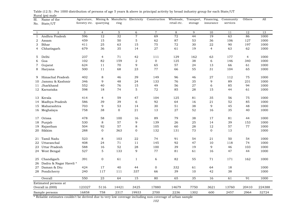| Sl.<br>No.   | Name of the<br>State/UT | Agricuture,<br>forestry etc. | quarrying       | ring     |                  | Mining & Manufactu Electricity Construction | Wholesale,<br>retail etc. | Transport,<br>storage | Financing,<br>insurance | Community<br>services | Others | All    |
|--------------|-------------------------|------------------------------|-----------------|----------|------------------|---------------------------------------------|---------------------------|-----------------------|-------------------------|-----------------------|--------|--------|
| -1           | $\overline{2}$          | 3                            | $\overline{4}$  | 5        | 6                | $\overline{7}$                              | 8                         | 9                     | 10                      | 11                    | 12     | 13     |
| $\mathbf{1}$ | Andhra Pradesh          | 596                          | 12              | 32       | $\overline{7}$   | 69                                          | 72                        | 44                    | 19                      | 63                    | 86     | 1000   |
| 2            | Assam                   | 459                          | 15              | 50       | $\mathbf 5$      | 62                                          | 87                        | 53                    | 36                      | 106                   | 127    | 1000   |
| 3            | Bihar                   | 411                          | 25              | 63       | 15               | 75                                          | 72                        | 30                    | 22                      | 90                    | 197    | 1000   |
| 4            | Chhatisgarh             | 679                          | 36              | 35       | 14               | 27                                          | 61                        | 19                    | $\overline{4}$          | 63                    | 62     | 1000   |
| 5            | Delhi                   | 237                          | 4               | 71       | 42               | 111                                         | 129                       | 162                   | 63                      | 177                   | 4      | 1000   |
| 6            | Goa                     | 102                          | 82              | 159      | $\overline{2}$   | $\mathbf{O}$                                | 125                       | 38                    | 6                       | 146                   | 340    | 1000   |
| 7            | Gujarat                 | 624                          | 11              | 70       | 9                | 65                                          | 57                        | 24                    | 13                      | 66                    | 61     | 1000   |
| 8            | Haryana                 | 500                          | 11              | 68       | 23               | 77                                          | 66                        | 55                    | 31                      | 104                   | 65     | 1000   |
| 9            | Himachal Pradesh        | 402                          | 8               | 46       | 39               | 149                                         | 96                        | 46                    | 27                      | 112                   | 75     | 1000   |
| 10           | Jammu & Kashmir         | 346                          | 9               | 48       | 24               | 133                                         | 76                        | 35                    | 9                       | 89                    | 231    | 1000   |
| 11           | Jharkhand               | 552                          | 40              | 76       | 15               | 49                                          | 56                        | 27                    | 6                       | 85                    | 94     | 1000   |
| 12           | Karnataka               | 598                          | 18              | 74       | 5                | 72                                          | 85                        | 28                    | 15                      | 44                    | 61     | 1000   |
|              | 13 Kerala               | 414                          | $\overline{4}$  | 59       | 47               | 104                                         | 125                       | 81                    | 35                      | 56                    | 75     | 1000   |
| 14           | Madhya Pradesh          | 586                          | 39              | 39       | 6                | 92                                          | 64                        | 16                    | 21                      | 52                    | 85     | 1000   |
| 15           | Maharashtra             | 703                          | 9               | 53       | 14               | 30                                          | 51                        | 38                    | 9                       | 45                    | 48     | 1000   |
|              | 16 Meghalaya            | 758                          | 38              | $\Omega$ | 21               | 13                                          | 27                        | 52                    | 16                      | 35                    | 40     | 1000   |
| 17           | Orissa                  | 478                          | 58              | 100      | 16               | 89                                          | 79                        | 38                    | 17                      | 81                    | 44     | 1000   |
| 18           | Punjab                  | 530                          | 8               | 57       | 9                | 139                                         | 26                        | 25                    | 14                      | 39                    | 153    | 1000   |
| 19           | Rajasthan               | 504                          | 92              | 57       | 8                | 105                                         | 60                        | 28                    | 12                      | 57                    | 77     | 1000   |
| 20           | Sikkim                  | 288                          | $\mathbf{O}$    | 363      | $\boldsymbol{0}$ | 132                                         | 131                       | 73                    | $\mathbf 0$             | 13                    |        | 1000   |
| 21           | Tamil Nadu              | 523                          | 8               | 103      | 22               | 74                                          | 91                        | 54                    | 21                      | 50                    | 54     | 1000   |
| 22           | Uttaranchal             | 408                          | 24              | 71       | $1\,1$           | 145                                         | 92                        | 47                    | 10                      | 118                   | 74     | 1000   |
| 23           | Uttar Pradesh           | 588                          | 16              | 52       | 28               | 100                                         | 39                        | 19                    | 9                       | 46                    | 103    | 1000   |
|              | 24 West Bengal          | 527                          | 5               | 133      | 9                | 77                                          | 81                        | 61                    | 16                      | 47                    | 44     | 1000   |
| 25           | Chandigarh              | 391                          | $\mathbf{O}$    | 61       | $\mathbf{1}$     | 6                                           | 82                        | 55                    | 71                      | 171                   | 162    | 1000   |
| 26           | Dadra & Nagar Haveli *  |                              |                 |          |                  |                                             |                           |                       |                         |                       |        |        |
| 27           | Daman & Diu             | 424                          | 17              | 40       | 44               | $\mathbf 0$                                 | 332                       | 61                    | 64                      | 18                    |        | 1000   |
|              | 28 Pondicherry          | 240                          | 117             | 111      | 337              | 66                                          | 39                        | 10                    | 42                      | 38                    |        | 1000   |
|              | Overall                 | 550                          | $\overline{23}$ | 64       | 15               | 80                                          | 65                        | 35                    | 16                      | 61                    | 91     | 1000   |
|              | Estimated persons at    |                              |                 |          |                  |                                             |                           |                       |                         |                       |        |        |
|              | Overall in (000)        | 123327                       | 5116            | 14421    | 3425             | 17880                                       | 14679                     | 7750                  | 3621                    | 13760                 | 20410  | 224388 |
|              | Sample persons          | 16858                        | 758             | 2317     | 19933            | 2700                                        | 2236                      | 1302                  | 600                     | 2457                  | 2964   | 32724  |

Rural (ps) male Table (12.5) : Per 1000 distribution of persons of age 5 years & above in principal activity by broad industry group for each State/UT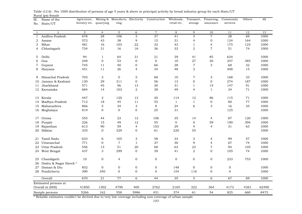| Sl.          | Name of the            | Agricuture,             |                  |                 |                  | Mining & Manufactu Electricity Construction | Wholesale,       |                  | Transport, Financing, | Community      | Others | All          |
|--------------|------------------------|-------------------------|------------------|-----------------|------------------|---------------------------------------------|------------------|------------------|-----------------------|----------------|--------|--------------|
| No.          | State/UT               | forestry etc. quarrying |                  | ring            |                  |                                             | retail etc.      | storage          | insurance             | services       |        |              |
|              |                        |                         |                  |                 |                  |                                             |                  |                  |                       |                |        |              |
| $\mathbf{1}$ | $\overline{2}$         | 3                       | $\overline{4}$   | $5\phantom{.0}$ | 6                | $\overline{7}$                              | 8                | 9                | 10                    | 11             | 12     | 13           |
| 1            | Andhra Pradesh         | 678                     | 28               | 106             | 3                | 37                                          | 41               | 3                | $\overline{7}$        | 28             | 69     | 1000         |
| 2            | Assam                  | 572                     | 43               | 38              | 9                | 15                                          | 31               | $\overline{4}$   | $\boldsymbol{0}$      | 124            | 164    | 1000         |
| 3            | Bihar                  | 481                     | 16               | 103             | 22               | 32                                          | 43               | 1                | $\overline{4}$        | 175            | 123    | 1000         |
| 4            | Chhatisgarh            | 734                     | 31               | 16              | 16               | 36                                          | 33               | $\overline{2}$   | $\overline{7}$        | 51             | 74     | 1000         |
| 5            | Delhi                  | 94                      | $\mathbf{1}$     | 64              | 31               | 21                                          | 39               | 41               | 85                    | 624            |        | 1000         |
| 6            | Goa                    | 248                     | $\mathbf 0$      | 53              | $\boldsymbol{0}$ | $\mathbf 0$                                 | 10               | 27               | 30                    | 247            | 385    | 1000         |
| 7            | Gujarat                | 745                     | 11               | 40              | $\mathbf 0$      | 66                                          | 28               | $\overline{7}$   | 3                     | 68             | 32     | 1000         |
|              |                        | 451                     | 11               | 26              | $\overline{4}$   | 34                                          | 48               | 3                |                       | 408            | 15     | 1000         |
| 8            | Haryana                |                         |                  |                 |                  |                                             |                  |                  |                       |                |        |              |
| 9            | Himachal Pradesh       | 703                     | 3                | $\mathbf 0$     | $\mathbf 5$      | 68                                          | 10               | $\overline{7}$   | 3                     | 168            | 33     | 1000         |
| 10           | Jammu & Kashmir        | 130                     | 29               | 311             | $\mathbf 0$      | 56                                          | 13               | $\mathbf 0$      | $\mathbf 0$           | 274            | 187    | 1000         |
| 11           | Jharkhand              | 571                     | 45               | 56              | 13               | 30                                          | 31               | $\mathbf{1}$     | 15                    | 147            | 91     | 1000         |
|              | 12 Karnataka           | 684                     | 14               | 103             | $\overline{2}$   | 38                                          | 49               | 4                | $\mathbf{1}$          | 34             | 71     | 1000         |
|              |                        |                         |                  |                 |                  |                                             |                  |                  |                       |                |        |              |
| 13           | Kerala                 | 447                     | 2                | 120             | 13               | 20                                          | 114              | 12               | 86                    | 115            | 71     | 1000         |
| 14           | Madhya Pradesh         | 712                     | 18               | 45              | $1\,1$           | 55                                          | $\mathbf{1}$     | $\mathbf{1}$     | $\boldsymbol{0}$      | 80             | 77     | 1000         |
|              | 15 Maharashtra         | 866                     | 5                | 34              | 3                | 8                                           | 24               | 6                | 3                     | 16             | 35     | 1000         |
|              | 16 Meghalaya           | 819                     | $\Omega$         | $\overline{0}$  | $\boldsymbol{0}$ | 25                                          | 31               |                  |                       | 125            |        | 1000         |
| 17           | Orissa                 | 555                     | 44               | 23              | 12               | 106                                         | 35               | 14               | $\overline{4}$        | 87             | 120    | 1000         |
| 18           | Punjab                 | 226                     | 15               | 49              | 12               | 55                                          | $\mathbf 0$      | $\mathbf 0$      | 59                    | 190            | 394    | 1000         |
| 19           | Rajasthan              | 613                     | 90               | 59              | 4                | 103                                         | 29               | $\overline{4}$   | $\overline{4}$        | 31             | 63     | 1000         |
| 20           | Sikkim                 | 335                     | $\overline{0}$   | 329             | $\boldsymbol{0}$ | 61                                          | 220              | 55               |                       |                |        | 1000         |
|              |                        |                         |                  |                 |                  |                                             |                  |                  |                       |                |        |              |
| 21           | Tamil Nadu             | 633                     | 6                | 105             | 3                | 58                                          | 33               | $\boldsymbol{2}$ | 4                     | 99             | 57     | 1000<br>1000 |
| 22           | Uttaranchal            | 771                     | 0                | $\tau$          | $\mathbf{1}$     | 37<br>68                                    | 30               | 9                | $\overline{4}$        | 67             | 74     |              |
| 23           | Uttar Pradesh          | 556                     | 13               | 51              | 20               |                                             | 63               | 23               | $\overline{7}$        | 94             | 105    | 1000         |
| 24           | West Bengal            | 437                     | 3                | 299             | $\mathbf{O}$     | 39                                          | 41               | 2                | $\mathbf{O}$          | 105            | 74     | 1000         |
| 25           | Chandigarh             | 10                      | $\boldsymbol{0}$ | $\overline{4}$  | 0                | $\boldsymbol{0}$                            | $\boldsymbol{0}$ | $\mathbf 0$      | $\boldsymbol{0}$      | 233            | 753    | 1000         |
| 26           | Dadra & Nagar Haveli * |                         |                  |                 |                  |                                             |                  |                  |                       |                |        |              |
| 27           | Daman & Diu            | 852                     | $\overline{0}$   | $\mathbf 0$     | $\boldsymbol{0}$ | $\mathbf 0$                                 | 148              | $\overline{0}$   | $\boldsymbol{0}$      | $\mathbf 0$    |        | 1000         |
|              | 28 Pondicherry         | 390                     | 340              | $\overline{0}$  | 0                | $\mathbf{0}$                                | 154              | 116              | $\mathbf 0$           | $\overline{0}$ |        | 1000         |
|              | Overall                | 670                     | 21               | 77              | $\overline{6}$   | 44                                          | $\overline{35}$  | $\overline{5}$   | 6                     | 67             | 69     | 1000         |
|              | Estimated persons at   |                         |                  |                 |                  |                                             |                  |                  |                       |                |        |              |
|              | Overall in (000)       | 41850                   | 1302             | 4790            | 400              | 2762                                        | 2165             | 322              | 364                   | 4173           | 4361   | 62490        |
|              | Sample persons         | 5266                    | 162              | 558             | 5986             | 451                                         | 374              | 61               | 54                    | 825            | 660    | 8475         |

Rural (ps) female Table (12.6) : Per 1000 distribution of persons of age 5 years & above in principal activity by broad industry group for each State/UT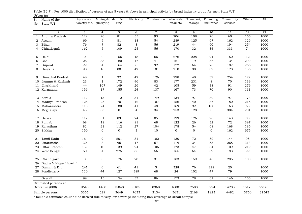| Sl.          | Name of the               | Agricuture,             |                  | Mining & Manufactu Electricity |                           | Construction   | Wholesale,  |          | Transport, Financing, | Community       | Others | All   |
|--------------|---------------------------|-------------------------|------------------|--------------------------------|---------------------------|----------------|-------------|----------|-----------------------|-----------------|--------|-------|
| No.          | State/UT                  | forestry etc. quarrying |                  | ring                           |                           |                | retail etc. | storage  | insurance             | services        |        |       |
|              |                           |                         |                  |                                |                           |                |             |          |                       |                 |        |       |
| $\mathbf{1}$ | $\overline{a}$            | 3                       | $\overline{4}$   | 5                              | 6                         | $\overline{7}$ | 8           | 9        | 10                    | 11              | 12     | 13    |
| $\mathbf{1}$ | Andhra Pradesh            | 129                     | $\overline{26}$  | 81                             | 55                        | 93             | 206         | 108      | 76                    | 60              | 166    | 1000  |
| 2            | Assam                     | 69                      | 9                | 81                             | 18                        | 54             | 289         | 125      | 67                    | 162             | 126    | 1000  |
| 3            | Bihar                     | 76                      | $\overline{7}$   | 82                             | $\,8\,$                   | 56             | 219         | 44       | 60                    | 194             | 254    | 1000  |
| 4            | Chhatisgarh               | 162                     | 5                | 109                            | 25                        | 56             | 170         | 32       | 34                    | 333             | 74     | 1000  |
|              |                           |                         |                  |                                |                           |                |             |          |                       |                 |        |       |
| 5            | Delhi                     | $\overline{O}$          | $\mathbf{0}$     | 156                            | 18                        | 66             | 276         | 228      | 94                    | 150             | 12     | 1000  |
| 6            | Goa                       | 25                      | 38               | 180                            | 47                        | 41             | 161         | 19       | 56                    | 134             | 299    | 1000  |
| 7            | Gujarat                   | 22                      | $\overline{4}$   | 164                            | $\,$ 6 $\,$               | 92             | 172         | 64       | 23                    | 187             | 266    | 1000  |
| 8            | Haryana                   | 90                      | 16               | 80                             | 42                        | 101            | 210         | 90       | 87                    | 128             | 156    | 1000  |
| 9            | Himachal Pradesh          | 48                      | 1                | 32                             | 42                        | 126            | 298         | 40       | 37                    | 254             | 122    | 1000  |
| 10           | Jammu & Kashmir           | 23                      | $\mathbf{1}$     | 172                            | 96                        | 83             | 177         | 231      | 8                     | 70              | 139    | 1000  |
| 11           | Jharkhand                 | 44                      | 167              | 149                            | 26                        | 42             | 105         | 59       | 38                    | 91              | 279    | 1000  |
|              | 12 Karnataka              | 156                     | 17               | 155                            | 24                        | 137            | 167         | 73       | 70                    | 90              | 111    | 1000  |
|              |                           |                         |                  |                                |                           |                |             |          |                       |                 |        |       |
|              | 13 Kerala                 | 112                     | 13               | 112                            | 31                        | 149            | 134         | 97       | 82                    | 97              | 173    | 1000  |
| 14           | Madhya Pradesh            | 128                     | 25               | 70                             | 42                        | 107            | 156         | 40       | 37                    | 180             | 215    | 1000  |
|              | 15 Maharashtra            | 115                     | 24               | 180                            | 41                        | 48             | 169         | 92       | 100                   | 163             | 68     | 1000  |
|              | 16 Meghalaya              | 43                      | 33               | $\overline{0}$                 | $\overline{4}$            | 34             | 253         | 128      | $\mathbf{0}$          | 304             | 201    | 1000  |
|              |                           |                         |                  |                                |                           |                |             |          |                       |                 |        |       |
| 17           | Orissa                    | 117                     | 31               | 89                             | 24                        | 85             | 199         | 126      | 98                    | 143             | 88     | 1000  |
| 18           | Punjab                    | 68                      | 18               | 116                            | 81                        | 68             | 122         | 26       | 32                    | 72              | 397    | 1000  |
| 19           | Rajasthan                 | 82                      | 21               | 112                            | $27\,$                    | 104            | 178         | 54       | 68                    | 168             | 186    | 1000  |
| 20           | Sikkim                    | 150                     | $\mathbf 0$      | $\mathbf 0$                    | $\ensuremath{\mathsf{3}}$ | 10             | $\mathbf 0$ | 0        | $\mathbf 0$           | 162             | 675    | 1000  |
|              |                           | 164                     | 9                |                                |                           |                |             |          | 52                    | 144             | 95     | 1000  |
| 21<br>22     | Tamil Nadu<br>Uttaranchal | 30                      | 3                | 201<br>96                      | 31<br>17                  | 102<br>67      | 130<br>119  | 72<br>34 | 53                    | 268             | 313    | 1000  |
| 23           | Uttar Pradesh             | 139                     | 10               | 139                            | 24                        | 106            | 173         | 47       | 34                    | 109             | 219    | 1000  |
|              |                           | 50                      | 4                | 275                            | 35                        | 56             |             | 64       | 69                    | 183             | 99     | 1000  |
|              | 24 West Bengal            |                         |                  |                                |                           |                | 165         |          |                       |                 |        |       |
| 25           | Chandigarh                | 0                       | $\boldsymbol{0}$ | 176                            | 20                        | 31             | 183         | 159      | 46                    | 285             | 100    | 1000  |
| 26           | Dadra & Nagar Haveli *    |                         |                  |                                |                           |                |             |          |                       |                 |        |       |
| 27           | Daman & Diu               | 241                     | $\mathbf 0$      | 61                             | 41                        | $\mathbf 5$    | 328         | 76       | 228                   | 20              |        | 1000  |
|              | 28 Pondicherry            | 120                     | 44               | 127                            | 389                       | 68             | 24          | 102      | 47                    | 79              |        | 1000  |
|              | Overall                   | 99                      | $\overline{15}$  | 154                            | $\overline{33}$           | 86             | 173         | 78       | 61                    | $\frac{146}{ }$ | 155    | 1000  |
|              | Estimated persons at      |                         |                  |                                |                           |                |             |          |                       |                 |        |       |
|              | Overall in (000)          | 9648                    | 1488             | 15048                          | 3185                      | 8368           | 16881       | 7588     | 5974                  | 14208           | 15175  | 97561 |
|              |                           |                         |                  |                                |                           |                |             |          |                       |                 |        |       |
|              | Sample persons            | 3355                    | 629              | 3649                           | 7633                      | 3134           | 5651        | 2168     | 1823                  | 4482            | 5760   | 31545 |

Urban (ps) Table (12.7) : Per 1000 distribution of persons of age 5 years & above in principal activity by broad industry group for each State/UT  $M<sub>in</sub> = 8$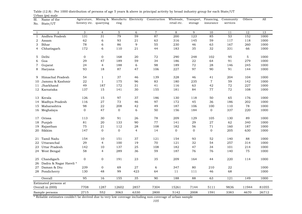| Sl.<br>No.     | Name of the<br>State/UT              | Agricuture,<br>forestry etc. | quarrying      | Mining & Manufactu Electricity<br>ring |                 | Construction    | Wholesale,<br>retail etc. | Transport,<br>storage | Financing,<br>insurance | Community<br>services | Others          | All   |
|----------------|--------------------------------------|------------------------------|----------------|----------------------------------------|-----------------|-----------------|---------------------------|-----------------------|-------------------------|-----------------------|-----------------|-------|
| $\overline{1}$ | $\overline{2}$                       | 3                            | $\overline{4}$ | 5                                      | 6               | $\overline{7}$  | 8                         | 9                     | 10                      | 11                    | $\overline{12}$ | 13    |
| 1              | Andhra Pradesh                       | 131                          | 31             | 79                                     | 59              | 87              | 200                       | 123                   | 85                      | 53                    | 152             | 1000  |
| 2              | Assam                                | 62                           | 6              | 93                                     | 21              | 63              | 316                       | 145                   | 59                      | 117                   | 118             | 1000  |
| 3              | Bihar                                | 78                           | 6              | 86                                     | 9               | 55              | 230                       | 46                    | 63                      | 167                   | 260             | 1000  |
| 4              | Chhatisgarh                          | 172                          | 6              | 110                                    | 21              | 44              | 183                       | 35                    | 32                      | 331                   | 66              | 1000  |
| 5              | Delhi                                | 0                            | $\mathbf{0}$   | 168                                    | 20              | 72              | 290                       | 248                   | 102                     | 95                    | 5               | 1000  |
| 6              | Goa                                  | 29                           | 47             | 189                                    | 59              | 34              | 186                       | 22                    | 64                      | 91                    | 279             | 1000  |
| 7              | Gujarat                              | 24                           | $\overline{4}$ | 188                                    | 6               | 98              | 189                       | 72                    | 28                      | 146                   | 245             | 1000  |
| 8              | Haryana                              | 93                           | 18             | 87                                     | 47              | 106             | 227                       | 97                    | 90                      | 91                    | 144             | 1000  |
| 9              | Himachal Pradesh                     | 54                           | $\mathbf{1}$   | 37                                     | 46              | 139             | 328                       | 46                    | 41                      | 204                   | 104             | 1000  |
| 10             | Jammu & Kashmir                      | 22                           | $\mathbf{1}$   | 175                                    | 96              | 83              | 180                       | 235                   | $\overline{7}$          | 59                    | 142             | 1000  |
| 11             | Jharkhand                            | 49                           | 187            | 172                                    | 31              | 41              | 116                       | 63                    | 42                      | 72                    | 227             | 1000  |
|                | 12 Karnataka                         | 137                          | 15             | 141                                    | 30              | 155             | 181                       | 84                    | 77                      | 72                    | 108             | 1000  |
| 13             | Kerala                               | 126                          | 15             | 97                                     | 37              | 186             | 130                       | 118                   | 50                      | 65                    | 176             | 1000  |
| 14             | Madhya Pradesh                       | 116                          | 27             | 73                                     | 46              | 97              | 172                       | 45                    | 36                      | 186                   | 202             | 1000  |
| 15             | Maharashtra                          | 98                           | 22             | 208                                    | 42              | 49              | 187                       | 106                   | 100                     | 110                   | 78              | 1000  |
|                | 16 Meghalaya                         | $\mathbf{O}$                 | 47             | $\overline{0}$                         | 6               | 50              | 156                       | 184                   | $\Omega$                | 337                   | 220             | 1000  |
| 17             | Orissa                               | 113                          | 30             | 91                                     | 26              | 78              | 209                       | 129                   | 105                     | 130                   | 89              | 1000  |
| 18             | Punjab                               | 81                           | 20             | 133                                    | 90              | 77              | 141                       | 29                    | 27                      | 62                    | 340             | 1000  |
| 19             | Rajasthan                            | 75                           | 21             | 112                                    | 28              | 108             | 182                       | 56                    | 71                      | 160                   | 187             | 1000  |
| 20             | Sikkim                               | 147                          | $\overline{0}$ | $\overline{0}$                         | $\overline{4}$  | 14              | $\overline{O}$            | $\overline{0}$        | $\overline{0}$          | 205                   | 630             | 1000  |
| 21             | Tamil Nadu                           | 154                          | 10             | 151                                    | 37              | 121             | 154                       | 93                    | 52                      | 140                   | 88              | 1000  |
| 22             | Uttaranchal                          | 29                           | $\overline{4}$ | 100                                    | 19              | 70              | 121                       | 32                    | 54                      | 257                   | 314             | 1000  |
| 23             | Uttar Pradesh                        | 142                          | 10             | 137                                    | 25              | 108             | 182                       | 47                    | 34                      | 101                   | 214             | 1000  |
| 24             | West Bengal                          | 58                           | $\overline{4}$ | 289                                    | 36              | 59              | 187                       | 76                    | 76                      | 140                   | 75              | 1000  |
| 25<br>26       | Chandigarh<br>Dadra & Nagar Haveli * | $\boldsymbol{0}$             | $\mathbf 0$    | 191                                    | 23              | 35              | 209                       | 164                   | 44                      | 220                   | 114             | 1000  |
| 27             | Daman & Diu                          | 239                          | $\mathbf 0$    | 69                                     | 27              | 6               | 347                       | 80                    | 210                     | 22                    |                 | 1000  |
|                | 28 Pondicherry                       | 130                          | 48             | 99                                     | 423             | 64              | 11                        | 111                   | 46                      | 68                    |                 | 1000  |
|                | Overall                              | $\overline{95}$              | 16             | 155                                    | $\overline{35}$ | $\overline{90}$ | 188                       | 88                    | 63                      | $\overline{121}$      | 149             | 1000  |
|                | Estimated persons at                 |                              |                |                                        |                 |                 |                           |                       |                         |                       |                 |       |
|                | Overall in (000)                     | 7708                         | 1287           | 12602                                  | 2857            | 7304            | 15261                     | 7144                  | 5111                    | 9836                  | 11944           | 81055 |
|                | Sample persons                       | 2715                         | 552            | 3063                                   | 6330            | 2800            | 5142                      | 2008                  | 1591                    | 3383                  | 4670            | 26712 |

Urban (ps) male Table (12.8) : Per 1000 distribution of persons of age 5 years & above in principal activity by broad industry group for each State/UT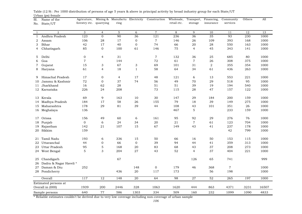| Sl.          | Name of the           | Agricuture,             |                 |                 |                  | Mining & Manufactu Electricity Construction | Wholesale,  |                | Transport, Financing, | Community        | Others | All   |
|--------------|-----------------------|-------------------------|-----------------|-----------------|------------------|---------------------------------------------|-------------|----------------|-----------------------|------------------|--------|-------|
| No.          | State/UT              | forestry etc. quarrying |                 | ring            |                  |                                             | retail etc. | storage        | insurance             | services         |        |       |
|              |                       |                         |                 |                 |                  |                                             |             |                |                       |                  |        |       |
| $\mathbf{1}$ | $\overline{2}$        | 3                       | $\overline{4}$  | $5\phantom{.0}$ | 6                | $\overline{7}$                              | 8           | 9              | 10                    | 11               | 12     | 13    |
| 1            | Andhra Pradesh        | 123                     | $\overline{0}$  | 90              | 36               | 121                                         | 236         | 36             | 35                    | 93               | 230    | 1000  |
| 2            | Assam                 | 106                     | 28              | 17              | $\boldsymbol{0}$ | $\,7$                                       | 146         | 26             | 109                   | 393              | 168    | 1000  |
| 3            | Bihar                 | 42                      | 17              | 40              | $\boldsymbol{0}$ | 74                                          | 66          | 20             | 28                    | 550              | 163    | 1000  |
| 4            | Chhatisgarh           | 85                      | $\overline{0}$  | 100             | 61               | 146                                         | 75          | $\overline{4}$ | 45                    | 343              | 141    | 1000  |
| 5            | Delhi                 | $\boldsymbol{0}$        | $\overline{4}$  | 31              |                  | $\sqrt{7}$                                  | 132         | 36             | 25                    | 685              | 80     | 1000  |
| 6            | Goa                   | $\boldsymbol{7}$        |                 | 144             |                  | 72                                          | 61          | $\,7$          | 26                    | 308              | 375    | 1000  |
| 7            | Gujarat               | 15                      | 3               | 67              | 3                | 69                                          | 101         | 31             | 2                     | 355              | 354    | 1000  |
| 8            | Haryana               | 61                      | $\overline{4}$  | 18              | $\mathbf{1}$     | 58                                          | 64          | 34             | 61                    | 436              | 263    | 1000  |
| 9            | Himachal Pradesh      | 17                      | $\mathbf{0}$    | $\overline{4}$  | 17               | 48                                          | 121         | 6              | 13                    | 553              | 221    | 1000  |
| 10           | Jammu & Kashmir       | 72                      | $\mathbf{0}$    | 37              | 74               | 56                                          | 49          | 70             | 29                    | 518              | 95     | 1000  |
| 11           | Jharkhand             | 16                      | 62              | 28              |                  | 51                                          | 51          | 39             | 19                    | 194              | 540    | 1000  |
|              | 12 Karnataka          | 226                     | 24              | 208             |                  | 73                                          | 115         | 28             | 47                    | 157              | 122    | 1000  |
| 13           | Kerala                | 69                      | 9               | 163             | 10               | 30                                          | 147         | 29             | 184                   | 200              | 159    | 1000  |
| 14           | Madhya Pradesh        | 184                     | 17              | 58              | 26               | 155                                         | 79          | 18             | 39                    | 149              | 275    | 1000  |
|              | 15 Maharashtra        | 178                     | 29              | 81              | 39               | 44                                          | 108         | 43             | 101                   | 351              | 26     | 1000  |
|              | 16 Meghalaya          | 136                     |                 |                 |                  |                                             | 467         | 5              |                       | 233              | 159    | 1000  |
|              |                       |                         |                 |                 |                  |                                             |             | 92             | 29                    | 276              |        |       |
| 17           | Orissa                | 156                     | 49              | 60              | 6                | 161                                         | 95          |                |                       |                  | 76     | 1000  |
| 18           | Punjab                | $\mathbf 0$             | 6               | 24              | 34<br>15         | 20                                          | 21          | $\overline{7}$ | 61                    | 123              | 704    | 1000  |
| 19           | Rajasthan             | 142                     | 21              | 107             |                  | 67                                          | 149         | 43             | 41                    | 237              | 178    | 1000  |
|              | 20 Sikkim             | 159                     |                 |                 |                  |                                             |             |                |                       | 42               | 799    | 1000  |
| 21           | Tamil Nadu            | 193                     | 6               | 336             | 15               | 50                                          | 66          | 16             | 50                    | 153              | 115    | 1000  |
| 22           | Uttaranchal           | 44                      | 0               | 66              | $\boldsymbol{0}$ | 39                                          | 94          | 44             | 41                    | 359              | 313    | 1000  |
| 23           | Uttar Pradesh         | 95                      | $\mathbf 5$     | 168             | 20               | 83                                          | 68          | 43             | 37                    | 208              | 273    | 1000  |
|              | 24 West Bengal        | 5                       | 3               | 204             | 27               | 43                                          | 52          | 4              | 37                    | 404              | 221    | 1000  |
| 25           | Chandigarh            |                         |                 | 67              |                  |                                             |             | 126            | 65                    | 741              |        | 999   |
| 26           | Dadra & Nagar Haveli* |                         |                 |                 |                  |                                             |             |                |                       |                  |        |       |
| 27           | Daman & Diu           | 252                     |                 |                 | 148              | $\mathbf 0$                                 | 179         | 46             | 368                   | $\overline{7}$   |        | 1000  |
|              | 28 Pondicherry        |                         |                 | 436             | 20               | 117                                         | 173         |                | 56                    | 198              |        | 1000  |
|              | Overall               | 117                     | $\overline{12}$ | 148             | $\overline{20}$  | 64                                          | 98          | 27             | 52                    | $\overline{265}$ | 197    | 1000  |
|              | Estimated persons at  |                         |                 |                 |                  |                                             |             |                |                       |                  |        |       |
|              | Overall in (000)      | 1939                    | 200             | 2446            | 328              | 1063                                        | 1620        | 444            | 863                   | 4371             | 3231   | 16507 |
|              | Sample persons        | 640                     | 77              | 586             | 1303             | 334                                         | 509         | 160            | 232                   | 1099             | 1090   | 4833  |

Urban (ps) female Table (12.9) : Per 1000 distribution of persons of age 5 years & above in principal activity by broad industry group for each State/UT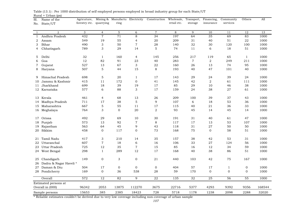| Sl.          | Name of the            | Agricuture,   |                           | Mining & Manufactu Electricity |                           | Construction    | Wholesale,      | Transport,      | Financing,      | Community        | Others       | All    |
|--------------|------------------------|---------------|---------------------------|--------------------------------|---------------------------|-----------------|-----------------|-----------------|-----------------|------------------|--------------|--------|
| No.          | State/UT               | forestry etc. | quarrying                 | ring                           |                           |                 | retail etc.     | storage         | insurance       | services         |              |        |
|              |                        |               |                           |                                |                           |                 |                 |                 |                 |                  |              |        |
| 1            | 2                      | 3             | $\overline{4}$            | 5                              | 6                         | $\overline{7}$  | 8               | 9               | 10              | 11               | 12           | 13     |
| $\mathbf{1}$ | Andhra Pradesh         | 432           | $\overline{7}$            | 71                             | 8                         | 34              | 197             | 64              | 35              | 69               | 83           | 1000   |
| 2            | Assam                  | 549           | 19                        | 55                             | $\overline{4}$            | 20              | 209             | 31              | 40              | 51               | 22           | 1000   |
| 3            | Bihar                  | 490           | $\ensuremath{\mathsf{3}}$ | 50                             | $\boldsymbol{7}$          | 28              | 140             | 32              | 30              | 120              | 100          | 1000   |
| 4            | Chhatisgarh            | 789           | 3                         | 29                             | 14                        | 5               | 74              | 11              | 6               | 18               | 51           | 1000   |
| 5            | Delhi                  | 32            | 1                         | 160                            | $\overline{4}$            | 145             | 256             | 217             | 119             | 65               | $\mathbf{1}$ | 1000   |
| 6            | Goa                    | 12            | 82                        | 91                             | 23                        | 40              | 283             | $\overline{7}$  | $\overline{2}$  | 249              | 211          | 1000   |
| 7            | Gujarat                | 527           | 13                        | 67                             | $\ensuremath{\mathsf{3}}$ | 22              | 160             | 26              | 13              | 74               | 95           | 1000   |
| 8            | Haryana                | 507           | $\mathbf 5$               | 44                             | 15                        | 8               | 193             | 40              | 47              | 101              | 40           | 1000   |
| 9            | Himachal Pradesh       | 698           | $\mathbf 5$               | 20                             | $\mathbf{1}$              | 17              | 143             | 29              | 24              | 39               | 24           | 1000   |
| 10           | Jammu & Kashmir        | 415           | 11                        | 172                            | $\mathbf{0}$              | 41              | 145             | 42              | 2               | 61               | 111          | 1000   |
| 11           | Jharkhand              | 699           | 18                        | 39                             | 19                        | 17              | 85              | 29              | 10              | 46               | 38           | 1000   |
|              | 12 Karnataka           | 577           | 6                         | 88                             | $\ensuremath{\mathsf{3}}$ | 17              | 159             | 24              | 38              | 27               | 61           | 1000   |
|              | 13 Kerala              | 461           | 4                         | 68                             | 13                        | 26              | 209             | 100             | 39              | 37               | 43           | 1000   |
| 14           | Madhya Pradesh         | 711           | 17                        | 38                             | 5                         | 9               | 107             | 6               | 18              | 53               | 36           | 1000   |
| 15           | Maharashtra            | 667           | $\mathbf 5$               | 55                             | 11                        | 17              | 115             | 40              | 21              | 36               | 33           | 1000   |
|              | 16 Meghalaya           | 764           | 3                         | $\mathbf 0$                    | 20                        | 2               | 93              | 45              | 14              | 45               | 14           | 1000   |
| 17           | Orissa                 | 492           | 29                        | 69                             | 10                        | 30              | 191             | 31              | 40              | 61               | 47           | 1000   |
| 18           | Punjab                 | 573           | 13                        | 92                             | $\boldsymbol{7}$          | 8               | 117             | 17              | 13              | 53               | 107          | 1000   |
| 19           | Rajasthan              | 563           | 64                        | 45                             | 9                         | 43              | 118             | $3\sqrt{1}$     | 27              | 50               | 50           | 1000   |
| 20           | Sikkim                 | 458           | $\boldsymbol{0}$          | 117                            | 0                         | 73              | 168             | 75              | $\mathbf 0$     | 58               | 51           | 1000   |
| 21           | Tamil Nadu             | 417           | 3                         | 210                            | 14                        | 35              | 157             | 38              | 42              | 53               | 31           | 1000   |
| 22           | Uttaranchal            | 607           | $\overline{7}$            | 18                             | 6                         | 16              | 106             | 33              | $\sqrt{27}$     | 124              | 56           | 1000   |
| 23           | Uttar Pradesh          | 725           | 12                        | 35                             | $\overline{7}$            | 15              | 85              | 16              | 12              | 34               | 59           | 1000   |
| 24           | West Bengal            | 298           | $\mathbf{1}$              | 289                            | 12                        | 17              | 168             | 40              | 38              | 86               | 51           | 1000   |
| 25           | Chandigarh             | 149           | $\boldsymbol{0}$          | 3                              | $\mathbf 0$               | 21              | 440             | 103             | 42              | 75               | 167          | 1000   |
| 26           | Dadra & Nagar Haveli * |               |                           |                                |                           |                 |                 |                 |                 |                  |              |        |
| 27           | Daman & Diu            | 504           | 17                        | 0                              | $\mathbf 0$               | $\mathbf{0}$    | 404             | 57              | 17              | $\mathbf{1}$     | $\mathbf 0$  | 1000   |
|              | 28 Pondicherry         | 169           | $\mathbf 0$               | 36                             | 538                       | 28              | 59              | 170             | $\mathbf 0$     | $\boldsymbol{0}$ | $\mathbf{0}$ | 1000   |
|              | Overall                | 572           | 12                        | 82                             | 9                         | $\overline{22}$ | $\frac{135}{2}$ | $\overline{32}$ | $\overline{25}$ | 56               | 55           | 1000   |
|              | Estimated persons at   |               |                           |                                |                           |                 |                 |                 |                 |                  |              |        |
|              | Overall in (000)       | 96342         | 2053                      | 13875                          | 112270                    | 3675            | 22716           | 5377            | 4293            | 9392             | 9356         | 168544 |
|              | Sample persons         | 15653         | 385                       | 2385                           | 18423                     | 728             | 5718            | 1178            | 1238            | 2098             | 2288         | 32020  |

 $Rural + Urban (ps)$ Table (13.1) : Per 1000 distribution of self employed persons employed in broad industry group for each State/UT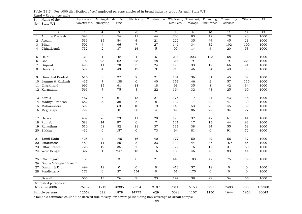1 2 3 4 5 6 7 8 9 10 11 12 1313 1 Andhra Pradesh 392 6 54 11 44 200 83 42 78 90 10002 Assam 539 15 54 4 21 222 35 44 45 21 10003 Bihar 502 4 46 7 27 146 34 32 102 100 10004 Chhatisgarh 752 2 37 14 5 99 14 4 20 53 1000 5 Delhi 31 1 164 4 151 234 223 123 68 1 10006 Goa 15 98 62 28 48 318 9 2 191 229 10007 Gujarat 495 11 70 3 24 190 33 17 66 91 1000 8 Haryana 529 4 49 17 9 210 46 54 49 33 1000 9 Himachal Pradesh 616 6 27 2 21 184 36 31 45 32 100010 Jammu & Kashmir 437 7 138 0 40 157 46 2 57 116 10001000 11 Jharkhand Jharkhand 696 15 41 18 18 93 35 8 42 34 100012 Karnataka 569 7 75 3 22 164 32 43 25 60 10001000 13 Kerala 467 5 61 15 27 176 114 44 43 48 100014 Madhya Pradesh 682 20 38 5 8 132 7 22 47 39 1000 15 Maharashtra 599 6 63 10 19 143 53 23 45 39 100016 Meghalaya 729 6 0 38 4 49 86 27 34 27 1000 17 Orissa 489 28 73 11 28 195 32 42 61 41 100018 Punjab 588 14 97 6 7 121 17 13 44 93 1000 19 Rajasthan 510 68 52 11 37 137 38 34 55 58 1000 20 Sikkim 432 0 157 0 73 94 81 0 91 72 10001000 21 Tamil Nadu 425 4 146 16 40 177 50 49 56 37 10001000 22 Uttaranchal 489 11 26 8 23 139 44 36 159 65 10001000 23 Uttar Pradesh  $726$   $12$   $35$   $7$   $15$   $86$   $16$   $12$   $31$   $60$ 1000 24 West Bengal 327 1 247 13 16 180 46 43 83 44 1000 25 Chandigarh 150 0 3 0 21 443 103 42 75 163 1000 26 Dadra & Nagar Haveli \* 27 Daman & Diu  $494$   $18$  0 0 0 0 413 57 18 0 0 0 1000 28 Pondicherry 173 0 37 554 0 61 175 0 0 0 1000 Overall 555 13 76 9 23 147 38 29 54 56 100076252 1717 10385 88354 3107 20143 5153 3971 7400 7883 137280137280 12569 328 1878 14775 629 5098 1107 1130 1644 1960 2664326643 Estimated persons at Overall in (000) Sample persons Financing, insuranceCommunity services Others  $All$ Sl.No. State/UT Name of the Agricuture, forestry etc. quarrying Mining & Manufactu Electricity Construction Wholesale, ring retail etc. Wholesale, Transport, storage

Rural + Urban (ps) male Table (13.2) : Per 1000 distribution of self employed persons employed in broad industry group for each State/UT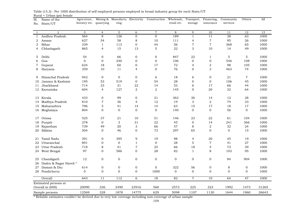1 2 3 4 5 6 7 8 9 10 11 12 1313 1 Andhra Pradesh 564 8 126 0 0 189 1 11 38 63 10002 Assam 627 54 58 8 10 111 4 7 95 26 10003 Bihar 339 1 113 0 44 56 7 7 368 65 10004 Chhatisgarh 865 4 15 13 5 22 3 10 14 49 1000 5 Delhi 54 0 66 0 0 847 22 1 5 5 10006 Goa 0 0 240 0 0 106 0 0 546 108 10007 Gujarat 624 18 60 0 17 72 4 2 98 105 1000 8 Haryana 359 10 11 4 0 76 0 3 463 74 1000 9 Himachal Pradesh 942 0 0 0 6 18 6 0 21 7 100010 Jammu & Kashmir 195 53 519 0 54 28 0 0 106 45 10001000 11 Jharkhand Jharkhand 714 33 31 22 14 53 6 17 66 44 100012 Karnataka 604 4 127 2 2 145 0 20 32 64 10001000 13 Kerala 433 0 99 0 21 363 30 14 12 28 100014 Madhya Pradesh 810 7 36 4 12 19 3 2 74 33 1000 15 Maharashtra 796 5 41 14 14 63 15 17 18 17 100016 Meghalaya 804 0 0 0 0 140 0 0 56 0 1000 17 Orissa 525 37 21 10 51 146 23 22 61 104 100018 Punjab 278 0 3 31 22 45 0 14 241 366 1000 19 Rajasthan 739 49 20 3 66 57 8 2 32 24 1000 20 Sikkim 504 0 46 0 73 297 65 0 0 15 10001000 21 Tamil Nadu 391 0 395 9 19 98 4 20 45 19 1000 22 Uttaranchal 891 0 0 1 0 28 5 7 41 27 100023 Uttar Pradesh 218 8 41 7 25 66 18 5 73 39 1000 24 West Bengal 97 0 586 0 28 82 1 8 103 95 1000 25 Chandigarh 12 0 0 0 0 0 0 0 84 904 1000 26 Dadra & Nagar Haveli \* 27 Daman & Diu 614 0 0 0 0 322 56 0 8 0 1000 28 Pondicherry a mate of 0 0 0 0 1000 0 0 0 0 0 0 1000 Overall 643 11 112 6 18 82 7 10 64 47 100020090 336 3490 23916 568 2573 225 323 1992 1473 3126531265 12569 328 1878 14775 629 5098 1107 1130 1644 1960 2664326643 Estimated persons at Overall in (000) Sample persons Financing, insuranceCommunity servicesOthers  $All$ Sl. No. State/UT Name of the Agricuture, forestry etc. quarrying Mining & Manufactu ring Construction Wholesale, retail etc.Transport, storage

|                           | Table (13.3) : Per 1000 distribution of self employed persons employed in broad industry group for each State/UT |  |  |  |  |  |
|---------------------------|------------------------------------------------------------------------------------------------------------------|--|--|--|--|--|
| Rural + Urban (ps) female |                                                                                                                  |  |  |  |  |  |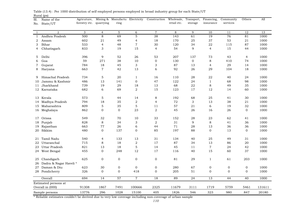| Sl.          | Name of the            | Agricuture,   |                 | Mining & Manufactu Electricity |                  | Construction              | Wholesale,  | Transport,      | Financing,      | Community    | Others         | All    |
|--------------|------------------------|---------------|-----------------|--------------------------------|------------------|---------------------------|-------------|-----------------|-----------------|--------------|----------------|--------|
| No.          | State/UT               | forestry etc. | quarrying       | ring                           |                  |                           | retail etc. | storage         | insurance       | services     |                |        |
|              |                        |               |                 |                                |                  |                           |             |                 |                 |              |                |        |
| 1            | 2                      | 3             | $\overline{4}$  | 5                              | 6                | $\overline{7}$            | 8           | 9               | 10              | 11           | 12             | 13     |
| $\mathbf{1}$ | Andhra Pradesh         | 500           | 8               | 69                             | 5                | 38                        | 143         | 61              | 19              | 76           | 81             | 1000   |
| 2            | Assam                  | 602           | 21              | 49                             | 4                | 18                        | 170         | 25              | 37              | 53           | 21             | 1000   |
| 3            | Bihar                  | 533           | $\overline{4}$  | 48                             | $\overline{7}$   | 30                        | 120         | 34              | 22              | 115          | 87             | 1000   |
| 4            | Chhatisgarh            | 833           | 3               | 19                             | 15               | $\overline{4}$            | 54          | 9               | $\overline{4}$  | 15           | 44             | 1000   |
| 5            | Delhi                  | 396           | 9               | 52                             | 26               | 53                        | 207         | 137             | 73              | 43           | $\overline{4}$ | 1000   |
| 6            | Goa                    | 59            | 271             | 38                             | 10               | $\boldsymbol{0}$          | 130         | $\mathbf{0}$    | $\,8\,$         | 410          | 74             | 1000   |
| 7            | Gujarat                | 784           | 18              | 45                             | 3                | $\ensuremath{\mathsf{3}}$ | 87          | 13              | $\overline{4}$  | 29           | 14             | 1000   |
| 8            | Haryana                | 663           | $\overline{7}$  | 42                             | 13               | 6                         | 92          | 26              | 29              | 104          | 18             | 1000   |
| 9            | Himachal Pradesh       | 734           | 5               | 20                             | $\mathbf{1}$     | 16                        | 110         | 28              | 22              | 40           | 24             | 1000   |
| 10           | Jammu & Kashmir        | 486           | 13              | 141                            | $\mathbf 0$      | 47                        | 122         | 24              | $\mathbf{1}$    | 68           | 98             | 1000   |
| 11           | Jharkhand              | 739           | 19              | 29                             | 18               | 13                        | 68          | 22              | 8               | 49           | 35             | 1000   |
|              | 12 Karnataka           | 682           | 6               | 69                             | $\overline{a}$   | 15                        | 123         | 17              | 12              | 14           | 60             | 1000   |
| 13           | Kerala                 | 573           | 5               | 44                             | 14               | 8                         | 192         | 68              | 25              | 41           | 30             | 1000   |
| 14           | Madhya Pradesh         | 794           | 18              | 35                             | $\boldsymbol{2}$ | $\overline{4}$            | 72          | 3               | 13              | 38           | 21             | 1000   |
| 15           | Maharashtra            | 809           | 5               | 35                             | 5                | 11                        | 57          | 21              | 6               | 19           | 32             | 1000   |
|              | 16 Meghalaya           | 862           | $\Omega$        | $\overline{0}$                 | 23               | $\overline{2}$            | 45          | 26              | 16              | 26           | $\overline{0}$ | 1000   |
|              |                        |               |                 |                                |                  |                           |             |                 |                 |              |                |        |
| 17           | Orissa                 | 549           | 32              | 70                             | 10               | 33                        | 152         | 28              | 23              | 62           | 41             | 1000   |
| 18           | Punjab                 | 828           | $\,8\,$         | 34                             | 3                | $\overline{2}$            | 31          | 9               | 8               | 41           | 36             | 1000   |
| 19           | Rajasthan              | 663           | $77\,$          | 26                             | 6                | 44                        | 71          | 28              | 13              | 36           | 36             | 1000   |
| 20           | Sikkim                 | 480           | $\mathbf{0}$    | 137                            | $\mathbf 0$      | 85                        | 197         | 88              | $\overline{0}$  | 13           | $\mathbf{0}$   | 1000   |
| 21           | Tamil Nadu             | 540           | $\overline{4}$  | 133                            | 13               | 31                        | 134         | 40              | 25              | 49           | 31             | 1000   |
| 22           | Uttaranchal            | 715           | 8               | 18                             | 2                | 17                        | 87          | 34              | 13              | 86           | 20             | 1000   |
| 23           | Uttar Pradesh          | 821           | 13              | 18                             | 5                | 14                        | 45          | 11              | $\overline{7}$  | 24           | 42             | 1000   |
|              | 24 West Bengal         | 455           | $\Omega$        | 248                            | 12               | 17                        | 116         | 40              | 15              | 60           | 37             | 1000   |
| 25           | Chandigarh             | 625           | $\mathbf 0$     | 0                              | $\boldsymbol{0}$ | $\boldsymbol{0}$          | 81          | 29              | $\mathbf{1}$    | 61           | 203            | 1000   |
| 26           | Dadra & Nagar Haveli * |               |                 |                                |                  |                           |             |                 |                 |              |                |        |
| 27           | Daman & Diu            | 623           | 30              | $\mathbf{0}$                   | $\mathbf{O}$     | $\mathbf 0$               | 280         | 67              | $\mathbf{0}$    | $\mathbf 0$  | $\mathbf 0$    | 1000   |
|              | 28 Pondicherry         | 326           | $\mathbf{0}$    | $\mathbf{0}$                   | 418              | $\mathbf 0$               | 205         | 51              | $\mathbf{0}$    | $\mathbf{0}$ | $\mathbf{0}$   | 1000   |
|              | Overall                | 694           | $\overline{14}$ | 57                             | $\overline{7}$   | $\overline{18}$           | 89          | $\overline{24}$ | $\overline{13}$ | 44           | 40             | 1000   |
|              | Estimated persons at   |               |                 |                                |                  |                           |             |                 |                 |              |                |        |
|              | Overall in (000)       | 91308         | 1867            | 7491                           | 100666           | 2325                      | 11679       | 3111            | 1719            | 5759         | 5461           | 131611 |
|              | Sample persons         | 13776         | 296             | 1028                           | 15100            | 405                       | 1826        | 546             | 323             | 980          | 847            | 20180  |

Rural (ps) Table (13.4) : Per 1000 distribution of self employed persons employed in broad industry group for each State/UT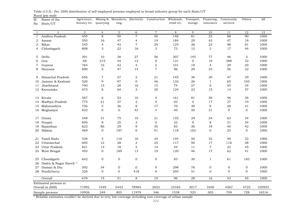| Sl.          | Name of the            | Agricuture,             |                 | Mining & Manufactu Electricity |                  | Construction     | Wholesale,  | Transport,      | Financing,       | Community       | Others         | All    |
|--------------|------------------------|-------------------------|-----------------|--------------------------------|------------------|------------------|-------------|-----------------|------------------|-----------------|----------------|--------|
| No.          | State/UT               | forestry etc. quarrying |                 | ring                           |                  |                  | retail etc. | storage         | insurance        | services        |                |        |
|              |                        |                         |                 |                                |                  |                  |             |                 |                  |                 |                |        |
| 1            | 2                      | 3                       | $\overline{4}$  | 5                              | 6                | $\overline{7}$   | 8           | 9               | 10               | 11              | 12             | 13     |
| $\mathbf{1}$ | Andhra Pradesh         | 455                     | 8               | 50                             | $\overline{7}$   | 50               | 148         | 81              | 23               | 88              | 90             | 1000   |
| 2            | Assam                  | 593                     | 16              | 47                             | 4                | 19               | 184         | 29              | 43               | 47              | 18             | 1000   |
| 3            | Bihar                  | 545                     | $\overline{4}$  | 42                             | 7                | 29               | 125         | 36              | 23               | 98              | 91             | 1000   |
| 4            | Chhatisgarh            | 808                     | 3               | 22                             | 16               | 3                | 73          | 12              | 2                | 17              | 44             | 1000   |
| 5            | Delhi                  | 391                     | 10              | 38                             | 27               | 56               | 207         | 145             | 77               | 46              | 3              | 1000   |
| 6            | Goa                    | 68                      | 315             | 44                             | 12               | $\mathbf{0}$     | 131         | $\mathbf{0}$    | 10               | 388             | 32             | 1000   |
| 7            | Gujarat                | 764                     | 16              | 42                             | $\overline{4}$   | $\boldsymbol{2}$ | 101         | 18              | $\overline{4}$   | 29              | 20             | 1000   |
| 8            | Haryana                | 690                     | 6               | 47                             | 14               | $\overline{7}$   | 96          | 29              | 33               | 56              | 22             | 1000   |
| 9            | Himachal Pradesh       | 656                     | $\overline{7}$  | 27                             | 2                | 21               | 145         | 36              | 30               | 47              | 29             | 1000   |
| 10           | Jammu & Kashmir        | 520                     | 9               | 97                             | $\mathbf{0}$     | 46               | 133         | 26              | $\mathbf{1}$     | 65              | 103            | 1000   |
| 11           | Jharkhand              | 740                     | 15              | 28                             | 16               | 15               | 74          | 27              | 6                | 45              | 34             | 1000   |
|              | 12 Karnataka           | 673                     | 8               | 64                             | 3                | 20               | 124         | 22              | 15               | 14              | 57             | 1000   |
| 13           | Kerala                 | 567                     | 6               | 53                             | 16               | $\overline{4}$   | 161         | 81              | 30               | 46              | 36             | 1000   |
| 14           | Madhya Pradesh         | 775                     | 21              | 37                             | 2                | $\overline{5}$   | 93          | $\overline{4}$  | 17               | 27              | 19             | 1000   |
|              | 15 Maharashtra         | 756                     | 5               | 36                             | 8                | 17               | 70          | 30              | 9                | 28              | 41             | 1000   |
|              | 16 Meghalaya           | 832                     | $\mathbf{0}$    | $\overline{0}$                 | 43               | $\overline{4}$   | 40          | 50              | 31               | $\overline{0}$  | $\overline{0}$ | 1000   |
|              |                        |                         |                 |                                |                  |                  |             |                 |                  |                 |                |        |
| 17           | Orissa                 | 548                     | 31              | 75                             | 10               | 31               | 155         | 29              | 24               | 63              | 34             | 1000   |
| 18           | Punjab                 | 840                     | 8               | 35                             | 3                | $\mathbf 0$      | 32          | 9               | 8                | 31              | 34             | 1000   |
| 19           | Rajasthan              | 622                     | 86              | 29                             | 9                | 35               | 83          | 36              | 18               | 40              | 42             | 1000   |
| 20           | Sikkim                 | 469                     | $\mathbf{0}$    | 197                            | $\mathbf 0$      | 91               | 118         | 102             | $\overline{0}$   | 23              | $\overline{0}$ | 1000   |
| 21           | Tamil Nadu             | 528                     | 5               | 110                            | 16               | 34               | 144         | 50              | 32               | 49              | 32             | 1000   |
| 22           | Uttaranchal            | 605                     | 12              | 28                             | $\overline{2}$   | 25               | 117         | 50              | 17               | 116             | 28             | 1000   |
| 23           | Uttar Pradesh          | 821                     | 13              | 18                             | 5                | 14               | 44          | 11              | $\overline{7}$   | 22              | 45             | 1000   |
|              | 24 West Bengal         | 493                     | $\mathbf{0}$    | 189                            | 13               | 19               | 120         | 46              | 17               | 62              | 41             | 1000   |
| 25           | Chandigarh             | 642                     | $\mathbf 0$     | 0                              | $\boldsymbol{0}$ | $\boldsymbol{0}$ | 83          | 30              | $\mathbf{1}$     | 61              | 183            | 1000   |
| 26           | Dadra & Nagar Haveli * |                         |                 |                                |                  |                  |             |                 |                  |                 |                |        |
| 27           | Daman & Diu            | 592                     | 34              | $\mathbf{0}$                   | $\boldsymbol{0}$ | $\boldsymbol{0}$ | 298         | 76              | $\boldsymbol{0}$ | $\mathbf 0$     | $\mathbf 0$    | 1000   |
|              | 28 Pondicherry         | 326                     | $\Omega$        | $\mathbf{0}$                   | 418              | $\mathbf 0$      | 205         | 51              | $\mathbf{0}$     | $\Omega$        | $\Omega$       | 1000   |
|              | Overall                | 679                     | $\overline{15}$ | $\overline{51}$                | $\,8\,$          | $\overline{19}$  | 96          | $\overline{28}$ | 16               | $\overline{43}$ | 45             | 1000   |
|              | Estimated persons at   |                         |                 |                                |                  |                  |             |                 |                  |                 |                |        |
|              | Overall in (000)       | 71992                   | 1549            | 5443                           | 78984            | 2023             | 10183       | 3017            | 1650             | 4567            | 4725           | 105953 |
|              | Sample persons         | 10926                   | 248             | 805                            | 11979            | 346              | 1538        | 525             | 305              | 759             | 728            | 16316  |

Rural (ps) male Table (13.5) : Per 1000 distribution of self employed persons employed in broad industry group for each State/UT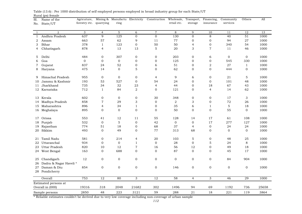| Sl.          | Name of the           | Agricuture,   |                  | Mining & Manufactu Electricity |                  | Construction     | Wholesale,     | Transport,       | Financing,       | Community        | Others          | All   |
|--------------|-----------------------|---------------|------------------|--------------------------------|------------------|------------------|----------------|------------------|------------------|------------------|-----------------|-------|
| No.          | State/UT              | forestry etc. | quarrying        | ring                           |                  |                  | retail etc.    | storage          | insurance        | services         |                 |       |
|              |                       |               |                  |                                |                  |                  |                |                  |                  |                  |                 |       |
| 1            | 2                     | 3             | $\overline{4}$   | 5                              | 6                | $\overline{7}$   | 8              | 9                | 10               | 11               | 12              | 13    |
| $\mathbf{1}$ | Andhra Pradesh        | 637           | 9                | 125                            | $\mathbf{O}$     | $\overline{0}$   | 130            | $\mathbf{O}$     | 8                | 40               | 51              | 1000  |
| 2            | Assam                 | 663           | 57               | 62                             | 9                | 11               | 77             | $\boldsymbol{0}$ | 0                | 94               | 27              | 1000  |
| 3            | Bihar                 | 378           | $\mathbf{1}$     | 123                            | $\boldsymbol{0}$ | 50               | 50             | $\overline{4}$   | 0                | 340              | 54              | 1000  |
| 4            | Chhatisgarh           | 878           | $\overline{4}$   | 13                             | 13               | 5                | 20             | 3                | $\overline{7}$   | 11               | 46              | 1000  |
| 5            | Delhi                 | 484           | $\mathbf{0}$     | 307                            | $\mathbf{O}$     | 0                | 203            | $\boldsymbol{0}$ | 6                | $\mathbf{O}$     | $\mathbf{0}$    | 1000  |
| 6            | Goa                   | $\mathbf{0}$  | $\mathbf{0}$     | $\mathbf 0$                    | $\overline{0}$   | $\mathbf{0}$     | 125            | $\mathbf{0}$     | $\overline{O}$   | 545              | 330             | 1000  |
| 7            | Gujarat               | 837           | 24               | 52                             | $\mathbf 0$      | 6                | 51             | $\mathbf 0$      | $\overline{2}$   | 27               | $\mathbf{1}$    | 1000  |
| 8            | Haryana               | 475           | 14               | $\overline{0}$                 | 5                | $\mathbf{O}$     | 62             | $\mathbf{0}$     | $\overline{O}$   | 444              | $\mathbf{0}$    | 1000  |
| 9            | Himachal Pradesh      | 955           | $\mathbf 0$      | $\mathbf 0$                    | $\mathbf 0$      | 4                | 9              | 6                | 0                | 21               | 5               | 1000  |
| 10           | Jammu & Kashmir       | 193           | 53               | 527                            | $\mathbf{0}$     | 54               | 24             | $\mathbf{0}$     | $\overline{0}$   | 101              | 48              | 1000  |
| 11           | Jharkhand             | 735           | 34               | 32                             | 23               | $\overline{4}$   | 44             | $\mathbf 0$      | 18               | 67               | 43              | 1000  |
|              | 12 Karnataka          | 712           | $\mathbf{1}$     | 84                             | $\sqrt{2}$       | $\Omega$         | 121            | $\mathbf{0}$     | $\overline{4}$   | 14               | 62              | 1000  |
| 13           | Kerala                | 602           | $\boldsymbol{0}$ | 0                              | 0                | 30               | 348            | $\boldsymbol{0}$ | 0                | 17               | 3               | 1000  |
| 14           | Madhya Pradesh        | 858           | $\overline{7}$   | 29                             | 3                | 0                | $\overline{2}$ | 3                | 0                | 72               | 26              | 1000  |
| 15           | Maharashtra           | 896           | $\overline{4}$   | 34                             | $\mathbf{1}$     | $\boldsymbol{0}$ | 35             | 6                | $\mathbf{1}$     | 5                | 18              | 1000  |
|              | 16 Meghalaya          | 895           | $\Omega$         | $\Omega$                       | $\mathbf 0$      | $\Omega$         | 50             | $\mathbf 0$      | 0                | 55               | $\Omega$        | 1000  |
| 17           | Orissa                | 553           | 41               | 12                             | 11               | 55               | 128            | 14               | 17               | 61               | 108             | 1000  |
| 18           | Punjab                | 532           | $\mathbf{0}$     | 5                              | $\mathbf{O}$     | 42               | $\mathbf{O}$   | $\mathbf{O}$     | 17               | 277              | 127             | 1000  |
| 19           | Rajasthan             | 774           | 51               | 18                             | $\mathbf 0$      | 68               | 37             | $\overline{4}$   | $\boldsymbol{0}$ | 24               | 24              | 1000  |
| 20           | Sikkim                | 493           | $\boldsymbol{0}$ | 49                             | $\mathbf 0$      | 77               | 313            | 68               | 0                | $\boldsymbol{0}$ | $\mathbf 0$     | 1000  |
| 21           | Tamil Nadu            | 581           | $\mathbf 0$      | 214                            | $\overline{4}$   | 20               | 103            | 5                | 0                | 48               | 25              | 1000  |
| 22           | Uttaranchal           | 934           | $\mathbf{0}$     | $\overline{0}$                 | $\mathbf{1}$     | $\mathbf 0$      | 28             | $\mathbf{0}$     | 5                | 24               | $\,8\,$         | 1000  |
| 23           | Uttar Pradesh         | 820           | 10               | 12                             | $\boldsymbol{7}$ | 16               | 56             | 12               | 0                | 49               | 18              | 1000  |
| 24           | West Bengal           | 163           | $\mathbf{0}$     | 688                            | $\mathbf 0$      | $\mathbf{0}$     | 87             | $\mathbf{0}$     | $\overline{O}$   | 45               | 17              | 1000  |
| 25           | Chandigarh            | 12            | $\mathbf 0$      | $\mathbf 0$                    | $\mathbf 0$      | $\mathbf 0$      | $\mathbf 0$    | $\mathbf 0$      | $\mathbf{0}$     | 84               | 904             | 1000  |
| 26           | Dadra & Nagar Haveli* |               |                  |                                |                  |                  |                |                  |                  |                  |                 |       |
| 27           | Daman & Diu           | 854           | $\mathbf 0$      | $\mathbf 0$                    | $\mathbf 0$      | $\boldsymbol{0}$ | 146            | $\mathbf 0$      | $\boldsymbol{0}$ | $\mathbf 0$      | $\mathbf 0$     | 1000  |
|              | 28 Pondicherry        |               |                  |                                |                  |                  |                |                  |                  |                  |                 |       |
|              | Overall               | 753           | $\overline{12}$  | 80                             | $\overline{3}$   | $\overline{12}$  | 58             | $\overline{4}$   | $\overline{3}$   | 46               | $\overline{29}$ | 1000  |
|              | Estimated persons at  |               |                  |                                |                  |                  |                |                  |                  |                  |                 |       |
|              | Overall in (000)      | 19316         | 318              | 2048                           | 21682            | 302              | 1496           | 94               | 69               | 1192             | 736             | 25658 |
|              | Sample persons        | 2850          | 48               | 223                            | 3121             | 59               | 288            | 21               | 18               | 221              | 119             | 3864  |

Rural (ps) female Table (13.6) : Per 1000 distribution of self employed persons employed in broad industry group for each State/UT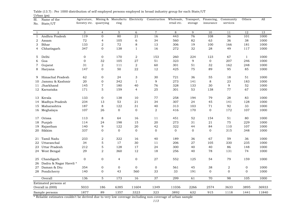| Sl.          | Name of the            | Agricuture,             |                  | Mining & Manufactu Electricity |                  | Construction Wholesale, |                | Transport,   | Financing,     | Community  | Others       | All   |
|--------------|------------------------|-------------------------|------------------|--------------------------------|------------------|-------------------------|----------------|--------------|----------------|------------|--------------|-------|
| No.          | State/UT               | forestry etc. quarrying |                  | ring                           |                  |                         | retail etc.    | storage      | insurance      | services   |              |       |
|              |                        |                         |                  |                                |                  |                         |                |              |                |            |              |       |
| 1            | 2                      | 3                       | $\overline{4}$   | 5                              | 6                | $\,7$                   | 8              | 9            | 10             | 11         | 12           | 13    |
| $\mathbf{1}$ | Andhra Pradesh         | 119                     | $\Omega$         | 80                             | $\overline{21}$  | 16                      | 443            | 76           | 108            | 36         | 101          | 1000  |
| 2            | Assam                  | 72                      | $\overline{4}$   | 105                            | 6                | 34                      | 560            | 82           | 63             | 36         | 38           | 1000  |
| 3            | Bihar                  | 133                     | $\sqrt{2}$       | 72                             | 8                | 13                      | 306            | 19           | 100            | 166        | 181          | 1000  |
| 4            | Chhatisgarh            | 347                     | $\Omega$         | 138                            | $\mathbf{1}$     | 16                      | 272            | 32           | 28             | 49         | 117          | 1000  |
| 5            | Delhi                  | $\mathbf 0$             | $\mathbf 0$      | 170                            | 2                | 153                     | 260            | 224          | 123            | 67         | $\mathbf{1}$ | 1000  |
| 6            | Goa                    | $\mathbf{0}$            | 32               | 105                            | 27               | 51                      | 323            | 9            | $\mathbf 0$    | 207        | 246          | 1000  |
| 7            | Gujarat                | 31                      | $\overline{2}$   | 111                            | $\sqrt{2}$       | 60                      | 301            | 51           | 32             | 162        | 248          | 1000  |
| 8            | Haryana                | 147                     | $\mathbf 0$      | 50                             | 22               | 12                      | 425            | 75           | 89             | 95         | 85           | 1000  |
| 9            | Himachal Pradesh       | 62                      | $\mathbf{0}$     | 24                             | 3                | 30                      | 721            | 36           | 55             | 18         | 51           | 1000  |
| 10           | Jammu & Kashmir        | 20                      | $\mathbf{0}$     | 342                            | $\mathbf{1}$     | 9                       | 273            | 141          | 8              | 23         | 183          | 1000  |
| 11           | Jharkhand              | 145                     | $\sqrt{7}$       | 180                            | 40               | 76                      | 328            | 133          | 30             | 9          | 52           | 1000  |
|              | 12 Karnataka           | 171                     | $\mathbf 5$      | 159                            | 4                | 25                      | 301            | 53           | 138            | 77         | 67           | 1000  |
| 13           | Kerala                 | 133                     | $\mathbf{0}$     | 138                            | 10               | 77                      | 258            | 194          | 79             | 28         | 83           | 1000  |
| 14           | Madhya Pradesh         | 234                     | 13               | 53                             | 21               | 34                      | 307            | 24           | 45             | 141        | 128          | 1000  |
|              | 15 Maharashtra         | 187                     | 8                | 122                            | 31               | 40                      | 313            | 103          | 71             | 92         | 33           | 1000  |
|              | 16 Meghalaya           | 107                     | 26               | $\mathbf 0$                    | $\mathbf 0$      | 2                       | 416            | 170          | $\overline{0}$ | 172        | 107          | 1000  |
| 17           | Orissa                 | 113                     | 8                | 64                             | 16               | 11                      | 451            | 52           | 154            | 51         | 80           | 1000  |
| 18           | Punjab                 | 114                     | 24               | 198                            | 15               | 20                      | 273            | 31           | 21             | 75         | 229          | 1000  |
| 19           | Rajasthan              | 140                     | 9                | 122                            | 20               | 42                      | 322            | 44           | 84             | 110        | 107          | 1000  |
| 20           | Sikkim                 | 337                     | $\mathbf{0}$     | $\mathbf{0}$                   | $\mathbf 0$      | $\mathbf 0$             | $\overline{0}$ | $\mathbf{0}$ | $\overline{0}$ | 315        | 348          | 1000  |
|              |                        |                         |                  |                                |                  |                         |                |              |                |            |              |       |
| 21           | Tamil Nadu             | 233                     | $\boldsymbol{2}$ | 322                            | 16               | 40                      | 189            | 36           | 67             | 59         | 36           | 1000  |
| 22           | Uttaranchal            | 34                      | $\overline{5}$   | 17                             | 30               | 11                      | 206            | 27           | 105            | 330        | 235          | 1000  |
| 23           | Uttar Pradesh          | 212                     | $\mathbf 5$      | 128                            | 17               | 24                      | 300            | 40           | 40             | 86         | 148          | 1000  |
|              | 24 West Bengal         | 29                      | 2                | 360                            | 12               | 18                      | 256            | 40           | 78             | 131        | 74           | 1000  |
| 25           | Chandigarh             | $\boldsymbol{0}$        | $\mathbf 0$      | 4                              | $\boldsymbol{0}$ | 27                      | 552            | 125          | 54             | 79         | 159          | 1000  |
| 26           | Dadra & Nagar Haveli * |                         |                  |                                |                  |                         |                |              |                |            |              |       |
| 27           | Daman & Diu            | 354                     | $\mathbf 0$      | $\mathbf{0}$                   | $\boldsymbol{0}$ | $\boldsymbol{0}$        | 561            | 45           | 38             | $\sqrt{2}$ | $\mathbf 0$  | 1000  |
|              | 28 Pondicherry         | 140                     | $\Omega$         | 43                             | 560              | 33                      | 33             | 191          | $\mathbf 0$    | $\Omega$   | $\Omega$     | 1000  |
|              | Overall                | 136                     | $\overline{5}$   | 173                            | 16               | $\overline{37}$         | 299            | 61           | 70             | 98         | 105          | 1000  |
|              | Estimated persons at   |                         |                  |                                |                  |                         |                |              |                |            |              |       |
|              | Overall in (000)       | 5033                    | 186              | 6385                           | 11604            | 1349                    | 11036          | 2266         | 2574           | 3633       | 3895         | 36933 |
|              | Sample persons         | 1877                    | 89               | 1357                           | 3323             | 323                     | 3892           | 632          | 915            | 1118       | 1441         | 11840 |

Urban (ps) Table (13.7) : Per 1000 distribution of self employed persons employed in broad industry group for each State/UT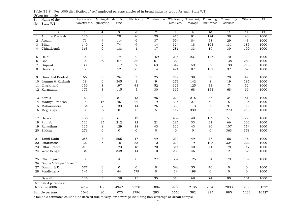| Sl.<br>No.     | Name of the<br>State/UT | Agricuture,<br>forestry etc. quarrying |                | ring            |                  | Mining & Manufactu Electricity Construction Wholesale, Transport, Financing, | retail etc.  | storage | insurance       | Community<br>services | Others       | All   |
|----------------|-------------------------|----------------------------------------|----------------|-----------------|------------------|------------------------------------------------------------------------------|--------------|---------|-----------------|-----------------------|--------------|-------|
|                |                         |                                        |                |                 |                  |                                                                              |              |         |                 |                       |              |       |
| $\mathbf{1}$   | $\overline{2}$          | 3                                      | $\overline{4}$ | $5\overline{)}$ | 6                | $\overline{7}$                                                               | 8            | 9       | 10              | 11                    | 12           | 13    |
| $\mathbf{1}$   | Andhra Pradesh          | 126                                    | $\Omega$       | 70              | 26               | 20                                                                           | 415          | 91      | 124             | 38                    | 90           | 1000  |
| 2              | Assam                   | 71                                     | $\overline{4}$ | 114             | 6                | 37                                                                           | 554          | 84      | 58              | 29                    | 43           | 1000  |
| 3              | Bihar                   | 140                                    | 2              | 74              | 9                | 14                                                                           | 324          | 18      | 103             | 131                   | 185          | 1000  |
| 4              | Chhatisgarh             | 363                                    | $\mathbf{0}$   | 138             | $\mathbf{1}$     | 17                                                                           | 281          | 33      | 19              | 39                    | 109          | 1000  |
| 5              | Delhi                   | $\mathbf 0$                            | $\mathbf{0}$   | 174             | $\sqrt{2}$       | 159                                                                          | 236          | 231     | 127             | 70                    | $\mathbf{1}$ | 1000  |
| 6              | Goa                     | $\mathbf{0}$                           | 39             | 67              | 32               | 61                                                                           | 369          | 11      | $\mathbf 0$     | 138                   | 283          | 1000  |
| $\overline{7}$ | Gujarat                 | 30                                     | 3              | 117             | $\,2$            | 63                                                                           | 342          | 59      | 39              | 130                   | 215          | 1000  |
| 8              | Haryana                 | 153                                    | $\mathbf 0$    | 52              | 25               | 14                                                                           | 474          | 87      | 101             | 32                    | 62           | 1000  |
| 9              | Himachal Pradesh        | 66                                     | $\mathbf 0$    | 26              | 3                | 25                                                                           | 722          | 38      | 58              | 20                    | 42           | 1000  |
| 10             | Jammu & Kashmir         | 18                                     | $\mathbf 0$    | 345             | $\mathbf{1}$     | 9                                                                            | 273          | 142     | 8               | 19                    | 185          | 1000  |
| 11             | Jharkhand               | 156                                    | 8              | 197             | 43               | 52                                                                           | 327          | 125     | 33              | $\overline{7}$        | 52           | 1000  |
|                | 12 Karnataka            | 175                                    | 3              | 115             | 5                | 30                                                                           | 317          | 68      | 153             | 68                    | 66           | 1000  |
| 13             | Kerala                  | 164                                    | $\mathbf{0}$   | 87              | 13               | 96                                                                           | 223          | 215     | 87              | 34                    | 81           | 1000  |
| 14             | Madhya Pradesh          | 199                                    | 16             | 45              | 22               | 19                                                                           | 336          | 27      | 50              | 151                   | 135          | 1000  |
| 15             | Maharashtra             | 184                                    | $\overline{7}$ | 133             | 14               | 26                                                                           | 335          | 113     | 59              | 91                    | 38           | 1000  |
|                | 16 Meghalaya            | $\mathbf 0$                            | 52             | $\overline{0}$  | $\mathbf{0}$     | 5                                                                            | 112          | 339     | $\overline{0}$  | 279                   | 213          | 1000  |
| 17             | Orissa                  | 106                                    | 9              | 61              | 17               | 11                                                                           | 459          | 48      | 159             | 51                    | 79           | 1000  |
| 18             | Punjab                  | 122                                    | 25             | 212             | 12               | 21                                                                           | 286          | 33      | 21              | 66                    | 202          | 1000  |
| 19             | Rajasthan               | 126                                    | $\,8\,$        | 129             | 18               | 43                                                                           | 322          | 43      | 90              | 107                   | 114          | 1000  |
| 20             | Sikkim                  | 279                                    | $\mathbf 0$    | $\mathbf{0}$    | $\boldsymbol{0}$ | $\mathbf 0$                                                                  | $\mathbf{0}$ | 0       | $\mathbf 0$     | 363                   | 358          | 1000  |
| 21             | Tamil Nadu              | 258                                    | $\mathfrak{B}$ | 205             | 17               | 49                                                                           | 230          | 49      | 77              | 66                    | 46           | 1000  |
| 22             | Uttaranchal             | 36                                     | $\mathbf 5$    | 18              | 33               | 12                                                                           | 223          | 19      | 108             | 324                   | 222          | 1000  |
| 23             | <b>Uttar Pradesh</b>    | 213                                    | 6              | 123             | 18               | 20                                                                           | 314          | 40      | 41              | 78                    | 147          | 1000  |
|                | 24 West Bengal          | 34                                     | 3              | 348             | 14               | 10                                                                           | 285          | 46      | 87              | 121                   | 52           | 1000  |
| 25             | Chandigarh              | $\mathbf 0$                            | $\mathbf 0$    | 4               | $\boldsymbol{0}$ | 27                                                                           | 552          | 125     | 54              | 79                    | 159          | 1000  |
| 26             | Dadra & Nagar Haveli *  |                                        |                |                 |                  |                                                                              |              |         |                 |                       |              |       |
| 27             | Daman & Diu             | 377                                    | $\mathbf 0$    | 0               | $\mathbf 0$      | $\boldsymbol{0}$                                                             | 548          | 35      | 40              | $\boldsymbol{0}$      | $\mathbf 0$  | 1000  |
|                | 28 Pondicherry          | 145                                    | $\mathbf{0}$   | 44              | 579              | $\mathbf 0$                                                                  | 34           | 198     | $\mathbf 0$     | $\mathbf{0}$          | $\Omega$     | 1000  |
|                | Overall                 | 136                                    | $\mathbf 5$    | 158             | 15               | 35                                                                           | 318          | 68      | $\overline{74}$ | $\overline{90}$       | 101          | 1000  |
|                | Estimated persons at    |                                        |                |                 |                  |                                                                              |              |         |                 |                       |              |       |
|                | Overall in (000)        | 4259                                   | 168            | 4942            | 9370             | 1084                                                                         | 9960         | 2136    | 2320            | 2833                  | 3158         | 31327 |
|                | Sample persons          | 1643                                   | 80             | 1073            | 2796             | 283                                                                          | 3560         | 582     | 825             | 885                   | 1232         | 10327 |

Urban (ps) male Table (13.8) : Per 1000 distribution of self employed persons employed in broad industry group for each State/UT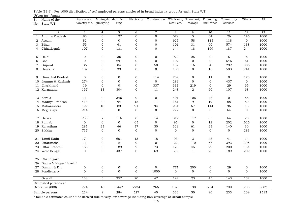| Sl.          | Name of the            | Agricuture,             |                | Mining & Manufactu Electricity |                  | Construction     | Wholesale,     | Transport,     | Financing,       | Community        | Others         | All  |
|--------------|------------------------|-------------------------|----------------|--------------------------------|------------------|------------------|----------------|----------------|------------------|------------------|----------------|------|
| No.          | State/UT               | forestry etc. quarrying |                | ring                           |                  |                  | retail etc.    | storage        | insurance        | services         |                |      |
|              |                        |                         |                |                                |                  |                  |                |                |                  |                  |                |      |
| $\mathbf{1}$ | 2                      | 3                       | $\overline{4}$ | 5                              | 6                | $\tau$           | 8              | 9              | 10               | 11               | 12             | 13   |
| $\mathbf{1}$ | Andhra Pradesh         | 83                      | $\Omega$       | 127                            | $\mathbf{0}$     | $\mathbf{0}$     | 579            | $\overline{5}$ | 34               | 26               | 146            | 1000 |
| 2            | Assam                  | 82                      | $\mathbf 0$    | $\boldsymbol{0}$               | $\mathbf 0$      | $\boldsymbol{0}$ | 627            | 58             | 115              | 118              | $\mathbf{O}$   | 1000 |
| 3            | Bihar                  | 55                      | $\Omega$       | 41                             | 0                | $\mathbf 0$      | 101            | 31             | 60               | 574              | 138            | 1000 |
| 4            | Chhatisgarh            | 107                     | $\mathbf{0}$   | 131                            | 0                | $\mathbf{0}$     | 144            | 18             | 169              | 187              | 244            | 1000 |
| 5            | Delhi                  | $\mathbf{0}$            | $\mathbf{0}$   | 36                             | $\mathbf{0}$     | $\mathbf{0}$     | 929            | 25             | $\overline{0}$   | 5                | 5              | 1000 |
| 6            | Goa                    | $\mathbf{O}$            | $\Omega$       | 291                            | 0                | $\boldsymbol{0}$ | 102            | $\mathbf{0}$   | $\mathbf{O}$     | 546              | 61             | 1000 |
| 7            | Gujarat                | 36                      | $\mathbf 0$    | 84                             | $\boldsymbol{0}$ | 50               | 132            | 16             | $\overline{4}$   | 292              | 386            | 1000 |
| 8            | Haryana                | 107                     | $\mathbf{0}$   | 33                             | 0                | $\mathbf{0}$     | 106            | $\mathbf{0}$   | 10               | 503              | 241            | 1000 |
| 9            | Himachal Pradesh       | $\mathbf{0}$            | $\mathbf{0}$   | 0                              | $\mathbf 0$      | 114              | 702            | $\mathbf{0}$   | 11               | $\overline{0}$   | 173            | 1000 |
| 10           | Jammu & Kashmir        | 274                     | $\mathbf{0}$   | $\mathbf{0}$                   | 0                | $\mathbf 0$      | 289            | $\overline{0}$ | $\mathbf 0$      | 437              | $\mathbf{0}$   | 1000 |
| 11           | Jharkhand              | 19                      | $\mathbf 0$    | $\mathbf{0}$                   | $\boldsymbol{0}$ | 337              | 331            | 219            | $\mathbf 0$      | 29               | 65             | 1000 |
|              | 12 Karnataka           | 157                     | 13             | 304                            | 0                | 11               | 248            | 2              | 90               | 107              | 68             | 1000 |
| 13           | Kerala                 | 11                      | $\mathbf 0$    | 346                            | $\boldsymbol{0}$ | $\boldsymbol{0}$ | 401            | 106            | 48               | $\mathbf{0}$     | 88             | 1000 |
| 14           | Madhya Pradesh         | 414                     | $\mathbf{0}$   | 94                             | 15               | 111              | 161            | 9              | 19               | 88               | 89             | 1000 |
|              | 15 Maharashtra         | 199                     | 10             | 83                             | 91               | 94               | 231            | 67             | 114              | 96               | 15             | 1000 |
|              | 16 Meghalaya           | 214                     | $\Omega$       | $\mathbf{0}$                   | $\mathbf{0}$     | $\mathbf{0}$     | 722            | $\mathbf{0}$   | $\overline{0}$   | 64               | $\overline{0}$ | 1000 |
| 17           | Orissa                 | 238                     | $\overline{2}$ | 116                            | $\boldsymbol{0}$ | 14               | 319            | 112            | 65               | 64               | 70             | 1000 |
| 18           | Punjab                 | $\mathbf 0$             | $\mathbf{0}$   | $\mathbf{0}$                   | 65               | $\mathbf 0$      | 95             | $\mathbf 0$    | 12               | 202              | 626            | 1000 |
| 19           | Rajasthan              | 281                     | 23             | 46                             | 37               | 30               | 329            | 61             | 23               | 140              | 30             | 1000 |
| 20           | Sikkim                 | 717                     | $\mathbf 0$    | $\mathbf{0}$                   | $\boldsymbol{0}$ | $\boldsymbol{0}$ | $\mathbf{0}$   | $\mathbf 0$    | $\boldsymbol{0}$ | $\mathbf 0$      | 283            | 1000 |
| 21           | Tamil Nadu             | 174                     | $\mathbf 0$    | 601                            | 13               | 18               | 93             | 3              | 43               | 41               | 14             | 1000 |
| 22           | Uttaranchal            | 11                      | $\mathbf{0}$   | 2                              | $\mathbf{0}$     | $\mathbf{0}$     | 22             | 110            | 67               | 393              | 395            | 1000 |
| 23           | Uttar Pradesh          | 188                     | $\mathbf 0$    | 189                            | $\sqrt{2}$       | 73               | 120            | 45             | 29               | 200              | 154            | 1000 |
|              | 24 West Bengal         | $\boldsymbol{0}$        | $\mathbf{0}$   | 437                            | $\mathbf 0$      | 69               | 75             | 1              | 20               | 189              | 209            | 1000 |
| 25           | Chandigarh             |                         |                |                                |                  |                  |                |                |                  |                  |                |      |
| 26           | Dadra & Nagar Haveli * |                         |                |                                |                  |                  |                |                |                  |                  |                |      |
| 27           | Daman & Diu            | $\boldsymbol{0}$        | $\mathbf 0$    | $\boldsymbol{0}$               | 0                | $\boldsymbol{0}$ | 771            | 200            | $\boldsymbol{0}$ | 29               | $\mathbf 0$    | 1000 |
|              | 28 Pondicherry         | $\mathbf 0$             | $\mathbf{0}$   | $\mathbf{0}$                   | $\mathbf 0$      | 1000             | $\overline{0}$ | $\mathbf 0$    | $\mathbf{0}$     | $\overline{0}$   | $\mathbf{0}$   | 1000 |
|              | Overall                | 138                     | $\mathfrak{S}$ | 257                            | 20               | 47               | 192            | 23             | 45               | $\overline{143}$ | 132            | 1000 |
|              | Estimated persons at   |                         |                |                                |                  |                  |                |                |                  |                  |                |      |
|              | Overall in (000)       | 774                     | 18             | 1442                           | 2234             | 266              | 1076           | 130            | 254              | 799              | 738            | 5607 |
|              | Sample persons         | 234                     | $\mathbf{Q}$   | 284                            | 527              | 40               | 332            | 50             | 90               | 233              | 209            | 1513 |

Urban (ps) female Table (13.9) : Per 1000 distribution of self employed persons employed in broad industry group for each State/UT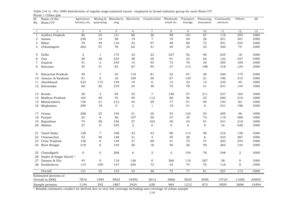| Sl.<br>No.     | Name of the<br>State/UT | Agricuture,<br>forestry etc. | quarrying      | Mining & Manufactu Electricity<br>ring |            | Construction     | Wholesale, Transport,<br>retail etc. | storage     | Financing,<br>insurance | Community<br>services | Others      | All   |
|----------------|-------------------------|------------------------------|----------------|----------------------------------------|------------|------------------|--------------------------------------|-------------|-------------------------|-----------------------|-------------|-------|
| $\mathbf{1}$   | 2                       | 3                            | $\overline{4}$ | 5                                      | 6          | $\overline{7}$   | 8                                    | 9           | 10                      | 11                    | 12          | 13    |
| $\mathbf{1}$   | Andhra Pradesh          | 86                           | 53             | 131                                    | 66         | 26               | 99                                   | 101         | 67                      | 116                   | 255         | 1000  |
| 2              | Assam                   | 236                          | 14             | 58                                     | 19         | $\overline{7}$   | 19                                   | 69          | 26                      | 251                   | 301         | 1000  |
| 3              | Bihar                   | 70                           | 49             | 116                                    | 33         | 97               | 48                                   | 60          | 72                      | 201                   | 254         | 1000  |
| 4              | Chhatisgarh             | 262                          | 57             | 78                                     | 62         | 51               | 40                                   | 32          | 23                      | 320                   | 75          | 1000  |
| 5              | Delhi                   | 2                            | $\mathbf{1}$   | 174                                    | 32         | 23               | 327                                  | 92          | 96                      | 235                   | 18          | 1000  |
| 6              | Goa                     | 28                           | 36             | 224                                    | 38         | 20               | 91                                   | 32          | 62                      | 122                   | 347         | 1000  |
| $\overline{7}$ | Gujarat                 | 41                           | $\overline{2}$ | 245                                    | 14         | 45               | 73                                   | 76          | 30                      | 305                   | 169         | 1000  |
| 8              | Haryana                 | 35                           | 31             | 83                                     | 67         | 94               | 27                                   | 113         | 108                     | 318                   | 124         | 1000  |
| 9              | Himachal Pradesh        | 49                           | $\overline{7}$ | 25                                     | 118        | 81               | 22                                   | 67          | 36                      | 420                   | 175         | 1000  |
| 10             | Jammu & Kashmir         | 91                           | $\overline{0}$ | 16                                     | 109        | 50               | 67                                   | 135         | 21                      | 196                   | 315         | 1000  |
| 11             | Jharkhand               | 222                          | 172            | 149                                    | 19         | 6                | 13                                   | 22          | 13                      | 335                   | 49          | 1000  |
|                | 12 Karnataka            | 60                           | 20             | 279                                    | 24         | 38               | 75                                   | 78          | 41                      | 241                   | 144         | 1000  |
|                | 13 Kerala               | 28                           | 3              | 94                                     | 53         | $\,7$            | 146                                  | 57          | 211                     | 237                   | 164         | 1000  |
|                | 14 Madhya Pradesh       | 164                          | 48             | 76                                     | 49         | 112              | 60                                   | 56          | 25                      | 200                   | 210         | 1000  |
|                | 15 Maharashtra          | 156                          | $21\,$         | 212                                    | 44         | 29               | 77                                   | 91          | 95                      | 193                   | 82          | 1000  |
|                | 16 Meghalaya            | 290                          | 19             | $\overline{O}$                         | 3          | $\mathbf{1}$     | 19                                   | 41          | $\overline{0}$          | 431                   | 196         | 1000  |
|                | 17 Orissa               | 208                          | 25             | 154                                    | 21         | 30               | 53                                   | 124         | 54                      | 285                   | 46          | 1000  |
|                | 18 Punjab               | 25                           | 8              | 56                                     | 157        | 20               | 27                                   | 35          | 73                      | 119                   | 480         | 1000  |
| 19             | Rajasthan               | 74                           | 58             | 156                                    | 27         | 102              | 30                                   | 43          | 51                      | 241                   | 218         | 1000  |
|                | 20 Sikkim               | 27                           | $\mathbf 0$    | 535                                    | $\sqrt{2}$ | $\mathbf 0$      | $\mathbf 0$                          | $\mathbf 0$ | $\mathbf{O}$            | 16                    | 420         | 1000  |
| 21             | Tamil Nadu              | 128                          | $\overline{7}$ | 168                                    | 43         | 43               | 96                                   | 113         | 58                      | 216                   | 128         | 1000  |
|                | 22 Uttaranchal          | 53                           | 46             | 148                                    | 31         | 3                | 55                                   | 28          | 6                       | 423                   | 207         | 1000  |
| 23             | Uttar Pradesh           | 128                          | 8              | 139                                    | 37         | 68               | 41                                   | 75          | 47                      | 203                   | 254         | 1000  |
|                | 24 West Bengal          | 218                          | 6              | 144                                    | 36         | 18               | 56                                   | 56          | 59                      | 263                   | 144         | 1000  |
| 25             | Chandigarh              | 0                            | $\mathbf 0$    | 208                                    | 6          | $\boldsymbol{2}$ | $\overline{2}$                       | 154         | 78                      | 548                   | 2           | 1000  |
| 26             | Dadra & Nagar Haveli *  |                              |                |                                        |            |                  |                                      |             |                         |                       |             |       |
| 27             | Daman & Diu             | 45                           | $\mathbf{0}$   | 118                                    | 136        | $\mathbf{O}$     | 266                                  | 110         | 287                     | 38                    | $\mathbf 0$ | 1000  |
|                | 28 Pondicherry          | 114                          | 109            | 147                                    | 250        | 72               | 42                                   | 74          | 76                      | 116                   | $\mathbf 0$ | 1000  |
|                | Overall                 | 121                          | 25             | 153                                    | 43         | 46               | 75                                   | 77          | 61                      | 227                   | 172         | 1000  |
|                | Estimated persons at    |                              |                |                                        |            |                  |                                      |             |                         |                       |             |       |
|                | Overall in (000)        | 7876                         | 1594           | 9923                                   | 19392      | 3012             | 4866                                 | 5025        | 3956                    | 14724                 | 11082       | 64855 |
|                | Sample persons          | 1144                         | 393            | 1887                                   | 3424       | 628              | 964                                  | 1212        | 873                     | 3929                  | 2696        | 14394 |

 $Rural + Urban (ps)$ Table (14.1) : Per 1000 distribution of regular wage/salaried earner employed in broad industry group for each State/UT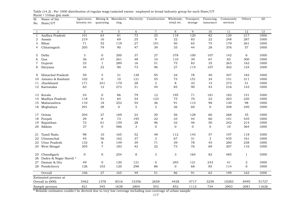1 2 3 4 5 6 7 8 9 10 11 12 131 Andhra Pradesh 101 63 81 73 25 118 120 82 120 217 10002 Assam 219 16 69 25 9 22 83 22 248 287 10003 Bihar 71 52 119 27 101 50 65 75 179 261 10001000 4 Chhatisgarh 205 79 90 47 39 35 44 28 376 57 1000 5 Delhi 3 0 200 37 27 378 100 107 142 6 10006 Goa 36 47 261 48 10 110 39 67 82 300 10007 Gujarat 25 1 289 16 51 75 83 35 263 162 1000 8 Haryana 34 32 90 73 96 27 115 107 302 124 1000 9 Himachal Pradesh 59 5 31 138 95 24 78 40 347 183 100010 Jammu & Kashmir 102 0 10 121 55 75 151 24 151 311 1000 11 Jharkhand Jharkhand 171 241 179 28 2 8 32 15 273 51 1000 12 Karnataka 63 12 273 31 44 85 90 43 216 143 10001000 13 Kerala 43 0 86 79 12 195 71 181 182 151 100014 Madhya Pradesh 118 51 64 54 123 75 70 22 203 220 1000 15 Maharashtra 110 18 252 54 36 91 113 98 130 98 10001000 16 Meghalaya 291 28 0 5 2 26 60 0 348 240 1000 17 Orissa 204 27 169 23 30 56 128 60 268 35 100018 Punjab 29 8 73 195 22 33 44 60 101 435 1000 19 Rajasthan 72 61 159 28 96 32 46 50 242 214 1000 20 Sikkim 37 0 586 3 0 0 0 0 10 364 10001000 21 Tamil Nadu 98 10 165 52 48 112 143 57 197 118 100022 Uttaranchal 45 56 162 37 3 67 31 3 435 161 100023 Uttar Pradesh 133 8 149 39 71 39 78 45 200 238 100024 West Bengal 205 7 183 42 22 73 76 69 207 116 1000 25 Chandigarh 0 0 254 8 3 3 164 82 485 1 1000 26 Dadra & Nagar Haveli \* 27 Daman & Diu  $\begin{array}{ccc} 49 & 0 & 130 & 121 & 0 & 293 & 121 & 243 & 41 & 2 \end{array}$ 1000 28 Pondicherry 126 103 120 298 86 0 68 85 114 0 1000 Overall 106 27 165 49 51 86 91 63 199 163 10001000 5462 1378 8516 15356 2658 4428 4717 3258 10283 8495 5172751727 821 345 1638 2804 543 852 1112 734 2903 2081 1162611626 Estimated persons at Overall in (000) Sample persons Financing, insurance Community services Others AllSl.No. State/UT Name of the Agricuture, forestry etc. quarrying Mining & Manufacturing Construction Wholesale, retail etc. Transport, storage

Rural + Urban (ps) male Table (14.2) : Per 1000 distribution of regular wage/salaried earner employed in broad industry group for each State/UT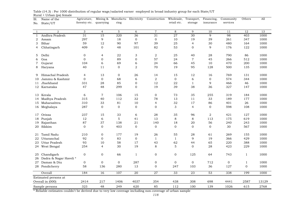1 2 3 4 5 6 7 8 9 10 11 12 131 Andhra Pradesh 31 15 320 36 31 27 30 9 98 403 10002 Assam 297 9 18 0 0 10 19 39 261 347 10003 Bihar 59 12 90 97 39 25 4 30 480 164 10001000 4 Chhatisgarh 409 0 48 101 82 53 0 9 176 122 1000 5 Delhi 0 4 22 3 2 25 40 28 790 86 10006 Goa 0 0 89 0 57 24 7 45 266 512 10007 Gujarat 104 6 69 6 24 66 45 10 470 200 1000 8 Haryana 40 11 0 2 70 19 95 128 500 135 1000 9 Himachal Pradesh 4 13 0 26 14 15 12 16 769 131 100010 Jammu & Kashmir 0 0 68 6 2 0 6 0 574 344 1000 11 Jharkhand Jharkhand 331 28 85 0 12 22 1 9 466 46 1000 12 Karnataka 47 48 299 0 19 39 38 36 327 147 10001000 13 Kerala 6 7 106 15 0 73 35 255 319 184 100014 Madhya Pradesh 315 40 112 32 78 13 11 33 189 177 1000 15 Maharashtra 310 33 81 10 4 32 17 86 401 26 10001000 16 Meghalaya 287 0 0 0 0 3 4 0 598 108 1000 17 Orissa 237 15 33 6 28 35 96 2 421 127 100018 Punjab 12 6 5 41 13 8 8 113 175 619 1000 19 Rajasthan 87 37 138 21 140 18 20 56 240 243 1000 20 Sikkim 0 0 403 0 0 0 0 0 30 567 10001000 21 Tamil Nadu 210 0 177 19 26 55 28 61 269 155 100022 Uttaranchal (a 92 0 83 0 1 1 9 19 366 429 1000 23 Uttar Pradesh 93 10 58 17 43 62 44 65 220 388 100024 West Bengal 254 4 30 19 8 5 0 28 423 229 1000 25 Chandigarh 0 0 66 1 0 0 125 64 743 1 1000 26 Dadra & Nagar Haveli \* 27 Daman & Diu  $\begin{array}{ccccccc} 0 & 0 & 0 & 287 & 0 & 0 & 712 & 0 & 1 \end{array}$ 1000 28 Pondicherry 58 136 280 13 0 247 103 36 127 0 1000 Overall 184 16 107 20 27 33 23 53 338 199 10001000 2414 217 1406 4037 354 438 308 698 4441 2587 1312913129 323 48 249 620 85 112 100 139 1026 615 27682768 Estimated persons at Overall in (000) Sample persons Financing, insurance Community services Others AllSl.No. State/UT Name of the Agricuture, forestry etc. quarrying Mining & Manufacturing Electricity Construction Wholesale, Transport, retail etc. storage

Rural + Urban (ps) female Table (14.3) : Per 1000 distribution of regular wage/salaried earner employed in broad industry group for each State/UT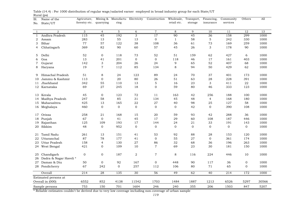| Sl.          | $P - I$<br>Name of the | Agricuture,   |                | Mining & Manufactu Electricity |                  | Construction   | Wholesale,   | Transport,  | Financing,                | Community      | Others       | A11   |
|--------------|------------------------|---------------|----------------|--------------------------------|------------------|----------------|--------------|-------------|---------------------------|----------------|--------------|-------|
| No.          | State/UT               | forestry etc. | quarrying      | ring                           |                  |                | retail etc.  | storage     | insurance                 | services       |              |       |
|              |                        |               |                |                                |                  |                |              |             |                           |                |              |       |
| $\mathbf{1}$ | 2                      | 3             | $\overline{4}$ | $5\overline{)}$                | 6                | $\overline{7}$ | 8            | 9           | 10                        | 11             | 12           | 13    |
| $\mathbf{1}$ | Andhra Pradesh         | 115           | 45             | 192                            | $\overline{3}$   | 17             | 90           | 45          | 36                        | 158            | 299          | 1000  |
| 2            | Assam                  | 283           | 13             | 55                             | 13               | $\mathbf{0}$   | $\mathbf{1}$ | 58          | $\,$ 5 $\,$               | 242            | 330          | 1000  |
| 3            | Bihar                  | 77            | 57             | 122                            | 38               | 108            | 36           | 61          | 73                        | 169            | 259          | 1000  |
| 4            | Chhatisgarh            | 369           | 82             | 90                             | 60               | 57             | 45           | 26          | 3                         | 178            | 90           | 1000  |
| 5            | Delhi                  | 52            | $\mathbf 0$    | 118                            | 73               | 52             | 51           | 159         | 62                        | 427            | 6            | 1000  |
| 6            | Goa                    | 13            | 41             | 201                            | $\mathbf 0$      | $\mathbf{0}$   | 118          | 46          | 17                        | 161            | 403          | 1000  |
| 7            | Gujarat                | 142           | 3              | 204                            | 26               | 24             | 9            | 65          | 52                        | 407            | 68           | 1000  |
| 8            | Haryana                | 19            | $\overline{7}$ | 112                            | 85               | 134            | 8            | 94          | 50                        | 429            | 62           | 1000  |
|              |                        |               |                |                                |                  |                |              |             |                           |                |              |       |
| 9            | Himachal Pradesh       | 51            | 8              | 24                             | 123              | 89             | 24           | 70          | 37                        | 401            | 173          | 1000  |
| 10           | Jammu & Kashmir        | 113           | $\mathbf 0$    | 20                             | 80               | 26             | 51           | 63          | 28                        | 228            | 391          | 1000  |
| 11           | Jharkhand              | 342           | 55             | 110                            | 13               | $\mathbf 5$    | 16           | 23          | $\ensuremath{\mathsf{3}}$ | 411            | 22           | 1000  |
|              | 12 Karnataka           | 69            | 27             | 245                            | 18               | $\mathbf{0}$   | 59           | 80          | 46                        | 333            | 123          | 1000  |
|              | 13 Kerala              | 45            | $\mathbf 0$    | 123                            | 72               | 11             | 163          | 42          | 256                       | 188            | 100          | 1000  |
| 14           | Madhya Pradesh         | 247           | 58             | 85                             | 31               | 134            | 45           | 48          | $\overline{4}$            | 168            | 180          | 1000  |
| 15           | Maharashtra            | 425           | 13             | 165                            | 22               | $\sqrt{27}$    | 40           | 98          | 25                        | 127            | 58           | 1000  |
|              | 16 Meghalaya           | 460           | $\mathbf{0}$   | $\mathbf{0}$                   | $\mathbf 0$      | $\mathbf{0}$   | $\mathbf{0}$ | 42          | $\mathbf{0}$              | 390            | 108          | 1000  |
|              |                        |               |                |                                |                  |                |              |             |                           |                |              |       |
| 17           | Orissa                 | 258           | 21             | 168                            | 15               | 20             | 59           | 93          | 42                        | 288            | 36           | 1000  |
| 18           | Punjab                 | 67            | $\mathbf{O}$   | 41                             | 45               | 17             | 29           | 60          | 108                       | 187            | 446          | 1000  |
| 19           | Rajasthan              | 125           | 109            | 193                            | 17               | 144            | 24           | 21          | 33                        | 191            | 143          | 1000  |
| 20           | Sikkim                 | 48            | $\mathbf 0$    | 952                            | $\mathbf 0$      | $\mathbf{0}$   | $\mathbf 0$  | $\mathbf 0$ | $\mathbf 0$               | $\overline{0}$ | $\mathbf{0}$ | 1000  |
| 21           | Tamil Nadu             | 261           | 13             | 151                            | 41               | 53             | 92           | 88          | 28                        | 153            | 120          | 1000  |
| 22           | Uttaranchal            | 87            | 78             | 177                            | 41               | $\mathbf{0}$   | 55           | 27          | $\mathbf 0$               | 361            | 174          | 1000  |
| 23           | Uttar Pradesh          | 158           | $\overline{4}$ | 130                            | 27               | 86             | 32           | 68          | 36                        | 196            | 263          | 1000  |
|              | 24 West Bengal         | 421           | $\mathbf{0}$   | 109                            | 10               | $\overline{7}$ | 69           | 23          | 30                        | 181            | 150          | 1000  |
|              | Chandigarh             |               | $\mathbf 0$    | 187                            |                  |                | 8            |             | 224                       | 446            | 10           | 1000  |
| 25<br>26     | Dadra & Nagar Haveli * | $\mathbf 0$   |                |                                | $\boldsymbol{2}$ | $\overline{7}$ |              | 116         |                           |                |              |       |
|              | 27 Daman & Diu         | 50            | $\mathbf 0$    | 92                             | 167              | $\mathbf 0$    | 448          | 90          | 117                       | 36             | $\mathbf 0$  | 1000  |
|              | 28 Pondicherry         | 67            | 242            | $\mathbf 0$                    | 257              | 112            | 106          | 80          | $7\sqrt{1}$               | 65             | $\mathbf{0}$ | 1000  |
|              | Overall                | 214           | 28             | 135                            | 30               | 56             | 49           | 62          | 40                        | 214            | 172          | 1000  |
|              | Estimated persons at   |               |                |                                |                  |                |              |             |                           |                |              |       |
|              | Overall in (000)       | 6552          | 852            | 4138                           | 11542            | 1703           | 1484         | 1887        | 1213                      | 6526           | 5297         | 30566 |
|              | Sample persons         | 753           | 150            | 701                            | 1604             | 246            | 240          | 355         | 206                       | 1503           | 847          | 5207  |
|              |                        |               |                |                                |                  |                |              |             |                           |                |              |       |

Rural (ps) Table (14.4) : Per 1000 distribution of regular wage/salaried earner employed in broad industry group for each State/UT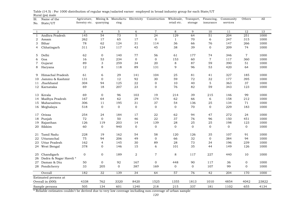| Sl.          | $\cdots$<br>Name of the              | Agricuture,      |                     | Mining & Manufactu Electricity |                  | Construction   | Wholesale,     | Transport,   | Financing,   | Community      | Others         | A11   |
|--------------|--------------------------------------|------------------|---------------------|--------------------------------|------------------|----------------|----------------|--------------|--------------|----------------|----------------|-------|
| No.          | State/UT                             | forestry etc.    | quarrying           | ring                           |                  |                | retail etc.    | storage      | insurance    | services       |                |       |
|              |                                      |                  |                     |                                |                  |                |                |              |              |                |                |       |
| $\mathbf{1}$ | $\overline{2}$                       | 3                | $\overline{4}$      | $5\phantom{.0}$                | 6                | $\overline{7}$ | 8              | 9            | 10           | 11             | 12             | 13    |
| $\mathbf{1}$ | Andhra Pradesh                       | 145              | 54                  | 73                             | 5                | 24             | 129            | 64           | 51           | 204            | 251            | 1000  |
| 2            | Assam                                | 262              | 17                  | 65                             | 17               | $\mathbf 0$    | $\mathbf{1}$   | 70           | 6            | 247            | 315            | 1000  |
| 3            | Bihar                                | 78               | 62                  | 124                            | 31               | 114            | 36             | 66           | 76           | 147            | 266            | 1000  |
| 4            | Chhatisgarh                          | 311              | 124                 | 117                            | 43               | 45             | 38             | 39           | $\mathbf{O}$ | 209            | 74             | 1000  |
| 5            | Delhi                                | 62               | $\mathbf 0$         | 140                            | 77               | 56             | 61             | 177          | 74           | 346            | $\overline{7}$ | 1000  |
| 6            | Goa                                  | 16               | 53                  | 234                            | $\mathbf 0$      | $\mathbf{0}$   | 153            | 60           | $\,7$        | 117            | 360            | 1000  |
|              |                                      | 89               |                     | 259                            |                  | $20\,$         |                | 87           | 59           | 390            | 51             | 1000  |
| 7<br>8       | Gujarat                              | 12               | $\mathfrak{B}$<br>8 |                                | 34<br>89         | 131            | 8<br>9         | 96           | 53           | 420            | 64             | 1000  |
|              | Haryana                              |                  |                     | 118                            |                  |                |                |              |              |                |                |       |
| 9            | Himachal Pradesh                     | 61               | 6                   | 29                             | 141              | 104            | 25             | 81           | 41           | 327            | 185            | 1000  |
| 10           | Jammu & Kashmir                      | 131              | $\mathbf{0}$        | 12                             | 92               | 30             | 59             | 72           | 32           | 177            | 395            | 1000  |
| 11           | Jharkhand                            | 304              | 94                  | 125                            | ${\bf 22}$       | $\mathbf 0$    | 10             | 40           | $\,$ 5 $\,$  | 363            | 37             | 1000  |
|              | 12 Karnataka                         | 69               | 18                  | 207                            | 23               | $\mathbf{0}$   | 76             | 82           | 59           | 343            | 123            | 1000  |
|              | 13 Kerala                            | 69               | $\mathbf{0}$        | 96                             | 103              | 19             | 214            | 39           | 215          | 146            | 99             | 1000  |
| 14           | Madhya Pradesh                       | 167              | 64                  | 62                             | 29               | 174            | 62             | 66           | 6            | 158            | 212            | 1000  |
| 15           | Maharashtra                          | 306              | 11                  | 195                            | 31               | 37             | 54             | 136          | 25           | 134            | 71             | 1000  |
|              | 16 Meghalaya                         | 518              | $\mathbf{0}$        | $\mathbf 0$                    | $\mathbf 0$      | $\mathbf{0}$   | $\overline{0}$ | 70           | $\mathbf 0$  | 229            | 183            | 1000  |
|              |                                      |                  |                     |                                |                  |                |                |              |              |                |                |       |
| 17           | Orissa                               | 254              | 24                  | 184                            | 17               | ${\bf 22}$     | 62             | 94           | 47           | 272            | 24             | 1000  |
| 18           | Punjab                               | 72               | $\mathbf{0}$        | 50                             | 46               | 22             | 37             | 76           | 96           | 150            | 451            | 1000  |
| 19           | Rajasthan                            | 126              | 119                 | 203                            | 14               | 139            | 28             | 25           | 25           | 198            | 123            | 1000  |
| 20           | Sikkim                               | 60               | $\mathbf 0$         | 940                            | 0                | $\mathbf{0}$   | $\mathbf 0$    | 0            | $\mathbf 0$  | $\overline{0}$ | $\mathbf 0$    | 1000  |
| 21           | Tamil Nadu                           | 228              | 19                  | 162                            | 54               | 58             | 120            | 126          | 35           | 107            | 91             | 1000  |
| 22           | Uttaranchal                          | 75               | 94                  | 206                            | 49               | $\mathbf{0}$   | 66             | 32           | $\mathbf 0$  | 384            | 94             | 1000  |
| 23           | Uttar Pradesh                        | 162              | $\overline{4}$      | 145                            | 30               | 89             | 28             | 73           | 34           | 196            | 239            | 1000  |
|              | 24 West Bengal                       | 378              | $\mathbf{0}$        | 146                            | 15               | 6              | 101            | 35           | 44           | 149            | 126            | 1000  |
|              |                                      |                  |                     |                                |                  |                |                |              |              |                |                |       |
| 25<br>26     | Chandigarh<br>Dadra & Nagar Haveli * | $\boldsymbol{0}$ | $\mathbf 0$         | 189                            | $\boldsymbol{2}$ | $\sqrt{7}$     | 8              | 117          | 227          | 440            | 10             | 1000  |
|              | 27 Daman & Diu                       | 50               | $\mathbf 0$         | 92                             | 167              | $\mathbf{0}$   | 448            | 90           | 117          | 36             | $\mathbf 0$    | 1000  |
|              | 28 Pondicherry                       | 33               | 205                 | $\mathbf{0}$                   | 387              | 169            | $\mathbf{0}$   | $\mathbf{0}$ | 107          | 99             | $\mathbf{0}$   | 1000  |
|              | Overall                              | 182              | 32                  | 139                            | 34               | 64             | 57             | 76           | 42           | 204            | 170            | 1000  |
|              | Estimated persons at                 |                  |                     |                                |                  |                |                |              |              |                |                |       |
|              | Overall in (000)                     | 4338             | 762                 | 3320                           | 8420             | 1525           | 1355           | 1813         | 1010         | 4854           | 4042           | 23822 |
|              | Sample persons                       | 505              | 134                 | 601                            | 1240             | 218            | 215            | 337          | 181          | 1102           | 655            | 4134  |

Rural (ps) male Table (14.5) : Per 1000 distribution of regular wage/salaried earner employed in broad industry group for each State/UT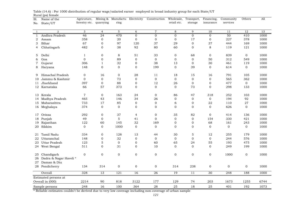| Manufactu Electricity<br>retail etc.<br>forestry etc.<br>quarrying<br>ring<br>insurance<br>services<br>storage<br>State/UT<br>No.<br>$\overline{2}$<br>3<br>$5\phantom{.0}$<br>$\overline{7}$<br>8<br>9<br>12<br>13<br>$\overline{4}$<br>6<br>10<br>11<br>$\mathbf{1}$<br>Andhra Pradesh<br>46<br>24<br>470<br>$\overline{0}$<br>$\mathbf 0$<br>$\mathbf{0}$<br>$\mathbf{0}$<br>$\mathbf{0}$<br>50<br>410<br>1000<br>$\mathbf{1}$<br>358<br>$\mathbf 0$<br>$20\,$<br>$\mathbf{0}$<br>$\boldsymbol{0}$<br>17<br>227<br>378<br>1000<br>Assam<br>$\overline{0}$<br>$\mathbf 0$<br>2<br>Bihar<br>67<br>$\boldsymbol{0}$<br>97<br>120<br>37<br>29<br>$\mathbf 0$<br>37<br>444<br>169<br>1000<br>3<br>38<br>92<br>80<br>8<br>482<br>$\mathbf{0}$<br>60<br>$\mathbf{0}$<br>119<br>121<br>1000<br>Chhatisgarh<br>4<br>$\mathbf 0$<br>8<br>68<br>$\mathbf{0}$<br>839<br>$\mathbf 0$<br>Delhi<br>$\mathbf{1}$<br>51<br>33<br>$\mathbf 0$<br>1000<br>5<br>$\mathbf 0$<br>$\mathbf 0$<br>89<br>$\mathbf 0$<br>50<br>312<br>549<br>Goa<br>$\mathbf 0$<br>$\mathbf 0$<br>$\mathbf 0$<br>1000<br>6<br>32<br>38<br>461<br>Gujarat<br>306<br>$\mathbf{1}$<br>$\mathbf 0$<br>13<br>$\mathbf 0$<br>30<br>119<br>1000<br>7<br>$\mathbf{O}$<br>$\overline{0}$<br>$\mathbf 0$<br>199<br>$\mathbf{0}$<br>39<br>$\overline{0}$<br>1000<br>Haryana<br>148<br>614<br>$\mathbf{0}$<br>8<br>1000<br>Himachal Pradesh<br>0<br>16<br>0<br>28<br>15<br>16<br>791<br>105<br>11<br>18<br>9<br>$\mathbf 0$<br>$\mathbf 0$<br>73<br>$\mathbf{0}$<br>$\mathbf 0$<br>$\mathbf{0}$<br>$\mathbf 0$<br>$\mathbf 0$<br>565<br>1000<br>Jammu & Kashmir<br>362<br>10<br>88<br>397<br>12<br>$\boldsymbol{0}$<br>477<br>1000<br>Jharkhand<br>$\mathbf 0$<br>$\boldsymbol{0}$<br>26<br>$\boldsymbol{0}$<br>$\overline{0}$<br>11<br>12 Karnataka<br>66<br>57<br>373<br>$\mathbf{0}$<br>$\mathbf{0}$<br>$\Omega$<br>73<br>$\mathbf{0}$<br>298<br>133<br>1000<br>$\mathbf 0$<br>163<br>318<br>13 Kerala<br>7<br>24<br>$\mathbf 0$<br>86<br>47<br>252<br>103<br>1000<br>465<br>43<br>146<br>34<br>$\mathbf 0$<br>194<br>92<br>1000<br>Madhya Pradesh<br>26<br>0<br>$\mathbf 0$<br>14<br>85<br>6<br>22<br>27<br>Maharashtra<br>733<br>$17\,$<br>$\mathbf 0$<br>$\boldsymbol{0}$<br>$\boldsymbol{0}$<br>110<br>1000<br>15<br>$\mathbf{O}$<br>$\mathbf{O}$<br>$\overline{0}$<br>$\mathbf{0}$<br>374<br>$\overline{0}$<br>$\mathbf{0}$<br>$\mathbf{0}$<br>626<br>$\mathbf{0}$<br>1000<br>16 Meghalaya<br>$\mathbf 0$<br>$\boldsymbol{0}$<br>37<br>$\boldsymbol{0}$<br>82<br>Orissa<br>292<br>$\overline{4}$<br>35<br>414<br>136<br>1000<br>17<br>$\mathbf 0$<br>5<br>$\mathbf 0$<br>$\mathbf 0$<br>154<br>330<br>Punjab<br>49<br>41<br>$\mathbf 0$<br>421<br>1000<br>18<br>60<br>145<br>32<br>169<br>$\Omega$<br>68<br>Rajasthan<br>122<br>$\mathbf{O}$<br>161<br>243<br>1000<br>19<br>$\boldsymbol{0}$<br>20 Sikkim<br>$\mathbf{0}$<br>$\mathbf{0}$<br>1000<br>$\mathbf 0$<br>$\mathbf{O}$<br>$\mathbf{0}$<br>$\mathbf 0$<br>$\mathbf{O}$<br>1000<br>$\mathbf{0}$<br>Tamil Nadu<br>334<br>0<br>128<br>13<br>44<br>30<br>5<br>12<br>255<br>179<br>1000<br>21<br>$\mathbf 0$<br>32<br>$\overline{0}$<br>$\mathbf{O}$<br>$\mathbf 0$<br>244<br>Uttaranchal<br>148<br>$\mathbf 0$<br>$\mathbf 0$<br>576<br>1000<br>22<br>$\mathbf 5$<br>$\mathbf{0}$<br>55<br><b>Uttar Pradesh</b><br>123<br>$\mathbf{0}$<br>60<br>65<br>24<br>193<br>475<br>1000<br>23<br>$\Omega$<br>31<br>$\mathbf{0}$<br>10<br>$\Omega$<br>$\mathbf{0}$<br>$\overline{0}$<br>249<br>199<br>1000<br>24 West Bengal<br>511<br>$\mathbf 0$<br>$\mathbf{0}$<br>$\mathbf{0}$<br>$\mathbf{0}$<br>$\mathbf 0$<br>$\mathbf{0}$<br>$\mathbf 0$<br>$\mathbf 0$<br>1000<br>Chandigarh<br>$\mathbf 0$<br>1000<br>25<br>Dadra & Nagar Haveli *<br>26<br>Daman & Diu<br>27<br>$\mathbf 0$<br>$\mathbf 0$<br>314<br>$\mathbf 0$<br>$\mathbf 0$<br>$\mathbf 0$<br>238<br>$\mathbf 0$<br>1000<br>28 Pondicherry<br>134<br>314<br>13<br>121<br>$\overline{30}$<br>1000<br>Overall<br>328<br>16<br>26<br>19<br>11<br>248<br>188<br>Estimated persons at<br>2214<br>90<br>818<br>3122<br>129<br>203<br>1673<br>6744<br>Overall in (000)<br>177<br>74<br>1255 |     | riarar (po) remare |             |          |     |     |              |            |            |            |           |        |      |
|-----------------------------------------------------------------------------------------------------------------------------------------------------------------------------------------------------------------------------------------------------------------------------------------------------------------------------------------------------------------------------------------------------------------------------------------------------------------------------------------------------------------------------------------------------------------------------------------------------------------------------------------------------------------------------------------------------------------------------------------------------------------------------------------------------------------------------------------------------------------------------------------------------------------------------------------------------------------------------------------------------------------------------------------------------------------------------------------------------------------------------------------------------------------------------------------------------------------------------------------------------------------------------------------------------------------------------------------------------------------------------------------------------------------------------------------------------------------------------------------------------------------------------------------------------------------------------------------------------------------------------------------------------------------------------------------------------------------------------------------------------------------------------------------------------------------------------------------------------------------------------------------------------------------------------------------------------------------------------------------------------------------------------------------------------------------------------------------------------------------------------------------------------------------------------------------------------------------------------------------------------------------------------------------------------------------------------------------------------------------------------------------------------------------------------------------------------------------------------------------------------------------------------------------------------------------------------------------------------------------------------------------------------------------------------------------------------------------------------------------------------------------------------------------------------------------------------------------------------------------------------------------------------------------------------------------------------------------------------------------------------------------------------------------------------------------------------------------------------------------------------------------------------------------------------------------------------------------------------------------------------------------------------------------------------------------------------------------------------------------------------------------------------------------------------------------------------------------------------------------------------------------------------------------------------------------------------------------------------------------------------------------------------------------------------------------------------------------------------------------------------------------------------------------------------------------------------------------------------------------------------------------------------------------------------------------------------------------------------------------------------------------------------------------------------------------------------------------------------------------------------------------------------|-----|--------------------|-------------|----------|-----|-----|--------------|------------|------------|------------|-----------|--------|------|
|                                                                                                                                                                                                                                                                                                                                                                                                                                                                                                                                                                                                                                                                                                                                                                                                                                                                                                                                                                                                                                                                                                                                                                                                                                                                                                                                                                                                                                                                                                                                                                                                                                                                                                                                                                                                                                                                                                                                                                                                                                                                                                                                                                                                                                                                                                                                                                                                                                                                                                                                                                                                                                                                                                                                                                                                                                                                                                                                                                                                                                                                                                                                                                                                                                                                                                                                                                                                                                                                                                                                                                                                                                                                                                                                                                                                                                                                                                                                                                                                                                                                                                                                                     | S1. | Name of the        | Agricuture, | Mining & |     |     | Construction | Wholesale, | Transport, | Financing, | Community | Others | A11  |
|                                                                                                                                                                                                                                                                                                                                                                                                                                                                                                                                                                                                                                                                                                                                                                                                                                                                                                                                                                                                                                                                                                                                                                                                                                                                                                                                                                                                                                                                                                                                                                                                                                                                                                                                                                                                                                                                                                                                                                                                                                                                                                                                                                                                                                                                                                                                                                                                                                                                                                                                                                                                                                                                                                                                                                                                                                                                                                                                                                                                                                                                                                                                                                                                                                                                                                                                                                                                                                                                                                                                                                                                                                                                                                                                                                                                                                                                                                                                                                                                                                                                                                                                                     |     |                    |             |          |     |     |              |            |            |            |           |        |      |
|                                                                                                                                                                                                                                                                                                                                                                                                                                                                                                                                                                                                                                                                                                                                                                                                                                                                                                                                                                                                                                                                                                                                                                                                                                                                                                                                                                                                                                                                                                                                                                                                                                                                                                                                                                                                                                                                                                                                                                                                                                                                                                                                                                                                                                                                                                                                                                                                                                                                                                                                                                                                                                                                                                                                                                                                                                                                                                                                                                                                                                                                                                                                                                                                                                                                                                                                                                                                                                                                                                                                                                                                                                                                                                                                                                                                                                                                                                                                                                                                                                                                                                                                                     |     |                    |             |          |     |     |              |            |            |            |           |        |      |
|                                                                                                                                                                                                                                                                                                                                                                                                                                                                                                                                                                                                                                                                                                                                                                                                                                                                                                                                                                                                                                                                                                                                                                                                                                                                                                                                                                                                                                                                                                                                                                                                                                                                                                                                                                                                                                                                                                                                                                                                                                                                                                                                                                                                                                                                                                                                                                                                                                                                                                                                                                                                                                                                                                                                                                                                                                                                                                                                                                                                                                                                                                                                                                                                                                                                                                                                                                                                                                                                                                                                                                                                                                                                                                                                                                                                                                                                                                                                                                                                                                                                                                                                                     |     |                    |             |          |     |     |              |            |            |            |           |        |      |
|                                                                                                                                                                                                                                                                                                                                                                                                                                                                                                                                                                                                                                                                                                                                                                                                                                                                                                                                                                                                                                                                                                                                                                                                                                                                                                                                                                                                                                                                                                                                                                                                                                                                                                                                                                                                                                                                                                                                                                                                                                                                                                                                                                                                                                                                                                                                                                                                                                                                                                                                                                                                                                                                                                                                                                                                                                                                                                                                                                                                                                                                                                                                                                                                                                                                                                                                                                                                                                                                                                                                                                                                                                                                                                                                                                                                                                                                                                                                                                                                                                                                                                                                                     |     |                    |             |          |     |     |              |            |            |            |           |        |      |
|                                                                                                                                                                                                                                                                                                                                                                                                                                                                                                                                                                                                                                                                                                                                                                                                                                                                                                                                                                                                                                                                                                                                                                                                                                                                                                                                                                                                                                                                                                                                                                                                                                                                                                                                                                                                                                                                                                                                                                                                                                                                                                                                                                                                                                                                                                                                                                                                                                                                                                                                                                                                                                                                                                                                                                                                                                                                                                                                                                                                                                                                                                                                                                                                                                                                                                                                                                                                                                                                                                                                                                                                                                                                                                                                                                                                                                                                                                                                                                                                                                                                                                                                                     |     |                    |             |          |     |     |              |            |            |            |           |        |      |
|                                                                                                                                                                                                                                                                                                                                                                                                                                                                                                                                                                                                                                                                                                                                                                                                                                                                                                                                                                                                                                                                                                                                                                                                                                                                                                                                                                                                                                                                                                                                                                                                                                                                                                                                                                                                                                                                                                                                                                                                                                                                                                                                                                                                                                                                                                                                                                                                                                                                                                                                                                                                                                                                                                                                                                                                                                                                                                                                                                                                                                                                                                                                                                                                                                                                                                                                                                                                                                                                                                                                                                                                                                                                                                                                                                                                                                                                                                                                                                                                                                                                                                                                                     |     |                    |             |          |     |     |              |            |            |            |           |        |      |
|                                                                                                                                                                                                                                                                                                                                                                                                                                                                                                                                                                                                                                                                                                                                                                                                                                                                                                                                                                                                                                                                                                                                                                                                                                                                                                                                                                                                                                                                                                                                                                                                                                                                                                                                                                                                                                                                                                                                                                                                                                                                                                                                                                                                                                                                                                                                                                                                                                                                                                                                                                                                                                                                                                                                                                                                                                                                                                                                                                                                                                                                                                                                                                                                                                                                                                                                                                                                                                                                                                                                                                                                                                                                                                                                                                                                                                                                                                                                                                                                                                                                                                                                                     |     |                    |             |          |     |     |              |            |            |            |           |        |      |
|                                                                                                                                                                                                                                                                                                                                                                                                                                                                                                                                                                                                                                                                                                                                                                                                                                                                                                                                                                                                                                                                                                                                                                                                                                                                                                                                                                                                                                                                                                                                                                                                                                                                                                                                                                                                                                                                                                                                                                                                                                                                                                                                                                                                                                                                                                                                                                                                                                                                                                                                                                                                                                                                                                                                                                                                                                                                                                                                                                                                                                                                                                                                                                                                                                                                                                                                                                                                                                                                                                                                                                                                                                                                                                                                                                                                                                                                                                                                                                                                                                                                                                                                                     |     |                    |             |          |     |     |              |            |            |            |           |        |      |
|                                                                                                                                                                                                                                                                                                                                                                                                                                                                                                                                                                                                                                                                                                                                                                                                                                                                                                                                                                                                                                                                                                                                                                                                                                                                                                                                                                                                                                                                                                                                                                                                                                                                                                                                                                                                                                                                                                                                                                                                                                                                                                                                                                                                                                                                                                                                                                                                                                                                                                                                                                                                                                                                                                                                                                                                                                                                                                                                                                                                                                                                                                                                                                                                                                                                                                                                                                                                                                                                                                                                                                                                                                                                                                                                                                                                                                                                                                                                                                                                                                                                                                                                                     |     |                    |             |          |     |     |              |            |            |            |           |        |      |
|                                                                                                                                                                                                                                                                                                                                                                                                                                                                                                                                                                                                                                                                                                                                                                                                                                                                                                                                                                                                                                                                                                                                                                                                                                                                                                                                                                                                                                                                                                                                                                                                                                                                                                                                                                                                                                                                                                                                                                                                                                                                                                                                                                                                                                                                                                                                                                                                                                                                                                                                                                                                                                                                                                                                                                                                                                                                                                                                                                                                                                                                                                                                                                                                                                                                                                                                                                                                                                                                                                                                                                                                                                                                                                                                                                                                                                                                                                                                                                                                                                                                                                                                                     |     |                    |             |          |     |     |              |            |            |            |           |        |      |
|                                                                                                                                                                                                                                                                                                                                                                                                                                                                                                                                                                                                                                                                                                                                                                                                                                                                                                                                                                                                                                                                                                                                                                                                                                                                                                                                                                                                                                                                                                                                                                                                                                                                                                                                                                                                                                                                                                                                                                                                                                                                                                                                                                                                                                                                                                                                                                                                                                                                                                                                                                                                                                                                                                                                                                                                                                                                                                                                                                                                                                                                                                                                                                                                                                                                                                                                                                                                                                                                                                                                                                                                                                                                                                                                                                                                                                                                                                                                                                                                                                                                                                                                                     |     |                    |             |          |     |     |              |            |            |            |           |        |      |
|                                                                                                                                                                                                                                                                                                                                                                                                                                                                                                                                                                                                                                                                                                                                                                                                                                                                                                                                                                                                                                                                                                                                                                                                                                                                                                                                                                                                                                                                                                                                                                                                                                                                                                                                                                                                                                                                                                                                                                                                                                                                                                                                                                                                                                                                                                                                                                                                                                                                                                                                                                                                                                                                                                                                                                                                                                                                                                                                                                                                                                                                                                                                                                                                                                                                                                                                                                                                                                                                                                                                                                                                                                                                                                                                                                                                                                                                                                                                                                                                                                                                                                                                                     |     |                    |             |          |     |     |              |            |            |            |           |        |      |
|                                                                                                                                                                                                                                                                                                                                                                                                                                                                                                                                                                                                                                                                                                                                                                                                                                                                                                                                                                                                                                                                                                                                                                                                                                                                                                                                                                                                                                                                                                                                                                                                                                                                                                                                                                                                                                                                                                                                                                                                                                                                                                                                                                                                                                                                                                                                                                                                                                                                                                                                                                                                                                                                                                                                                                                                                                                                                                                                                                                                                                                                                                                                                                                                                                                                                                                                                                                                                                                                                                                                                                                                                                                                                                                                                                                                                                                                                                                                                                                                                                                                                                                                                     |     |                    |             |          |     |     |              |            |            |            |           |        |      |
|                                                                                                                                                                                                                                                                                                                                                                                                                                                                                                                                                                                                                                                                                                                                                                                                                                                                                                                                                                                                                                                                                                                                                                                                                                                                                                                                                                                                                                                                                                                                                                                                                                                                                                                                                                                                                                                                                                                                                                                                                                                                                                                                                                                                                                                                                                                                                                                                                                                                                                                                                                                                                                                                                                                                                                                                                                                                                                                                                                                                                                                                                                                                                                                                                                                                                                                                                                                                                                                                                                                                                                                                                                                                                                                                                                                                                                                                                                                                                                                                                                                                                                                                                     |     |                    |             |          |     |     |              |            |            |            |           |        |      |
|                                                                                                                                                                                                                                                                                                                                                                                                                                                                                                                                                                                                                                                                                                                                                                                                                                                                                                                                                                                                                                                                                                                                                                                                                                                                                                                                                                                                                                                                                                                                                                                                                                                                                                                                                                                                                                                                                                                                                                                                                                                                                                                                                                                                                                                                                                                                                                                                                                                                                                                                                                                                                                                                                                                                                                                                                                                                                                                                                                                                                                                                                                                                                                                                                                                                                                                                                                                                                                                                                                                                                                                                                                                                                                                                                                                                                                                                                                                                                                                                                                                                                                                                                     |     |                    |             |          |     |     |              |            |            |            |           |        |      |
|                                                                                                                                                                                                                                                                                                                                                                                                                                                                                                                                                                                                                                                                                                                                                                                                                                                                                                                                                                                                                                                                                                                                                                                                                                                                                                                                                                                                                                                                                                                                                                                                                                                                                                                                                                                                                                                                                                                                                                                                                                                                                                                                                                                                                                                                                                                                                                                                                                                                                                                                                                                                                                                                                                                                                                                                                                                                                                                                                                                                                                                                                                                                                                                                                                                                                                                                                                                                                                                                                                                                                                                                                                                                                                                                                                                                                                                                                                                                                                                                                                                                                                                                                     |     |                    |             |          |     |     |              |            |            |            |           |        |      |
|                                                                                                                                                                                                                                                                                                                                                                                                                                                                                                                                                                                                                                                                                                                                                                                                                                                                                                                                                                                                                                                                                                                                                                                                                                                                                                                                                                                                                                                                                                                                                                                                                                                                                                                                                                                                                                                                                                                                                                                                                                                                                                                                                                                                                                                                                                                                                                                                                                                                                                                                                                                                                                                                                                                                                                                                                                                                                                                                                                                                                                                                                                                                                                                                                                                                                                                                                                                                                                                                                                                                                                                                                                                                                                                                                                                                                                                                                                                                                                                                                                                                                                                                                     |     |                    |             |          |     |     |              |            |            |            |           |        |      |
|                                                                                                                                                                                                                                                                                                                                                                                                                                                                                                                                                                                                                                                                                                                                                                                                                                                                                                                                                                                                                                                                                                                                                                                                                                                                                                                                                                                                                                                                                                                                                                                                                                                                                                                                                                                                                                                                                                                                                                                                                                                                                                                                                                                                                                                                                                                                                                                                                                                                                                                                                                                                                                                                                                                                                                                                                                                                                                                                                                                                                                                                                                                                                                                                                                                                                                                                                                                                                                                                                                                                                                                                                                                                                                                                                                                                                                                                                                                                                                                                                                                                                                                                                     |     |                    |             |          |     |     |              |            |            |            |           |        |      |
|                                                                                                                                                                                                                                                                                                                                                                                                                                                                                                                                                                                                                                                                                                                                                                                                                                                                                                                                                                                                                                                                                                                                                                                                                                                                                                                                                                                                                                                                                                                                                                                                                                                                                                                                                                                                                                                                                                                                                                                                                                                                                                                                                                                                                                                                                                                                                                                                                                                                                                                                                                                                                                                                                                                                                                                                                                                                                                                                                                                                                                                                                                                                                                                                                                                                                                                                                                                                                                                                                                                                                                                                                                                                                                                                                                                                                                                                                                                                                                                                                                                                                                                                                     |     |                    |             |          |     |     |              |            |            |            |           |        |      |
|                                                                                                                                                                                                                                                                                                                                                                                                                                                                                                                                                                                                                                                                                                                                                                                                                                                                                                                                                                                                                                                                                                                                                                                                                                                                                                                                                                                                                                                                                                                                                                                                                                                                                                                                                                                                                                                                                                                                                                                                                                                                                                                                                                                                                                                                                                                                                                                                                                                                                                                                                                                                                                                                                                                                                                                                                                                                                                                                                                                                                                                                                                                                                                                                                                                                                                                                                                                                                                                                                                                                                                                                                                                                                                                                                                                                                                                                                                                                                                                                                                                                                                                                                     |     |                    |             |          |     |     |              |            |            |            |           |        |      |
|                                                                                                                                                                                                                                                                                                                                                                                                                                                                                                                                                                                                                                                                                                                                                                                                                                                                                                                                                                                                                                                                                                                                                                                                                                                                                                                                                                                                                                                                                                                                                                                                                                                                                                                                                                                                                                                                                                                                                                                                                                                                                                                                                                                                                                                                                                                                                                                                                                                                                                                                                                                                                                                                                                                                                                                                                                                                                                                                                                                                                                                                                                                                                                                                                                                                                                                                                                                                                                                                                                                                                                                                                                                                                                                                                                                                                                                                                                                                                                                                                                                                                                                                                     |     |                    |             |          |     |     |              |            |            |            |           |        |      |
|                                                                                                                                                                                                                                                                                                                                                                                                                                                                                                                                                                                                                                                                                                                                                                                                                                                                                                                                                                                                                                                                                                                                                                                                                                                                                                                                                                                                                                                                                                                                                                                                                                                                                                                                                                                                                                                                                                                                                                                                                                                                                                                                                                                                                                                                                                                                                                                                                                                                                                                                                                                                                                                                                                                                                                                                                                                                                                                                                                                                                                                                                                                                                                                                                                                                                                                                                                                                                                                                                                                                                                                                                                                                                                                                                                                                                                                                                                                                                                                                                                                                                                                                                     |     |                    |             |          |     |     |              |            |            |            |           |        |      |
|                                                                                                                                                                                                                                                                                                                                                                                                                                                                                                                                                                                                                                                                                                                                                                                                                                                                                                                                                                                                                                                                                                                                                                                                                                                                                                                                                                                                                                                                                                                                                                                                                                                                                                                                                                                                                                                                                                                                                                                                                                                                                                                                                                                                                                                                                                                                                                                                                                                                                                                                                                                                                                                                                                                                                                                                                                                                                                                                                                                                                                                                                                                                                                                                                                                                                                                                                                                                                                                                                                                                                                                                                                                                                                                                                                                                                                                                                                                                                                                                                                                                                                                                                     |     |                    |             |          |     |     |              |            |            |            |           |        |      |
|                                                                                                                                                                                                                                                                                                                                                                                                                                                                                                                                                                                                                                                                                                                                                                                                                                                                                                                                                                                                                                                                                                                                                                                                                                                                                                                                                                                                                                                                                                                                                                                                                                                                                                                                                                                                                                                                                                                                                                                                                                                                                                                                                                                                                                                                                                                                                                                                                                                                                                                                                                                                                                                                                                                                                                                                                                                                                                                                                                                                                                                                                                                                                                                                                                                                                                                                                                                                                                                                                                                                                                                                                                                                                                                                                                                                                                                                                                                                                                                                                                                                                                                                                     |     |                    |             |          |     |     |              |            |            |            |           |        |      |
|                                                                                                                                                                                                                                                                                                                                                                                                                                                                                                                                                                                                                                                                                                                                                                                                                                                                                                                                                                                                                                                                                                                                                                                                                                                                                                                                                                                                                                                                                                                                                                                                                                                                                                                                                                                                                                                                                                                                                                                                                                                                                                                                                                                                                                                                                                                                                                                                                                                                                                                                                                                                                                                                                                                                                                                                                                                                                                                                                                                                                                                                                                                                                                                                                                                                                                                                                                                                                                                                                                                                                                                                                                                                                                                                                                                                                                                                                                                                                                                                                                                                                                                                                     |     |                    |             |          |     |     |              |            |            |            |           |        |      |
|                                                                                                                                                                                                                                                                                                                                                                                                                                                                                                                                                                                                                                                                                                                                                                                                                                                                                                                                                                                                                                                                                                                                                                                                                                                                                                                                                                                                                                                                                                                                                                                                                                                                                                                                                                                                                                                                                                                                                                                                                                                                                                                                                                                                                                                                                                                                                                                                                                                                                                                                                                                                                                                                                                                                                                                                                                                                                                                                                                                                                                                                                                                                                                                                                                                                                                                                                                                                                                                                                                                                                                                                                                                                                                                                                                                                                                                                                                                                                                                                                                                                                                                                                     |     |                    |             |          |     |     |              |            |            |            |           |        |      |
|                                                                                                                                                                                                                                                                                                                                                                                                                                                                                                                                                                                                                                                                                                                                                                                                                                                                                                                                                                                                                                                                                                                                                                                                                                                                                                                                                                                                                                                                                                                                                                                                                                                                                                                                                                                                                                                                                                                                                                                                                                                                                                                                                                                                                                                                                                                                                                                                                                                                                                                                                                                                                                                                                                                                                                                                                                                                                                                                                                                                                                                                                                                                                                                                                                                                                                                                                                                                                                                                                                                                                                                                                                                                                                                                                                                                                                                                                                                                                                                                                                                                                                                                                     |     |                    |             |          |     |     |              |            |            |            |           |        |      |
|                                                                                                                                                                                                                                                                                                                                                                                                                                                                                                                                                                                                                                                                                                                                                                                                                                                                                                                                                                                                                                                                                                                                                                                                                                                                                                                                                                                                                                                                                                                                                                                                                                                                                                                                                                                                                                                                                                                                                                                                                                                                                                                                                                                                                                                                                                                                                                                                                                                                                                                                                                                                                                                                                                                                                                                                                                                                                                                                                                                                                                                                                                                                                                                                                                                                                                                                                                                                                                                                                                                                                                                                                                                                                                                                                                                                                                                                                                                                                                                                                                                                                                                                                     |     |                    |             |          |     |     |              |            |            |            |           |        |      |
|                                                                                                                                                                                                                                                                                                                                                                                                                                                                                                                                                                                                                                                                                                                                                                                                                                                                                                                                                                                                                                                                                                                                                                                                                                                                                                                                                                                                                                                                                                                                                                                                                                                                                                                                                                                                                                                                                                                                                                                                                                                                                                                                                                                                                                                                                                                                                                                                                                                                                                                                                                                                                                                                                                                                                                                                                                                                                                                                                                                                                                                                                                                                                                                                                                                                                                                                                                                                                                                                                                                                                                                                                                                                                                                                                                                                                                                                                                                                                                                                                                                                                                                                                     |     |                    |             |          |     |     |              |            |            |            |           |        |      |
|                                                                                                                                                                                                                                                                                                                                                                                                                                                                                                                                                                                                                                                                                                                                                                                                                                                                                                                                                                                                                                                                                                                                                                                                                                                                                                                                                                                                                                                                                                                                                                                                                                                                                                                                                                                                                                                                                                                                                                                                                                                                                                                                                                                                                                                                                                                                                                                                                                                                                                                                                                                                                                                                                                                                                                                                                                                                                                                                                                                                                                                                                                                                                                                                                                                                                                                                                                                                                                                                                                                                                                                                                                                                                                                                                                                                                                                                                                                                                                                                                                                                                                                                                     |     |                    |             |          |     |     |              |            |            |            |           |        |      |
|                                                                                                                                                                                                                                                                                                                                                                                                                                                                                                                                                                                                                                                                                                                                                                                                                                                                                                                                                                                                                                                                                                                                                                                                                                                                                                                                                                                                                                                                                                                                                                                                                                                                                                                                                                                                                                                                                                                                                                                                                                                                                                                                                                                                                                                                                                                                                                                                                                                                                                                                                                                                                                                                                                                                                                                                                                                                                                                                                                                                                                                                                                                                                                                                                                                                                                                                                                                                                                                                                                                                                                                                                                                                                                                                                                                                                                                                                                                                                                                                                                                                                                                                                     |     |                    |             |          |     |     |              |            |            |            |           |        |      |
|                                                                                                                                                                                                                                                                                                                                                                                                                                                                                                                                                                                                                                                                                                                                                                                                                                                                                                                                                                                                                                                                                                                                                                                                                                                                                                                                                                                                                                                                                                                                                                                                                                                                                                                                                                                                                                                                                                                                                                                                                                                                                                                                                                                                                                                                                                                                                                                                                                                                                                                                                                                                                                                                                                                                                                                                                                                                                                                                                                                                                                                                                                                                                                                                                                                                                                                                                                                                                                                                                                                                                                                                                                                                                                                                                                                                                                                                                                                                                                                                                                                                                                                                                     |     |                    |             |          |     |     |              |            |            |            |           |        |      |
|                                                                                                                                                                                                                                                                                                                                                                                                                                                                                                                                                                                                                                                                                                                                                                                                                                                                                                                                                                                                                                                                                                                                                                                                                                                                                                                                                                                                                                                                                                                                                                                                                                                                                                                                                                                                                                                                                                                                                                                                                                                                                                                                                                                                                                                                                                                                                                                                                                                                                                                                                                                                                                                                                                                                                                                                                                                                                                                                                                                                                                                                                                                                                                                                                                                                                                                                                                                                                                                                                                                                                                                                                                                                                                                                                                                                                                                                                                                                                                                                                                                                                                                                                     |     | Sample persons     | 248         | 16       | 100 | 364 | 28           | 25         | 18         | 25         | 401       | 192    | 1073 |

Rural (ps) female Table (14.6) : Per 1000 distribution of regular wage/salaried earner employed in broad industry group for each State/UT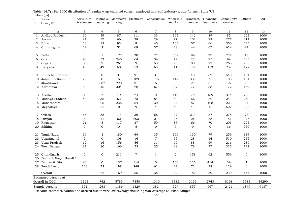| Sl.          | r~,<br>Name of the     | Agricuture,               |                | Mining & Manufactu Electricity |                | Construction   | Wholesale,     | Transport,     | Financing,       | Community | Others       | A11   |
|--------------|------------------------|---------------------------|----------------|--------------------------------|----------------|----------------|----------------|----------------|------------------|-----------|--------------|-------|
| No.          | State/UT               | forestry etc.             | quarrying      | ring                           |                |                | retail etc.    | storage        | insurance        | services  |              |       |
|              |                        |                           |                |                                |                |                |                |                |                  |           |              |       |
| $\mathbf{1}$ | $\overline{2}$         | 3                         | $\overline{4}$ | $5\overline{)}$                | 6              | $\overline{7}$ | 8              | 9              | 10               | 11        | 12           | 13    |
| $\mathbf{1}$ | Andhra Pradesh         | 66                        | 59             | 87                             | 111            | 33             | 105            | 142            | 89               | 85        | 223          | 1000  |
| 2            | Assam                  | 91                        | 17             | 66                             | 38             | 29             | 77             | 102            | 92               | 277       | 211          | 1000  |
| 3            | Bihar                  | 38                        | 13             | 93                             | 9              | 45             | 106            | 57             | 66               | 350       | 223          | 1000  |
| 4            | Chhatisgarh            | 24                        | $\overline{2}$ | 51                             | 69             | 37             | 28             | 44             | 67               | 634       | 44           | 1000  |
| 5            | Delhi                  | $\mathbf{0}$              | $\mathbf{1}$   | 177                            | 30             | 22             | 339            | 89             | 97               | 227       | 18           | 1000  |
| 6            | Goa                    | 40                        | 33             | 240                            | 64             | 34             | $72\,$         | ${\bf 22}$     | 95               | 94        | 306          | 1000  |
| 7            | Gujarat                | $\sqrt{2}$                | $\sqrt{2}$     | 261                            | 9              | 53             | 98             | 80             | ${\bf 22}$       | 265       | 208          | 1000  |
| 8            | Haryana                | 48                        | 49             | 60                             | 53             | 63             | 41             | 129            | 153              | 232       | 172          | 1000  |
| 9            | Himachal Pradesh       | 39                        | $\mathbf 0$    | $3\sqrt{1}$                    | 91             | 31             | 9              | 43             | 32               | 540       | 184          | 1000  |
| 10           | Jammu & Kashmir        | 28                        | $\mathbf{0}$   | $\mathbf 5$                    | 189            | 116            | 112            | 339            | $\boldsymbol{2}$ | 105       | 104          | 1000  |
| 11           | Jharkhand              | $\ensuremath{\mathsf{3}}$ | 387            | 220                            | 31             | 6              | 6              | $2\sqrt{1}$    | 31               | 197       | 98           | 1000  |
|              | 12 Karnataka           | 53                        | 15             | 304                            | 28             | 67             | 87             | 77             | 38               | 172       | 159          | 1000  |
|              | 13 Kerala              | $\mathbf{1}$              | 7              | 49                             | 24             | $\mathbf 0$    | 119            | 79             | 139              | 314       | 268          | 1000  |
| 14           | Madhya Pradesh         | 54                        | 35             | 63                             | 73             | 84             | 80             | 66             | 52               | 243       | 250          | 1000  |
| 15           | Maharashtra            | 30                        | 25             | 235                            | 54             | 30             | 94             | 87             | 128              | 223       | 94           | 1000  |
|              | 16 Meghalaya           | $\mathbf{0}$              | 51             | $\overline{0}$                 | 9              | $\overline{4}$ | 50             | 41             | $\mathbf{0}$     | 502       | 343          | 1000  |
| 17           | Orissa                 | 66                        | 38             | 114                            | 36             | 58             | 37             | 213            | 87               | 278       | 73           | 1000  |
|              | Punjab                 | 8                         | 11             | 62                             | 203            | 21             | 25             | 25             | 58               | 92        | 495          | 1000  |
| 18           | Rajasthan              | $2\sqrt{1}$               | $\mathbf 5$    | 117                            | 37             | 59             | 37             | 66             | 70               | 293       | 295          | 1000  |
| 19<br>20     | Sikkim                 | $\mathbf{0}$              | $\mathbf{0}$   | $\mathbf{0}$                   | $\mathbf 5$    | $\mathbf 0$    | $\overline{0}$ | $\overline{0}$ | $\boldsymbol{0}$ | 36        | 959          | 1000  |
|              |                        |                           |                |                                |                |                |                |                |                  |           |              |       |
| 21           | Tamil Nadu             | 36                        | 3              | 180                            | 44             | 35             | 100            | 130            | 79               | 259       | 134          | 1000  |
| 22           | Uttaranchal            | $\overline{7}$            | $\mathbf{0}$   | 108                            | 16             | $\overline{7}$ | 55             | 28             | 14               | 510       | 255          | 1000  |
| 23           | Uttar Pradesh          | 69                        | 16             | 156                            | 56             | 31             | 60             | 88             | 69               | 216       | 239          | 1000  |
|              | 24 West Bengal         | 87                        | 10             | 166                            | 53             | 25             | 48             | 78             | $77\,$           | 315       | 141          | 1000  |
| 25           | Chandigarh             | $\boldsymbol{0}$          | $\mathbf 0$    | 211                            | $\overline{7}$ | $\mathbf{1}$   | 2              | 158            | 62               | 559       | $\mathbf 0$  | 1000  |
| 26           | Dadra & Nagar Haveli * |                           |                |                                |                |                |                |                |                  |           |              |       |
|              | 27 Daman & Diu         | 40                        | $\mathbf 0$    | 137                            | 114            | $\mathbf 0$    | 130            | 125            | 414              | 39        | $\mathbf{1}$ | 1000  |
|              | 28 Pondicherry         | 128                       | 72             | 188                            | 248            | 61             | 24             | 72             | 78               | 129       | $\mathbf{0}$ | 1000  |
|              | Overall                | 39                        | 22             | 169                            | 55             | 38             | 99             | 92             | 80               | 239       | 167          | 1000  |
|              | Estimated persons at   |                           |                |                                |                |                |                |                |                  |           |              |       |
|              | Overall in (000)       | 1323                      | 742            | 5785                           | 7850           | 1310           | 3382           | 3139           | 2743             | 8198      | 5785         | 34290 |
|              | Sample persons         | 391                       | 243            | 1186                           | 1820           | 382            | 724            | 857            | 667              | 2426      | 1849         | 9187  |

Urban (ps) Table (14.7) : Per 1000 distribution of regular wage/salaried earner employed in broad industry group for each State/UT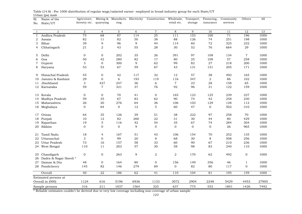| Sl.          | $P^{\omega}$ and $\sim$<br>Name of the | Agricuture,               |                | Mining & Manufactu Electricity |        | Construction    | Wholesale,     | Transport,  | Financing,   | Community | Others         | A11   |
|--------------|----------------------------------------|---------------------------|----------------|--------------------------------|--------|-----------------|----------------|-------------|--------------|-----------|----------------|-------|
| No.          | State/UT                               | forestry etc.             | quarrying      | ring                           |        |                 | retail etc.    | storage     | insurance    | services  |                |       |
|              |                                        |                           |                |                                |        |                 |                |             |              |           |                |       |
| $\mathbf{1}$ | $\overline{2}$                         | 3                         | $\overline{4}$ | $5\overline{)}$                | 6      | $\overline{7}$  | 8              | 9           | 10           | 11        | 12             | 13    |
| $\mathbf{1}$ | Andhra Pradesh                         | 75                        | 68             | 87                             | 114    | $\overline{25}$ | 111            | 153         | 100          | 71        | 196            | 1000  |
| 2            | Assam                                  | 82                        | 11             | 82                             | 50     | 38              | 88             | 126         | 74           | 251       | 198            | 1000  |
| 3            | Bihar                                  | 39                        | 9              | 96                             | 9      | 44              | 114            | 60          | 72           | 325       | 232            | 1000  |
| 4            | Chhatisgarh                            | 21                        | 2              | 43                             | 55     | 28              | 30             | 52          | 76           | 664       | 29             | 1000  |
| 5            | Delhi                                  | $\mathbf{0}$              | $\mathbf 0$    | 202                            | 35     | 26              | 391            | 97          | 108          | 134       | $\overline{7}$ | 1000  |
| 6            | Goa                                    | 50                        | 42             | 280                            | 82     | 17              | 80             | 25          | 109          | 57        | 258            | 1000  |
| 7            | Gujarat                                | $\ensuremath{\mathsf{3}}$ | $\mathbf{0}$   | 300                            | 9      | 62              | 99             | 82          | 27           | 218       | 200            | 1000  |
| 8            | Haryana                                | 53                        | 53             | 67                             | 59     | 67              | 43             | 131         | 151          | 205       | 171            | 1000  |
| 9            | Himachal Pradesh                       | 45                        | $\mathbf{0}$   | 42                             | 117    | 32              | 12             | 57          | 38           | 492       | 165            | 1000  |
| 10           | Jammu & Kashmir                        | 29                        | $\mathbf{0}$   | 6                              | 193    | 119             | 116            | 347         | $\sqrt{2}$   | 86        | 102            | 1000  |
| 11           | Jharkhand                              | $\ensuremath{\mathsf{3}}$ | 427            | 247                            | 36     | $\,$ 6 $\,$     | $\overline{7}$ | 23          | 28           | 158       | 65             | 1000  |
|              | 12 Karnataka                           | 59                        | $\overline{7}$ | 321                            | 37     | 76              | 92             | 96          | 31           | 122       | 159            | 1000  |
|              | 13 Kerala                              | $\mathbf 0$               | $\mathbf 0$    | 70                             | 41     | $\mathbf 0$     | 165            | 123         | 125          | 239       | 237            | 1000  |
| 14           | Madhya Pradesh                         | 59                        | 35             | 67                             | 83     | 62              | 90             | 74          | 42           | 258       | 230            | 1000  |
| 15           | Maharashtra                            | 26                        | 20             | 276                            | 64     | 36              | 106            | 103         | 129          | 128       | 112            | 1000  |
|              | 16 Meghalaya                           | $\mathbf{0}$              | 64             | $\mathbf 0$                    | 12     | $\mathbf 5$     | 60             | 47          | $\mathbf 0$  | 502       | 310            | 1000  |
| 17           | Orissa                                 | 64                        | 35             | 126                            | 39     | 51              | 38             | 222         | 97           | 258       | 70             | 1000  |
| 18           | Punjab                                 | $10\,$                    | 12             | 82                             | 260    | ${\bf 22}$      | 31             | 30          | 44           | 80        | 429            | 1000  |
| 19           | Rajasthan                              | 19                        | 5              | 116                            | $42\,$ | 54              | 35             | 67          | 74           | 284       | 304            | 1000  |
| 20           | Sikkim                                 | $\mathbf{0}$              | $\mathbf{0}$   | $\overline{0}$                 | 9      | $\mathbf{0}$    | $\overline{0}$ | $\mathbf 0$ | $\mathbf{0}$ | 26        | 965            | 1000  |
|              | 21 Tamil Nadu                          | 18                        | $\overline{4}$ | 167                            | 51     | 43              | 106            | 154         | 70           | 252       | 135            | 1000  |
| 22           | Uttaranchal                            | $\ensuremath{\mathsf{3}}$ | $\mathbf{0}$   | 99                             | 20     | 8               | 68             | 30          | 8            | 508       | 256            | 1000  |
| 23           | Uttar Pradesh                          | 73                        | 16             | 157                            | 58     | 33              | 60             | 90          | 67           | 210       | 236            | 1000  |
|              | 24 West Bengal                         | 110                       | 11             | 203                            | 57     | 30              | 58             | 98          | 83           | 240       | 110            | 1000  |
| 25           | Chandigarh                             | $\mathbf 0$               | $\mathbf{0}$   | 263                            | 9      | 2               | $\overline{2}$ | 170         | 62           | 492       | $\mathbf 0$    | 1000  |
| 26           | Dadra & Nagar Haveli *                 |                           |                |                                |        |                 |                |             |              |           |                |       |
| 27           | Daman & Diu                            | 48                        | $\mathbf{0}$   | 164                            | 80     | $\mathbf{0}$    | 156            | 149         | 356          | 46        | $\mathbf{1}$   | 1000  |
|              | 28 Pondicherry                         | 145                       | 82             | 146                            | 279    | 69              | $\overline{0}$ | 82          | 80           | 117       | $\mathbf{0}$   | 1000  |
|              | Overall                                | 40                        | 22             | 186                            | 62     | 41              | 110            | 104         | 81           | 195       | 159            | 1000  |
|              | Estimated persons at                   |                           |                |                                |        |                 |                |             |              |           |                |       |
|              | Overall in (000)                       | 1124                      | 616            | 5196                           | 6936   | 1133            | 3072           | 2904        | 2248         | 5429      | 4453           | 27905 |

Urban (ps) male Table (14.8) : Per 1000 distribution of regular wage/salaried earner employed in broad industry group for each State/UT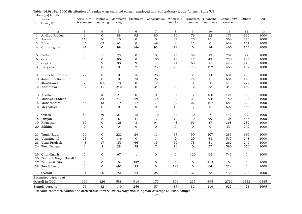| Sl.          | Name of the                          | Agricuture,   | Mining &       | Manufactu Electricity |                  | Construction     | Wholesale,   | Transport,   | Financing,       | Community    | Others       | All  |
|--------------|--------------------------------------|---------------|----------------|-----------------------|------------------|------------------|--------------|--------------|------------------|--------------|--------------|------|
| No.          | State/UT                             | forestry etc. | quarrying      | ring                  |                  |                  | retail etc.  | storage      | insurance        | services     |              |      |
|              |                                      |               |                |                       |                  |                  |              |              |                  |              |              |      |
| $\mathbf{1}$ | $\overline{2}$                       | 3             | $\overline{4}$ | $\mathbf 5$           | 6                | $\overline{7}$   | $\,8\,$      | 9            | 10               | $1\,1$       | 12           | 13   |
| 1            | Andhra Pradesh                       | 9             | $\mathbf 0$    | 88                    | 92               | 80               | 70           | 76           | 22               | 173          | 390          | 1000 |
| 2            | Assam                                | 118           | 36             | 15                    | $\mathbf 0$      | $\boldsymbol{0}$ | 39           | 25           | 151              | 360          | 256          | 1000 |
| 3            | Bihar                                | 26            | 63             | 62                    | $\overline{0}$   | 49               | $\,8\,$      | 22           | $\boldsymbol{0}$ | 639          | 131          | 1000 |
| 4            | Chhatisgarh                          | 41            | $\Omega$       | 98                    | 146              | 93               | 19           | $\mathbf{0}$ | 14               | 466          | 123          | 1000 |
| 5            | Delhi                                | $\mathbf{0}$  | 5              | 23                    | $\mathbf 0$      | $\mathbf 0$      | 26           | 38           | 29               | 787          | 92           | 1000 |
| 6            | Goa                                  | $\mathbf{0}$  | $\mathbf{O}$   | 90                    | 0                | 100              | 43           | 12           | 42               | 230          | 483          | 1000 |
| 7            | Gujarat                              | $\mathbf 0$   | 9              | 88                    | 9                | 17               | 94           | 68           | $\boldsymbol{0}$ | 475          | 240          | 1000 |
| 8            | Haryana                              | 3             | 15             | $\mathbf{O}$          | 2                | 25               | 26           | 115          | 172              | 460          | 182          | 1000 |
|              |                                      |               |                |                       |                  |                  |              |              |                  |              |              |      |
| 9            | Himachal Pradesh                     | 22            | $\mathbf{0}$   | 0                     | 15               | 28               | 0            | 2            | 14               | 681          | 238          | 1000 |
| 10           | Jammu & Kashmir                      | $\mathbf{0}$  | $\mathbf{0}$   | $\mathbf 0$           | 73               | 26               | $\mathbf 0$  | 74           | $\mathbf 0$      | 684          | 143          | 1000 |
| 11           | Jharkhand                            | $\sqrt{7}$    | 165            | 70                    | $\mathbf 0$      | 12               | 3            | 8            | 50               | 413          | 272          | 1000 |
|              | 12 Karnataka                         | 32            | 41             | 242                   | $\mathbf{0}$     | 34               | 68           | 12           | 63               | 349          | 159          | 1000 |
| 13           | Kerala                               | 3             | 16             | 21                    | $\mathbf 0$      | $\mathbf 0$      | 54           | 17           | 160              | 421          | 308          | 1000 |
| 14           | Madhya Pradesh                       | 33            | 34             | 47                    | 29               | 175              | 39           | 31           | 94               | 180          | 338          | 1000 |
| 15           | Maharashtra                          | 45            | 43             | 79                    | 17               | $\overline{7}$   | 49           | 27           | 127              | 584          | 22           | 1000 |
|              | 16 Meghalaya                         | $\mathbf{0}$  | $\mathbf{0}$   | $\mathbf{0}$          | $\mathbf{0}$     | $\mathbf{0}$     | 13           | 17           | $\overline{0}$   | 502          | 468          | 1000 |
|              |                                      |               |                |                       |                  |                  |              |              |                  |              |              |      |
| 17           | Orissa                               | 80            | 59             | 21                    | 12               | 110              | 34           | 136          | $\overline{7}$   | 442          | 99           | 1000 |
| 18           | Punjab                               | $\mathbf{0}$  | 8              | 5                     | 41               | 17               | 10           | 10           | 99               | 125          | 685          | 1000 |
| 19           | Rajasthan                            | 30            | $\mathbf 0$    | 128                   | 3                | 94               | 48           | 53           | 37               | 368          | 239          | 1000 |
| 20           | Sikkim                               | $\mathbf{0}$  | $\mathbf 0$    | $\mathbf 0$           | $\boldsymbol{0}$ | $\boldsymbol{0}$ | $\mathbf 0$  | $\mathbf 0$  | $\mathbf 0$      | 51           | 949          | 1000 |
| 21           | Tamil Nadu                           | 96            | $\mathbf{O}$   | 222                   | 24               | 11               | 77           | 50           | 107              | 283          | 130          | 1000 |
| 22           | Uttaranchal                          | 23            | $\mathbf{0}$   | 146                   | $\mathbf 0$      | $\mathbf{1}$     | 2            | 20           | 43               | 517          | 248          | 1000 |
| 23           | Uttar Pradesh                        | 43            | 17             | 153                   | 46               | 15               | 59           | 78           | 81               | 262          | 246          | 1000 |
| 24           | West Bengal                          | $\mathbf 0$   | 8              | 28                    | 38               | $\overline{7}$   | 10           | $\mathbf{0}$ | 57               | 596          | 256          | 1000 |
|              |                                      |               |                |                       |                  |                  |              |              |                  |              |              |      |
| 25<br>26     | Chandigarh<br>Dadra & Nagar Haveli * | $\mathbf{0}$  | $\mathbf{0}$   | 67                    | $\mathbf{1}$     | $\boldsymbol{0}$ | $\mathbf 0$  | 126          | 65               | 741          | $\mathbf 0$  | 1000 |
| 27           | Daman & Diu                          | $\mathbf 0$   | $\mathbf 0$    | $\mathbf{0}$          | 287              | $\mathbf 0$      | $\mathbf{0}$ | $\mathbf 0$  | 713              | $\mathbf{0}$ | $\mathbf 0$  | 1000 |
| 28           | Pondicherry                          | $\mathbf{0}$  | $\mathbf{0}$   | 493                   | 23               | $\mathbf 0$      | 196          | $\mathbf 0$  | 64               | 224          | $\mathbf{0}$ | 1000 |
|              |                                      |               |                |                       |                  |                  |              |              |                  |              |              |      |
|              | Overall                              | 31            | 20             | 92                    | 24               | 28               | 48           | 37           | 78               | 434          | 208          | 1000 |
|              | Estimated persons at                 |               |                |                       |                  |                  |              |              |                  |              |              |      |
|              | Overall in (000)                     | 199           | 126            | 588                   | 914              | 177              | 309          | 235          | 495              | 2769         | 1332         | 6385 |
|              | Sample persons                       | 75            | 32             | 149                   | 256              | 57               | 87           | 82           | 114              | 625          | 423          | 1695 |

Urban (ps) female Table (14.9) : Per 1000 distribution of regular wage/salaried earner employed in broad industry group for each State/UT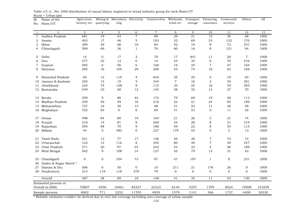1 2 3 4 5 6 7 8 9 10 11 12 1313 1 Andhra Pradesh 681 19 43 7 89 29 21 13 30 68 10002 Assam 403 17 46 5 103 32 69 33 122 170 10003 Bihar 389 30 68 16 94 52 19 9 72 251 10004 Chhatisgarh 509 69 36 1 76 60 16 8 131 94 1000 5 Delhi 14 0 17 3 70 17 841 11 20 7 10006 Goa 377 32 12 0 14 44 35 0 70 416 10007 Gujarat 505 6 56 6 168 16 25 7 47 164 1000 8 Haryana 285 16 105 29 200 45 74 16 62 168 1000 9 Himachal Pradesh 84 13 110 4 645 35 25 0 19 65 100010 Jammu & Kashmir 255 15 19 5 344 7 16 3 55 281 10001000 11 Jharkhand Jharkhand 224 75 128 9 115 33 25 16 70 305 100012 Karnataka 549 25 68 12 145 58 32 14 27 70 10001000 13 Kerala 359 9 88 44 172 79 69 19 48 113 100014 Madhya Pradesh 338 49 49 16 210 22 21 24 82 189 1000 15 Maharashtra 727 16 38 13 48 31 22 11 38 56 100016 Meghalaya 725 65 0 0 69 51 53 0 11 26 1000 17 Orissa 498 84 80 19 164 21 26 3 31 74 100018 Punjab 218 14 81 8 269 24 28 8 31 319 1000 19 Rajasthan 395 98 70 9 180 49 22 8 54 115 1000 20 Sikkim 44 0 482 0 227 179 53 0 2 13 10001000 21 Tamil Nadu 531 12 77 17 136 46 30 7 72 72 1000 22 Uttaranchal 122 12 116 8 340 60 49 7 39 247 1000 23 Uttar Pradesh 271 20 97 54 242 44 22 5 56 189 1000 24 West Bengal 492 9 108 14 157 55 79 13 31 42 1000 25 Chandigarh 0 0 334 73 97 47 197 1 0 251 1000 26 Dadra & Nagar Haveli \* 27 Daman & Diu 506 0 50 0 10 211 21 176 26 0 1000 28 Pondicherry 314 119 118 370 79 0 0 0 0 0 1000 Overall 467 28 69 18 148 41 35 11 53 130 100070607 4258 10461 85327 22323 6144 5257 1709 8024 19508 151039151039 8682 771 2252 11705 4929 1579 1141 366 1737 4400 2633026330 Estimated persons at Overall in (000) Sample persons Financing, insuranceCommunity services Others  $All$ Sl.No. State/UT Name of the Agricuture, forestry etc. quarrying Mining & Manufactu Electricity Construction Wholesale, ring retail etc.Transport, storage

Rural + Urban (ps) Table (15.1) : Per 1000 distribution of casual labour employed in broad industry group for each State/UT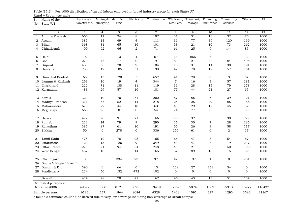1 2 3 4 5 6 7 8 9 10 11 12 1313 1 Andhra Pradesh 665 11 24 8 107 31 31 16 32 75 10002 Assam 385 13 49 4 111 36 77 36 120 169 10003 Bihar 368 31 65 16 101 53 21 10 73 262 10004 Chhatisgarh 490 62 46 2 71 66 25 9 144 85 1000 5 Delhi 15 0 13 4 67 14 866 7 11 3 10006 Goa 270 45 17 0 9 59 21 0 84 495 10007 Gujarat 450 9 70 9 184 15 31 11 30 191 1000 8 Haryana 285 17 105 31 199 47 78 17 57 164 1000 9 Himachal Pradesh 65 15 128 5 657 41 29 0 3 57 100010 Jammu & Kashmir 253 16 19 4 344 7 16 3 57 281 10001000 11 Jharkhand Jharkhand 222 71 138 11 119 39 28 15 79 278 100012 Karnataka 483 29 57 16 181 77 44 21 27 65 10001000 13 Kerala 329 10 70 51 202 87 85 6 39 121 100014 Madhya Pradesh 311 55 52 14 218 25 25 29 85 186 1000 15 Maharashtra 670 22 44 18 63 40 29 17 45 52 100016 Meghalaya 665 96 0 0 54 74 77 0 1 33 1000 17 Orissa 477 90 91 21 166 25 32 3 30 65 100018 Punjab 232 14 79 9 290 26 30 7 28 285 1000 19 Rajasthan 385 87 61 10 191 56 26 9 58 117 1000 20 Sikkim 50 0 278 0 336 256 61 0 2 17 10001000 21 Tamil Nadu 478 12 78 25 165 66 47 8 54 67 1000 22 Uttaranchal 129 13 126 9 349 53 47 8 19 247 100023 Uttar Pradesh 273 21 94 54 248 43 21 6 50 190 1000 24 West Bengal 487 10 111 14 165 57 89 13 15 39 1000 25 Chandigarh 0 0 334 73 97 47 197 1 0 251 1000 26 Dadra & Nagar Haveli \* 27 Daman & Diu 390 0 66 0 13 239 27 231 34 0 1000 28 Pondicherry 224 50 152 472 102 0 0 0 0 0 1000 Overall 424 28 70 21 167 46 43 13 51 137 100049322 3308 8121 60751 19419 5369 5024 1502 5913 15977 116437116437 6183 637 1864 8684 4328 1428 1091 327 1293 3593 2116721167 Estimated persons at Overall in (000) Sample persons Financing, insuranceCommunity servicesOthers  $All$ Sl.No. State/UT Name of the Agricuture, forestry etc. quarrying Mining & Manufactu ring Construction Wholesale, retail etc.Transport, storage

|                         |  | Table (15.2): Per 1000 distribution of casual labour employed in broad industry group for each State/UT |  |  |  |  |  |  |
|-------------------------|--|---------------------------------------------------------------------------------------------------------|--|--|--|--|--|--|
| Rural + Urban (ps) male |  |                                                                                                         |  |  |  |  |  |  |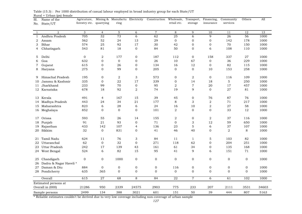1 2 3 4 5 6 7 8 9 10 11 12 1313 1 Andhra Pradesh 705 32 73 6 62 25 6 9 26 56 10002 Assam 562 52 24 13 29 0 0 0 142 178 10003 Bihar 574 25 92 17 30 42 0 0 70 150 10004 Chhatisgarh 543 81 18 0 84 50 0 6 108 110 1000 5 Delhi 0 2 177 0 187 112 0 158 337 27 10006 Goa 632 0 0 0 26 10 67 0 36 229 10007 Gujarat 615 0 26 0 134 16 12 0 82 115 1000 8 Haryana 275 0 99 0 205 0 0 10 153 258 1000 9 Himachal Pradesh 195 0 2 3 573 0 2 0 116 109 100010 Jammu & Kashmir 335 0 22 17 339 0 14 18 5 250 10001000 11 Jharkhand Jharkhand 233 99 70 0 95 2 7 20 17 457 100012 Karnataka 678 18 92 2 74 19 9 0 27 81 10001000 13 Kerala 491 4 167 15 39 45 0 76 87 76 100014 Madhya Pradesh 443 24 34 21 177 8 3 2 71 217 1000 15 Maharashtra 823 6 28 6 24 16 10 2 27 58 100016 Meghalaya 852 0 0 0 101 2 0 0 33 12 1000 17 Orissa 593 55 26 14 155 2 0 2 37 116 100018 Punjab 91 21 93 0 71 0 3 12 59 650 1000 19 Rajasthan 433 142 107 4 136 23 5 6 37 107 1000 20 Sikkim 32 0 831 0 41 46 40 0 2 8 10001000 21 Tamil Nadu 624 11 76 3 84 11 1 5 103 82 1000 22 Uttaranchal 62 0 32 0 271 118 62 0 204 251 1000 23 Uttar Pradesh 242 17 139 43 161 61 34 0 135 168 1000 24 West Bengal 524 6 82 15 95 41 9 6 151 71 1000 25 Chandigarh 0 0 1000 0 0 0 0 0 0 0 1000 26 Dadra & Nagar Haveli \* 27 Daman & Diu 884 0 0 0 0 0 116 0 0 0 0 0 1000 28 Pondicherry 635 365 0 0 0 0 0 0 0 0 0 0 1000 Overall 615 27 68 8 84 22 7 6 61 102 100021286 950 2339 24575 2903 775 233 207 2111 3531 3460334603 2499 134 388 3021 601 151 50 39 444 807 51635163 Estimated persons at Overall in (000) Sample persons Financing, insuranceCommunity services Others  $All$ Sl.No. State/UT Name of the Agricuture, forestry etc. quarrying Mining & Manufactu ring Construction Wholesale, retail etc. Transport, storage

Rural + Urban (ps) female Table (15.3) : Per 1000 distribution of casual labour employed in broad industry group for each State/UT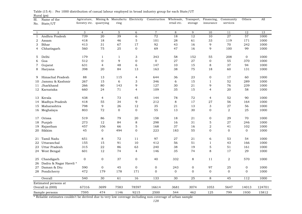| Sl. | Name of the            | Agricuture,      |                | Mining & Manufactu Electricity |                | Construction     | Wholesale,  | Transport,      | Financing,     | Community        | Others         | All    |
|-----|------------------------|------------------|----------------|--------------------------------|----------------|------------------|-------------|-----------------|----------------|------------------|----------------|--------|
| No. | State/UT               | forestry etc.    | quarrying      | ring                           |                |                  | retail etc. | storage         | insurance      | services         |                |        |
|     |                        |                  |                |                                |                |                  |             |                 |                |                  |                |        |
| 1   | 2                      | 3                | $\overline{4}$ | 5                              | 6              | $\overline{7}$   | 8           | 9               | 10             | 11               | 12             | 13     |
| 1   | Andhra Pradesh         | 739              | 20             | 39                             | $\overline{6}$ | 72               | 18          | $\overline{12}$ | 10             | 27               | 57             | 1000   |
| 2   | Assam                  | 418              | 18             | 46                             | $\mathbf 5$    | 101              | 28          | 61              | 33             | 119              | 171            | 1000   |
| 3   | Bihar                  | 413              | 31             | 67                             | 17             | 92               | 43          | 16              | 9              | 70               | 242            | 1000   |
| 4   | Chhatisgarh            | 560              | 75             | 25                             | $\mathbf 0$    | 69               | 47          | 16              | 9              | 100              | 99             | 1000   |
| 5   | Delhi                  | 179              | 1              | $\mathbf{1}$                   | 3              | 343              | 58          | 152             | 55             | 208              | $\mathbf{0}$   | 1000   |
| 6   | Goa                    | 512              | $\mathbf 0$    | 9                              | $\mathbf{0}$   | $\mathbf{0}$     | 27          | 27              | $\overline{0}$ | 55               | 370            | 1000   |
| 7   | Gujarat                | 631              | $\overline{4}$ | 48                             | 6              | 147              | 10          | 15              | 8              | 37               | 94             | 1000   |
| 8   | Haryana                | 398              | 20             | 84                             | 13             | 163              | 38          | 75              | 18             | 60               | 131            | 1000   |
| 9   | Himachal Pradesh       | 88               | 13             | 115                            | $\overline{4}$ | 644              | 36          | 23              | 0              | 17               | 60             | 1000   |
| 10  | Jammu & Kashmir        | 267              | 15             | 6                              | 3              | 346              | 6           | 15              | $\mathbf{1}$   | 52               | 289            | 1000   |
| 11  | Jharkhand              | 266              | 80             | 143                            | 9              | 127              | 30          | 21              | 9              | 76               | 239            | 1000   |
|     | 12 Karnataka           | 660              | 24             | 71                             | $\overline{4}$ | 109              | 35          | 15              | $\overline{4}$ | 20               | 58             | 1000   |
|     | 13 Kerala              | 438              | 4              | 73                             | 45             | 144              | 78          | 72              | 4              | 52               | 90             | 1000   |
| 14  | Madhya Pradesh         | 418              | 55             | 34                             | 9              | 212              | 8           | 17              | 27             | 56               | 164            | 1000   |
| 15  | Maharashtra            | 798              | 9              | 26                             | 12             | 35               | 21          | 13              | 3              | $\sqrt{27}$      | 56             | 1000   |
|     | 16 Meghalaya           | 803              | 72             | $\Omega$                       | $\mathbf{0}$   | 55               | 13          | 30              | $\overline{O}$ | 2                | 25             | 1000   |
|     |                        |                  |                |                                |                |                  |             |                 |                |                  |                |        |
| 17  | Orissa                 | 519              | 86             | 79                             | 20             | 158              | 18          | 21              | 0              | 29               | 70             | 1000   |
| 18  | Punjab                 | 273              | 12             | 84                             | 8              | 298              | 16          | 31              | 5              | 27               | 246            | 1000   |
| 19  | Rajasthan              | 457              | 106            | 66                             | $\mathbf 5$    | 168              | 37          | 16              | $\overline{2}$ | 41               | 102            | 1000   |
| 20  | Sikkim                 | 45               | $\mathbf{0}$   | 494                            | $\mathbf 0$    | 223              | 183         | 55              | 0              | $\boldsymbol{0}$ | $\overline{0}$ | 1000   |
| 21  | Tamil Nadu             | 651              | 8              | 72                             | 11             | 97               | 27          | 21              | 6              | 53               | 54             | 1000   |
| 22  | Uttaranchal            | 155              | 15             | 91                             | 10             | 412              | 56          | 51              | $\mathbf{1}$   | 43               | 166            | 1000   |
| 23  | Uttar Pradesh          | 315              | 22             | 86                             | 63             | 240              | 38          | 19              | $\mathbf 5$    | 51               | 161            | 1000   |
| 24  | West Bengal            | 601              | 12             | 74                             | 4              | 146              | 35          | 74              | 8              | 17               | 29             | 1000   |
| 25  | Chandigarh             | $\mathbf 0$      | $\mathbf{0}$   | 37                             | $\mathbf 0$    | 40               | 332         | 8               | 11             | 2                | 570            | 1000   |
| 26  | Dadra & Nagar Haveli * |                  |                |                                |                |                  |             |                 |                |                  |                |        |
| 27  | Daman & Diu            | 590              | $\mathbf{0}$   | 45                             | $\mathbf 0$    | $\boldsymbol{0}$ | 243         | $\mathbf 0$     | 97             | 25               | $\mathbf 0$    | 1000   |
|     | 28 Pondicherry         | 472              | 179            | 178                            | 171            | $\mathbf 0$      | $\mathbf 0$ | $\Omega$        | $\mathbf{0}$   | $\Omega$         | $\Omega$       | 1000   |
|     | Overall                | $\overline{540}$ | 30             | 61                             | 16             | 133              | 30          | 25              | 8              | 45               | 112            | 1000   |
|     | Estimated persons at   |                  |                |                                |                |                  |             |                 |                |                  |                |        |
|     | Overall in (000)       | 67316            | 3699           | 7583                           | 78597          | 16614            | 3681        | 3074            | 1053           | 5647             | 14013          | 124701 |
|     | Sample persons         | 7595             | 474            | 1146                           | 9215           | 2500             | 544         | 462             | 125            | 799              | 1930           | 15812  |

Rural (ps) Table (15.4) : Per 1000 distribution of casual labour employed in broad industry group for each State/UT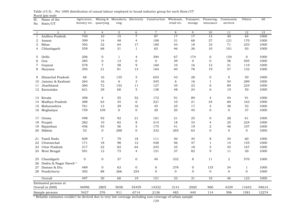| Sl.            | Name of the            | Agricuture,             |                | Mining & Manufactu Electricity |                  | Construction     | Wholesale,      |              | Transport, Financing,   | Community      | Others         | All   |
|----------------|------------------------|-------------------------|----------------|--------------------------------|------------------|------------------|-----------------|--------------|-------------------------|----------------|----------------|-------|
| No.            | State/UT               | forestry etc. quarrying |                | ring                           |                  |                  | retail etc.     | storage      | insurance               | services       |                |       |
|                |                        |                         |                |                                |                  |                  |                 |              |                         |                |                |       |
| 1              | $\overline{2}$         | $\mathbf{3}$            | $\overline{4}$ | $\overline{5}$                 | 6                | $\overline{7}$   | 8               | 9            | 10                      | 11             | 12             | 13    |
| $\mathbf{1}$   | Andhra Pradesh         | 740                     | 10             | 15                             | $\overline{7}$   | 87               | 17              | 17           | 13                      | 30             | 64             | 1000  |
| 2              | Assam                  | 399                     | 14             | 48                             | $\overline{4}$   | 108              | 31              | 68           | 37                      | 121            | 170            | 1000  |
| 3              | Bihar                  | 392                     | 32             | 64                             | 17               | 100              | 43              | 18           | 10                      | 71             | 253            | 1000  |
| 4              | Chhatisgarh            | 559                     | 68             | 31                             | $\mathbf{1}$     | 65               | 46              | 26           | 10                      | 101            | 93             | 1000  |
| 5              | Delhi                  | 206                     | $\mathbf 0$    | $\mathbf{1}$                   | 4                | 394              | 67              | 174          | $\mathbf 0$             | 154            | $\overline{0}$ | 1000  |
| 6              | Goa                    | 385                     | $\mathbf 0$    | 13                             | 0                | $\mathbf 0$      | 39              | $\mathbf 0$  | $\mathbf 0$             | 58             | 505            | 1000  |
| 7              | Gujarat                | 578                     | $\overline{7}$ | 58                             | 9                | 160              | 10              | 16           | 12                      | 31             | 119            | 1000  |
| 8              | Haryana                | 395                     | 21             | 81                             | 13               | 164              | 40              | 78           | 19                      | 57             | 132            | 1000  |
| 9              | Himachal Pradesh       | 68                      | 16             | 135                            | 5                | 655              | 43              | 28           | $\boldsymbol{0}$        | $\overline{0}$ | 50             | 1000  |
| 10             | Jammu & Kashmir        | 264                     | 16             | 6                              | 3                | 345              | 6               | 16           | $\mathbf{1}$            | 54             | 289            | 1000  |
| 11             | Jharkhand              | 260                     | 72             | 152                            | 11               | 127              | 35              | 23           | 6                       | 89             | 225            | 1000  |
| 12             | Karnataka              | 621                     | 29             | 60                             | 5                | 138              | 48              | 24           | 6                       | 19             | 50             | 1000  |
| 13             | Kerala                 | 398                     | $\overline{4}$ | 55                             | 52               | 172              | 91              | 89           | $\overline{4}$          | 44             | 91             | 1000  |
| 14             | Madhya Pradesh         | 388                     | 63             | 34                             | 6                | 221              | 10              | 21           | 34                      | 60             | 163            | 1000  |
| 15             | Maharashtra            | 761                     | 13             | 29                             | 16               | 45               | 25              | 17           | 3                       | 38             | 53             | 1000  |
|                | 16 Meghalaya           | 759                     | 109            | $\mathbf{0}$                   | $\mathbf{0}$     | 30               | 20              | 45           | $\Omega$                | $\Omega$       | 37             | 1000  |
| 17             | Orissa                 | 498                     | 93             | 92                             | 21               | 161              | 21              | 25           | $\mathbf{0}$            | 28             | 61             | 1000  |
| 18             | Punjab                 | 282                     | 10             | 82                             | 8                | 314              | 18              | 33           | $\overline{4}$          | 25             | 224            | 1000  |
| 19             | Rajasthan              | 456                     | 93             | 56                             | 5                | 175              | 41              | 19           | $\overline{\mathbf{c}}$ | 46             | 107            | 1000  |
| 20             | Sikkim                 | 52                      | $\mathbf{0}$   | 288                            | $\boldsymbol{0}$ | 332              | 265             | 63           | $\mathbf{O}$            | $\overline{0}$ | $\overline{0}$ | 1000  |
| 21             | Tamil Nadu             | 609                     | $\overline{7}$ | 79                             | 18               | 111              | 40              | 34           | 8                       | 34             | 60             | 1000  |
| 22             | Uttaranchal            | 171                     | 18             | 98                             | 12               | 428              | 56              | 47           | $\mathbf{1}$            | 14             | 155            | 1000  |
| 23             | Uttar Pradesh          | 317                     | 22             | 82                             | 64               | 245              | 35              | 18           | $\mathbf 5$             | 45             | 167            | 1000  |
|                | 24 West Bengal         | 591                     | 12             | 73                             | $\overline{4}$   | 151              | 37              | 82           | 9                       | 11             | 30             | 1000  |
| 25             | Chandigarh             | $\boldsymbol{0}$        | $\mathbf 0$    | 37                             | $\boldsymbol{0}$ | 40               | 332             | 8            | 11                      | $\overline{a}$ | 570            | 1000  |
| 26             | Dadra & Nagar Haveli * |                         |                |                                |                  |                  |                 |              |                         |                |                |       |
| 27             | Daman & Diu            | 489                     | $\mathbf 0$    | 63                             | $\mathbf{0}$     | 0                | 278             | 0            | 135                     | 34             | $\mathbf{1}$   | 1000  |
|                | 28 Pondicherry         | 392                     | 88             | 266                            | 254              | $\boldsymbol{0}$ | $\overline{0}$  | $\mathbf{0}$ | $\mathbf 0$             | $\overline{0}$ | $\Omega$       | 1000  |
|                | Overall                | 497                     | 30             | 60                             | 19               | 151              | $\overline{33}$ | 31           | 10                      | 46             | 123            | 1000  |
|                | Estimated persons at   |                         |                |                                |                  |                  |                 |              |                         |                |                |       |
|                | Overall in (000)       | 46996                   | 2805           | 5658                           | 55459            | 14332            | 3141            | 2920         | 960                     | 4339           | 11643          | 94614 |
| Sample persons |                        | 5427                    | 376            | 911                            | 6714             | 2136             | 483             | 440          | 114                     | 596            | 1581           | 12274 |

Rural (ps) male Table (15.5) : Per 1000 distribution of casual labour employed in broad industry group for each State/UT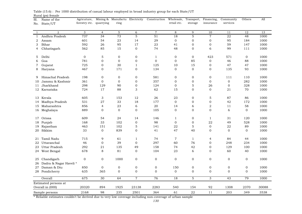| Sl.            | Name of the                          | Agricuture,   |                  | Mining & Manufactu Electricity |                  | Construction Wholesale, |                  | Transport,       | Financing,     | Community        | Others         | All   |
|----------------|--------------------------------------|---------------|------------------|--------------------------------|------------------|-------------------------|------------------|------------------|----------------|------------------|----------------|-------|
| No.            | State/UT                             | forestry etc. | quarrying        | ring                           |                  |                         | retail etc.      | storage          | insurance      | services         |                |       |
|                |                                      |               |                  |                                |                  |                         |                  |                  |                |                  |                |       |
| 1              | $\overline{2}$                       | 3             | $\overline{4}$   | 5                              | 6                | $\overline{7}$          | 8                | 9                | 10             | 11               | 12             | 13    |
| 1              | Andhra Pradesh                       | 737           | 34               | 73                             | 5                | 51                      | 18               | 5                | $\tau$         | 22               | 48             | 1000  |
| 2              | Assam                                | 601           | 54               | 23                             | 14               | 29                      | $\boldsymbol{0}$ | $\boldsymbol{0}$ | 0              | 95               | 184            | 1000  |
| 3              | Bihar                                | 592           | 26               | 95                             | 17               | 23                      | 41               | $\boldsymbol{0}$ | $\overline{O}$ | 59               | 147            | 1000  |
| 4              | Chhatisgarh                          | 562           | 85               | 15                             | $\mathbf 0$      | 74                      | 48               | $\mathbf{0}$     | 6              | 99               | 111            | 1000  |
| 5              | Delhi                                | $\mathbf 0$   | $\mathbf 5$      | 0                              | 0                | $\mathbf{1}$            | $\overline{0}$   | 0                | 423            | 571              | $\overline{0}$ | 1000  |
| 6              | Goa                                  | 781           | $\mathbf{O}$     | $\overline{O}$                 | $\boldsymbol{0}$ | $\overline{O}$          | $\mathbf 0$      | 85               | $\mathbf 0$    | 46               | 88             | 1000  |
| 7              | Gujarat                              | 725           | $\mathbf{0}$     | 30                             | $\mathbf{1}$     | 125                     | 10               | 15               | 0              | 47               | 47             | 1000  |
| 8              | Haryana                              | 467           | $\boldsymbol{0}$ | 171                            | $\boldsymbol{0}$ | 134                     | $\boldsymbol{0}$ | $\mathbf 0$      | 0              | 135              | 93             | 1000  |
| 9              | Himachal Pradesh                     | 198           | $\Omega$         | $\mathbf{0}$                   | $\mathbf{0}$     | 581                     | $\overline{0}$   | $\mathbf{0}$     | $\overline{O}$ | 111              | 110            | 1000  |
| 10             | Jammu & Kashmir                      | 361           | $\mathbf{O}$     | $\mathbf 0$                    | 0                | 357                     | $\overline{0}$   | $\boldsymbol{0}$ | $\overline{0}$ | $\mathbf 0$      | 282            | 1000  |
| 11             | Jharkhand                            | 298           | 129              | 90                             | $\mathbf 0$      | 124                     | $\mathbf 0$      | $\mathbf 5$      | 26             | $\mathbf{O}$     | 328            | 1000  |
|                | 12 Karnataka                         | 724           | 17               | 88                             | 3                | 62                      | 15               | $\mathbf{0}$     | $\Omega$       | 21               | 70             | 1000  |
|                | 13 Kerala                            | 605           | 3                | 153                            | 12               | 26                      | 23               | $\boldsymbol{0}$ | 5              | 87               | 86             | 1000  |
| 14             | Madhya Pradesh                       | 531           | 27               | 33                             | 18               | 177                     | $\Omega$         | $\mathbf{0}$     | $\overline{O}$ | 42               | 172            | 1000  |
| 15             | Maharashtra                          | 856           | $\overline{4}$   | 23                             | 6                | 20                      | 14               | 6                | $\overline{2}$ | 11               | 58             | 1000  |
|                | 16 Meghalaya                         | 889           | $\mathbf{0}$     | $\overline{0}$                 | $\mathbf{0}$     | 105                     | $\mathbf{0}$     | $\mathbf{0}$     | $\overline{O}$ | 6                | $\mathbf{0}$   | 1000  |
| 17             | Orissa                               | 609           | 54               | 24                             | 14               | 146                     | $\mathbf{1}$     | $\mathbf 0$      | $\mathbf{1}$   | 31               | 120            | 1000  |
| 18             | Punjab                               | 168           | 33               | 102                            | $\mathbf 0$      | 98                      | $\boldsymbol{0}$ | $\boldsymbol{0}$ | 22             | 49               | 528            | 1000  |
| 19             | Rajasthan                            | 463           | 151              | 102                            | 5                | 141                     | 22               | 5                | $\mathbf{0}$   | 22               | 89             | 1000  |
| 20             | Sikkim                               | 33            | $\mathbf{O}$     | 839                            | $\mathbf 0$      | 41                      | 47               | 40               | $\overline{O}$ | $\overline{0}$   | $\overline{0}$ | 1000  |
|                | Tamil Nadu                           | 715           | 9                | 61                             | 1                | 74                      | $\overline{7}$   | 1                | $\overline{4}$ | 84               | 44             | 1000  |
| 21<br>22       | Uttaranchal                          | 46            | $\mathbf{O}$     | 39                             | $\mathbf 0$      | 297                     | 60               | 76               | 0              | 248              | 234            | 1000  |
| 23             | Uttar Pradesh                        | 292           | 21               | 135                            | 49               | 158                     | 74               | 42               | 0              | 129              | 100            | 1000  |
| 24             | West Bengal                          | 678           | 8                | 81                             | $\mathbf 0$      | 104                     | 23               | 6                | $\Omega$       | 60               | 40             | 1000  |
|                |                                      |               |                  |                                |                  |                         |                  |                  |                |                  |                |       |
| 25<br>26       | Chandigarh<br>Dadra & Nagar Haveli * | 0             | $\mathbf 0$      | 1000                           | 0                | 0                       | $\boldsymbol{0}$ | $\mathbf 0$      | $\mathbf 0$    | $\mathbf 0$      | $\mathbf 0$    | 1000  |
| 27             | Daman & Diu                          | 850           | $\mathbf 0$      | $\mathbf 0$                    | $\mathbf 0$      | 0                       | 150              | $\boldsymbol{0}$ | 0              | $\boldsymbol{0}$ | $\mathbf 0$    | 1000  |
|                | 28 Pondicherry                       | 635           | 365              | $\overline{0}$                 | $\mathbf 0$      | $\mathbf 0$             | $\mathbf 0$      | $\mathbf{0}$     | $\mathbf{0}$   | $\overline{0}$   | $\mathbf{0}$   | 1000  |
|                | Overall                              | 675           | $\overline{30}$  | 64                             | $\overline{7}$   | 76                      | $\overline{18}$  | $\overline{5}$   | 3              | $\overline{43}$  | 79             | 1000  |
|                | Estimated persons at                 |               |                  |                                |                  |                         |                  |                  |                |                  |                |       |
|                | Overall in (000)                     | 20320         | 894              | 1925                           | 23138            | 2283                    | 540              | 154              | 92             | 1308             | 2370           | 30088 |
| Sample persons |                                      | 2168          | 98               | 235                            | 2501             | 364                     | 61               | 22               | 11             | 203              | 349            | 3538  |

Rural (ps) female Table (15.6) : Per 1000 distribution of casual labour employed in broad industry group for each State/UT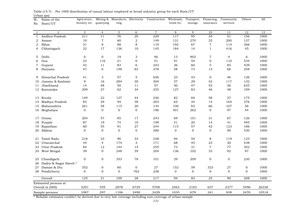| Sl.<br>No.     | Name of the<br>State/UT | Agricuture,<br>forestry etc. | quarrying       | Mining & Manufactu Electricity<br>ring |                 | Construction Wholesale, Transport, | retail etc.    | storage      | Financing,<br>insurance | Community<br>services | Others       | All   |
|----------------|-------------------------|------------------------------|-----------------|----------------------------------------|-----------------|------------------------------------|----------------|--------------|-------------------------|-----------------------|--------------|-------|
|                |                         |                              |                 |                                        |                 |                                    |                |              |                         |                       |              |       |
| $\mathbf{1}$   | $\overline{a}$          | 3                            | $\overline{4}$  | $\mathbf{5}$                           | 6               | $\overline{7}$                     | 8              | 9            | 10                      | 11                    | 12           | 13    |
| $\mathbf{1}$   | Andhra Pradesh          | 211                          | 11              | 76                                     | 20              | 229                                | 117            | 95           | 34                      | 51                    | 156          | 1000  |
| 2              | Assam                   | 19                           | $\overline{7}$  | 60                                     | $\sqrt{2}$      | 149                                | 131            | 270          | 25                      | 200                   | 137          | 1000  |
| 3              | Bihar                   | 31                           | 8               | 88                                     | $\,8\,$         | 119                                | 192            | 67           | $\,7$                   | 114                   | 366          | 1000  |
| 4              | Chhatisgarh             | 32                           | 17              | 136                                    | 10              | 145                                | 184            | 14           | $\mathbf{1}$            | 416                   | 45           | 1000  |
| 5              | Delhi                   | $\mathbf{0}$                 | $\overline{0}$  | 19                                     | 3               | 46                                 | 13             | 902          | $\overline{7}$          | $\overline{4}$        | 6            | 1000  |
| 6              | Goa                     | 23                           | 116             | 21                                     | $\mathbf 0$     | 51                                 | 91             | 54           | 0                       | 110                   | 534          | 1000  |
| 7              | Gujarat                 | 42                           | 11              | 83                                     | 6               | 243                                | 36             | 60           | 5                       | 85                    | 429          | 1000  |
| 8              | Haryana                 | 47                           | 6               | 148                                    | 63              | 278                                | 58             | 73           | 13                      | 66                    | 248          | 1000  |
| 9              | Himachal Pradesh        | 41                           | 3               | 57                                     | 5               | 656                                | 23             | 43           | $\mathbf{0}$            | 46                    | 126          | 1000  |
| 10             | Jammu & Kashmir         | 9                            | 16              | 284                                    | 30              | 304                                | 37             | 29           | 42                      | 117                   | 132          | 1000  |
| 11             | Jharkhand               | 14                           | 48              | 50                                     | $11$            | 57                                 | 50             | 47           | 52                      | 36                    | 635          | 1000  |
|                | 12 Karnataka            | 209                          | 27              | 62                                     | 34              | 255                                | 127            | 83           | 46                      | 48                    | 109          | 1000  |
|                | 13 Kerala               | 149                          | 22              | 127                                    | 44              | 246                                | 82             | 60           | 58                      | 37                    | 175          | 1000  |
| 14             | Madhya Pradesh          | 83                           | 29              | 94                                     | 38              | 203                                | 65             | 34           | 14                      | 164                   | 276          | 1000  |
|                | 15 Maharashtra          | 261                          | 58              | 115                                    | 20              | 134                                | 100            | 83           | 66                      | 107                   | 56           | 1000  |
|                | 16 Meghalaya            | $\overline{0}$               | $\overline{0}$  | $\overline{0}$                         | $\mathbf 0$     | 196                                | 401            | 262          | $\overline{0}$          | 97                    | 44           | 1000  |
| 17             | Orissa                  | 204                          | 57              | 85                                     | 17              | 243                                | 69             | 101          | 31                      | 67                    | 126          | 1000  |
| 18             | Punjab                  | 87                           | 19              | 74                                     | 10              | 199                                | 41             | 20           | 14                      | 41                    | 495          | 1000  |
| 19             | Rajasthan               | 60                           | 55              | 91                                     | $27\,$          | 244                                | 115            | 57           | 42                      | 123                   | 186          | 1000  |
|                | 20 Sikkim               | $\overline{0}$               | $\overline{0}$  | $\overline{0}$                         | $\mathbf 0$     | 380                                | $\overline{0}$ | $\mathbf{0}$ | $\overline{0}$          | 90                    | 530          | 1000  |
|                | 21 Tamil Nadu           | 218                          | 23              | 90                                     | 33              | 238                                | 94             | 54           | 8                       | 119                   | 123          | 1000  |
| 22             | Uttaranchal             | 44                           | $\overline{4}$  | 174                                    | 3               | 171                                | 68             | 45           | 23                      | 30                    | 438          | 1000  |
| 23             | Uttar Pradesh           | 84                           | 12              | 144                                    | 15              | 255                                | 73             | 31           | $\sqrt{7}$              | 77                    | 302          | 1000  |
| 24             | West Bengal             | 39                           | $\mathbf 0$     | 248                                    | 59              | 204                                | 136            | 102          | 33                      | 92                    | 87           | 1000  |
| 25             | Chandigarh              | 0                            | 0               | 353                                    | 78              | 101                                | 29             | 209          | $\boldsymbol{0}$        | $\boldsymbol{0}$      | 230          | 1000  |
| 26             | Dadra & Nagar Haveli*   |                              |                 |                                        |                 |                                    |                |              |                         |                       |              |       |
| 27             | Daman & Diu             | 352                          | $\mathbf 0$     | 60                                     | $\mathbf 0$     | 27                                 | 152            | 59           | 323                     | 27                    | $\mathbf 0$  | 1000  |
|                | 28 Pondicherry          | $\mathbf{0}$                 | $\mathbf{0}$    | $\overline{0}$                         | 762             | 238                                | $\mathbf{0}$   | $\mathbf 0$  | $\mathbf 0$             | $\mathbf{O}$          | $\mathbf{0}$ | 1000  |
|                | Overall                 | $\overline{125}$             | $\overline{21}$ | 109                                    | $\overline{28}$ | $\overline{217}$                   | 94             | 83           | $\overline{25}$         | 90                    | 208          | 1000  |
|                | Estimated persons at    |                              |                 |                                        |                 |                                    |                |              |                         |                       |              |       |
|                | Overall in (000)        | 3291                         | 559             | 2878                                   | 6729            | 5708                               | 2463           | 2183         | 657                     | 2377                  | 5496         | 26338 |
| Sample persons |                         | 1087                         | 297             | 1106                                   | 2490            | 2429                               | 1035           | 679          | 241                     | 938                   | 2470         | 10518 |

Urban (ps) Table (15.7) : Per 1000 distribution of casual labour employed in broad industry group for each State/UT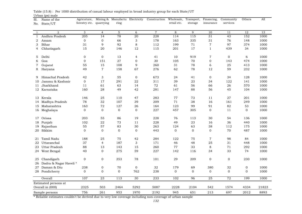| Sl.          | Name of the            | Agricuture,      |                 | Mining & Manufactu Electricity |                  | Construction   | Wholesale,     | Transport,      | Financing,       | Community      | Others         | All   |
|--------------|------------------------|------------------|-----------------|--------------------------------|------------------|----------------|----------------|-----------------|------------------|----------------|----------------|-------|
| No.          | State/UT               | forestry etc.    | quarrying       | ring                           |                  |                | retail etc.    | storage         | insurance        | services       |                |       |
|              |                        |                  |                 |                                |                  |                |                |                 |                  |                |                |       |
| $\mathbf{1}$ | 2                      | 3                | $\overline{4}$  | 5                              | 6                | $\overline{7}$ | 8              | 9               | 10               | 11             | 12             | 13    |
| $\mathbf{1}$ | Andhra Pradesh         | 205              | 14              | 78                             | 20               | 228            | 114            | 115             | 31               | 43             | 152            | 1000  |
| 2            | Assam                  | $\mathbf 0$      | $\mathbf{0}$    | 66                             | 3                | 178            | 163            | 335             | 31               | 76             | 148            | 1000  |
| 3            | Bihar                  | 31               | 9               | 92                             | 8                | 112            | 199            | $7\,\mathrm{1}$ | $\overline{7}$   | 97             | 374            | 1000  |
| 4            | Chhatisgarh            | 15               | 20              | 146                            | 12               | 115            | 201            | 17              | $\mathbf{1}$     | 439            | 34             | 1000  |
| 5            | Delhi                  | $\mathbf 0$      | $\mathbf 0$     | 13                             | 4                | 41             | 10             | 919             | $\overline{7}$   | $\mathbf 0$    | 6              | 1000  |
| 6            | Goa                    | $\mathbf 0$      | 151             | 27                             | 0                | 30             | 105            | 70              | $\boldsymbol{0}$ | 143            | 474            | 1000  |
| 7            | Gujarat                | 55               | 15              | 108                            | 9                | 260            | 31             | 78              | 6                | 25             | 413            | 1000  |
| 8            | Haryana                | 49               | $\overline{7}$  | 158                            | 67               | 276            | 62             | 78              | 12               | 59             | 232            | 1000  |
| 9            | Himachal Pradesh       | 42               | 3               | 55                             | $\overline{0}$   | 673            | 24             | 41              | $\overline{0}$   | 34             | 128            | 1000  |
| 10           | Jammu & Kashmir        | $\boldsymbol{0}$ | 17              | 291                            | 22               | 311            | 39             | 23              | 34               | 122            | 141            | 1000  |
| 11           | Jharkhand              | 11               | 61              | 63                             | 14               | 72             | 61             | 56              | 66               | 26             | 570            | 1000  |
|              | 12 Karnataka           | 160              | 28              | 49                             | 42               | 281            | 147            | 88              | 56               | 45             | 104            | 1000  |
| 13           | Kerala                 | 146              | 25              | 110                            | 47               | 283            | 77             | 73              | 11               | $27\,$         | 201            | 1000  |
| 14           | Madhya Pradesh         | 78               | 32              | 107                            | 39               | 209            | 71             | 38              | 16               | 161            | 249            | 1000  |
|              | 15 Maharashtra         | 163              | 72              | 127                            | 26               | 164            | 123            | 99              | 91               | 82             | 53             | 1000  |
|              | 16 Meghalaya           | $\mathbf 0$      | $\Omega$        | $\mathbf{0}$                   | $\mathbf{0}$     | 227            | 457            | 305             | $\mathbf 0$      | 11             | $\overline{0}$ | 1000  |
| 17           | Orissa                 | 203              | 55              | 86                             | 19               | 228            | 76             | 113             | 30               | 54             | 136            | 1000  |
| 18           | Punjab                 | 102              | 22              | 73                             | 11               | 228            | 49             | 23              | 16               | 36             | 440            | 1000  |
| 19           | Rajasthan              | 55               | 57              | 83                             | 30               | 263            | 124            | 63              | 38               | 112            | 175            | 1000  |
| 20           | Sikkim                 | $\boldsymbol{0}$ | $\mathbf{0}$    | $\boldsymbol{0}$               | $\boldsymbol{0}$ | 443            | $\mathbf{0}$   | $\mathbf 0$     | $\mathbf 0$      | 70             | 487            | 1000  |
| 21           | Tamil Nadu             | 188              | 25              | 75                             | 42               | 284            | 122            | 75              | $\overline{7}$   | 98             | 84             | 1000  |
| 22           | Uttaranchal            | 37               | $\overline{4}$  | 187                            | 3                | 171            | 46             | 48              | 25               | 31             | 448            | 1000  |
| 23           | Uttar Pradesh          | 88               | 13              | 143                            | 15               | 260            | 77             | 33              | 8                | 71             | 292            | 1000  |
|              | 24 West Bengal         | 40               | $\mathbf{0}$    | 275                            | 59               | 227            | 142            | 116             | 34               | 33             | 74             | 1000  |
| 25           | Chandigarh             | $\boldsymbol{0}$ | $\mathbf 0$     | 353                            | 78               | 101            | 29             | 209             | $\boldsymbol{0}$ | $\mathbf{0}$   | 230            | 1000  |
| 26           | Dadra & Nagar Haveli * |                  |                 |                                |                  |                |                |                 |                  |                |                |       |
| 27           | Daman & Diu            | 238              | $\mathbf 0$     | 70                             | $\boldsymbol{0}$ | 32             | 179            | 69              | 380              | 32             | $\mathbf 0$    | 1000  |
|              | 28 Pondicherry         | $\mathbf{0}$     | $\Omega$        | $\mathbf{0}$                   | 762              | 238            | $\overline{0}$ | $\mathbf{0}$    | $\overline{0}$   | $\overline{0}$ | $\Omega$       | 1000  |
|              | Overall                | 107              | $\overline{23}$ | 113                            | $\overline{30}$  | 233            | 102            | 96              | $\overline{25}$  | 72             | 199            | 1000  |
|              | Estimated persons at   |                  |                 |                                |                  |                |                |                 |                  |                |                |       |
|              | Overall in (000)       | 2325             | 503             | 2464                           | 5292             | 5087           | 2228           | 2104            | 542              | 1574           | 4334           | 21823 |
|              | Sample persons         | 756              | 261             | 953                            | 1970             | 2192           | 945            | 651             | 213              | 697            | 2012           | 8893  |

Urban (ps) male Table (15.8) : Per 1000 distribution of casual labour employed in broad industry group for each State/UT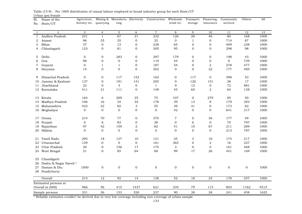| quarrying<br>retail etc.<br>services<br>forestry etc.<br>ring<br>storage<br>insurance<br>State/UT<br>No.<br>$\overline{7}$<br>$\,8\,$<br>9<br>13<br>$\overline{2}$<br>3<br>5<br>6<br>10<br>11<br>12<br>$\overline{4}$<br>$\mathbf{1}$<br>67<br>$\overline{21}$<br>231<br>232<br>126<br>28<br>46<br>80<br>168<br>Andhra Pradesh<br>1000<br>$\mathbf{1}$<br>1<br>35<br>35<br>32<br>$\mathbf{O}$<br>714<br>87<br>96<br>$\mathbf 0$<br>$\mathbf{1}$<br>0<br>1000<br>2<br>Assam<br>Bihar<br>37<br>$\mathbf 0$<br>13<br>$\boldsymbol{0}$<br>65<br>$\boldsymbol{0}$<br>$\boldsymbol{0}$<br>409<br>238<br>238<br>1000<br>3<br>81<br>95<br>$\mathbf{0}$<br>$\mathbf{0}$<br>298<br>1000<br>Chhatisgarh<br>123<br>$\mathbf 0$<br>0<br>305<br>98<br>4<br>Delhi<br>$\mathbf{0}$<br>$\mathbf{0}$<br>283<br>$\mathbf 0$<br>297<br>179<br>$\mathbf{0}$<br>$\mathbf{0}$<br>198<br>1000<br>43<br>5<br>$\boldsymbol{0}$<br>Goa<br>98<br>$\mathbf{0}$<br>$\boldsymbol{0}$<br>$\boldsymbol{0}$<br>$\mathbf{O}$<br>$\mathbf{O}$<br>1000<br>119<br>44<br>739<br>6<br>$\mathbf 0$<br>$\boldsymbol{0}$<br>$\sqrt{2}$<br>278<br>1000<br>Gujarat<br>$\mathbf{1}$<br>$\mathbf{1}$<br>$\boldsymbol{0}$<br>187<br>54<br>477<br>7<br>$\mathbf{O}$<br>22<br>177<br>$\mathbf{0}$<br>$\mathbf 0$<br>302<br>$\mathbf{0}$<br>$\mathbf{0}$<br>485<br>1000<br>14<br>8<br>Haryana<br>Himachal Pradesh<br>$\mathbf{0}$<br>$\Omega$<br>153<br>162<br>$\mathbf{0}$<br>117<br>$\mathbf{0}$<br>398<br>53<br>1000<br>117<br>9<br>Jammu & Kashmir<br>137<br>191<br>141<br>205<br>120<br>151<br>38<br>17<br>1000<br>$\mathbf 0$<br>$\mathbf 0$<br>10<br>22<br>$\mathbf 0$<br>3<br>12<br>$\boldsymbol{0}$<br>72<br>Jharkhand<br>$\boldsymbol{0}$<br>$\mathbf{1}$<br>9<br>881<br>1000<br>11<br>Karnataka<br>21<br>111<br>$\overline{0}$<br>148<br>45<br>60<br>2<br>64<br>138<br>1000<br>12<br>411<br>209<br>25<br>75<br>279<br>1000<br>Kerala<br>164<br>6<br>107<br>$\mathbf 0$<br>85<br>50<br>13<br>34<br>178<br>39<br>$\,8\,$<br>179<br>393<br>1000<br>Madhya Pradesh<br>106<br>16<br>34<br>13<br>14<br>Maharashtra<br>523<br>22<br>82<br>3<br>55<br>39<br>41<br>$\mathbf{0}$<br>173<br>62<br>1000<br>15<br>$\mathbf{0}$<br>$\Omega$<br>$\mathbf{0}$<br>$\mathbf{0}$<br>42<br>$\mathbf{0}$<br>$\Omega$<br>641<br>1000<br>16 Meghalaya<br>$\mathbf{0}$<br>317<br>214<br>70<br>77<br>0<br>370<br>$\overline{7}$<br>$\mathbf{0}$<br>36<br>177<br>49<br>1000<br>Orissa<br>17<br>6<br>83<br>38<br>$\boldsymbol{0}$<br>$\mathbf 0$<br>70<br>Punjab<br>$\mathbf 0$<br>$\mathbf 0$<br>6<br>797<br>1000<br>18<br>Rajasthan<br>97<br>42<br>159<br>2<br>82<br>41<br>10<br>67<br>211<br>289<br>1000<br>19<br>$\boldsymbol{0}$<br>Sikkim<br>$\mathbf 0$<br>$\mathbf{0}$<br>$\mathbf 0$<br>$\mathbf 0$<br>$\overline{0}$<br>$\mathbf 0$<br>$\mathbf{0}$<br>213<br>20<br>787<br>1000<br>Tamil Nadu<br>295<br>18<br>127<br>10<br>121<br>25<br>3<br>10<br>174<br>217<br>1000<br>21<br>$\mathbf 0$<br>$\mathbf 0$<br>$\boldsymbol{0}$<br>161<br>$\sqrt{2}$<br>16<br>Uttaranchal<br>129<br>365<br>$\mathbf 0$<br>327<br>1000<br>22<br>$\overline{0}$<br>Uttar Pradesh<br>20<br>$\mathbf{0}$<br>156<br>17<br>175<br>3<br>$\mathbf{0}$<br>161<br>468<br>1000<br>23<br>$\mathbf{0}$<br>85<br>64<br>68<br>17<br>441<br>1000<br>31<br>99<br>26<br>169<br>24 West Bengal<br>Chandigarh<br>25<br>Dadra & Nagar Haveli *<br>26<br>$\boldsymbol{0}$<br>$\boldsymbol{0}$<br>$\boldsymbol{0}$<br>1000<br>Daman & Diu<br>1000<br>$\mathbf 0$<br>0<br>$\mathbf 0$<br>$\mathbf{O}$<br>$\mathbf 0$<br>$\mathbf{0}$<br>27 | Sl. | Name of the | Agricuture, | Mining & Manufactu Electricity | Construction | Wholesale, | Transport, | Financing, | Community | Others | All |
|-----------------------------------------------------------------------------------------------------------------------------------------------------------------------------------------------------------------------------------------------------------------------------------------------------------------------------------------------------------------------------------------------------------------------------------------------------------------------------------------------------------------------------------------------------------------------------------------------------------------------------------------------------------------------------------------------------------------------------------------------------------------------------------------------------------------------------------------------------------------------------------------------------------------------------------------------------------------------------------------------------------------------------------------------------------------------------------------------------------------------------------------------------------------------------------------------------------------------------------------------------------------------------------------------------------------------------------------------------------------------------------------------------------------------------------------------------------------------------------------------------------------------------------------------------------------------------------------------------------------------------------------------------------------------------------------------------------------------------------------------------------------------------------------------------------------------------------------------------------------------------------------------------------------------------------------------------------------------------------------------------------------------------------------------------------------------------------------------------------------------------------------------------------------------------------------------------------------------------------------------------------------------------------------------------------------------------------------------------------------------------------------------------------------------------------------------------------------------------------------------------------------------------------------------------------------------------------------------------------------------------------------------------------------------------------------------------------------------------------------------------------------------------------------------------------------------------------------------------------------------------------------------------------------------------------------------------------------------------------------------------------------------------------------------------------------------------------------------------------------------------------------------------------------------------------------------------------------------------------------------------------------------------------------------------------------------------------------------------------------------------------------------------------------------------------------------------------------------------------------------------------------------------------------|-----|-------------|-------------|--------------------------------|--------------|------------|------------|------------|-----------|--------|-----|
|                                                                                                                                                                                                                                                                                                                                                                                                                                                                                                                                                                                                                                                                                                                                                                                                                                                                                                                                                                                                                                                                                                                                                                                                                                                                                                                                                                                                                                                                                                                                                                                                                                                                                                                                                                                                                                                                                                                                                                                                                                                                                                                                                                                                                                                                                                                                                                                                                                                                                                                                                                                                                                                                                                                                                                                                                                                                                                                                                                                                                                                                                                                                                                                                                                                                                                                                                                                                                                                                                                                                         |     |             |             |                                |              |            |            |            |           |        |     |
|                                                                                                                                                                                                                                                                                                                                                                                                                                                                                                                                                                                                                                                                                                                                                                                                                                                                                                                                                                                                                                                                                                                                                                                                                                                                                                                                                                                                                                                                                                                                                                                                                                                                                                                                                                                                                                                                                                                                                                                                                                                                                                                                                                                                                                                                                                                                                                                                                                                                                                                                                                                                                                                                                                                                                                                                                                                                                                                                                                                                                                                                                                                                                                                                                                                                                                                                                                                                                                                                                                                                         |     |             |             |                                |              |            |            |            |           |        |     |
|                                                                                                                                                                                                                                                                                                                                                                                                                                                                                                                                                                                                                                                                                                                                                                                                                                                                                                                                                                                                                                                                                                                                                                                                                                                                                                                                                                                                                                                                                                                                                                                                                                                                                                                                                                                                                                                                                                                                                                                                                                                                                                                                                                                                                                                                                                                                                                                                                                                                                                                                                                                                                                                                                                                                                                                                                                                                                                                                                                                                                                                                                                                                                                                                                                                                                                                                                                                                                                                                                                                                         |     |             |             |                                |              |            |            |            |           |        |     |
|                                                                                                                                                                                                                                                                                                                                                                                                                                                                                                                                                                                                                                                                                                                                                                                                                                                                                                                                                                                                                                                                                                                                                                                                                                                                                                                                                                                                                                                                                                                                                                                                                                                                                                                                                                                                                                                                                                                                                                                                                                                                                                                                                                                                                                                                                                                                                                                                                                                                                                                                                                                                                                                                                                                                                                                                                                                                                                                                                                                                                                                                                                                                                                                                                                                                                                                                                                                                                                                                                                                                         |     |             |             |                                |              |            |            |            |           |        |     |
|                                                                                                                                                                                                                                                                                                                                                                                                                                                                                                                                                                                                                                                                                                                                                                                                                                                                                                                                                                                                                                                                                                                                                                                                                                                                                                                                                                                                                                                                                                                                                                                                                                                                                                                                                                                                                                                                                                                                                                                                                                                                                                                                                                                                                                                                                                                                                                                                                                                                                                                                                                                                                                                                                                                                                                                                                                                                                                                                                                                                                                                                                                                                                                                                                                                                                                                                                                                                                                                                                                                                         |     |             |             |                                |              |            |            |            |           |        |     |
|                                                                                                                                                                                                                                                                                                                                                                                                                                                                                                                                                                                                                                                                                                                                                                                                                                                                                                                                                                                                                                                                                                                                                                                                                                                                                                                                                                                                                                                                                                                                                                                                                                                                                                                                                                                                                                                                                                                                                                                                                                                                                                                                                                                                                                                                                                                                                                                                                                                                                                                                                                                                                                                                                                                                                                                                                                                                                                                                                                                                                                                                                                                                                                                                                                                                                                                                                                                                                                                                                                                                         |     |             |             |                                |              |            |            |            |           |        |     |
|                                                                                                                                                                                                                                                                                                                                                                                                                                                                                                                                                                                                                                                                                                                                                                                                                                                                                                                                                                                                                                                                                                                                                                                                                                                                                                                                                                                                                                                                                                                                                                                                                                                                                                                                                                                                                                                                                                                                                                                                                                                                                                                                                                                                                                                                                                                                                                                                                                                                                                                                                                                                                                                                                                                                                                                                                                                                                                                                                                                                                                                                                                                                                                                                                                                                                                                                                                                                                                                                                                                                         |     |             |             |                                |              |            |            |            |           |        |     |
|                                                                                                                                                                                                                                                                                                                                                                                                                                                                                                                                                                                                                                                                                                                                                                                                                                                                                                                                                                                                                                                                                                                                                                                                                                                                                                                                                                                                                                                                                                                                                                                                                                                                                                                                                                                                                                                                                                                                                                                                                                                                                                                                                                                                                                                                                                                                                                                                                                                                                                                                                                                                                                                                                                                                                                                                                                                                                                                                                                                                                                                                                                                                                                                                                                                                                                                                                                                                                                                                                                                                         |     |             |             |                                |              |            |            |            |           |        |     |
|                                                                                                                                                                                                                                                                                                                                                                                                                                                                                                                                                                                                                                                                                                                                                                                                                                                                                                                                                                                                                                                                                                                                                                                                                                                                                                                                                                                                                                                                                                                                                                                                                                                                                                                                                                                                                                                                                                                                                                                                                                                                                                                                                                                                                                                                                                                                                                                                                                                                                                                                                                                                                                                                                                                                                                                                                                                                                                                                                                                                                                                                                                                                                                                                                                                                                                                                                                                                                                                                                                                                         |     |             |             |                                |              |            |            |            |           |        |     |
|                                                                                                                                                                                                                                                                                                                                                                                                                                                                                                                                                                                                                                                                                                                                                                                                                                                                                                                                                                                                                                                                                                                                                                                                                                                                                                                                                                                                                                                                                                                                                                                                                                                                                                                                                                                                                                                                                                                                                                                                                                                                                                                                                                                                                                                                                                                                                                                                                                                                                                                                                                                                                                                                                                                                                                                                                                                                                                                                                                                                                                                                                                                                                                                                                                                                                                                                                                                                                                                                                                                                         |     |             |             |                                |              |            |            |            |           |        |     |
|                                                                                                                                                                                                                                                                                                                                                                                                                                                                                                                                                                                                                                                                                                                                                                                                                                                                                                                                                                                                                                                                                                                                                                                                                                                                                                                                                                                                                                                                                                                                                                                                                                                                                                                                                                                                                                                                                                                                                                                                                                                                                                                                                                                                                                                                                                                                                                                                                                                                                                                                                                                                                                                                                                                                                                                                                                                                                                                                                                                                                                                                                                                                                                                                                                                                                                                                                                                                                                                                                                                                         |     |             |             |                                |              |            |            |            |           |        |     |
|                                                                                                                                                                                                                                                                                                                                                                                                                                                                                                                                                                                                                                                                                                                                                                                                                                                                                                                                                                                                                                                                                                                                                                                                                                                                                                                                                                                                                                                                                                                                                                                                                                                                                                                                                                                                                                                                                                                                                                                                                                                                                                                                                                                                                                                                                                                                                                                                                                                                                                                                                                                                                                                                                                                                                                                                                                                                                                                                                                                                                                                                                                                                                                                                                                                                                                                                                                                                                                                                                                                                         |     |             |             |                                |              |            |            |            |           |        |     |
|                                                                                                                                                                                                                                                                                                                                                                                                                                                                                                                                                                                                                                                                                                                                                                                                                                                                                                                                                                                                                                                                                                                                                                                                                                                                                                                                                                                                                                                                                                                                                                                                                                                                                                                                                                                                                                                                                                                                                                                                                                                                                                                                                                                                                                                                                                                                                                                                                                                                                                                                                                                                                                                                                                                                                                                                                                                                                                                                                                                                                                                                                                                                                                                                                                                                                                                                                                                                                                                                                                                                         |     |             |             |                                |              |            |            |            |           |        |     |
|                                                                                                                                                                                                                                                                                                                                                                                                                                                                                                                                                                                                                                                                                                                                                                                                                                                                                                                                                                                                                                                                                                                                                                                                                                                                                                                                                                                                                                                                                                                                                                                                                                                                                                                                                                                                                                                                                                                                                                                                                                                                                                                                                                                                                                                                                                                                                                                                                                                                                                                                                                                                                                                                                                                                                                                                                                                                                                                                                                                                                                                                                                                                                                                                                                                                                                                                                                                                                                                                                                                                         |     |             |             |                                |              |            |            |            |           |        |     |
|                                                                                                                                                                                                                                                                                                                                                                                                                                                                                                                                                                                                                                                                                                                                                                                                                                                                                                                                                                                                                                                                                                                                                                                                                                                                                                                                                                                                                                                                                                                                                                                                                                                                                                                                                                                                                                                                                                                                                                                                                                                                                                                                                                                                                                                                                                                                                                                                                                                                                                                                                                                                                                                                                                                                                                                                                                                                                                                                                                                                                                                                                                                                                                                                                                                                                                                                                                                                                                                                                                                                         |     |             |             |                                |              |            |            |            |           |        |     |
|                                                                                                                                                                                                                                                                                                                                                                                                                                                                                                                                                                                                                                                                                                                                                                                                                                                                                                                                                                                                                                                                                                                                                                                                                                                                                                                                                                                                                                                                                                                                                                                                                                                                                                                                                                                                                                                                                                                                                                                                                                                                                                                                                                                                                                                                                                                                                                                                                                                                                                                                                                                                                                                                                                                                                                                                                                                                                                                                                                                                                                                                                                                                                                                                                                                                                                                                                                                                                                                                                                                                         |     |             |             |                                |              |            |            |            |           |        |     |
|                                                                                                                                                                                                                                                                                                                                                                                                                                                                                                                                                                                                                                                                                                                                                                                                                                                                                                                                                                                                                                                                                                                                                                                                                                                                                                                                                                                                                                                                                                                                                                                                                                                                                                                                                                                                                                                                                                                                                                                                                                                                                                                                                                                                                                                                                                                                                                                                                                                                                                                                                                                                                                                                                                                                                                                                                                                                                                                                                                                                                                                                                                                                                                                                                                                                                                                                                                                                                                                                                                                                         |     |             |             |                                |              |            |            |            |           |        |     |
|                                                                                                                                                                                                                                                                                                                                                                                                                                                                                                                                                                                                                                                                                                                                                                                                                                                                                                                                                                                                                                                                                                                                                                                                                                                                                                                                                                                                                                                                                                                                                                                                                                                                                                                                                                                                                                                                                                                                                                                                                                                                                                                                                                                                                                                                                                                                                                                                                                                                                                                                                                                                                                                                                                                                                                                                                                                                                                                                                                                                                                                                                                                                                                                                                                                                                                                                                                                                                                                                                                                                         |     |             |             |                                |              |            |            |            |           |        |     |
|                                                                                                                                                                                                                                                                                                                                                                                                                                                                                                                                                                                                                                                                                                                                                                                                                                                                                                                                                                                                                                                                                                                                                                                                                                                                                                                                                                                                                                                                                                                                                                                                                                                                                                                                                                                                                                                                                                                                                                                                                                                                                                                                                                                                                                                                                                                                                                                                                                                                                                                                                                                                                                                                                                                                                                                                                                                                                                                                                                                                                                                                                                                                                                                                                                                                                                                                                                                                                                                                                                                                         |     |             |             |                                |              |            |            |            |           |        |     |
|                                                                                                                                                                                                                                                                                                                                                                                                                                                                                                                                                                                                                                                                                                                                                                                                                                                                                                                                                                                                                                                                                                                                                                                                                                                                                                                                                                                                                                                                                                                                                                                                                                                                                                                                                                                                                                                                                                                                                                                                                                                                                                                                                                                                                                                                                                                                                                                                                                                                                                                                                                                                                                                                                                                                                                                                                                                                                                                                                                                                                                                                                                                                                                                                                                                                                                                                                                                                                                                                                                                                         |     |             |             |                                |              |            |            |            |           |        |     |
|                                                                                                                                                                                                                                                                                                                                                                                                                                                                                                                                                                                                                                                                                                                                                                                                                                                                                                                                                                                                                                                                                                                                                                                                                                                                                                                                                                                                                                                                                                                                                                                                                                                                                                                                                                                                                                                                                                                                                                                                                                                                                                                                                                                                                                                                                                                                                                                                                                                                                                                                                                                                                                                                                                                                                                                                                                                                                                                                                                                                                                                                                                                                                                                                                                                                                                                                                                                                                                                                                                                                         |     |             |             |                                |              |            |            |            |           |        |     |
|                                                                                                                                                                                                                                                                                                                                                                                                                                                                                                                                                                                                                                                                                                                                                                                                                                                                                                                                                                                                                                                                                                                                                                                                                                                                                                                                                                                                                                                                                                                                                                                                                                                                                                                                                                                                                                                                                                                                                                                                                                                                                                                                                                                                                                                                                                                                                                                                                                                                                                                                                                                                                                                                                                                                                                                                                                                                                                                                                                                                                                                                                                                                                                                                                                                                                                                                                                                                                                                                                                                                         |     |             |             |                                |              |            |            |            |           |        |     |
|                                                                                                                                                                                                                                                                                                                                                                                                                                                                                                                                                                                                                                                                                                                                                                                                                                                                                                                                                                                                                                                                                                                                                                                                                                                                                                                                                                                                                                                                                                                                                                                                                                                                                                                                                                                                                                                                                                                                                                                                                                                                                                                                                                                                                                                                                                                                                                                                                                                                                                                                                                                                                                                                                                                                                                                                                                                                                                                                                                                                                                                                                                                                                                                                                                                                                                                                                                                                                                                                                                                                         |     |             |             |                                |              |            |            |            |           |        |     |
|                                                                                                                                                                                                                                                                                                                                                                                                                                                                                                                                                                                                                                                                                                                                                                                                                                                                                                                                                                                                                                                                                                                                                                                                                                                                                                                                                                                                                                                                                                                                                                                                                                                                                                                                                                                                                                                                                                                                                                                                                                                                                                                                                                                                                                                                                                                                                                                                                                                                                                                                                                                                                                                                                                                                                                                                                                                                                                                                                                                                                                                                                                                                                                                                                                                                                                                                                                                                                                                                                                                                         |     |             |             |                                |              |            |            |            |           |        |     |
|                                                                                                                                                                                                                                                                                                                                                                                                                                                                                                                                                                                                                                                                                                                                                                                                                                                                                                                                                                                                                                                                                                                                                                                                                                                                                                                                                                                                                                                                                                                                                                                                                                                                                                                                                                                                                                                                                                                                                                                                                                                                                                                                                                                                                                                                                                                                                                                                                                                                                                                                                                                                                                                                                                                                                                                                                                                                                                                                                                                                                                                                                                                                                                                                                                                                                                                                                                                                                                                                                                                                         |     |             |             |                                |              |            |            |            |           |        |     |
|                                                                                                                                                                                                                                                                                                                                                                                                                                                                                                                                                                                                                                                                                                                                                                                                                                                                                                                                                                                                                                                                                                                                                                                                                                                                                                                                                                                                                                                                                                                                                                                                                                                                                                                                                                                                                                                                                                                                                                                                                                                                                                                                                                                                                                                                                                                                                                                                                                                                                                                                                                                                                                                                                                                                                                                                                                                                                                                                                                                                                                                                                                                                                                                                                                                                                                                                                                                                                                                                                                                                         |     |             |             |                                |              |            |            |            |           |        |     |
|                                                                                                                                                                                                                                                                                                                                                                                                                                                                                                                                                                                                                                                                                                                                                                                                                                                                                                                                                                                                                                                                                                                                                                                                                                                                                                                                                                                                                                                                                                                                                                                                                                                                                                                                                                                                                                                                                                                                                                                                                                                                                                                                                                                                                                                                                                                                                                                                                                                                                                                                                                                                                                                                                                                                                                                                                                                                                                                                                                                                                                                                                                                                                                                                                                                                                                                                                                                                                                                                                                                                         |     |             |             |                                |              |            |            |            |           |        |     |
|                                                                                                                                                                                                                                                                                                                                                                                                                                                                                                                                                                                                                                                                                                                                                                                                                                                                                                                                                                                                                                                                                                                                                                                                                                                                                                                                                                                                                                                                                                                                                                                                                                                                                                                                                                                                                                                                                                                                                                                                                                                                                                                                                                                                                                                                                                                                                                                                                                                                                                                                                                                                                                                                                                                                                                                                                                                                                                                                                                                                                                                                                                                                                                                                                                                                                                                                                                                                                                                                                                                                         |     |             |             |                                |              |            |            |            |           |        |     |
|                                                                                                                                                                                                                                                                                                                                                                                                                                                                                                                                                                                                                                                                                                                                                                                                                                                                                                                                                                                                                                                                                                                                                                                                                                                                                                                                                                                                                                                                                                                                                                                                                                                                                                                                                                                                                                                                                                                                                                                                                                                                                                                                                                                                                                                                                                                                                                                                                                                                                                                                                                                                                                                                                                                                                                                                                                                                                                                                                                                                                                                                                                                                                                                                                                                                                                                                                                                                                                                                                                                                         |     |             |             |                                |              |            |            |            |           |        |     |
|                                                                                                                                                                                                                                                                                                                                                                                                                                                                                                                                                                                                                                                                                                                                                                                                                                                                                                                                                                                                                                                                                                                                                                                                                                                                                                                                                                                                                                                                                                                                                                                                                                                                                                                                                                                                                                                                                                                                                                                                                                                                                                                                                                                                                                                                                                                                                                                                                                                                                                                                                                                                                                                                                                                                                                                                                                                                                                                                                                                                                                                                                                                                                                                                                                                                                                                                                                                                                                                                                                                                         |     |             |             |                                |              |            |            |            |           |        |     |
|                                                                                                                                                                                                                                                                                                                                                                                                                                                                                                                                                                                                                                                                                                                                                                                                                                                                                                                                                                                                                                                                                                                                                                                                                                                                                                                                                                                                                                                                                                                                                                                                                                                                                                                                                                                                                                                                                                                                                                                                                                                                                                                                                                                                                                                                                                                                                                                                                                                                                                                                                                                                                                                                                                                                                                                                                                                                                                                                                                                                                                                                                                                                                                                                                                                                                                                                                                                                                                                                                                                                         |     |             |             |                                |              |            |            |            |           |        |     |
|                                                                                                                                                                                                                                                                                                                                                                                                                                                                                                                                                                                                                                                                                                                                                                                                                                                                                                                                                                                                                                                                                                                                                                                                                                                                                                                                                                                                                                                                                                                                                                                                                                                                                                                                                                                                                                                                                                                                                                                                                                                                                                                                                                                                                                                                                                                                                                                                                                                                                                                                                                                                                                                                                                                                                                                                                                                                                                                                                                                                                                                                                                                                                                                                                                                                                                                                                                                                                                                                                                                                         |     |             |             |                                |              |            |            |            |           |        |     |
| 28 Pondicherry                                                                                                                                                                                                                                                                                                                                                                                                                                                                                                                                                                                                                                                                                                                                                                                                                                                                                                                                                                                                                                                                                                                                                                                                                                                                                                                                                                                                                                                                                                                                                                                                                                                                                                                                                                                                                                                                                                                                                                                                                                                                                                                                                                                                                                                                                                                                                                                                                                                                                                                                                                                                                                                                                                                                                                                                                                                                                                                                                                                                                                                                                                                                                                                                                                                                                                                                                                                                                                                                                                                          |     |             |             |                                |              |            |            |            |           |        |     |
| 92<br>52<br>25<br>178<br>257<br>1000<br>Overall<br>214<br>12<br>14<br>138<br>18                                                                                                                                                                                                                                                                                                                                                                                                                                                                                                                                                                                                                                                                                                                                                                                                                                                                                                                                                                                                                                                                                                                                                                                                                                                                                                                                                                                                                                                                                                                                                                                                                                                                                                                                                                                                                                                                                                                                                                                                                                                                                                                                                                                                                                                                                                                                                                                                                                                                                                                                                                                                                                                                                                                                                                                                                                                                                                                                                                                                                                                                                                                                                                                                                                                                                                                                                                                                                                                         |     |             |             |                                |              |            |            |            |           |        |     |
|                                                                                                                                                                                                                                                                                                                                                                                                                                                                                                                                                                                                                                                                                                                                                                                                                                                                                                                                                                                                                                                                                                                                                                                                                                                                                                                                                                                                                                                                                                                                                                                                                                                                                                                                                                                                                                                                                                                                                                                                                                                                                                                                                                                                                                                                                                                                                                                                                                                                                                                                                                                                                                                                                                                                                                                                                                                                                                                                                                                                                                                                                                                                                                                                                                                                                                                                                                                                                                                                                                                                         |     |             |             |                                |              |            |            |            |           |        |     |
| Estimated persons at<br>966<br>Overall in (000)<br>56<br>415<br>1437<br>621<br>235<br>79<br>115<br>803<br>1162<br>4515                                                                                                                                                                                                                                                                                                                                                                                                                                                                                                                                                                                                                                                                                                                                                                                                                                                                                                                                                                                                                                                                                                                                                                                                                                                                                                                                                                                                                                                                                                                                                                                                                                                                                                                                                                                                                                                                                                                                                                                                                                                                                                                                                                                                                                                                                                                                                                                                                                                                                                                                                                                                                                                                                                                                                                                                                                                                                                                                                                                                                                                                                                                                                                                                                                                                                                                                                                                                                  |     |             |             |                                |              |            |            |            |           |        |     |
| 36<br>153<br>520<br>237<br>90<br>28<br>28<br>458<br>1625<br>331<br>241<br>Sample persons                                                                                                                                                                                                                                                                                                                                                                                                                                                                                                                                                                                                                                                                                                                                                                                                                                                                                                                                                                                                                                                                                                                                                                                                                                                                                                                                                                                                                                                                                                                                                                                                                                                                                                                                                                                                                                                                                                                                                                                                                                                                                                                                                                                                                                                                                                                                                                                                                                                                                                                                                                                                                                                                                                                                                                                                                                                                                                                                                                                                                                                                                                                                                                                                                                                                                                                                                                                                                                                |     |             |             |                                |              |            |            |            |           |        |     |

Urban (ps) female Table (15.9) : Per 1000 distribution of casual labour employed in broad industry group for each State/UT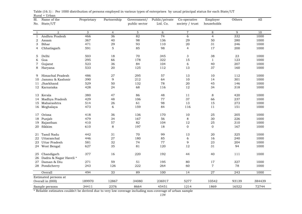| Sl.          | Name of the            | Proprietary | Partnership    | Government/   | Public/private | Co-operative              | Employer       | Others | All    |  |
|--------------|------------------------|-------------|----------------|---------------|----------------|---------------------------|----------------|--------|--------|--|
| No.          | State/UT               |             |                | public sector | Ltd. Co.       | society / trust           | households     |        |        |  |
|              |                        |             |                |               |                |                           |                |        |        |  |
| 1            | $\overline{2}$         | 3           | $\overline{4}$ | 5             | 6              | $\overline{7}$            | 8              | 9      | 10     |  |
| $\mathbf{1}$ | Andhra Pradesh         | 466         | 36             | 82            | 74             | 6                         | $\overline{4}$ | 332    | 1000   |  |
| 2            | Assam                  | 367         | 40             | 98            | 136            | 29                        | 50             | 280    | 1000   |  |
| 3            | Bihar                  | 471         | 29             | 93            | 110            | 20                        | 31             | 246    | 1000   |  |
| 4            | Chhatisgarh            | 591         | $\overline{5}$ | 85            | 98             | $\overline{4}$            | 17             | 200    | 1000   |  |
| 5            | Delhi                  | 503         | 18             | 70            | 345            | $\ensuremath{\mathsf{3}}$ | 38             | 23     | 1000   |  |
| 6            | Goa                    | 295         | 66             | 178           | 322            | 15                        | $\mathbf{1}$   | 123    | 1000   |  |
| 7            | Gujarat                | 523         | 36             | 84            | 104            | 6                         | 40             | 207    | 1000   |  |
| 8            | Haryana                | 533         | 20             | 125           | 112            | 13                        | 37             | 160    | 1000   |  |
|              |                        |             |                |               |                |                           |                |        |        |  |
| 9            | Himachal Pradesh       | 486         | 27             | 295           | 57             | 13                        | 10             | 112    | 1000   |  |
| 10           | Jammu & Kashmir        | 390         | 9              | 212           | 64             | 10                        | 14             | 301    | 1000   |  |
| 11           | Jharkhand              | 529         | 50             | 132           | 78             | 20                        | 45             | 146    | 1000   |  |
|              | 12 Karnataka           | 428         | 24             | 68            | 116            | 12                        | 34             | 318    | 1000   |  |
| 13           | Kerala                 | 380         | 47             | 86            | 48             | 11                        | $\,8\,$        | 420    | 1000   |  |
| 14           | Madhya Pradesh         | 429         | 48             | 106           | 77             | 37                        | 66             | 237    | 1000   |  |
| 15           | Maharashtra            | 514         | 26             | 61            | 98             | 13                        | 15             | 273    | 1000   |  |
|              | 16 Meghalaya           | 473         | 6              | 159           | 84             | 116                       | 11             | 151    | 1000   |  |
|              |                        |             |                |               |                |                           |                |        |        |  |
| 17           | Orissa                 | 418         | 36             | 136           | 170            | 10                        | 25             | 205    | 1000   |  |
| 18           | Punjab                 | 479         | 34             | 167           | 56             | $\,8\,$                   | 30             | 226    | 1000   |  |
| 19           | Rajasthan              | 410         | 57             | 82            | 104            | 12                        | 25             | 310    | 1000   |  |
| 20           | Sikkim                 | 610         | 8              | 197           | 18             | $\mathbf 0$               | $\mathbf 0$    | 167    | 1000   |  |
| 21           | Tamil Nadu             | 442         | 31             | 70            | 99             | 13                        | 20             | 325    | 1000   |  |
| 22           | Uttaranchal            | 446         | 27             | 180           | 85             | 6                         | 16             | 240    | 1000   |  |
| 23           | Uttar Pradesh          | 581         | 32             | 74            | 77             | 9                         | 23             | 204    | 1000   |  |
|              | 24 West Bengal         | 627         | 35             | 81            | 120            | 12                        | 31             | 94     | 1000   |  |
| 25           | Chandigarh             | 377         | 16             | 220           | 192            | 44                        | 40             | 111    | 1000   |  |
| 26           | Dadra & Nagar Haveli * |             |                |               |                |                           |                |        |        |  |
| 27           | Daman & Diu            | 271         | 59             | 51            | 195            | 80                        | 17             | 327    | 1000   |  |
| 28           | Pondicherry            | 243         | 126            | 222           | 264            | 60                        | $\overline{7}$ | 78     | 1000   |  |
|              |                        |             |                |               |                |                           |                |        |        |  |
|              | Overall                | 494         | 33             | 89            | 100            | $\overline{14}$           | 27             | 243    | 1000   |  |
|              | Estimated persons at   |             |                |               |                |                           |                |        |        |  |
|              | Overall in (000)       | 189970      | 12867          | 34080         | 236917         | 5277                      | 10542          | 93139  | 384439 |  |
|              | Sample persons         | 34411       | 2376           | 8664          | 45451          | 1214                      | 1869           | 16522  | 72744  |  |

Rural + Urban Table (16.1) : Per 1000 distribution of persons employed in various types of enterprises by usual principal status for each State/UT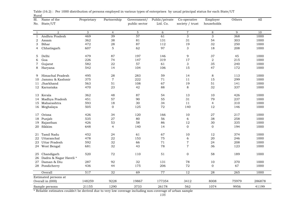| Sl.            | Name of the                          | Proprietary | Partnership    | Government/   | Public/private | Co-operative              | Employer         | Others | All    |
|----------------|--------------------------------------|-------------|----------------|---------------|----------------|---------------------------|------------------|--------|--------|
| No.            | State/UT                             |             |                | public sector | Ltd. Co.       | society / trust           | households       |        |        |
|                |                                      |             |                |               |                |                           |                  |        |        |
| 1              | $\overline{2}$                       | 3           | $\overline{4}$ | 5             | 6              | $\,7$                     | 8                | 9      | 10     |
| 1              | Andhra Pradesh                       | 469         | 39             | 57            | 61             | $\overline{3}$            | $\overline{3}$   | 368    | 1000   |
| 2              | Assam                                | 362         | 38             | 81            | 131            | 31                        | 54               | 303    | 1000   |
| 3              | Bihar                                | 472         | 28             | 87            | 112            | 19                        | 32               | 250    | 1000   |
| 4              | Chhatisgarh                          | 607         | $\overline{5}$ | 62            | 97             | 3                         | 18               | 208    | 1000   |
| 5              | Delhi                                | 479         | 87             | 197           | 146            | 9                         | 37               | 45     | 1000   |
| 6              | Goa                                  | 226         | 74             | 147           | 319            | 17                        | $\overline{2}$   | 215    | 1000   |
| $\overline{7}$ | Gujarat                              | 582         | 22             | 57            | 61             | $\ensuremath{\mathsf{3}}$ | 35               | 240    | 1000   |
| 8              | Haryana                              | 542         | 14             | 104           | 106            | 15                        | 47               | 172    | 1000   |
| 9              | Himachal Pradesh                     | 495         | 28             | 283           | 59             | 14                        | $\,8\,$          | 113    | 1000   |
| 10             | Jammu & Kashmir                      | 375         | $\overline{7}$ | 222           | 71             | 11                        | 15               | 299    | 1000   |
| 11             | Jharkhand                            | 563         | 51             | 108           | 67             | 19                        | 51               | 141    | 1000   |
|                | 12 Karnataka                         | 470         | 23             | 42            | 88             | 8                         | 32               | 337    | 1000   |
| 13             | Kerala                               | 362         | 48             | 87            | 54             | 13                        | 10               | 426    | 1000   |
| 14             | Madhya Pradesh                       | 451         | 57             | 90            | 55             | 31                        | 79               | 237    | 1000   |
| 15             | Maharashtra                          | 593         | 18             | 30            | 34             | 11                        | $\overline{4}$   | 310    | 1000   |
|                | 16 Meghalaya                         | 505         | $\mathbf 0$    | 125           | 72             | 140                       | 12               | 146    | 1000   |
| 17             | Orissa                               | 426         | 34             | 120           | 166            | 10                        | 27               | 217    | 1000   |
| 18             | Punjab                               | 535         | 27             | 80            | 56             | 6                         | 38               | 258    | 1000   |
| 19             | Rajasthan                            | 426         | 53             | 58            | 86             | 12                        | 30               | 335    | 1000   |
| 20             | Sikkim                               | 648         | $\overline{4}$ | 140           | 14             | $\boldsymbol{0}$          | $\boldsymbol{0}$ | 194    | 1000   |
| 21             | Tamil Nadu                           | 452         | 24             | 61            | 67             | 10                        | 12               | 374    | 1000   |
| 22             | Uttaranchal                          | 478         | 22             | 153           | 75             | 6                         | 20               | 246    | 1000   |
| 23             | Uttar Pradesh                        | 592         | 32             | 66            | 71             | 7                         | 24               | 208    | 1000   |
|                | 24 West Bengal                       | 681         | 32             | 43            | 78             | $\,7$                     | 36               | 123    | 1000   |
| 25<br>26       | Chandigarh<br>Dadra & Nagar Haveli * | 520         | 72             | 110           | 51             | $\mathbf 0$               | 58               | 189    | 1000   |
| 27             | Daman & Diu                          | 287         | 92             | 32            | 131            | 78                        | 10               | 370    | 1000   |
|                | 28 Pondicherry                       | 436         | 44             | 175           | 206            | 72                        | $\mathbf 0$      | 67     | 1000   |
|                | Overall                              | 517         | 32             | 69            | 77             | $\overline{12}$           | $\overline{28}$  | 265    | 1000   |
|                | Estimated persons at                 |             |                |               |                |                           |                  |        |        |
|                | Overall in (000)                     | 148259      | 9228           | 19867         | 177354         | 3412                      | 8008             | 75979  | 286878 |
|                | Sample persons                       | 21155       | 1290           | 3733          | 26178          | 562                       | 1074             | 9956   | 41199  |

|       | Table (16.2) : Per 1000 distribution of persons employed in various types of enterprises by usual principal status for each State/UT |  |  |  |  |
|-------|--------------------------------------------------------------------------------------------------------------------------------------|--|--|--|--|
| Rural |                                                                                                                                      |  |  |  |  |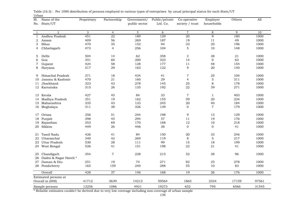| Sl.          | Name of the                         | Proprietary | Partnership    | Government/   | Public/private | Co-operative              | Employer         | Others | All   |
|--------------|-------------------------------------|-------------|----------------|---------------|----------------|---------------------------|------------------|--------|-------|
| No.          | State/UT                            |             |                | public sector | Ltd. Co.       | society / trust           | households       |        |       |
|              |                                     |             |                |               |                |                           |                  |        |       |
| $\mathbf{1}$ | $\overline{2}$                      | 3           | $\overline{4}$ | 5             | 6              | $\overline{7}$            | 8                | 9      | 10    |
| $\mathbf{1}$ | Andhra Pradesh                      | 451         | 22             | 189           | 129            | 20                        | $\overline{9}$   | 180    | 1000  |
| 2            | Assam                               | 409         | 56             | 269           | 187            | 19                        | 11               | 49     | 1000  |
| 3            | Bihar                               | 470         | 35             | 152           | 94             | 33                        | 20               | 196    | 1000  |
| 4            | Chhatisgarh                         | 473         | $\overline{4}$ | 256           | 104            | $\mathbf 5$               | 10               | 148    | 1000  |
| 5            | Delhi                               | 504         | 14             | 62            | 358            | $\ensuremath{\mathsf{3}}$ | 38               | 21     | 1000  |
| 6            | Goa                                 | 341         | 60             | 200           | 323            | 14                        | $\mathbf 0$      | 62     | 1000  |
| 7            | Gujarat                             | 424         | 58             | 128           | 177            | 11                        | 48               | 154    | 1000  |
| 8            | Haryana                             | 517         | 29             | 163           | 122            | 9                         | 20               | 140    | 1000  |
| 9            | Himachal Pradesh                    | 371         | 18             | 434           | 41             | $\overline{7}$            | 25               | 104    | 1000  |
| 10           | Jammu & Kashmir                     | 470         | 21             | 160           | 29             | $\overline{4}$            | $\mathbf 5$      | 311    | 1000  |
| 11           | Jharkhand                           | 323         | 43             | 278           | 145            | 25                        | $\,8\,$          | 178    | 1000  |
|              | 12 Karnataka                        | 315         | 26             | 135           | 192            | 22                        | 39               | 271    | 1000  |
| 13           | Kerala                              | 427         | 45             | 84            | 33             | $\overline{7}$            | $\mathbf{1}$     | 403    | 1000  |
| 14           | Madhya Pradesh                      | 351         | 19             | 162           | 155            | 59                        | 20               | 234    | 1000  |
| 15           | Maharashtra                         | 335         | 43             | 133           | 245            | 20                        | 40               | 184    | 1000  |
|              | 16 Meghalaya                        | 311         | 38             | 326           | 139            | $\overline{0}$            | $\overline{7}$   | 179    | 1000  |
| 17           | Orissa                              | 356         | 51             | 244           | 198            | 9                         | 13               | 129    | 1000  |
| 18           | Punjab                              | 398         | 45             | 294           | 57             | 11                        | 19               | 176    | 1000  |
| 19           | Rajasthan                           | 353         | 69             | 170           | 168            | 12                        | 10               | 218    | 1000  |
| 20           | Sikkim                              | 449         | 26             | 446           | 38             | $\mathbf{O}$              | $\boldsymbol{0}$ | 41     | 1000  |
| 21           | Tamil Nadu                          | 426         | 41             | 84            | 150            | 20                        | 33               | 246    | 1000  |
| 22           | Uttaranchal                         | 340         | 42             | 269           | 119            | 8                         | 5                | 217    | 1000  |
| 23           | Uttar Pradesh                       | 530         | 28             | 111           | 99             | 15                        | 18               | 199    | 1000  |
|              | 24 West Bengal                      | 526         | 41             | 151           | 198            | 22                        | 21               | 41     | 1000  |
| 25<br>26     | Chandigarh<br>Dadra & Nagar Haveli* | 354         | $\overline{7}$ | 238           | 215            | 52                        | 38               | 96     | 1000  |
| 27           | Daman & Diu                         | 251         | 19             | 74            | 271            | 82                        | 25               | 278    | 1000  |
|              | 28 Pondicherry                      | 165         | 159            | 240           | 288            | 55                        | 10               | 83     | 1000  |
|              | Overall                             | 428         | 37             | 146           | 168            | 19                        | 26               | 176    | 1000  |
|              | Estimated persons at                |             |                |               |                |                           |                  |        |       |
|              | Overall in (000)                    | 41712       | 3639           | 14213         | 59564          | 1865                      | 2534             | 17159  | 97561 |
|              | Sample persons                      | 13256       | 1086           | 4931          | 19273          | 652                       | 795              | 6566   | 31545 |

| Table (16.3) : Per 1000 distribution of persons employed in various types of enterprises by usual principal status for each State/UT |  |
|--------------------------------------------------------------------------------------------------------------------------------------|--|
| Urban                                                                                                                                |  |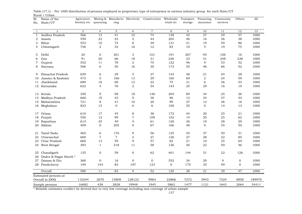| Sl.<br>No.   | Name of the<br>State/UT             | Agricuture,<br>forestry etc. | quarrying       | Mining & Manufactu Electricity<br>ring |                           | Construction    | Wholesale,<br>retail etc. | Transport,<br>storage | Financing,<br>insurance | Community<br>services | Others       | All    |
|--------------|-------------------------------------|------------------------------|-----------------|----------------------------------------|---------------------------|-----------------|---------------------------|-----------------------|-------------------------|-----------------------|--------------|--------|
| $\mathbf{1}$ | $\overline{2}$                      | 3                            | $\overline{4}$  | 5                                      | 6                         | $\overline{7}$  | $\,8\,$                   | 9                     | 10                      | 11                    | 12           | 13     |
| $\mathbf{1}$ | Andhra Pradesh                      | 566                          | 13              | 41                                     | 10                        | $\overline{74}$ | 138                       | 45                    | 27                      | 29                    | 57           | 1000   |
| 2            | Assam                               | 559                          | 22              | 42                                     | $\,2$                     | 44              | 205                       | 46                    | 16                      | 26                    | 38           | 1000   |
| 3            | Bihar                               | 553                          | $10\,$          | 74                                     | $\,8\,$                   | 39              | 131                       | 21                    | 19                      | 59                    | 86           | 1000   |
| 4            | Chhatisgarh                         | 746                          | $\overline{2}$  | 32                                     | 16                        | 12              | 83                        | 10                    | $\mathbf 5$             | 19                    | 75           | 1000   |
| 5            | Delhi                               | 20                           | $\mathbf 0$     | 201                                    | $\ensuremath{\mathsf{3}}$ | 101             | 191                       | 267                   | 95                      | 106                   | 16           | 1000   |
| 6            | Goa                                 | 91                           | 20              | 66                                     | 18                        | 31              | 226                       | 23                    | 41                      | 248                   | 236          | 1000   |
| $\tau$       | Gujarat                             | 552                          | 11              | 78                                     | $\boldsymbol{2}$          | 75              | 122                       | 46                    | 9                       | 53                    | 52           | 1000   |
| 8            | Haryana                             | 506                          | 6               | 50                                     | 16                        | 30              | 173                       | 55                    | 46                      | 66                    | 52           | 1000   |
| 9            | Himachal Pradesh                    | 659                          | 6               | 29                                     | 5                         | 27              | 143                       | 38                    | 21                      | 44                    | 28           | 1000   |
| 10           | Jammu & Kashmir                     | 473                          | $\mathbf 5$     | 166                                    | 13                        | 29              | 160                       | 69                    | 2                       | 24                    | 59           | 1000   |
| 11           | Jharkhand                           | 689                          | 18              | 68                                     | 12                        | 22              | 75                        | 31                    | 6                       | 26                    | 53           | 1000   |
|              | 12 Karnataka                        | 632                          | $\overline{4}$  | 76                                     | $\,2$                     | 54              | 143                       | 25                    | 29                      | 16                    | 19           | 1000   |
|              | 13 Kerala                           | 350                          | 9               | 99                                     | 18                        | 146             | 204                       | 89                    | 34                      | 25                    | 26           | 1000   |
| 14           | Madhya Pradesh                      | 660                          | 19              | 43                                     | 9                         | 36              | 96                        | 12                    | 34                      | 47                    | 44           | 1000   |
|              | 15 Maharashtra                      | 721                          | $\,8\,$         | 41                                     | 10                        | 20              | 99                        | 37                    | 12                      | 36                    | 16           | 1000   |
|              | 16 Meghalaya                        | 823                          | 13              | $\mathbf 0$                            | 6                         | 6               | 100                       | 25                    | $\Omega$                | 14                    | 13           | 1000   |
| 17           | Orissa                              | 610                          | 17              | 45                                     | 8                         | 38              | 172                       | 44                    | 20                      | 25                    | 21           | 1000   |
| 18           | Punjab                              | 550                          | 12              | 99                                     | $\overline{7}$            | 109             | 102                       | 14                    | 20                      | 25                    | 62           | 1000   |
|              | 19 Rajasthan                        | 613                          | 35              | 49                                     | 4                         | 61              | 126                       | 36                    | 19                      | 28                    | 29           | 1000   |
|              | 20 Sikkim                           | 409                          | $\mathbf{0}$    | 205                                    | $\mathbf{0}$              | 67              | 166                       | 48                    | $\mathbf{0}$            | 55                    | 50           | 1000   |
| 21           | Tamil Nadu                          | 465                          | 6               | 176                                    | 9                         | 56              | 125                       | 45                    | 37                      | 50                    | 31           | 1000   |
| 22           | Uttaranchal                         | 669                          | $\overline{7}$  | $\overline{7}$                         | $\boldsymbol{2}$          | 27              | 126                       | 27                    | 28                      | 22                    | 85           | 1000   |
| 23           | Uttar Pradesh                       | 660                          | 13              | 59                                     | 9                         | 57              | 82                        | $2\sqrt{1}$           | 10                      | 25                    | 64           | 1000   |
|              | 24 West Bengal                      | 393                          | $\mathbf{1}$    | 218                                    | 11                        | 58              | 136                       | 56                    | 22                      | 59                    | 46           | 1000   |
| 25<br>26     | Chandigarh<br>Dadra & Nagar Haveli* | 135                          | $\mathbf 0$     | 59                                     | $\mathbf 0$               | 62              | 401                       | 144                   | 51                      | ${\bf 22}$            | 126          | 1000   |
| 27           | Daman & Diu                         | 360                          | $\mathbf{O}$    | 16                                     | $\mathbf{0}$              | $\mathbf{O}$    | 552                       | 34                    | 29                      | 9                     | $\mathbf{0}$ | 1000   |
|              | 28 Pondicherry                      | 194                          | 144             | 83                                     | 197                       | 123             | $\overline{0}$            | 175                   | 35                      | 49                    | $\mathbf{0}$ | 1000   |
|              | Overall                             | 580                          | $\overline{11}$ | 83                                     | $\overline{9}$            | 52              | 120                       | 38                    | $\overline{21}$         | 39                    | 47           | 1000   |
|              | Estimated persons at                |                              |                 |                                        |                           |                 |                           |                       |                         |                       |              |        |
|              | Overall in (000)                    | 110244                       | 2070            | 15808                                  | 128122                    | 9964            | 22866                     | 7272                  | 3943                    | 7324                  | 8850         | 189970 |
|              | Sample persons                      | 16682                        | 438             | 2828                                   | 19948                     | 1945            | 5863                      | 1477                  | 1121                    | 1642                  | 2064         | 34411  |
|              |                                     |                              |                 |                                        |                           |                 |                           |                       |                         |                       |              |        |

Rural + Urban Table (17.1) : Per 1000 distribution of persons employed in proprietary type of enterprises in various industry group for each State/UT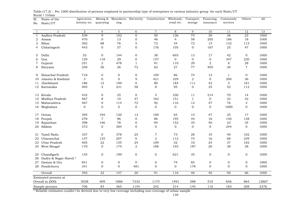| Sl.          | Name of the            | Agricuture,   | Mining &         | Manufactu Electricity |                  | Construction     | Wholesale,     | Transport,       | Financing,       | Community      | Others         | All   |
|--------------|------------------------|---------------|------------------|-----------------------|------------------|------------------|----------------|------------------|------------------|----------------|----------------|-------|
| No.          | State/UT               | forestry etc. | quarrying        | ring                  |                  |                  | retail etc.    | storage          | insurance        | services       |                |       |
|              |                        |               |                  |                       |                  |                  |                |                  |                  |                |                |       |
| $\mathbf{1}$ | $\overline{a}$         | 3             | $\overline{4}$   | 5                     | 6                | $\overline{7}$   | 8              | 9                | 10               | 11             | 12             | 13    |
| 1            | Andhra Pradesh         | 539           | 9                | 102                   | $\mathbf 0$      | 50               | 136            | 75               | 30               | 36             | 23             | 1000  |
| 2            | Assam                  | 470           | $\boldsymbol{0}$ | 13                    | $\boldsymbol{0}$ | 46               | $\overline{4}$ | 58               | 205              | 186            | 18             | 1000  |
| 3            | Bihar                  | 392           | 88               | 76                    | 5                | 73               | 34             | 72               | 15               | 132            | 113            | 1000  |
| 4            | Chhatisgarh            | 443           | $\Omega$         | 37                    | $\mathbf 0$      | 176              | 105            | $\mathbf{0}$     | 167              | 25             | 47             | 1000  |
| 5            | Delhi                  | 53            | $\mathbf{0}$     | 144                   | $\mathbf 0$      | 38               | 693            | 13               | 17               | 42             | $\mathbf{0}$   | 1000  |
| 6            | Goa                    | 129           | 118              | 29                    | $\mathbf 0$      | 157              | $\overline{0}$ | $\mathbf 0$      | $\mathbf 0$      | 347            | 220            | 1000  |
| 7            | Gujarat                | 251           | $\mathbf{2}$     | 478                   | $\mathbf{1}$     | 91               | 110            | 29               | $\overline{2}$   | 8              | 28             | 1000  |
| 8            | Haryana                | 258           | 36               | 26                    | 72               | 62               | 27             | 77               | 405              | 30             | $\overline{7}$ | 1000  |
| 9            | Himachal Pradesh       | 718           | $\mathbf{0}$     | 0                     | 0                | 109              | 86             | 74               | 12               | $\mathbf{1}$   | $\mathbf{0}$   | 1000  |
| 10           | Jammu & Kashmir        | 3             | $\mathbf{0}$     | $\mathbf{O}$          | 9                | 421              | 329            | $\mathbf{2}$     | $\overline{0}$   | 200            | 36             | 1000  |
| 11           | Jharkhand              | 186           | 12               | 199                   | $\mathbf 0$      | 80               | 184            | 111              | 42               | $\overline{5}$ | 181            | 1000  |
|              | 12 Karnataka           | 405           | $\overline{4}$   | 231                   | 58               | $\,8\,$          | 95             | $\boldsymbol{0}$ | 35               | 52             | 112            | 1000  |
| 13           | Kerala                 | 432           | $\mathbf{O}$     | 25                    | $\mathbf 0$      | $\overline{4}$   | 230            | 11               | 214              | 70             | 14             | 1000  |
| 14           | Madhya Pradesh         | 567           | 8                | 10                    | 47               | 162              | 151            | $\mathbf{1}$     | $\overline{0}$   | 22             | 32             | 1000  |
| 15           | Maharashtra            | 467           | $\mathbf{O}$     | 114                   | 72               | 92               | 116            | 12               | 47               | 76             | $\overline{4}$ | 1000  |
|              | 16 Meghalaya           | $\mathbf 0$   | $\mathbf{0}$     | $\mathbf 0$           | $\mathbf 0$      | $\mathbf 0$      | $\overline{0}$ | $\mathbf 0$      | $\mathbf 0$      | 1000           | $\mathbf{0}$   | 1000  |
|              |                        |               |                  |                       |                  |                  |                |                  |                  |                |                |       |
| 17           | Orissa                 | 395           | 194              | 120                   | 13               | 109              | 65             | 15               | 47               | 25             | 17             | 1000  |
| 18           | Punjab                 | 278           | $\overline{7}$   | 96                    | $\mathbf 0$      | 86               | 195            | 44               | 16               | 140            | 138            | 1000  |
| 19           | Rajasthan              | 398           | 146              | 78                    | $\mathbf 0$      | 94               | 152            | 35               | 40               | 23             | 34             | 1000  |
| 20           | Sikkim                 | 372           | $\mathbf{0}$     | 384                   | $\mathbf 0$      | $\mathbf{0}$     | $\mathbf{0}$   | $\mathbf 0$      | $\mathbf{0}$     | 244            | $\mathbf{0}$   | 1000  |
| 21           | Tamil Nadu             | 337           | $\mathbf{0}$     | 378                   | 25               | $\boldsymbol{7}$ | 73             | 28               | 10               | 40             | 102            | 1000  |
| 22           | Uttaranchal            | 147           | 135              | 207                   | $\mathbf 0$      | $\sqrt{2}$       | 112            | 74               | 16               | 68             | 239            | 1000  |
| 23           | Uttar Pradesh          | 405           | 22               | 155                   | 24               | 109              | 32             | 10               | 24               | 37             | 182            | 1000  |
|              | 24 West Bengal         | 170           | $\mathbf{0}$     | 174                   | $\boldsymbol{2}$ | 188              | 193            | 187              | 20               | 38             | 28             | 1000  |
| 25           | Chandigarh             | 145           | $\mathbf 0$      | 199                   | $\boldsymbol{0}$ | $\boldsymbol{0}$ | 621            | 35               | $\boldsymbol{0}$ | $\mathbf 0$    | $\mathbf 0$    | 1000  |
| 26           | Dadra & Nagar Haveli * |               |                  |                       |                  |                  |                |                  |                  |                |                |       |
| 27           | Daman & Diu            | 841           | $\mathbf 0$      | $\mathbf 0$           | $\mathbf 0$      | $\mathbf 0$      | 74             | 85               | $\mathbf 0$      | $\mathbf 0$    | $\mathbf 0$    | 1000  |
|              | 28 Pondicherry         | 341           | $\mathbf{0}$     | $\overline{O}$        | 481              | $\boldsymbol{0}$ | $\mathbf{O}$   | 178              | $\mathbf{0}$     | $\mathbf{0}$   | $\Omega$       | 1000  |
|              | Overall                | 392           | 32               | 147                   | 20               | 91               | 116            | 46               | 40               | 50             | 66             | 1000  |
|              | Estimated persons at   |               |                  |                       |                  |                  |                |                  |                  |                |                |       |
|              | Overall in (000)       | 5038          | 409              | 1886                  | 7332             | 1175             | 1491           | 588              | 510              | 646            | 864            | 12867 |
|              | Sample persons         | 706           | 83               | 365                   | 1154             | 242              | 314            | 145              | 110              | 165            | 208            | 2376  |

Rural + Urban Table (17.2) : Per 1000 distribution of persons employed in partnership type of enterprises in various industry group for each State/UT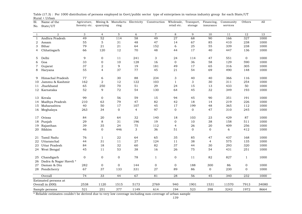| Sl.          | Name of the            | Agricuture,   |                | Mining & Manufactu Electricity |                | Construction   | Wholesale,                | Transport,     | Financing,      | Community | Others       | A11   |
|--------------|------------------------|---------------|----------------|--------------------------------|----------------|----------------|---------------------------|----------------|-----------------|-----------|--------------|-------|
| No.          | State/UT               | forestry etc. | quarrying      | ring                           |                |                | retail etc.               | storage        | insurance       | services  |              |       |
|              |                        |               |                |                                |                |                |                           |                |                 |           |              |       |
| $\mathbf{1}$ | $\overline{2}$         | 3             | $\overline{4}$ | 5                              | 6              | $\overline{7}$ | 8                         | 9              | 10              | 11        | 12           | 13    |
| $\mathbf{1}$ | Andhra Pradesh         | 49            | 52             | 114                            | 58             | 49             | $\overline{27}$           | 68             | 90              | 166       | 327          | 1000  |
| 2            | Assam                  | 55            | 5              | $3\sqrt{1}$                    | 48             | 47             | 14                        | 67             | 85              | 410       | 238          | 1000  |
| 3            | Bihar                  | 79            | 21             | 21                             | 64             | 152            | 6                         | 25             | 55              | 339       | 238          | 1000  |
| 4            | Chhatisgarh            | 66            | 120            | 12                             | 70             | 48             | 44                        | 17             | 40              | 447       | 136          | 1000  |
|              |                        |               |                |                                |                |                |                           |                |                 |           |              |       |
| 5            | Delhi                  | 9             | $\mathbf{0}$   | 11                             | 241            | 3              | 24                        | 114            | 47              | 551       | $\mathbf{0}$ | 1000  |
| 6            | Goa                    | 33            | $\mathbf 0$    | 10                             | 128            | 16             | $\mathbf{O}$              | 36             | 58              | 129       | 590          | 1000  |
| 7            | Gujarat                | 37            | 2              | 9                              | 19             | 181            | 49                        | 17             | 65              | 316       | 305          | 1000  |
| 8            | Haryana                | 55            | $\overline{4}$ | 37                             | 77             | 45             | $2\sqrt{1}$               | 54             | 69              | 490       | 148          | 1000  |
|              |                        |               |                |                                |                |                |                           |                |                 |           |              |       |
| 9            | Himachal Pradesh       | 77            | 6              | 30                             | 88             | 234            | $\ensuremath{\mathsf{3}}$ | 40             | 40              | 366       | 116          | 1000  |
| 10           | Jammu & Kashmir        | 162           | $\overline{2}$ | 12                             | 122            | 103            | $\mathbf{1}$              | 3              | 30              | 311       | 254          | 1000  |
| 11           | Jharkhand              | 65            | 250            | 70                             | 51             | 29             | 24                        | 15             | 13              | 433       | 50           | 1000  |
|              | 12 Karnataka           | 52            | 9              | 72                             | 54             | 130            | 64                        | 45             | 32              | 349       | 193          | 1000  |
|              |                        |               |                |                                |                |                |                           |                |                 |           |              |       |
| 13           | Kerala                 | 99            | $\mathbf 0$    | 56                             | 59             | 15             | 94                        | 45             | 90              | 351       | 191          | 1000  |
| 14           | Madhya Pradesh         | 210           | 63             | 79                             | 47             | 82             | 42                        | 18             | 14              | 219       | 226          | 1000  |
|              | 15 Maharashtra         | 40            | 50             | 17                             | 107            | 45             | 17                        | 199            | 48              | 365       | 112          | 1000  |
|              | 16 Meghalaya           | 263           | 34             | $\mathbf{O}$                   | $\overline{4}$ | 97             | $\mathbf{O}$              | $\overline{O}$ | 47              | 310       | 245          | 1000  |
|              |                        |               |                |                                |                |                |                           |                |                 |           |              |       |
| 17           | Orissa                 | 84            | 20             | 64                             | 32             | 140            | 18                        | 103            | 23              | 429       | 87           | 1000  |
| 18           | Punjab                 | 29            | 8              | 31                             | 196            | 19             | $\mathbf{0}$              | 10             | 38              | 158       | 511          | 1000  |
| 19           | Rajasthan              | 39            | 35             | 24                             | 75             | 112            | $\overline{4}$            | 26             | 20              | 409       | 256          | 1000  |
| 20           | Sikkim                 | 46            | $\overline{0}$ | 446                            | 3              | 36             | 51                        | 0              | $\mathbf{0}$    | 6         | 412          | 1000  |
|              |                        |               |                |                                |                |                |                           |                |                 |           |              |       |
| 21           | Tamil Nadu             | 76            | $\mathbf{1}$   | 22                             | 64             | 65             | 35                        | 85             | 47              | 437       | 168          | 1000  |
| 22           | Uttaranchal            | 44            | 31             | 11                             | 27             | 124            | 11                        | 38             | $\overline{4}$  | 575       | 135          | 1000  |
| 23           | <b>Uttar Pradesh</b>   | 84            | 18             | 32                             | 60             | 82             | 37                        | 44             | 30              | 293       | 320          | 1000  |
|              | 24 West Bengal         | 45            | 11             | 53                             | 38             | 16             | 26                        | 75             | 54              | 431       | 251          | 1000  |
|              |                        |               |                |                                |                |                |                           |                |                 |           |              |       |
| 25           | Chandigarh             | $\mathbf 0$   | $\mathbf 0$    | $\boldsymbol{0}$               | 78             | $\mathbf{1}$   | $\mathbf 0$               | 11             | 82              | 827       | $\mathbf{1}$ | 1000  |
| 26           | Dadra & Nagar Haveli * |               |                |                                |                |                |                           |                |                 |           |              |       |
| 27           | Daman & Diu            | 282           | $\mathbf 0$    | $\mathbf 0$                    | 144            | $\mathbf 0$    | $\mathbf 0$               | 188            | 300             | 86        | $\mathbf 0$  | 1000  |
|              | 28 Pondicherry         | 67            | 37             | 133                            | 331            | 27             | 89                        | 86             | $\overline{0}$  | 230       | $\mathbf{0}$ | 1000  |
|              | Overall                | 74            | 33             | 44                             | 67             | 81             | $\overline{28}$           | 56             | $\overline{45}$ | 340       | 232          | 1000  |
|              | Estimated persons at   |               |                |                                |                |                |                           |                |                 |           |              |       |
|              | Overall in (000)       | 2538          | 1120           | 1515                           | 5173           | 2769           | 940                       | 1901           | 1531            | 11570     | 7913         | 34080 |
|              | Sample persons         | 521           | 251            | 377                            | 1149           | 614            | 194                       | 523            | 398             | 3242      | 1972         | 8664  |

Rural + Urban Table (17.3) : Per 1000 distribution of persons employed in Govt/public sector type of enterprises in various industry group for each State/UT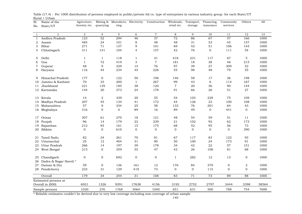| Sl.          | Name of the            | Agricuture,   |                  | Mining & Manufactu Electricity |                  | Construction     | Wholesale,     | Transport,      | Financing,   | Community        | Others       | A11   |
|--------------|------------------------|---------------|------------------|--------------------------------|------------------|------------------|----------------|-----------------|--------------|------------------|--------------|-------|
| No.          | State/UT               | forestry etc. | quarrying        | ring                           |                  |                  | retail etc.    | storage         | insurance    | services         |              |       |
|              |                        |               |                  |                                |                  |                  |                |                 |              |                  |              |       |
| $\mathbf{1}$ | $\overline{2}$         | 3             | $\overline{4}$   | 5                              | 6                | $\overline{7}$   | 8              | 9               | 10           | 11               | 12           | 13    |
| $\mathbf{1}$ | Andhra Pradesh         | 123           | 52               | 294                            | 46               | 37               | 72             | 86              | 67           | 57               | 166          | 1000  |
| 2            | Assam                  | 485           | 24               | 101                            | 8                | 48               | 48             | 31              | 53           | 45               | 157          | 1000  |
| 3            | Bihar                  | 271           | 71               | 137                            | 9                | 101              | 69             | 42              | 51           | 106              | 143          | 1000  |
| 4            | Chhatisgarh            | 311           | 141              | 104                            | $\overline{4}$   | 157              | 42             | 76              | $\Omega$     | 111              | 54           | 1000  |
|              |                        |               |                  |                                |                  |                  |                |                 |              |                  |              |       |
| 5            | Delhi                  | $\mathbf{1}$  | $\mathbf{1}$     | 118                            | $\mathbf{1}$     | 41               | 418            | 231             | 117          | 67               | 5            | 1000  |
| 6            | Goa                    | $\mathbf{1}$  | 72               | 419                            | 3                | $\overline{7}$   | 181            | 18              | 38           | 46               | 215          | 1000  |
| 7            | Gujarat                | 48            | 9                | 329                            | 14               | 76               | 97             | 39              | 27           | 309              | 52           | 1000  |
| 8            | Haryana                | 116           | 44               | 234                            | 45               | 226              | 55             | 98              | 48           | 79               | 55           | 1000  |
|              |                        |               |                  |                                |                  |                  |                |                 |              |                  |              |       |
| 9            | Himachal Pradesh       | 177           | $\mathbf 0$      | 122                            | 50               | 196              | 146            | 58              | 17           | 36               | 198          | 1000  |
| 10           | Jammu & Kashmir        | 70            | 33               | 200                            | $\mathbf{1}$     | 267              | 99             | 43              | 6            | 114              | 167          | 1000  |
| 11           | Jharkhand              | 221           | 139              | 185                            | 38               | 120              | $\overline{7}$ | 20              | 36           | 90               | 144          | 1000  |
|              | 12 Karnataka           | 144           | 20               | 373                            | 24               | 178              | 91             | 66              | 26           | 51               | 27           | 1000  |
|              |                        |               |                  |                                |                  |                  |                |                 |              |                  |              |       |
| 13           | Kerala                 | 14            | 2                | 339                            | 20               | 55               | 54             | 103             | 229          | 75               | 109          | 1000  |
| 14           | Madhya Pradesh         | 207           | 45               | 134                            | 41               | 172              | 44             | 126             | 23           | 100              | 108          | 1000  |
|              | 15 Maharashtra         | 57            | 9                | 334                            | 25               | 58               | 133            | 76              | 201          | 64               | 43           | 1000  |
|              | 16 Meghalaya           | 316           | $\mathbf{0}$     | $\overline{0}$                 | 89               | 16               | 89             | 49              | $\mathbf{0}$ | 441              | $\mathbf{0}$ | 1000  |
|              |                        |               |                  |                                |                  |                  |                |                 |              |                  |              |       |
| 17           | Orissa                 | 307           | 61               | 270                            | 18               | 121              | 48             | 54              | 59           | 51               | 11           | 1000  |
| 18           | Punjab                 | 96            | 14               | 179                            | 22               | 239              | 21             | 102             | 92           | 62               | 173          | 1000  |
| 19           | Rajasthan              | 212           | 93               | 161                            | 15               | 175              | 68             | 52              | 95           | 56               | 73           | 1000  |
| 20           | Sikkim                 | 0             | $\mathbf{0}$     | 610                            | $\boldsymbol{0}$ | $\mathbf 0$      | $\mathbf 0$    | $\overline{0}$  | $\mathbf{0}$ | $\overline{0}$   | 390          | 1000  |
|              |                        |               |                  |                                |                  |                  |                |                 |              |                  |              |       |
| 21           | Tamil Nadu             | 82            | 24               | 261                            | 70               | 81               | 67             | 117             | 83           | 122              | 93           | 1000  |
| 22           | Uttaranchal            | 25            | 12               | 404                            | 31               | 90               | 50             | 100             | 24           | 173              | 91           | 1000  |
| 23           | <b>Uttar Pradesh</b>   | 266           | 14               | 197                            | 39               | 178              | 34             | 42              | 22           | 57               | 151          | 1000  |
|              | 24 West Bengal         | 215           | $\mathbf{0}$     | 359                            | 55               | 47               | 43             | 26              | 106          | 81               | 68           | 1000  |
|              |                        |               |                  |                                |                  |                  |                |                 |              |                  |              |       |
| 25           | Chandigarh             | $\mathbf 0$   | 0                | 692                            | $\boldsymbol{0}$ | $\boldsymbol{0}$ | $\mathbf{1}$   | 282             | 12           | 13               | 0            | 1000  |
| 26           | Dadra & Nagar Haveli * |               |                  |                                |                  |                  |                |                 |              |                  |              |       |
| 27           | Daman & Diu            | 59            | $\boldsymbol{0}$ | 136                            | 161              | 12               | 176            | 84              | 370          | $\boldsymbol{0}$ | 2            | 1000  |
|              | 28 Pondicherry         | 233           | 31               | 129                            | 419              | 73               | $\mathbf{0}$   | $\overline{0}$  | 115          | $\overline{0}$   | $\mathbf{O}$ | 1000  |
|              | Overall                | 179           | 34               | 244                            | $\overline{31}$  | 108              | 83             | $\overline{71}$ | 73           | 89               | 88           | 1000  |
|              | Estimated persons at   |               |                  |                                |                  |                  |                |                 |              |                  |              |       |
|              | Overall in (000)       | 6921          | 1326             | 9391                           | 17638            | 4156             | 3192           | 2752            | 2797         | 3444             | 3398         | 38564 |
|              | Sample persons         | 1020          | 276              | 1768                           | 3064             | 1040             | 651            | 631             | 500          | 788              | 754          | 7688  |

Rural + Urban Table (17.4) : Per 1000 distribution of persons employed in public/private ltd co. type of enterprises in various industry group for each State/UT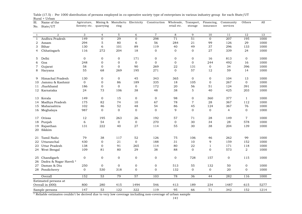| Sl.          | Name of the            | Agricuture,<br>forestry etc. |                  | Mining & Manufactu Electricity<br>ring |                  | Construction     | Wholesale,<br>retail etc. | Transport,<br>storage | Financing,<br>insurance | Community<br>services | Others         | All  |
|--------------|------------------------|------------------------------|------------------|----------------------------------------|------------------|------------------|---------------------------|-----------------------|-------------------------|-----------------------|----------------|------|
| No.          | State/UT               |                              | quarrying        |                                        |                  |                  |                           |                       |                         |                       |                |      |
| $\mathbf{1}$ | 2                      | 3                            | $\overline{4}$   | 5                                      | 6                | $\overline{7}$   | 8                         | 9                     | 10                      | 11                    | 12             | 13   |
| $\mathbf{1}$ | Andhra Pradesh         | 149                          | $\mathbf{O}$     | 29                                     | $\mathbf 0$      | 298              | $\overline{71}$           | $\overline{51}$       | $\mathbf{0}$            | 207                   | 195            | 1000 |
| 2            | Assam                  | 294                          | 5                | 80                                     | 6                | 56               | 284                       | 21                    | 99                      | 126                   | 29             | 1000 |
| 3            | Bihar                  | 130                          | 6                | 101                                    | 89               | 119              | 40                        | 49                    | 37                      | 296                   | 133            | 1000 |
| 4            | Chhatisgarh            | 116                          | 272              | 204                                    | 18               | $\mathbf{0}$     | $\Omega$                  | $\mathbf{0}$          | 27                      | 339                   | 24             | 1000 |
| 5            | Delhi                  | $\mathbf 0$                  | $\mathbf 0$      | 0                                      | 171              | $\mathbf 0$      | $\mathbf 0$               | $\mathbf 0$           | 16                      | 813                   | $\mathbf{0}$   | 1000 |
| 6            | Goa                    | 248                          | $\mathbf{0}$     | 0                                      | $\mathbf 0$      | $\mathbf{0}$     | $\mathbf{O}$              | $\mathbf{0}$          | 244                     | 492                   | 16             | 1000 |
| 7            | Gujarat                | 58                           | $\mathbf{O}$     | $\overline{0}$                         | 90               | 269              | 22                        | 131                   | $\mathbf{O}$            | 34                    | 396            | 1000 |
| 8            | Haryana                | 55                           | 68               | 269                                    | 195              | 271              | $\overline{O}$            | 57                    | 12                      | 59                    | 14             | 1000 |
| 9            | Himachal Pradesh       | 130                          | $\mathbf{0}$     | 0                                      | 45               | 343              | 365                       | 0                     | $\mathbf 0$             | 104                   | 13             | 1000 |
| 10           | Jammu & Kashmir        | $\mathbf{O}$                 | $\mathbf{0}$     | 86                                     | 189              | 335              | 18                        | 105                   | $\mathbf{0}$            | 267                   | $\overline{0}$ | 1000 |
| 11           | Jharkhand              | 186                          | $\mathbf{0}$     | $\mathbf{O}$                           | $\mathbf 0$      | 172              | 20                        | 56                    | 51                      | 124                   | 391            | 1000 |
|              | 12 Karnataka           | 24                           | 73               | 106                                    | 38               | 48               | 38                        | 5                     | 40                      | 425                   | 203            | 1000 |
| 13           | Kerala                 | 149                          | $\mathbf{0}$     | 15                                     | $\boldsymbol{0}$ | $\mathbf{0}$     | 98                        | $\mathbf{0}$          | 360                     | 377                   | $\mathbf{1}$   | 1000 |
| 14           | Madhya Pradesh         | 175                          | 82               | 74                                     | 10               | 67               | 78                        | $\overline{7}$        | 28                      | 367                   | 112            | 1000 |
|              | 15 Maharashtra         | 102                          | 46               | 52                                     | 48               | 54               | 86                        | 45                    | 124                     | 367                   | 76             | 1000 |
|              | 16 Meghalaya           | 987                          | $\mathbf{0}$     | $\mathbf{0}$                           | $\mathbf 0$      | $\mathbf{0}$     | 9                         | 0                     | $\mathbf{0}$            | $\overline{4}$        | $\mathbf{0}$   | 1000 |
| 17           | Orissa                 | 12                           | 195              | 263                                    | 26               | 192              | 57                        | 71                    | 28                      | 149                   | $\overline{7}$ | 1000 |
| 18           | Punjab                 | 6                            | 54               | $\overline{0}$                         | $\mathbf 0$      | 270              | $\mathbf 0$               | 30                    | 34                      | 28                    | 578            | 1000 |
| 19           | Rajasthan              | 131                          | 222              | 40                                     | 27               | 114              | 55                        | 30                    | 38                      | 204                   | 139            | 1000 |
| 20           | Sikkim                 |                              |                  |                                        |                  |                  |                           |                       |                         |                       |                |      |
| 21           | Tamil Nadu             | 79                           | 38               | 117                                    | 52               | 126              | 75                        | 106                   | 46                      | 262                   | 99             | 1000 |
| 22           | Uttaranchal            | 430                          | $\mathbf{0}$     | 21                                     | $\overline{0}$   | 188              | 31                        | 10                    | 9                       | 159                   | 152            | 1000 |
| 23           | Uttar Pradesh          | 138                          | $\boldsymbol{0}$ | 91                                     | 265              | 114              | 80                        | 22                    | $\mathbf{1}$            | 171                   | 118            | 1000 |
|              | 24 West Bengal         | 109                          | 81               | 80                                     | 29               | 38               | 88                        | $\Omega$              | $\Omega$                | 573                   | $\overline{2}$ | 1000 |
| 25           | Chandigarh             | $\boldsymbol{0}$             | $\mathbf 0$      | 0                                      | $\boldsymbol{0}$ | $\boldsymbol{0}$ | $\mathbf 0$               | 728                   | 157                     | $\mathbf{0}$          | 115            | 1000 |
| 26           | Dadra & Nagar Haveli * |                              |                  |                                        |                  |                  |                           |                       |                         |                       |                |      |
| 27           | Daman & Diu            | 250                          | $\mathbf{0}$     | $\mathbf{O}$                           | $\mathbf 0$      | $\mathbf 0$      | 513                       | 55                    | 132                     | 50                    | $\mathbf{0}$   | 1000 |
|              | 28 Pondicherry         | $\mathbf{0}$                 | 530              | 318                                    | $\mathbf 0$      | $\mathbf{0}$     | 132                       | $\overline{0}$        | $\overline{0}$          | 20                    | $\mathbf{0}$   | 1000 |
|              | Overall                | 152                          | $\overline{53}$  | 79                                     | $\overline{57}$  | 103              | 78                        | 36                    | 44                      | 282                   | 116            | 1000 |
|              | Estimated persons at   |                              |                  |                                        |                  |                  |                           |                       |                         |                       |                |      |
|              | Overall in (000)       | 800                          | 280              | 415                                    | 1494             | 546              | 413                       | 189                   | 234                     | 1487                  | 615            | 5277 |
|              | Sample persons         | 147                          | 53               | 122                                    | 322              | 119              | 95                        | 66                    | 71                      | 342                   | 152            | 1214 |

Rural + Urban Table (17.5) : Per 1000 distribution of persons employed in co-operative society type of enterprises in various industry group for each State/UT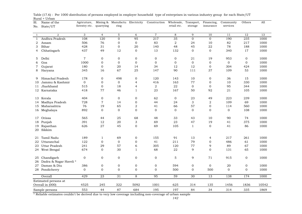| Sl. | Name of the            | Agricuture,   |                  | Mining & Manufactu Electricity |                           | Construction   | Wholesale,       | Transport,       | Financing,       | Community      | Others          | A11   |
|-----|------------------------|---------------|------------------|--------------------------------|---------------------------|----------------|------------------|------------------|------------------|----------------|-----------------|-------|
| No. | State/UT               | forestry etc. | quarrying        | ring                           |                           |                | retail etc.      | storage          | insurance        | services       |                 |       |
|     |                        |               |                  |                                |                           |                |                  |                  |                  |                |                 |       |
| -1  | $\sqrt{2}$             | 3             | $\overline{4}$   | $\overline{5}$                 | 6                         | $\overline{7}$ | $\,8\,$          | 9                | 10               | 11             | $\overline{12}$ | 13    |
| 1   | Andhra Pradesh         | 108           | $\overline{120}$ | $\mathbf{0}$                   | 95                        | 217            | $\overline{35}$  | $\mathbf 0$      | $\overline{0}$   | 190            | 235             | 1000  |
| 2   | Assam                  | 506           | 76               | $\mathbf{0}$                   | $\mathbf{0}$              | 83             | $\overline{2}$   | 24               | 10               | 82             | 217             | 1000  |
| 3   | Bihar                  | 428           | 31               | $\mathbf{0}$                   | 20                        | 140            | 48               | 45               | 22               | 78             | 188             | 1000  |
| 4   | Chhatisgarh            | 437           | 49               | 12                             | $\overline{0}$            | 13             | 132              | $\overline{0}$   | $\Omega$         | 340            | 17              | 1000  |
| 5   | Delhi                  | $\sqrt{7}$    | $\mathbf{0}$     | $\mathbf{0}$                   | 0                         | $\mathbf 0$    | $\mathbf 0$      | 21               | 19               | 953            | $\mathbf{0}$    | 1000  |
| 6   | Goa                    | 1000          | $\mathbf{O}$     | $\mathbf 0$                    | $\mathbf{O}$              | $\overline{0}$ | $\boldsymbol{0}$ | $\mathbf{O}$     | $\boldsymbol{0}$ | $\overline{0}$ | $\mathbf{0}$    | 1000  |
| 7   | Gujarat                | 180           | $\overline{0}$   | 20                             | 14                        | 34             | 12               | 12               | $\mathbf{0}$     | 304            | 424             | 1000  |
| 8   | Haryana                | 345           | 16               | 67                             | 25                        | 147            | 90               | 111              | 37               | 109            | 53              | 1000  |
| 9   | Himachal Pradesh       | 178           | $\Omega$         | 498                            | $\mathbf 0$               | 120            | 143              | 10               | $\mathbf 0$      | 36             | 15              | 1000  |
| 10  | Jammu & Kashmir        | $\mathbf 0$   | $\mathbf{0}$     | $\mathbf{0}$                   | 4                         | 416            | 163              | 77               | $\mathbf{0}$     | 10             | 330             | 1000  |
| 11  | Jharkhand              | 515           | $\overline{0}$   | 18                             | 4                         | 2              | 22               | $\mathbf{0}$     | $\mathbf{0}$     | 95             | 344             | 1000  |
|     | 12 Karnataka           | 418           | 77               | 46                             | 1                         | 23             | 167              | 50               | 92               | 21             | 105             | 1000  |
| 13  | Kerala                 | 404           | $\mathbf{0}$     | $\mathbf 0$                    | 0                         | 62             | $\mathbf 0$      | 23               | 49               | 223            | 239             | 1000  |
| 14  | Madhya Pradesh         | 728           | $\overline{7}$   | 14                             | $\mathbf 0$               | 44             | 24               | 3                | 2                | 109            | 69              | 1000  |
| 15  | Maharashtra            | 76            | 19               | 65                             | 2                         | 41             | 66               | 57               | 0                | 114            | 560             | 1000  |
| 16  | Meghalaya              | 892           | $\Omega$         | $\Omega$                       | $\mathbf{0}$              | $\Omega$       | $\Omega$         | $\overline{0}$   | $\Omega$         | $\overline{0}$ | 108             | 1000  |
| 17  | Orissa                 | 565           | 44               | 25                             | 68                        | 48             | 33               | 43               | 10               | 90             | 74              | 1000  |
| 18  | Punjab                 | 391           | 12               | 20                             | $\ensuremath{\mathsf{3}}$ | 69             | 23               | 47               | 19               | 41             | 375             | 1000  |
| 19  | Rajasthan              | 626           | 27               | 45                             | $\mathbf 0$               | 69             | 105              | $\mathbf{1}$     | $\mathbf{0}$     | 41             | 86              | 1000  |
| 20  | Sikkim                 |               |                  |                                |                           |                |                  |                  |                  |                |                 |       |
| 21  | Tamil Nadu             | 189           | 1                | 69                             | $\boldsymbol{0}$          | 155            | 91               | 13               | 4                | 217            | 261             | 1000  |
| 22  | Uttaranchal            | 122           | $\overline{0}$   | $\mathbf{0}$                   | $\mathbf{0}$              | 41             | 211              | 79               | $\mathbf{0}$     | 486            | 61              | 1000  |
| 23  | Uttar Pradesh          | 241           | 29               | 57                             | 6                         | 305            | 120              | 77               | 9                | 89             | 67              | 1000  |
| 24  | West Bengal            | 674           | $\mathbf{0}$     | 30                             | 1                         | 68             | 22               | 9                | $\mathbf{0}$     | 131            | 65              | 1000  |
| 25  | Chandigarh             | $\mathbf 0$   | $\overline{0}$   | $\mathbf 0$                    | $\mathbf 0$               | $\mathbf 0$    | 5                | 9                | 71               | 915            | 0               | 1000  |
| 26  | Dadra & Nagar Haveli * |               |                  |                                |                           |                |                  |                  |                  |                |                 |       |
| 27  | Daman & Diu            | 386           | $\mathbf 0$      | $\mathbf 0$                    | 0                         | $\mathbf 0$    | 594              | 0                | $\mathbf 0$      | 20             | 0               | 1000  |
|     | 28 Pondicherry         | $\mathbf{0}$  | $\Omega$         | $\Omega$                       | $\mathbf 0$               | $\mathbf{O}$   | 500              | $\boldsymbol{0}$ | 500              | $\overline{0}$ | $\Omega$        | 1000  |
|     |                        |               |                  |                                |                           |                |                  |                  |                  |                |                 |       |
|     | Overall                | 429           | $\overline{23}$  | $\overline{31}$                | 8                         | 95             | $\overline{59}$  | 30               | 13               | 138            | 174             | 1000  |
|     | Estimated persons at   |               |                  |                                |                           |                |                  |                  |                  |                |                 |       |
|     | Overall in (000)       | 4525          | 245              | 322                            | 5092                      | 1001           | 625              | 314              | 135              | 1456           | 1836            | 10542 |
|     | Sample persons         | 553           | 44               | 87                             | 684                       | 195            | 197              | 84               | 34               | 314            | 335             | 1869  |

Rural + Urban Table (17.6) : Per 1000 distribution of persons employed in employer household type of enterprises in various industry group for each State/UT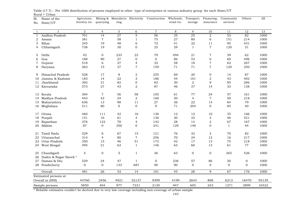| Sl. | Name of the            | Agricuture,             |                | Mining & Manufactu Electricity |                | Construction Wholesale, Transport, Financing, |                 |                 |                  | Community       | Others         | All   |
|-----|------------------------|-------------------------|----------------|--------------------------------|----------------|-----------------------------------------------|-----------------|-----------------|------------------|-----------------|----------------|-------|
| No. | State/UT               | forestry etc. quarrying |                | ring                           |                |                                               | retail etc.     | storage         | insurance        | services        |                |       |
|     |                        |                         |                |                                |                |                                               |                 |                 |                  |                 |                |       |
| -1  | $\overline{2}$         | 3                       | $\overline{4}$ | $\mathbf 5$                    | 6              | $\overline{7}$                                | 8               | 9               | 10               | 11              | 12             | 13    |
| 1   | Andhra Pradesh         | 701                     | 14             | 27                             | $\overline{5}$ | $\overline{56}$                               | $\overline{35}$ | $\overline{25}$ | $\sqrt{2}$       | $\overline{53}$ | 82             | 1000  |
| 2   | Assam                  | 381                     | $\overline{7}$ | 58                             | 1              | 75                                            | 27              | 80              | 6                | 151             | 214            | 1000  |
| 3   | Bihar                  | 245                     | 19             | 48                             | 6              | 72                                            | 41              | 32              | 11               | 95              | 431            | 1000  |
| 4   | Chhatisgarh            | 738                     | 19             | 30                             | 0              | 25                                            | 29              | $\mathbf{1}$    | $\overline{7}$   | 120             | 31             | 1000  |
|     |                        |                         |                |                                |                |                                               |                 |                 |                  |                 |                |       |
| 5   | Delhi                  | 42                      | $\overline{0}$ | 233                            | 23             | 79                                            | 494             | 21              | $\overline{7}$   | 39              | 62             | 1000  |
| 6   | Goa                    | 188                     | 90             | 27                             | $\mathbf 0$    | $\mathbf{0}$                                  | 86              | 53              | $\boldsymbol{0}$ | 60              | 496            | 1000  |
| 7   | Gujarat                | 518                     | 6              | 27                             | 4              | 33                                            | 58              | 18              | $\boldsymbol{7}$ | 62              | 267            | 1000  |
| 8   | Haryana                | 263                     | 15             | 37                             | $\overline{7}$ | 159                                           | 71              | 71              | $\sqrt{ }$       | 120             | 250            | 1000  |
| 9   | Himachal Pradesh       | 528                     | 17             | 8                              | 2              | 255                                           | 69              | 20              | $\mathbf 0$      | 14              | 87             | 1000  |
| 10  | Jammu & Kashmir        | 183                     | 14             | 22                             | 3              | 186                                           | 44              | 101             | $\mathbf 2$      | 43              | 402            | 1000  |
| 11  | Jharkhand              | 392                     | 31             | 82                             | 0              | 83                                            | 30              | 2               | 9                | 85              | 286            | 1000  |
|     | 12 Karnataka           | 573                     | 27             | 43                             | 2              | 87                                            | 46              | 37              | 14               | 33              | 138            | 1000  |
|     |                        |                         |                |                                |                |                                               |                 |                 |                  |                 |                |       |
| 13  | Kerala                 | 394                     | $\overline{7}$ | 56                             | 58             | 105                                           | 61              | 77              | 24               | 57              | 161            | 1000  |
| 14  | Madhya Pradesh         | 443                     | 42             | 24                             | $\overline{a}$ | 160                                           | 50              | 4               | $\overline{7}$   | 50              | 218            | 1000  |
| 15  | Maharashtra            | 636                     | 13             | 98                             | 11             | 27                                            | 36              | 22              | 14               | 64              | 79             | 1000  |
|     | 16 Meghalaya           | 511                     | 80             | $\overline{0}$                 | $\mathbf 0$    | 9                                             | 71              | 204             | $\overline{0}$   | 85              | 40             | 1000  |
|     |                        |                         |                |                                |                |                                               |                 |                 |                  |                 |                |       |
| 17  | Orissa                 | 460                     | 111            | 42                             | 16             | 136                                           | 12              | 12              | 10               | 35              | 166            | 1000  |
| 18  | Punjab                 | 151                     | 16             | 61                             | 4              | 136                                           | 30              | 32              | 3                | 46              | 521            | 1000  |
| 19  | Rajasthan              | 376                     | 122            | 78                             | 4              | 142                                           | 28              | 14              | $\sqrt{2}$       | 67              | 167            | 1000  |
|     | 20 Sikkim              | 87                      | $\overline{0}$ | 350                            | $\mathbf 0$    | 241                                           | 129             | 148             | $\overline{0}$   | $\mathbf{1}$    | 44             | 1000  |
| 21  | Tamil Nadu             | 529                     | 6              | 67                             | 15             | 121                                           | 76              | 32              | $\overline{2}$   | 70              | 82             | 1000  |
| 22  | Uttaranchal            | 314                     | 4              | 80                             | $\overline{7}$ | 256                                           | 70              | 24              | 12               | 16              | 217            | 1000  |
| 23. | Uttar Pradesh          | 350                     | 15             | 46                             | 51             | 173                                           | 42              | 17              | 13               | 75              | 218            | 1000  |
|     | 24 West Bengal         | 495                     | 21             | 63                             | $\mathbf{1}$   | 146                                           | 63              | 60              | 13               | 61              | 77             | 1000  |
|     |                        |                         |                |                                |                |                                               |                 |                 |                  |                 |                |       |
| 25  | Chandigarh             | $\overline{4}$          | $\mathbf 0$    | $\mathbf 5$                    | $\mathbf{1}$   | 36                                            | 63              | 0               | $\mathbf 0$      | 365             | 526            | 1000  |
| 26  | Dadra & Nagar Haveli * |                         |                |                                |                |                                               |                 |                 |                  |                 |                |       |
| 27  | Daman & Diu            | 529                     | 24             | 47                             | $\mathbf{1}$   | $\overline{0}$                                | 236             | 57              | 86               | 20              | $\overline{0}$ | 1000  |
|     | 28 Pondicherry         | $\mathbf{0}$            | $\overline{0}$ | 133                            | 687            | 90                                            | 90              | $\mathbf 0$     | $\overline{0}$   | $\overline{0}$  | $\Omega$       | 1000  |
|     | Overall                | 481                     | 26             | 53                             | 14             | 101                                           | 45              | 28              | 9                | 67              | 176            | 1000  |
|     | Estimated persons at   |                         |                |                                |                |                                               |                 |                 |                  |                 |                |       |
|     | Overall in (000)       | 44760                   | 2456           | 4921                           | 52137          | 9399                                          | 4199            | 2643            | 808              | 6213            | 16470          | 93139 |
|     | Sample persons         | 5850                    | 404            | 977                            | 7231           | 2130                                          | 947             | 605             | 243              | 1271            | 3899           | 16522 |

Rural + Urban Table (17.7) : Per 1000 distribution of persons employed in other type of enterprises in various industry group for each State/UT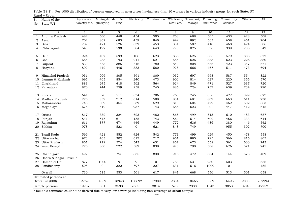| Sl.            | Name of the            | Agricuture,             |                | Mining & Manufactu Electricity |                | Construction Wholesale, Transport, Financing, |             |         |           | Community        | Others | All    |
|----------------|------------------------|-------------------------|----------------|--------------------------------|----------------|-----------------------------------------------|-------------|---------|-----------|------------------|--------|--------|
| No.            | State/UT               | forestry etc. quarrying |                | ring                           |                |                                               | retail etc. | storage | insurance | services         |        |        |
|                |                        |                         |                |                                |                |                                               |             |         |           |                  |        |        |
| $\overline{1}$ | $\overline{2}$         | 3                       | $\overline{4}$ | 5                              | 6              | $\overline{7}$                                | 8           | 9       | 10        | 11               | 12     | 13     |
| $\mathbf{1}$   | Andhra Pradesh         | 482                     | 500            | 448                            | 454            | 505                                           | 758         | 688     | 505       | 433              | 428    | 508    |
| 2              | Assam                  | 702                     | 862            | 683                            | 459            | 840                                           | 949         | 892     | 563       | 658              | 461    | 704    |
| 3              | Bihar                  | 709                     | 421            | 526                            | 639            | 453                                           | 831         | 502     | 410       | 468              | 424    | 586    |
| 4              | Chhatisgarh            | 543                     | 192            | 590                            | 584            | 643                                           | 728         | 825     | 536       | 339              | 735    | 549    |
|                |                        |                         |                |                                |                |                                               |             |         |           |                  |        |        |
| 5              | Delhi                  | 924                     | 407            | 599                            | 106            | 623                                           | 886         | 625     | 535       | 579              | 888    | 672    |
| 6              | Goa                    | 655                     | 288            | 193                            | 211            | 521                                           | 555         | 626     | 388       | 623              | 226    | 380    |
| 7              | Gujarat                | 839                     | 653            | 385                            | 516            | 780                                           | 849         | 808     | 656       | 423              | 347    | 671    |
| 8              | Haryana                | 892                     | 442            | 446                            | 383            | 580                                           | 928         | 666     | 467       | 511              | 473    | 694    |
| 9              | Himachal Pradesh       | 951                     | 906            | 805                            | 591            | 809                                           | 952         | 697     | 668       | 587              | 554    | 822    |
| 10             | Jammu & Kashmir        | 695                     | 465            | 854                            | 240            | 473                                           | 900         | 814     | 627       | 220              | 355    | 570    |
| 11             | Jharkhand              | 883                     | 245            | 418                            | 562            | 564                                           | 924         | 849     | 471       | 527              | 637    | 720    |
|                | 12 Karnataka           | 870                     | 744            | 559                            | 258            | 745                                           | 886         | 724     | 737       | 639              | 734    | 790    |
|                |                        |                         |                |                                |                |                                               |             |         |           |                  |        |        |
| 13             | Kerala                 | 641                     | 520            | 511                            | 634            | 786                                           | 760         | 745     | 656       | 427              | 399    | 627    |
| 14             | Madhya Pradesh         | 775                     | 839            | 712                            | 614            | 588                                           | 834         | 681     | 809       | 663              | 611    | 730    |
| 15             | Maharashtra            | 745                     | 509            | 454                            | 539            | 529                                           | 818         | 604     | 472       | 462              | 502    | 663    |
|                | 16 Meghalaya           | 675                     | 512            |                                | 937            | 143                                           | 656         | 623     | 0         | 447              | 412    | 615    |
|                |                        |                         |                |                                |                |                                               |             |         |           |                  |        |        |
| 17             | Orissa                 | 817                     | 332            | 324                            | 623            | 482                                           | 865         | 499     | 513       | 610              | 483    | 657    |
| 18             | Punjab                 | 841                     | 545            | 611                            | 155            | 743                                           | 864         | 514     | 602       | 456              | 333    | 614    |
| 19             | Rajasthan              | 611                     | 377            | 474                            | 446            | 449                                           | 772         | 636     | 486       | 380              | 446    | 542    |
| 20             | Sikkim                 | 978                     |                | 523                            | $\overline{0}$ | 621                                           | 848         | 749     |           | 955              | 302    | 700    |
|                |                        |                         |                |                                |                |                                               |             |         |           |                  |        |        |
| 21             | Tamil Nadu             | 566                     | 421            | 552                            | 424            | 542                                           | 771         | 499     | 629       | 450              | 478    | 558    |
| 22             | Uttaranchal            | 973                     | 463            | 302                            | 617            | 717                                           | 951         | 885     | 795       | 566              | 816    | 805    |
| 23             | Uttar Pradesh          | 851                     | 719            | 574                            | 543            | 631                                           | 857         | 673     | 558       | 561              | 600    | 743    |
|                | 24 West Bengal         | 775                     | 800            | 722                            | 589            | 838                                           | 920         | 790     | 508       | 626              | 571    | 745    |
| 25             | Chandigarh             | 492                     |                | 24                             | 835            | 830                                           | 916         | 472     | 334       | 144              | 578    | 409    |
| 26             | Dadra & Nagar Haveli * |                         |                |                                |                |                                               |             |         |           |                  |        |        |
| 27             | Daman & Diu            | 877                     | 1000           | 9                              | 9              | $\mathbf{0}$                                  | 783         | 531     | 230       | 503              |        | 656    |
|                | 28 Pondicherry         | 508                     | 0              | 322                            | 597            | 227                                           | 631         | 516     | 1000      | 0                |        | 452    |
|                |                        |                         |                |                                |                |                                               |             |         |           |                  |        |        |
|                | Overall                | 730                     | 513            | $\overline{553}$               | 501            | 617                                           | 841         | 668     | 556       | $\overline{513}$ | 501    | 658    |
|                | Estimated persons at   |                         |                |                                |                |                                               |             |         |           |                  |        |        |
|                | Overall in (000)       | 127690                  | 4059           | 18943                          | 150692         | 17909                                         | 28348       | 10465   | 5539      | 16495            | 20033  | 252994 |
|                | Sample persons         | 19257                   | 801            | 3593                           | 23651          | 3814                                          | 6956        | 2330    | 1543      | 3853             | 4848   | 47752  |

Rural + Urban<br>Sl. Name of the Table (18.1) : Per 1000 distribution of persons employed in enterprises having less than 10 workers in various industry group for each State/UT  $\Lambda$ gricuture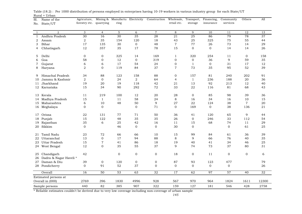| Sl.          | Name of the            | Agricuture,             |                |                 |                  | Mining & Manufactu Electricity Construction Wholesale, Transport, Financing, |                  |                |                 | Community      | Others         | All   |
|--------------|------------------------|-------------------------|----------------|-----------------|------------------|------------------------------------------------------------------------------|------------------|----------------|-----------------|----------------|----------------|-------|
| No.          | State/UT               | forestry etc. quarrying |                | ring            |                  |                                                                              | retail etc.      | storage        | insurance       | services       |                |       |
|              |                        |                         |                |                 |                  |                                                                              |                  |                |                 |                |                |       |
| -1           | $\overline{2}$         | 3                       | $\overline{4}$ | 5               | 6                | $\overline{7}$                                                               | 8                | 9              | 10              | 11             | 12             | 13    |
| $\mathbf{1}$ | Andhra Pradesh         | 30                      | 16             | 30              | 35               | 28                                                                           | 21               | 25             | 86              | 79             | 78             | 37    |
| 2            | Assam                  | $\sqrt{2}$              | 35             | 154             | 120              | 18                                                                           | 43               | 25             | 325             | 75             | 55             | 44    |
| 3            | Bihar                  | 17                      | 135            | 30              | $\boldsymbol{0}$ | 48                                                                           | $\,7$            | 77             | 26              | 73             | 14             | 29    |
| 4            | Chhatisgarh            | 12                      | 357            | 35              | 17               | 78                                                                           | 15               | $\mathbf{0}$   | $\Omega$        | 14             | 14             | 26    |
| 5            | Delhi                  | $\mathbf{0}$            | $\mathbf{0}$   | 325             | 14               | 169                                                                          | $\mathbf{1}$     | 320            | 254             | 11             | $\mathbf 0$    | 158   |
|              | Goa                    | 58                      | $\mathbf 0$    | 12              | $\mathbf{0}$     | 319                                                                          | $\mathbf{0}$     |                | 36              | 9              | 59             | 35    |
| 6            |                        |                         |                | 17              | 54               |                                                                              |                  | 0              |                 | 31             |                |       |
| 7            | Gujarat                | 6                       | 6              |                 |                  | 24                                                                           | $\boldsymbol{0}$ | $\mathbf{1}$   | $\mathbf 0$     |                | 17             | 12    |
| 8            | Haryana                | $\sqrt{2}$              | $\mathbf{0}$   | 119             | 84               | 37                                                                           | $\overline{7}$   | 73             | 35              | 95             | 52             | 39    |
| 9            | Himachal Pradesh       | 34                      | 88             | 123             | 158              | 88                                                                           | 0                | 157            | 81              | 240            | 202            | 91    |
| 10           | Jammu & Kashmir        | 2                       | $\mathbf 0$    | 24              | 2                | 64                                                                           | 4                | $\mathbf{1}$   | 236             | 188            | 20             | 36    |
| 11           | Jharkhand              | 19                      | 20             | 19              | 118              | 42                                                                           | 21               | 13             | 92              | 213            | 12             | 40    |
|              | 12 Karnataka           | 15                      | 34             | 90              | 292              | 72                                                                           | 33               | 22             | 116             | 81             | 68             | 43    |
|              |                        |                         |                |                 |                  |                                                                              |                  |                |                 |                |                |       |
| 13           | Kerala                 | 11                      | 219            | 100             | 12               | 20                                                                           | 28               | $\overline{0}$ | 85              | 98             | 39             | 36    |
| 14           | Madhya Pradesh         | 15                      | $\mathbf{1}$   | 11              | 58               | 24                                                                           | 8                | 16             | 34              | 16             | 10             | 15    |
| 15           | Maharashtra            | $\sqrt{6}$              | 10             | 48              | 50               | 9                                                                            | 27               | 22             | 124             | 38             | $\overline{7}$ | 20    |
|              | 16 Meghalaya           | $\Omega$                | $\Omega$       |                 | $\overline{0}$   | 71                                                                           | $\overline{0}$   | 169            | $\overline{0}$  | 38             | 136            | 21    |
| 17           | Orissa                 | 22                      | 131            | 77              | 71               | 50                                                                           | 36               | 41             | 120             | 65             | 9              | 44    |
| 18           | Punjab                 | 15                      | 122            | 48              | 35               | 35                                                                           | 26               | $\mathbf 0$    | 246             | 33             | 112            | 54    |
| 19           | Rajasthan              | 35                      | 6              | 25              | 42               | 16                                                                           | $1\,1$           | 15             | 68              | 74             | 11             | 29    |
| 20           | Sikkim                 | $\mathbf{0}$            |                | 46              | $\mathbf 0$      | $\mathbf{0}$                                                                 | 30               | $\mathbf{0}$   |                 | $\Omega$       | 61             | 25    |
|              |                        |                         |                |                 |                  |                                                                              |                  |                |                 |                |                |       |
| 21           | Tamil Nadu             | 23                      | 72             | 66              | 66               | 10                                                                           | 15               | 99             | 84              | 61             | 36             | 39    |
| 22           | Uttaranchal            | 13                      | $\mathbf{0}$   | 17              | 94               | 88                                                                           | 8                | 9              | 66              | 76             | 40             | 35    |
| 23           | Uttar Pradesh          | 15                      | $\overline{7}$ | 41              | 86               | 18                                                                           | 19               | 40             | 41              | 34             | 46             | 25    |
|              | 24 West Bengal         | 12                      | $\mathbf{0}$   | 35              | 55               | 37                                                                           | 9                | 74             | 73              | 37             | 80             | 31    |
| 25           | Chandigarh             | 42                      |                | $\mathbf{0}$    | $\boldsymbol{0}$ | $\boldsymbol{0}$                                                             | 18               | $\mathbf 0$    | 11              | $\mathbf 0$    | $\overline{0}$ | 6     |
| 26           | Dadra & Nagar Haveli * |                         |                |                 |                  |                                                                              |                  |                |                 |                |                |       |
| 27           | Daman & Diu            | 39                      | $\mathbf 0$    | 120             | $\boldsymbol{0}$ | $\boldsymbol{0}$                                                             | 87               | 93             | 123             | 477            |                | 79    |
|              | 28 Pondicherry         | $\mathbf{0}$            | 91             | 52              | 37               | $\mathbf{0}$                                                                 | $\overline{0}$   | $\overline{0}$ | $\mathbf 0$     | $\overline{0}$ |                | 26    |
|              |                        |                         |                |                 |                  |                                                                              |                  |                |                 |                |                |       |
|              | Overall                | 16                      | 50             | $\overline{53}$ | 63               | $\overline{32}$                                                              | $\overline{17}$  | 62             | $\overline{97}$ | 57             | 40             | 32    |
|              | Estimated persons at   |                         |                |                 |                  |                                                                              |                  |                |                 |                |                |       |
|              | Overall in (000)       | 2769                    | 396            | 1830            | 4996             | 928                                                                          | 567              | 970            | 964             | 1824           | 1611           | 12300 |
|              | Sample persons         | 440                     | 82             | 385             | 907              | 322                                                                          | 159              | 127            | 181             | 546            | 428            | 2758  |

Rural + Urban<br>Sl. Name of the Table (18.2) : Per 1000 distribution of persons employed in enterprises having 10-19 workers in various industry group for each State/UT Agricuture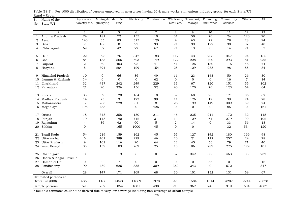| Sl.              | Name of the            | Agricuture,             |                |                |                | Mining & Manufactu Electricity Construction Wholesale, Transport, Financing, |                  |                |                | Community   | Others         | All   |
|------------------|------------------------|-------------------------|----------------|----------------|----------------|------------------------------------------------------------------------------|------------------|----------------|----------------|-------------|----------------|-------|
| State/UT<br>No.  |                        | forestry etc. quarrying |                | ring           |                |                                                                              | retail etc.      | storage        | insurance      | services    |                |       |
|                  |                        |                         |                |                |                |                                                                              |                  |                |                |             |                |       |
| -1               | $\overline{2}$         | 3                       | $\overline{4}$ | 5              | 6              | $\overline{7}$                                                               | 8                | $\mathbf{Q}$   | 10             | 11          | 12             | 13    |
| $\mathbf{1}$     | Andhra Pradesh         | $\overline{74}$         | 181            | 72             | 155            | 10                                                                           | 31               | 50             | 70             | 24          | 120            | 70    |
| 2<br>Assam       |                        | 140                     | 35             | 83             | 315            | 120                                                                          | $\overline{4}$   | 63             | 72             | 78          | 28             | 94    |
| Bihar<br>3       |                        | $\overline{2}$          | 168            | 101            | 97             | 93                                                                           | 21               | 99             | 172            | 38          | 37             | 40    |
| 4                | Chhatisgarh            | 69                      | 32             | 42             | 22             | 67                                                                           | 21               | 13             | $\mathbf 0$    | 14          | 21             | 53    |
|                  |                        |                         |                |                |                |                                                                              |                  |                |                |             |                |       |
| Delhi<br>5       |                        | 22                      | 593            | 76             | 847            | 183                                                                          | 112              | 43             | 208            | 347         | 94             | 155   |
| Goa<br>6         |                        | 84                      | 183            | 566            | 623            | 149                                                                          | 122              | 228            | 400            | 293         | 81             | 235   |
| Gujarat<br>7     |                        | 2                       | 52             | 403            | 95             | 41                                                                           | 41               | 126            | 130            | 115         | 45             | 74    |
| 8<br>Haryana     |                        | $\mathbf 5$             | 394            | 204            | 129            | 154                                                                          | 25               | 129            | 288            | 98          | 85             | 84    |
|                  |                        |                         |                |                |                |                                                                              |                  |                |                |             |                |       |
| 9                | Himachal Pradesh       | 10                      | $\overline{0}$ | 66             | 86             | 49                                                                           | 16               | 23             | 143            | 50          | 26             | 30    |
| 10               | Jammu & Kashmir        | 14                      | $\Omega$       | $\overline{0}$ | $\overline{0}$ | 62                                                                           | $\overline{0}$   | $\overline{0}$ | $\overline{0}$ | 16          | $\overline{7}$ | 14    |
| 11               | Jharkhand              | 32                      | 437            | 242            | 249            | 229                                                                          | 31               | 67             | 120            | 151         | 55             | 102   |
| 12 Karnataka     |                        | 21                      | 90             | 226            | 156            | 52                                                                           | 40               | 170            | 70             | 123         | 64             | 64    |
| Kerala<br>13     |                        | 33                      | 39             | 128            | 164            | 10                                                                           | 39               | 60             | 96             | 121         | 86             | 62    |
| 14               | Madhya Pradesh         | 14                      | 23             | 3              | 123            | 99                                                                           | 11               | 126            | 17             | 39          | 24             | 28    |
| 15               | Maharashtra            | $\mathbf 5$             | 283            | 228            | 51             | 181                                                                          | 26               | 199            | 149            | 309         | 59             | 74    |
| 16 Meghalaya     |                        | 198                     | 488            |                | $\mathbf{0}$   | 426                                                                          | $\mathbf{0}$     | $\overline{0}$ | $\overline{0}$ | 85          | $\overline{0}$ | 161   |
|                  |                        |                         |                |                |                |                                                                              |                  |                |                |             |                |       |
| Orissa<br>17     |                        | 18                      | 348            | 358            | 150            | 211                                                                          | 46               | 235            | 211            | 172         | 32             | 118   |
| Punjab<br>18     |                        | 19                      | 148            | 190            | 712            | 31                                                                           | 14               | 129            | 64             | 279         | 99             | 102   |
| 19               | Rajasthan              | $\overline{4}$          | 36             | 42             | 90             | $\mathbf 5$                                                                  | 2                | 14             | $\mathbf 0$    | 33          | 56             | 18    |
| Sikkim<br>20     |                        | $\mathbf 0$             |                | 165            | 1000           | 45                                                                           | $\boldsymbol{0}$ | $\mathbf{0}$   |                | 32          | 534            | 120   |
|                  |                        |                         |                |                |                |                                                                              |                  |                |                |             |                |       |
| 21               | Tamil Nadu             | 54                      | 219            | 159            | 162            | 45                                                                           | 55               | 127            | 142            | 180         | 166            | 98    |
| 22               | Uttaranchal            | $\overline{5}$          | 401            | 289            | 229            | 46                                                                           | 20               | 21             | 112            | 257         | 29             | 78    |
| 23               | Uttar Pradesh          | 9                       | 102            | 116            | 90             | 64                                                                           | 22               | 45             | 56             | 79          | 71             | 40    |
| 24 West Bengal   |                        | 33                      | 159            | 183            | 269            | 25                                                                           | 10               | 86             | 289            | 225         | 129            | 101   |
|                  |                        |                         |                |                |                |                                                                              |                  |                |                |             |                |       |
| 25               | Chandigarh             | $\boldsymbol{0}$        |                | 119            | 6              | $\boldsymbol{0}$                                                             | 37               | 342            | 585            | 463         | 35             | 232   |
| 26               | Dadra & Nagar Haveli * |                         |                |                |                |                                                                              |                  |                |                |             |                |       |
| 27               | Daman & Diu            | $\mathbf 0$             | $\mathbf{0}$   | 171            | $\mathbf 0$    | $\mathbf{0}$                                                                 | $\overline{0}$   | $\overline{0}$ | 56             | $\mathbf 0$ |                | 16    |
| 28 Pondicherry   |                        | 90                      | 482            | 626            | 335            | 309                                                                          | 369              | 343            | $\mathbf{0}$   | 672         |                | 347   |
| Overall          |                        | 28                      | 147            | 171            | 169            | 68                                                                           | 30               | 101            | 132            | 131         | 69             | 67    |
|                  | Estimated persons at   |                         |                |                |                |                                                                              |                  |                |                |             |                |       |
| Overall in (000) |                        | 4860                    | 1166           | 5843           | 11869          | 1978                                                                         | 998              | 1584           | 1314           | 4207        | 2744           | 25878 |
| Sample persons   |                        | 590                     | 237            | 1054           | 1881           | 430                                                                          | 210              | 362            | 245            | 919         | 604            | 4887  |

Rural + Urban<br>Sl. Name of the Table (18.3) : Per 1000 distribution of persons employed in enterprises having 20 & more workers in various industry group for each State/UT Agricuture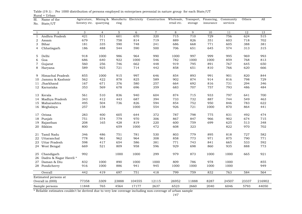| Sl.          | Name of the           |                         |                | Agricuture, Mining & Manufactu Electricity |        | Construction Wholesale, Transport, Financing, |             |         |           | Community | Others | All    |
|--------------|-----------------------|-------------------------|----------------|--------------------------------------------|--------|-----------------------------------------------|-------------|---------|-----------|-----------|--------|--------|
| No.          | State/UT              | forestry etc. quarrying |                | ring                                       |        |                                               | retail etc. | storage | insurance | services  |        |        |
|              |                       |                         |                |                                            |        |                                               |             |         |           |           |        |        |
| -1           | $\overline{2}$        | 3                       | $\overline{4}$ | 5                                          | 6      | $\overline{7}$                                | 8           | 9       | 10        | 11        | 12     | 13     |
| $\mathbf{1}$ | Andhra Pradesh        | 421                     | 511            | 601                                        | 670    | 320                                           | 715         | 710     | 729       | 756       | 624    | 515    |
| 2            | Assam                 | 679                     | 771            | 758                                        | 814    | 719                                           | 889         | 826     | 351       | 603       | 718    | 702    |
| 3            | Bihar                 | 181                     | 335            | 590                                        | 748    | 241                                           | 686         | 668     | 771       | 605       | 388    | 381    |
| 4            | Chhatisgarh           | 186                     | 488            | 544                                        | 590    | 500                                           | 706         | 651     | 645       | 574       | 313    | 315    |
|              |                       |                         |                |                                            |        |                                               |             |         |           |           |        |        |
| 5            | Delhi                 | 918                     | 1000           | 986                                        | 964    | 990                                           | 1000        | 997     | 999       | 995       | 969    | 993    |
| 6            | Goa                   | 686                     | 640            | 922                                        | 1000   | 546                                           | 782         | 1000    | 1000      | 859       | 768    | 813    |
| 7            | Gujarat               | 560                     | 256            | 746                                        | 662    | 448                                           | 919         | 795     | 891       | 767       | 645    | 650    |
| 8            | Haryana               | 589                     | 925            | 721                                        | 714    | 442                                           | 858         | 651     | 810       | 766       | 620    | 666    |
|              |                       |                         |                |                                            |        |                                               |             |         |           |           |        |        |
| 9            | Himachal Pradesh      | 855                     | 1000           | 915                                        | 997    | 646                                           | 854         | 893     | 991       | 901       | 820    | 844    |
| 10           | Jammu & Kashmir       | 562                     | 422            | 878                                        | 825    | 589                                           | 902         | 874     | 914       | 816       | 798    | 729    |
| 11           | Jharkhand             | 167                     | 671            | 376                                        | 580    | 257                                           | 664         | 692     | 816       | 731       | 294    | 346    |
|              | 12 Karnataka          | 353                     | 569            | 678                                        | 696    | 359                                           | 683         | 707     | 757       | 793       | 486    | 484    |
|              |                       |                         |                |                                            |        |                                               |             |         |           |           |        |        |
| 13           | Kerala                | 561                     | 510            | 836                                        | 940    | 604                                           | 874         | 715     | 933       | 797       | 641    | 700    |
| 14           | Madhya Pradesh        | 343                     | 412            | 443                                        | 687    | 394                                           | 733         | 732     | 887       | 744       | 549    | 463    |
|              | 15 Maharashtra        | 495                     | 504            | 736                                        | 826    | 594                                           | 854         | 752     | 950       | 846       | 783    | 622    |
|              | 16 Meghalaya          | 257                     | 158            |                                            | 1000   | 554                                           | 926         | 721     | 1000      | 870       | 864    | 441    |
|              |                       |                         |                |                                            |        |                                               |             |         |           |           |        |        |
| 17           | Orissa                | 283                     | 400            | 605                                        | 644    | 372                                           | 787         | 798     | 775       | 831       | 492    | 474    |
| 18           | Punjab                | 751                     | 574            | 779                                        | 970    | 306                                           | 867         | 847     | 966       | 902       | 674    | 715    |
| 19           | Rajasthan             | 208                     | 165            | 428                                        | 819    | 220                                           | 600         | 759     | 699       | 625       | 513    | 348    |
| 20           | Sikkim                | 800                     |                | 659                                        | 1000   | 472                                           | 608         | 323     |           | 822       | 970    | 702    |
|              |                       |                         |                |                                            |        |                                               |             |         |           |           |        |        |
| 21           | Tamil Nadu            | 346                     | 486            | 751                                        | 781    | 530                                           | 803         | 779     | 895       | 818       | 727    | 582    |
| 22           | Uttaranchal           | 778                     | 961            | 962                                        | 964    | 308                                           | 858         | 773     | 971       | 875       | 790    | 771    |
| 23           | <b>Uttar Pradesh</b>  | 598                     | 417            | 654                                        | 586    | 381                                           | 771         | 743     | 841       | 665       | 533    | 592    |
|              | 24 West Bengal        | 669                     | 521            | 809                                        | 958    | 596                                           | 929         | 698     | 860       | 935       | 888    | 773    |
|              |                       |                         |                |                                            |        |                                               |             |         |           |           |        |        |
| 25           | Chandigarh            | 992                     |                | 1000                                       | 1000   | 299                                           | 979         | 873     | 1000      | 1000      | 665    | 921    |
| 26           | Dadra & Nagar Haveli* |                         |                |                                            |        |                                               |             |         |           |           |        |        |
| 27           | Daman & Diu           | 832                     | 1000           | 890                                        | 1000   | 1000                                          | 809         | 786     | 978       | 1000      |        | 855    |
| 28           | Pondicherry           | 916                     | 1000           | 886                                        | 941    | 945                                           | 1000        | 1000    | 1000      | 1000      |        | 949    |
|              |                       |                         |                |                                            |        |                                               |             |         |           |           |        |        |
|              | Overall               | 442                     | 419            | 697                                        | 751    | 418                                           | 799         | 759     | 832       | 763       | 584    | 564    |
|              | Estimated persons at  |                         |                |                                            |        |                                               |             |         |           |           |        |        |
|              | Overall in (000)      | 77358                   | 3309           | 23888                                      | 104555 | 12115                                         | 26952       | 11888   | 8287      | 24507     | 23337  | 216902 |
|              | Sample persons        | 11848                   | 765            | 4564                                       | 17177  | 2637                                          | 6523        | 2660    | 2040      | 6046      | 5793   | 44050  |

Rural + Urban Table (19.1) : Per 1000 distribution of persons employed in enterprises perennial in nature group for each State/UT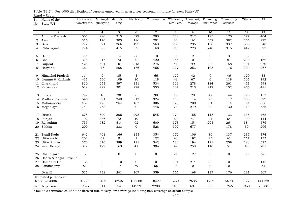| Sl.          | Name of the            | Agricuture,   |                | Mining & Manufactu Electricity |                | Construction Wholesale, Transport, |             |                | Financing,     | Community    | Others | All         |
|--------------|------------------------|---------------|----------------|--------------------------------|----------------|------------------------------------|-------------|----------------|----------------|--------------|--------|-------------|
| No.          | State/UT               | forestry etc. | quarrying      | ring                           |                |                                    | retail etc. | storage        | insurance      | services     |        |             |
|              |                        |               |                |                                |                |                                    |             |                |                |              |        |             |
| -1           | $\overline{2}$         | 3             | $\overline{4}$ | 5                              | 6              | $\overline{7}$                     | 8           | 9              | 10             | 11           | 12     | 13          |
| $\mathbf{1}$ | Andhra Pradesh         | 555           | 296            | 315                            | 329            | 293                                | 222         | 212            | 195            | 175          | 177    | 404         |
| 2            | Assam                  | 316           | 170            | 205                            | 186            | 201                                | 82          | 161            | 559            | 382          | 255    | 277         |
| 3            | Bihar                  | 777           | 571            | 366                            | 197            | 563                                | 253         | 295            | 180            | 337          | 505    | 548         |
| 4            | Chhatisgarh            | 774           | 68             | 415                            | 37             | 168                                | 213         | 223            | 240            | 315          | 442    | 593         |
| 5            | Delhi                  | 79            | $\overline{0}$ | 14                             | 36             | 10                                 | $\mathbf 0$ | $\overline{2}$ | $\mathbf 0$    | 3            | 18     | 6           |
|              | Goa                    | 314           | 316            | 73                             | $\overline{0}$ | 420                                | 155         | $\mathbf 0$    | $\mathbf 0$    | 81           | 219    | 162         |
| 6<br>7       |                        | 428           | 624            | 101                            | 313            | 275                                | 41          | 99             | 82             | 158          | 191    | 270         |
|              | Gujarat                |               |                | 208                            |                |                                    |             |                |                |              |        |             |
| 8            | Haryana                | 364           | 75             |                                | 176            | 465                                | 127         | 253            | 108            | 116          | 304    | 267         |
| 9            | Himachal Pradesh       | 114           | $\overline{0}$ | 35                             | 3              | 66                                 | 129         | 42             | 9              | 46           | 120    | 88          |
| 10           | Jammu & Kashmir        | 431           | 566            | 109                            | 10             | 118                                | 49          | 67             | $\mathbf{0}$   | 118          | 105    | 192         |
| 11           | Jharkhand              | 820           | 253            | 597                            | 331            | 534                                | 329         | 278            | 184            | 261          | 451    | 598         |
| 12           | Karnataka              | 629           | 299            | 301                            | 298            | 553                                | 284         | 213            | 219            | 152          | 455    | 481         |
| 13           | Kerala                 | 299           | 18             | 30                             | 6              | 98                                 | 15          | 29             | 47             | 144          | 225    | 153         |
| 14           | Madhya Pradesh         | 546           | 391            | 349                            | 313            | 324                                | 130         | 114            | 95             | 112          | 300    | 397         |
| 15           | Maharashtra            | 489           | 476            | 254                            | 167            | 306                                | 126         | 200            | 31             | 114          | 194    | 356         |
|              | 16 Meghalaya           | 743           | 768            |                                | $\overline{0}$ | 446                                | 74          | 279            | $\Omega$       | 130          | 114    | 556         |
|              |                        |               |                |                                |                |                                    |             |                |                |              |        |             |
| 17           | Orissa                 | 675           | 520            | 306                            | 298            | 545                                | 174         | 155            | 118            | 133          | 338    | 465         |
| 18           | Punjab                 | 192           | 336            | 72                             | 10             | 111                                | 60          | 47             | 24             | 54           | 190    | 144         |
| 19           | Rajasthan              | 755           | 682            | 514                            | 92             | 609                                | 373         | 154            | 205            | 264          | 384    | 576         |
| 20           | Sikkim                 | 200           |                | 333                            | $\overline{0}$ | 528                                | 392         | 677            |                | 178          | 30     | 296         |
| 21           | Tamil Nadu             | 642           | 461            | 166                            | 155            | 354                                | 172         | 106            | 80             | 137          | 237    | 374         |
| 22           | Uttaranchal            | 202           | 39             | 9                              | $\mathbf{1}$   | 122                                | 98          | 192            | 23             | 61           | 117    | 133         |
| 23           | Uttar Pradesh          | 370           | 376            | 289                            | 181            | 342                                | 180         | 194            | 121            | 258          | 248    | 315         |
|              | 24 West Bengal         | 327           | 479            | 163                            | 41             | 304                                | 49          | 253            | 110            | 51           | 43     | 201         |
|              |                        |               |                |                                |                |                                    |             |                |                |              |        |             |
| 25           | Chandigarh             | 8             |                | $\mathbf 0$                    | 0              | $\mathbf 0$                        | 21          | 127            | $\mathbf 0$    | $\mathbf 0$  | 30     | 26          |
| 26           | Dadra & Nagar Haveli * |               |                |                                |                |                                    |             |                |                |              |        |             |
| 27           | Daman & Diu            | 168           | $\mathbf 0$    | 110                            | $\mathbf 0$    | $\mathbf 0$                        | 191         | 214            | 22             | $\mathbf{0}$ |        | 145         |
|              | 28 Pondicherry         | 84            | $\mathbf{0}$   | 114                            | 59             | 55                                 | $\mathbf 0$ | $\overline{0}$ | $\overline{0}$ | $\mathbf{0}$ |        | $5\sqrt{1}$ |
|              | Overall                | 525           | 438            | $\overline{241}$               | 167            | 359                                | 156         | 168            | 127            | 176          | 281    | 367         |
|              | Estimated persons at   |               |                |                                |                |                                    |             |                |                |              |        |             |
|              | Overall in (000)       | 91798         | 3463           | 8246                           | 103508         | 10427                              | 5274        | 2636           | 1267           | 5670         | 11220  | 141173      |
|              | Sample persons         | 12827         | 611            | 1541                           | 14979          | 2280                               | 1408        | 631            | 333            | 1246         | 2474   | 23588       |

Rural + Urban Table (19.2) : Per 1000 distribution of persons employed in enterprises seasonal in nature for each State/UT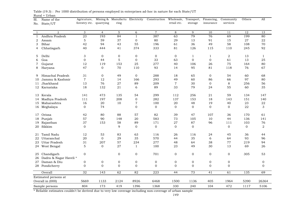| retail etc.<br>services<br>forestry etc. quarrying<br>ring<br>storage<br>insurance<br>State/UT<br>No.<br>5<br>$\overline{7}$<br>3<br>$\overline{4}$<br>6<br>8<br>9<br>10<br>12<br>13<br>$\overline{2}$<br>11<br>-1<br>23<br>387<br>79<br>76<br>Andhra Pradesh<br>193<br>84<br>$\mathbf{1}$<br>63<br>69<br>199<br>80<br>$\mathbf{1}$<br>$\mathbf 5$<br>59<br>37<br>80<br>29<br>13<br>91<br>15<br>27<br>22<br>2<br>$\mathbf 0$<br>Assam<br>55<br>42<br>94<br>43<br>61<br>36<br>49<br>58<br>70<br>3<br>Bihar<br>196<br>108<br>40<br>374<br>333<br>81<br>126<br>115<br>245<br>92<br>Chhatisgarh<br>444<br>41<br>110<br>4<br>$\ensuremath{\mathsf{3}}$<br>$\mathbf{0}$<br>$\boldsymbol{0}$<br>$\mathbf 0$<br>$\overline{a}$<br>Delhi<br>$\mathbf 0$<br>$\overline{0}$<br>5<br>1<br>$\mathbf{1}$<br>13<br>$\mathbf{1}$<br>5<br>33<br>$\boldsymbol{0}$<br>Goa<br>$\mathbf 0$<br>44<br>$\mathbf 0$<br>63<br>$\mathbf 0$<br>61<br>13<br>25<br>6<br>12<br>153<br>25<br>277<br>26<br>75<br>80<br>Gujarat<br>119<br>40<br>106<br>164<br>7<br>95<br>67<br>47<br>$\overline{0}$<br>70<br>110<br>93<br>14<br>81<br>118<br>76<br>8<br>Haryana<br>Himachal Pradesh<br>31<br>$\overline{0}$<br>49<br>$\mathbf{0}$<br>288<br>65<br>$\overline{0}$<br>54<br>60<br>68<br>18<br>9<br>$\overline{7}$<br>Jammu & Kashmir<br>12<br>14<br>166<br>293<br>49<br>86<br>66<br>97<br>80<br>60<br>10<br>$\overline{7}$<br>Jharkhand<br>13<br>76<br>27<br>89<br>$\mathbf 0$<br>8<br>256<br>56<br>209<br>30<br>11<br>18<br>132<br>21<br>89<br>79<br>55<br>35<br>12 Karnataka<br>6<br>33<br>24<br>60<br>473<br>256<br>141<br>135<br>54<br>299<br>112<br>21<br>59<br>134<br>147<br>Kerala<br>13<br>Madhya Pradesh<br>197<br>208<br>0<br>282<br>137<br>153<br>18<br>143<br>151<br>140<br>111<br>14<br>20<br>10<br>7<br>20<br>48<br>19<br>40<br>23<br>22<br>Maharashtra<br>16<br>100<br>15<br>0<br>$\Omega$<br>$\mathbf{0}$<br>74<br>$\mathbf{0}$<br>$\Omega$<br>$\Omega$<br>$\Omega$<br>22<br>3<br>16 Meghalaya | Sl. | Name of the | Agricuture, |  | Mining & Manufactu Electricity Construction Wholesale, |  | Transport, Financing, | Community | Others | All |
|----------------------------------------------------------------------------------------------------------------------------------------------------------------------------------------------------------------------------------------------------------------------------------------------------------------------------------------------------------------------------------------------------------------------------------------------------------------------------------------------------------------------------------------------------------------------------------------------------------------------------------------------------------------------------------------------------------------------------------------------------------------------------------------------------------------------------------------------------------------------------------------------------------------------------------------------------------------------------------------------------------------------------------------------------------------------------------------------------------------------------------------------------------------------------------------------------------------------------------------------------------------------------------------------------------------------------------------------------------------------------------------------------------------------------------------------------------------------------------------------------------------------------------------------------------------------------------------------------------------------------------------------------------------------------------------------------------------------------------------------------------------------------------------------------------------------------------------------------------------------------------------------------------------------------------------------------------------------------|-----|-------------|-------------|--|--------------------------------------------------------|--|-----------------------|-----------|--------|-----|
|                                                                                                                                                                                                                                                                                                                                                                                                                                                                                                                                                                                                                                                                                                                                                                                                                                                                                                                                                                                                                                                                                                                                                                                                                                                                                                                                                                                                                                                                                                                                                                                                                                                                                                                                                                                                                                                                                                                                                                            |     |             |             |  |                                                        |  |                       |           |        |     |
|                                                                                                                                                                                                                                                                                                                                                                                                                                                                                                                                                                                                                                                                                                                                                                                                                                                                                                                                                                                                                                                                                                                                                                                                                                                                                                                                                                                                                                                                                                                                                                                                                                                                                                                                                                                                                                                                                                                                                                            |     |             |             |  |                                                        |  |                       |           |        |     |
|                                                                                                                                                                                                                                                                                                                                                                                                                                                                                                                                                                                                                                                                                                                                                                                                                                                                                                                                                                                                                                                                                                                                                                                                                                                                                                                                                                                                                                                                                                                                                                                                                                                                                                                                                                                                                                                                                                                                                                            |     |             |             |  |                                                        |  |                       |           |        |     |
|                                                                                                                                                                                                                                                                                                                                                                                                                                                                                                                                                                                                                                                                                                                                                                                                                                                                                                                                                                                                                                                                                                                                                                                                                                                                                                                                                                                                                                                                                                                                                                                                                                                                                                                                                                                                                                                                                                                                                                            |     |             |             |  |                                                        |  |                       |           |        |     |
|                                                                                                                                                                                                                                                                                                                                                                                                                                                                                                                                                                                                                                                                                                                                                                                                                                                                                                                                                                                                                                                                                                                                                                                                                                                                                                                                                                                                                                                                                                                                                                                                                                                                                                                                                                                                                                                                                                                                                                            |     |             |             |  |                                                        |  |                       |           |        |     |
|                                                                                                                                                                                                                                                                                                                                                                                                                                                                                                                                                                                                                                                                                                                                                                                                                                                                                                                                                                                                                                                                                                                                                                                                                                                                                                                                                                                                                                                                                                                                                                                                                                                                                                                                                                                                                                                                                                                                                                            |     |             |             |  |                                                        |  |                       |           |        |     |
|                                                                                                                                                                                                                                                                                                                                                                                                                                                                                                                                                                                                                                                                                                                                                                                                                                                                                                                                                                                                                                                                                                                                                                                                                                                                                                                                                                                                                                                                                                                                                                                                                                                                                                                                                                                                                                                                                                                                                                            |     |             |             |  |                                                        |  |                       |           |        |     |
|                                                                                                                                                                                                                                                                                                                                                                                                                                                                                                                                                                                                                                                                                                                                                                                                                                                                                                                                                                                                                                                                                                                                                                                                                                                                                                                                                                                                                                                                                                                                                                                                                                                                                                                                                                                                                                                                                                                                                                            |     |             |             |  |                                                        |  |                       |           |        |     |
|                                                                                                                                                                                                                                                                                                                                                                                                                                                                                                                                                                                                                                                                                                                                                                                                                                                                                                                                                                                                                                                                                                                                                                                                                                                                                                                                                                                                                                                                                                                                                                                                                                                                                                                                                                                                                                                                                                                                                                            |     |             |             |  |                                                        |  |                       |           |        |     |
|                                                                                                                                                                                                                                                                                                                                                                                                                                                                                                                                                                                                                                                                                                                                                                                                                                                                                                                                                                                                                                                                                                                                                                                                                                                                                                                                                                                                                                                                                                                                                                                                                                                                                                                                                                                                                                                                                                                                                                            |     |             |             |  |                                                        |  |                       |           |        |     |
|                                                                                                                                                                                                                                                                                                                                                                                                                                                                                                                                                                                                                                                                                                                                                                                                                                                                                                                                                                                                                                                                                                                                                                                                                                                                                                                                                                                                                                                                                                                                                                                                                                                                                                                                                                                                                                                                                                                                                                            |     |             |             |  |                                                        |  |                       |           |        |     |
|                                                                                                                                                                                                                                                                                                                                                                                                                                                                                                                                                                                                                                                                                                                                                                                                                                                                                                                                                                                                                                                                                                                                                                                                                                                                                                                                                                                                                                                                                                                                                                                                                                                                                                                                                                                                                                                                                                                                                                            |     |             |             |  |                                                        |  |                       |           |        |     |
|                                                                                                                                                                                                                                                                                                                                                                                                                                                                                                                                                                                                                                                                                                                                                                                                                                                                                                                                                                                                                                                                                                                                                                                                                                                                                                                                                                                                                                                                                                                                                                                                                                                                                                                                                                                                                                                                                                                                                                            |     |             |             |  |                                                        |  |                       |           |        |     |
|                                                                                                                                                                                                                                                                                                                                                                                                                                                                                                                                                                                                                                                                                                                                                                                                                                                                                                                                                                                                                                                                                                                                                                                                                                                                                                                                                                                                                                                                                                                                                                                                                                                                                                                                                                                                                                                                                                                                                                            |     |             |             |  |                                                        |  |                       |           |        |     |
|                                                                                                                                                                                                                                                                                                                                                                                                                                                                                                                                                                                                                                                                                                                                                                                                                                                                                                                                                                                                                                                                                                                                                                                                                                                                                                                                                                                                                                                                                                                                                                                                                                                                                                                                                                                                                                                                                                                                                                            |     |             |             |  |                                                        |  |                       |           |        |     |
|                                                                                                                                                                                                                                                                                                                                                                                                                                                                                                                                                                                                                                                                                                                                                                                                                                                                                                                                                                                                                                                                                                                                                                                                                                                                                                                                                                                                                                                                                                                                                                                                                                                                                                                                                                                                                                                                                                                                                                            |     |             |             |  |                                                        |  |                       |           |        |     |
|                                                                                                                                                                                                                                                                                                                                                                                                                                                                                                                                                                                                                                                                                                                                                                                                                                                                                                                                                                                                                                                                                                                                                                                                                                                                                                                                                                                                                                                                                                                                                                                                                                                                                                                                                                                                                                                                                                                                                                            |     |             |             |  |                                                        |  |                       |           |        |     |
|                                                                                                                                                                                                                                                                                                                                                                                                                                                                                                                                                                                                                                                                                                                                                                                                                                                                                                                                                                                                                                                                                                                                                                                                                                                                                                                                                                                                                                                                                                                                                                                                                                                                                                                                                                                                                                                                                                                                                                            |     |             |             |  |                                                        |  |                       |           |        |     |
|                                                                                                                                                                                                                                                                                                                                                                                                                                                                                                                                                                                                                                                                                                                                                                                                                                                                                                                                                                                                                                                                                                                                                                                                                                                                                                                                                                                                                                                                                                                                                                                                                                                                                                                                                                                                                                                                                                                                                                            |     |             |             |  |                                                        |  |                       |           |        |     |
|                                                                                                                                                                                                                                                                                                                                                                                                                                                                                                                                                                                                                                                                                                                                                                                                                                                                                                                                                                                                                                                                                                                                                                                                                                                                                                                                                                                                                                                                                                                                                                                                                                                                                                                                                                                                                                                                                                                                                                            |     |             |             |  |                                                        |  |                       |           |        |     |
|                                                                                                                                                                                                                                                                                                                                                                                                                                                                                                                                                                                                                                                                                                                                                                                                                                                                                                                                                                                                                                                                                                                                                                                                                                                                                                                                                                                                                                                                                                                                                                                                                                                                                                                                                                                                                                                                                                                                                                            |     |             |             |  |                                                        |  |                       |           |        |     |
|                                                                                                                                                                                                                                                                                                                                                                                                                                                                                                                                                                                                                                                                                                                                                                                                                                                                                                                                                                                                                                                                                                                                                                                                                                                                                                                                                                                                                                                                                                                                                                                                                                                                                                                                                                                                                                                                                                                                                                            |     |             |             |  |                                                        |  |                       |           |        |     |
|                                                                                                                                                                                                                                                                                                                                                                                                                                                                                                                                                                                                                                                                                                                                                                                                                                                                                                                                                                                                                                                                                                                                                                                                                                                                                                                                                                                                                                                                                                                                                                                                                                                                                                                                                                                                                                                                                                                                                                            |     |             |             |  |                                                        |  |                       |           |        |     |
| 42<br>80<br>88<br>57<br>82<br>39<br>47<br>107<br>170<br>61<br>Orissa<br>36<br>17                                                                                                                                                                                                                                                                                                                                                                                                                                                                                                                                                                                                                                                                                                                                                                                                                                                                                                                                                                                                                                                                                                                                                                                                                                                                                                                                                                                                                                                                                                                                                                                                                                                                                                                                                                                                                                                                                           |     |             |             |  |                                                        |  |                       |           |        |     |
| 57<br>90<br>20<br>583<br>10<br>148<br>73<br>105<br>44<br>136<br>141<br>18<br>Punjab                                                                                                                                                                                                                                                                                                                                                                                                                                                                                                                                                                                                                                                                                                                                                                                                                                                                                                                                                                                                                                                                                                                                                                                                                                                                                                                                                                                                                                                                                                                                                                                                                                                                                                                                                                                                                                                                                        |     |             |             |  |                                                        |  |                       |           |        |     |
| 37<br>153<br>58<br>89<br>171<br>27<br>87<br>96<br>111<br>103<br>76<br>19<br>Rajasthan                                                                                                                                                                                                                                                                                                                                                                                                                                                                                                                                                                                                                                                                                                                                                                                                                                                                                                                                                                                                                                                                                                                                                                                                                                                                                                                                                                                                                                                                                                                                                                                                                                                                                                                                                                                                                                                                                      |     |             |             |  |                                                        |  |                       |           |        |     |
| 9<br>$\mathbf 0$<br>$\overline{0}$<br>$\overline{2}$<br>Sikkim<br>$\mathbf{0}$<br>$\mathbf 0$<br>$\mathbf{0}$<br>$\overline{0}$<br>$\overline{0}$<br>20                                                                                                                                                                                                                                                                                                                                                                                                                                                                                                                                                                                                                                                                                                                                                                                                                                                                                                                                                                                                                                                                                                                                                                                                                                                                                                                                                                                                                                                                                                                                                                                                                                                                                                                                                                                                                    |     |             |             |  |                                                        |  |                       |           |        |     |
|                                                                                                                                                                                                                                                                                                                                                                                                                                                                                                                                                                                                                                                                                                                                                                                                                                                                                                                                                                                                                                                                                                                                                                                                                                                                                                                                                                                                                                                                                                                                                                                                                                                                                                                                                                                                                                                                                                                                                                            |     |             |             |  |                                                        |  |                       |           |        |     |
| Tamil Nadu<br>63<br>12<br>53<br>83<br>116<br>26<br>116<br>24<br>45<br>36<br>44<br>21                                                                                                                                                                                                                                                                                                                                                                                                                                                                                                                                                                                                                                                                                                                                                                                                                                                                                                                                                                                                                                                                                                                                                                                                                                                                                                                                                                                                                                                                                                                                                                                                                                                                                                                                                                                                                                                                                       |     |             |             |  |                                                        |  |                       |           |        |     |
| Uttaranchal<br>$\Omega$<br>29<br>35<br>570<br>35<br>93<br>20<br>44<br>6<br>64<br>96<br>22                                                                                                                                                                                                                                                                                                                                                                                                                                                                                                                                                                                                                                                                                                                                                                                                                                                                                                                                                                                                                                                                                                                                                                                                                                                                                                                                                                                                                                                                                                                                                                                                                                                                                                                                                                                                                                                                                  |     |             |             |  |                                                        |  |                       |           |        |     |
| 57<br>77<br>31<br>207<br>234<br>277<br>48<br>38<br>219<br>94<br>23<br>Uttar Pradesh<br>64                                                                                                                                                                                                                                                                                                                                                                                                                                                                                                                                                                                                                                                                                                                                                                                                                                                                                                                                                                                                                                                                                                                                                                                                                                                                                                                                                                                                                                                                                                                                                                                                                                                                                                                                                                                                                                                                                  |     |             |             |  |                                                        |  |                       |           |        |     |
| 5<br>27<br>13<br>$\overline{0}$<br>$\mathbf{1}$<br>100<br>23<br>49<br>30<br>69<br>26<br>24 West Bengal                                                                                                                                                                                                                                                                                                                                                                                                                                                                                                                                                                                                                                                                                                                                                                                                                                                                                                                                                                                                                                                                                                                                                                                                                                                                                                                                                                                                                                                                                                                                                                                                                                                                                                                                                                                                                                                                     |     |             |             |  |                                                        |  |                       |           |        |     |
|                                                                                                                                                                                                                                                                                                                                                                                                                                                                                                                                                                                                                                                                                                                                                                                                                                                                                                                                                                                                                                                                                                                                                                                                                                                                                                                                                                                                                                                                                                                                                                                                                                                                                                                                                                                                                                                                                                                                                                            |     |             |             |  |                                                        |  |                       |           |        |     |
| Chandigarh<br>$\boldsymbol{0}$<br>$\mathbf{0}$<br>$\boldsymbol{0}$<br>701<br>0<br>$\overline{0}$<br>0<br>$\mathbf 0$<br>305<br>53<br>25                                                                                                                                                                                                                                                                                                                                                                                                                                                                                                                                                                                                                                                                                                                                                                                                                                                                                                                                                                                                                                                                                                                                                                                                                                                                                                                                                                                                                                                                                                                                                                                                                                                                                                                                                                                                                                    |     |             |             |  |                                                        |  |                       |           |        |     |
| Dadra & Nagar Haveli *<br>26                                                                                                                                                                                                                                                                                                                                                                                                                                                                                                                                                                                                                                                                                                                                                                                                                                                                                                                                                                                                                                                                                                                                                                                                                                                                                                                                                                                                                                                                                                                                                                                                                                                                                                                                                                                                                                                                                                                                               |     |             |             |  |                                                        |  |                       |           |        |     |
| Daman & Diu<br>$\mathbf 0$<br>$\mathbf 0$<br>$\boldsymbol{0}$<br>$\boldsymbol{0}$<br>$\mathbf 0$<br>$\mathbf 0$<br>$\mathbf{0}$<br>$\mathbf 0$<br>0<br>$\mathbf 0$<br>27                                                                                                                                                                                                                                                                                                                                                                                                                                                                                                                                                                                                                                                                                                                                                                                                                                                                                                                                                                                                                                                                                                                                                                                                                                                                                                                                                                                                                                                                                                                                                                                                                                                                                                                                                                                                   |     |             |             |  |                                                        |  |                       |           |        |     |
| $\mathbf 0$<br>$\mathbf{0}$<br>$\mathbf{0}$<br>$\mathbf 0$<br>$\mathbf{0}$<br>$\mathbf{0}$<br>$\mathbf{0}$<br>$\mathbf{0}$<br>$\mathbf{0}$<br>28 Pondicherry<br>$\mathbf 0$                                                                                                                                                                                                                                                                                                                                                                                                                                                                                                                                                                                                                                                                                                                                                                                                                                                                                                                                                                                                                                                                                                                                                                                                                                                                                                                                                                                                                                                                                                                                                                                                                                                                                                                                                                                                |     |             |             |  |                                                        |  |                       |           |        |     |
| 73<br>$\overline{32}$<br>143<br>62<br>82<br>$\overline{223}$<br>44<br>$\overline{41}$<br>61<br>135<br>69<br>Overall                                                                                                                                                                                                                                                                                                                                                                                                                                                                                                                                                                                                                                                                                                                                                                                                                                                                                                                                                                                                                                                                                                                                                                                                                                                                                                                                                                                                                                                                                                                                                                                                                                                                                                                                                                                                                                                        |     |             |             |  |                                                        |  |                       |           |        |     |
| Estimated persons at                                                                                                                                                                                                                                                                                                                                                                                                                                                                                                                                                                                                                                                                                                                                                                                                                                                                                                                                                                                                                                                                                                                                                                                                                                                                                                                                                                                                                                                                                                                                                                                                                                                                                                                                                                                                                                                                                                                                                       |     |             |             |  |                                                        |  |                       |           |        |     |
| 1133<br>2124<br>8926<br>1136<br>405<br>26364<br>Overall in (000)<br>5669<br>6468<br>1500<br>1964<br>5390                                                                                                                                                                                                                                                                                                                                                                                                                                                                                                                                                                                                                                                                                                                                                                                                                                                                                                                                                                                                                                                                                                                                                                                                                                                                                                                                                                                                                                                                                                                                                                                                                                                                                                                                                                                                                                                                   |     |             |             |  |                                                        |  |                       |           |        |     |
| 804<br>104<br>472<br>173<br>419<br>1396<br>1368<br>330<br>240<br>5106<br>1117<br>Sample persons                                                                                                                                                                                                                                                                                                                                                                                                                                                                                                                                                                                                                                                                                                                                                                                                                                                                                                                                                                                                                                                                                                                                                                                                                                                                                                                                                                                                                                                                                                                                                                                                                                                                                                                                                                                                                                                                            |     |             |             |  |                                                        |  |                       |           |        |     |

Rural + Urban Table (19.3) : Per 1000 distribution of persons employed in enterprises ad-hoc in nature for each State/UT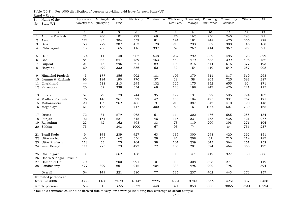1 2 3 4 5 6 7 8 9 10 11 12 1313 1 Andhra Pradesh 21 200 101 272 69 76 162 256 245 293 912 Assam 172 83 204 559 81 141 181 248 475 356 2283 Bihar 50 227 387 453 128 210 293 302 300 146 1604 Chhatisgarh 18 280 165 116 337 62 262 414 362 96 91 5 Delhi 174 11 140 907 548 282 292 362 485 123 329329 6 Goa 84 420 647 789 453 449 479 685 399 496 4827 Gujarat 21 46 296 521 89 103 215 544 615 377 193 8 Haryana 60 492 332 356 62 32 154 410 649 257 208 9 Himachal Pradesh 45 177 356 902 181 105 379 511 817 519 26810 Jammu & Kashmir 95 184 190 770 37 29 58 803 725 593 287 11 Jharkhand Jharkhand 44 518 213 295 132 126 175 352 655 92 171 12 Karnataka 25 62 238 334 68 120 198 247 476 221 115115 13 Kerala 57 29 179 244 35 172 131 592 595 294 18714 Madhya Pradesh 26 146 261 392 42 130 184 495 331 267 121 15 Maharashtra 20 159 262 485 191 216 387 647 410 190 14816 Meghalaya 61 158 747 300 50 6 1000 507 730 165 17 Orissa 72 84 279 268 61 114 302 476 685 255 18418 Punjab 161 164 227 845 46 115 231 758 438 421 277 19 Rajasthan 22 42 162 498 33 73 119 209 398 271 104 20 Sikkim 75 343 1000 67 93 74 84 736 237237 21 Tamil Nadu 9 143 239 427 63 135 300 298 420 292 15122 Uttaranchal 45 455 162 356 28 85 208 61 710 219 18723 Uttar Pradesh 118 53 175 164 38 101 239 343 364 261 152 24 West Bengal 111 225 173 423 72 155 201 374 464 365 197 25 Chandigarh 0 562 158 11 1 47 412 927 150 386 26 Dadra & Nagar Haveli \* 27 Daman & Diu  $\begin{array}{ccc} 27 & 0 & 0 & 200 & 991 & 0 & 19 & 308 & 328 & 271 \end{array}$ 149 28 Pondicherry 477 329 661 212 404 333 495 202 795 394 Overall 54 149 221 380 77 135 237 402 443 272 157157 9388 1180 7579 18147 2225 4561 3709 3999 14251 10875 6043060430 1602 315 1655 3572 448 871 853 883 3866 2641 1379413794 Estimated persons at Overall in (000) Sample persons Financing, insuranceCommunity servicesOthers  $All$ Sl.No. State/UT Name of the Agricuture, Mining & Manufactu Electricity Construction Wholesale, forestry etc. quarrying ring retail etc.Transport, storage

Rural + UrbanTable (20.1) : Per 1000 distribution of persons providing paid leave for each State/UT